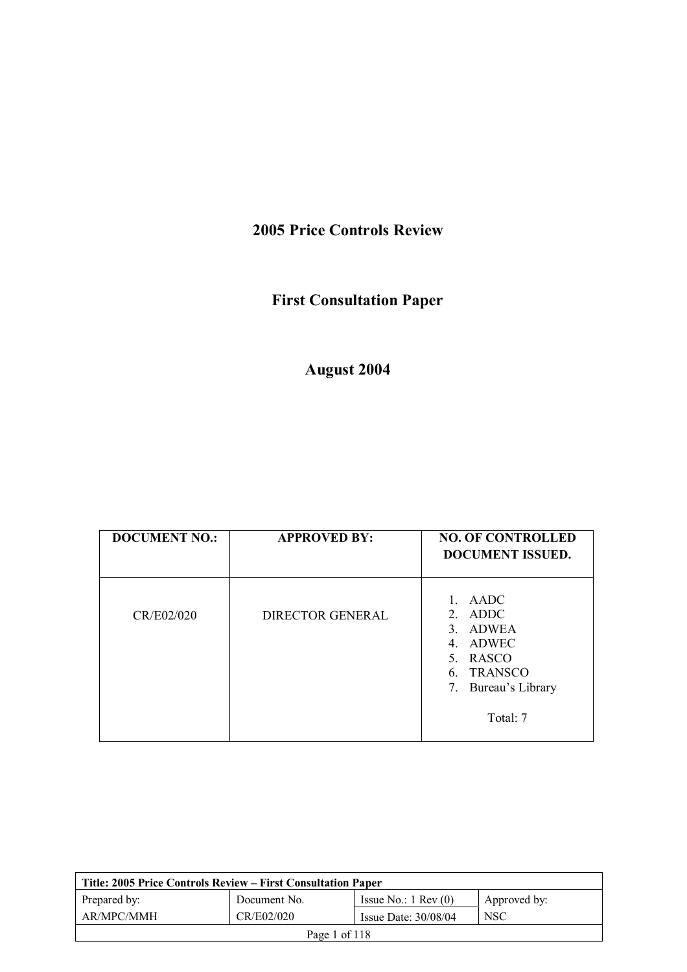# **2005 Price Controls Review**

# **First Consultation Paper**

# **August 2004**

| <b>DOCUMENT NO.:</b> | <b>APPROVED BY:</b>     | <b>NO. OF CONTROLLED</b><br><b>DOCUMENT ISSUED.</b>                                                                                                        |
|----------------------|-------------------------|------------------------------------------------------------------------------------------------------------------------------------------------------------|
| CR/E02/020           | <b>DIRECTOR GENERAL</b> | $\mathbf{1}$<br>AADC<br>ADDC<br>$2_{-}$<br>ADWEA<br>$\mathcal{E}$<br>ADWEC<br>4.<br>5. RASCO<br><b>TRANSCO</b><br>6.<br>Bureau's Library<br>7.<br>Total: 7 |

| Title: 2005 Price Controls Review – First Consultation Paper |              |                               |              |
|--------------------------------------------------------------|--------------|-------------------------------|--------------|
| Prepared by:                                                 | Document No. | Issue No.: $1 \text{ Rev}(0)$ | Approved by: |
| AR/MPC/MMH                                                   | CR/E02/020   | Issue Date: $30/08/04$        | <b>NSC</b>   |
| Page 1 of 118                                                |              |                               |              |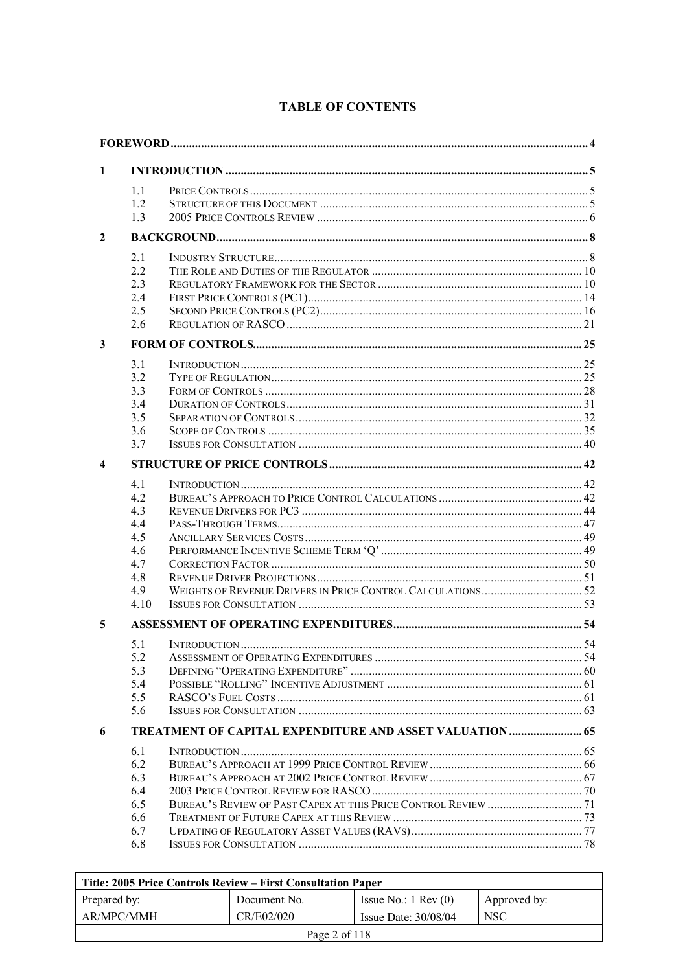| 1                       |            |                                                                 |  |
|-------------------------|------------|-----------------------------------------------------------------|--|
|                         | 1.1        |                                                                 |  |
|                         | 1.2        |                                                                 |  |
|                         | 1.3        |                                                                 |  |
| $\mathbf{2}$            |            |                                                                 |  |
|                         | 2.1        |                                                                 |  |
|                         | 2.2        |                                                                 |  |
|                         | 2.3        |                                                                 |  |
|                         | 2.4        |                                                                 |  |
|                         | 2.5        |                                                                 |  |
|                         | 2.6        |                                                                 |  |
| 3                       |            |                                                                 |  |
|                         | 3.1        |                                                                 |  |
|                         | 3.2        |                                                                 |  |
|                         | 3.3        |                                                                 |  |
|                         | 3.4        |                                                                 |  |
|                         | 3.5        |                                                                 |  |
|                         | 3.6<br>3.7 |                                                                 |  |
| $\overline{\mathbf{4}}$ |            |                                                                 |  |
|                         |            |                                                                 |  |
|                         | 4.1<br>4.2 |                                                                 |  |
|                         | 4.3        |                                                                 |  |
|                         | 4.4        |                                                                 |  |
|                         | 4.5        |                                                                 |  |
|                         | 4.6        |                                                                 |  |
|                         | 4.7        |                                                                 |  |
|                         | 4.8        |                                                                 |  |
|                         | 4.9        |                                                                 |  |
|                         | 4.10       |                                                                 |  |
| 5                       |            |                                                                 |  |
|                         | 5.1        |                                                                 |  |
|                         | 5.2        |                                                                 |  |
|                         | 5.3        |                                                                 |  |
|                         | 5.4        |                                                                 |  |
|                         | 5.5        |                                                                 |  |
|                         | 5.6        |                                                                 |  |
| 6                       |            | <b>TREATMENT OF CAPITAL EXPENDITURE AND ASSET VALUATION  65</b> |  |
|                         | 6.1        |                                                                 |  |
|                         | 6.2        |                                                                 |  |
|                         | 6.3<br>6.4 |                                                                 |  |
|                         | 6.5        |                                                                 |  |
|                         | 6.6        |                                                                 |  |
|                         | 6.7        |                                                                 |  |
|                         | 6.8        | <b>ISSUES FOR CONSULTATION</b>                                  |  |

# **TABLE OF CONTENTS**

| Title: 2005 Price Controls Review – First Consultation Paper |              |                               |              |
|--------------------------------------------------------------|--------------|-------------------------------|--------------|
| Prepared by:                                                 | Document No. | Issue No.: $1 \text{ Rev}(0)$ | Approved by: |
| AR/MPC/MMH                                                   | CR/E02/020   | Issue Date: $30/08/04$        | <b>NSC</b>   |
| Page 2 of $118$                                              |              |                               |              |

 $\mathbf{r}$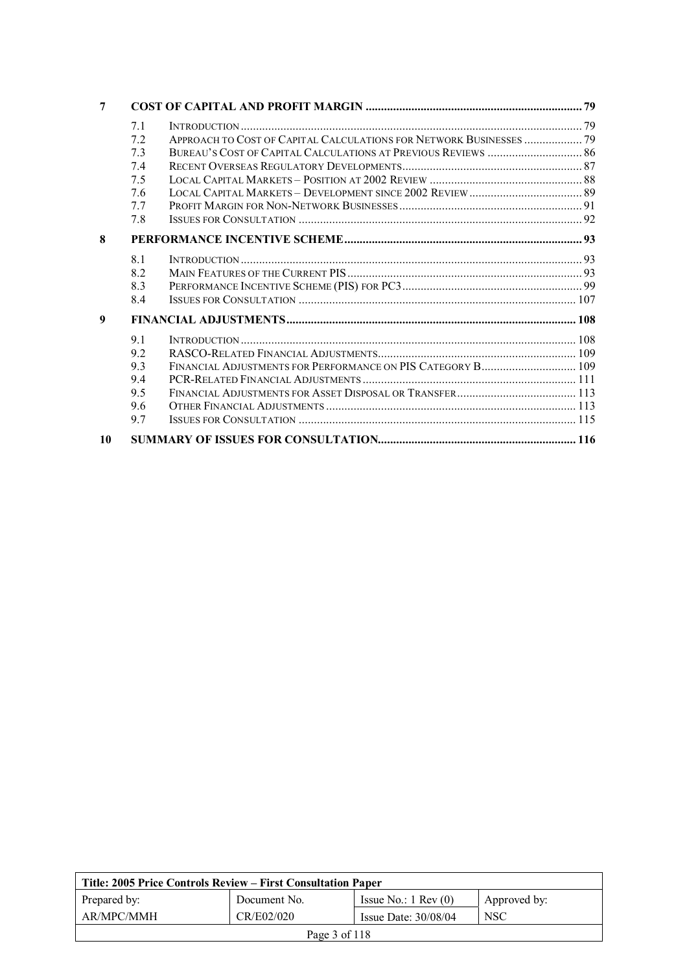| 7  |     |                                                                     |  |
|----|-----|---------------------------------------------------------------------|--|
|    | 7.1 |                                                                     |  |
|    | 7.2 | APPROACH TO COST OF CAPITAL CALCULATIONS FOR NETWORK BUSINESSES  79 |  |
|    | 73  |                                                                     |  |
|    | 74  |                                                                     |  |
|    | 75  |                                                                     |  |
|    | 76  |                                                                     |  |
|    | 77  |                                                                     |  |
|    | 7.8 |                                                                     |  |
| 8  |     |                                                                     |  |
|    | 8.1 |                                                                     |  |
|    | 8.2 |                                                                     |  |
|    | 8.3 |                                                                     |  |
|    | 8.4 |                                                                     |  |
| 9  |     |                                                                     |  |
|    | 9.1 |                                                                     |  |
|    | 9.2 |                                                                     |  |
|    | 9.3 |                                                                     |  |
|    | 9.4 |                                                                     |  |
|    | 9.5 |                                                                     |  |
|    | 9.6 |                                                                     |  |
|    | 9.7 |                                                                     |  |
| 10 |     |                                                                     |  |

| Title: 2005 Price Controls Review – First Consultation Paper |              |                               |              |
|--------------------------------------------------------------|--------------|-------------------------------|--------------|
| Prepared by:                                                 | Document No. | Issue No.: $1 \text{ Rev}(0)$ | Approved by: |
| AR/MPC/MMH                                                   | CR/E02/020   | Issue Date: $30/08/04$        | <b>NSC</b>   |
| Page 3 of 118                                                |              |                               |              |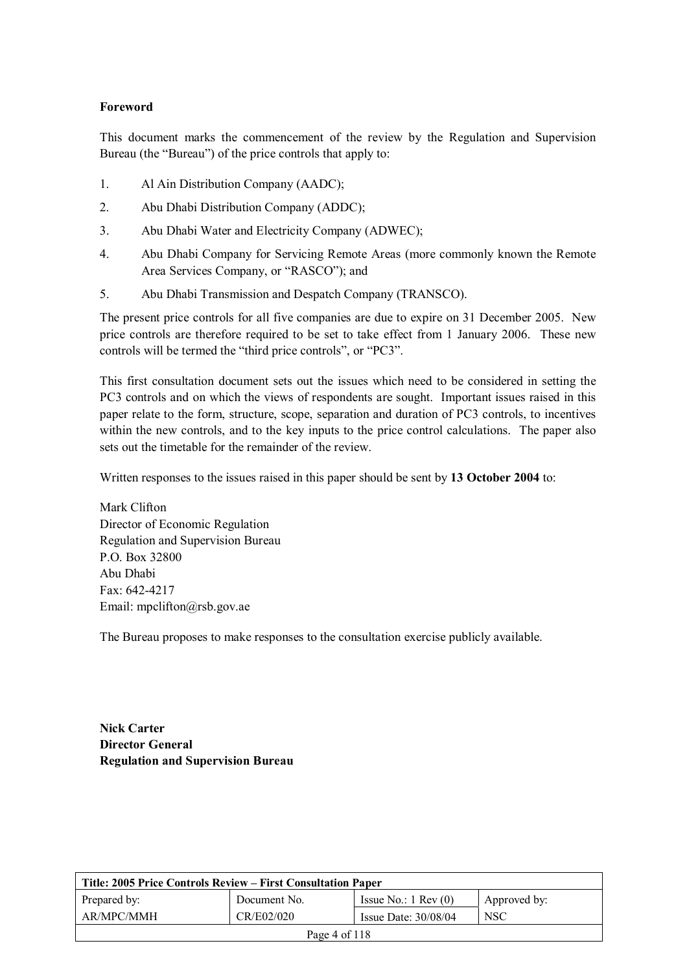### **Foreword**

This document marks the commencement of the review by the Regulation and Supervision Bureau (the "Bureau") of the price controls that apply to:

- 1. Al Ain Distribution Company (AADC);
- 2. Abu Dhabi Distribution Company (ADDC);
- 3. Abu Dhabi Water and Electricity Company (ADWEC);
- 4. Abu Dhabi Company for Servicing Remote Areas (more commonly known the Remote Area Services Company, or "RASCO"); and
- 5. Abu Dhabi Transmission and Despatch Company (TRANSCO).

The present price controls for all five companies are due to expire on 31 December 2005. New price controls are therefore required to be set to take effect from 1 January 2006. These new controls will be termed the "third price controls", or "PC3".

This first consultation document sets out the issues which need to be considered in setting the PC3 controls and on which the views of respondents are sought. Important issues raised in this paper relate to the form, structure, scope, separation and duration of PC3 controls, to incentives within the new controls, and to the key inputs to the price control calculations. The paper also sets out the timetable for the remainder of the review.

Written responses to the issues raised in this paper should be sent by **13 October 2004** to:

Mark Clifton Director of Economic Regulation Regulation and Supervision Bureau P.O. Box 32800 Abu Dhabi Fax: 642-4217 Email: mpclifton@rsb.gov.ae

The Bureau proposes to make responses to the consultation exercise publicly available.

**Nick Carter Director General Regulation and Supervision Bureau** 

| Title: 2005 Price Controls Review – First Consultation Paper |              |                               |              |
|--------------------------------------------------------------|--------------|-------------------------------|--------------|
| Prepared by:                                                 | Document No. | Issue No.: $1 \text{ Rev}(0)$ | Approved by: |
| AR/MPC/MMH                                                   | CR/E02/020   | Issue Date: $30/08/04$        | <b>NSC</b>   |
| Page 4 of 118                                                |              |                               |              |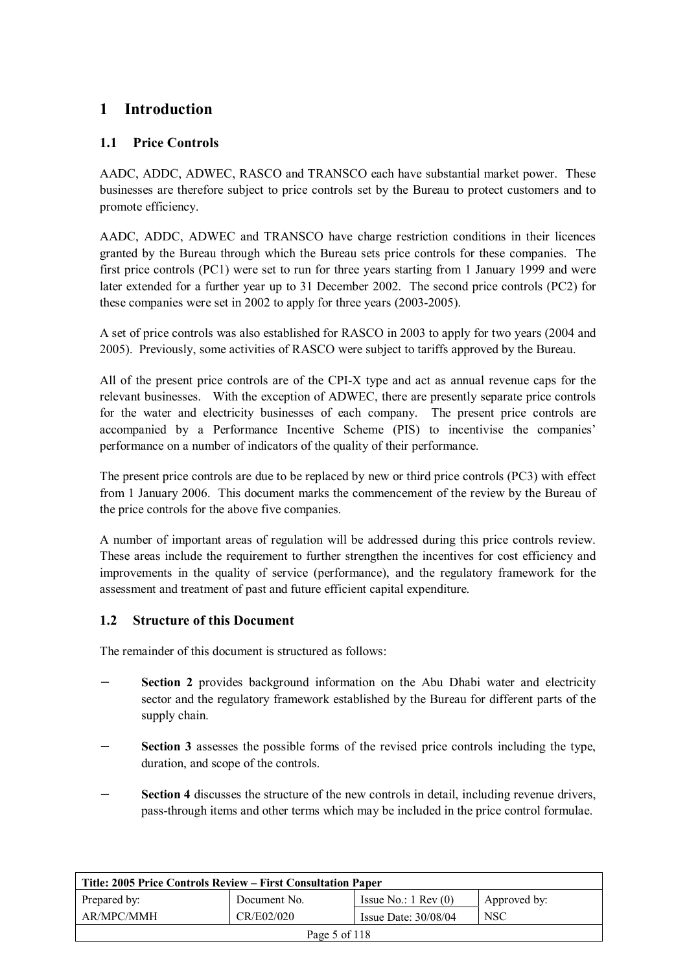# **1 Introduction**

# **1.1 Price Controls**

AADC, ADDC, ADWEC, RASCO and TRANSCO each have substantial market power. These businesses are therefore subject to price controls set by the Bureau to protect customers and to promote efficiency.

AADC, ADDC, ADWEC and TRANSCO have charge restriction conditions in their licences granted by the Bureau through which the Bureau sets price controls for these companies. The first price controls (PC1) were set to run for three years starting from 1 January 1999 and were later extended for a further year up to 31 December 2002. The second price controls (PC2) for these companies were set in 2002 to apply for three years (2003-2005).

A set of price controls was also established for RASCO in 2003 to apply for two years (2004 and 2005). Previously, some activities of RASCO were subject to tariffs approved by the Bureau.

All of the present price controls are of the CPI-X type and act as annual revenue caps for the relevant businesses. With the exception of ADWEC, there are presently separate price controls for the water and electricity businesses of each company. The present price controls are accompanied by a Performance Incentive Scheme (PIS) to incentivise the companies' performance on a number of indicators of the quality of their performance.

The present price controls are due to be replaced by new or third price controls (PC3) with effect from 1 January 2006. This document marks the commencement of the review by the Bureau of the price controls for the above five companies.

A number of important areas of regulation will be addressed during this price controls review. These areas include the requirement to further strengthen the incentives for cost efficiency and improvements in the quality of service (performance), and the regulatory framework for the assessment and treatment of past and future efficient capital expenditure.

# **1.2 Structure of this Document**

The remainder of this document is structured as follows:

- **Section 2** provides background information on the Abu Dhabi water and electricity sector and the regulatory framework established by the Bureau for different parts of the supply chain.
- − **Section 3** assesses the possible forms of the revised price controls including the type, duration, and scope of the controls.
- Section 4 discusses the structure of the new controls in detail, including revenue drivers, pass-through items and other terms which may be included in the price control formulae.

| Title: 2005 Price Controls Review – First Consultation Paper |              |                               |              |
|--------------------------------------------------------------|--------------|-------------------------------|--------------|
| Prepared by:                                                 | Document No. | Issue No.: $1 \text{ Rev}(0)$ | Approved by: |
| AR/MPC/MMH                                                   | CR/E02/020   | Issue Date: $30/08/04$        | <b>NSC</b>   |
| Page 5 of $118$                                              |              |                               |              |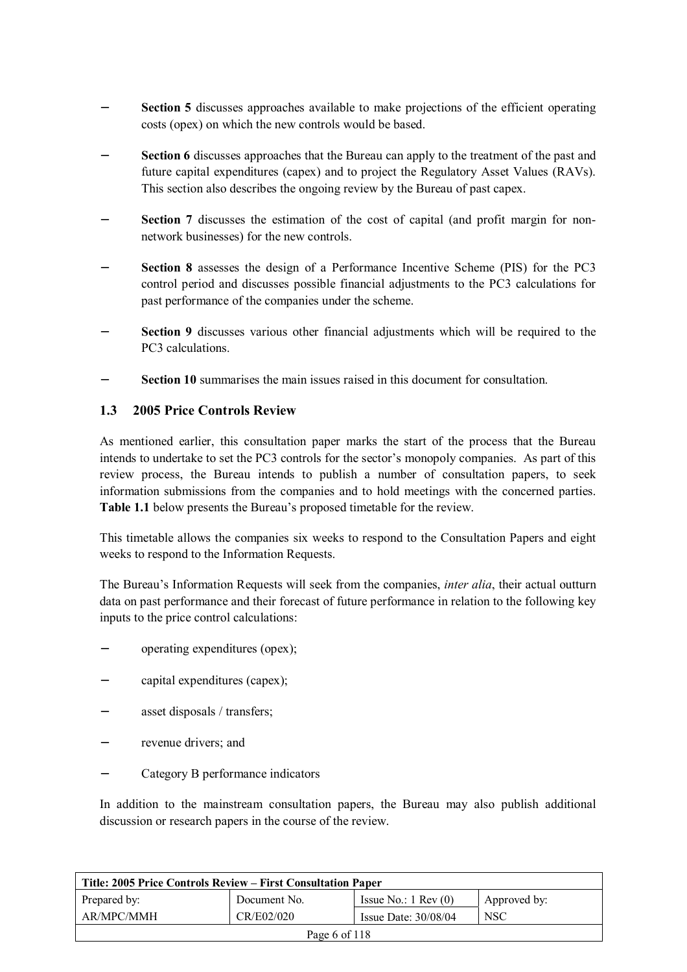- **Section 5** discusses approaches available to make projections of the efficient operating costs (opex) on which the new controls would be based.
- **Section 6** discusses approaches that the Bureau can apply to the treatment of the past and future capital expenditures (capex) and to project the Regulatory Asset Values (RAVs). This section also describes the ongoing review by the Bureau of past capex.
- Section 7 discusses the estimation of the cost of capital (and profit margin for nonnetwork businesses) for the new controls.
- − **Section 8** assesses the design of a Performance Incentive Scheme (PIS) for the PC3 control period and discusses possible financial adjustments to the PC3 calculations for past performance of the companies under the scheme.
- **Section 9** discusses various other financial adjustments which will be required to the PC3 calculations.
- **Section 10** summarises the main issues raised in this document for consultation.

### **1.3 2005 Price Controls Review**

As mentioned earlier, this consultation paper marks the start of the process that the Bureau intends to undertake to set the PC3 controls for the sector's monopoly companies. As part of this review process, the Bureau intends to publish a number of consultation papers, to seek information submissions from the companies and to hold meetings with the concerned parties. **Table 1.1** below presents the Bureau's proposed timetable for the review.

This timetable allows the companies six weeks to respond to the Consultation Papers and eight weeks to respond to the Information Requests.

The Bureau's Information Requests will seek from the companies, *inter alia*, their actual outturn data on past performance and their forecast of future performance in relation to the following key inputs to the price control calculations:

- − operating expenditures (opex);
- − capital expenditures (capex);
- asset disposals / transfers;
- revenue drivers: and
- − Category B performance indicators

In addition to the mainstream consultation papers, the Bureau may also publish additional discussion or research papers in the course of the review.

| Title: 2005 Price Controls Review – First Consultation Paper |              |                               |              |
|--------------------------------------------------------------|--------------|-------------------------------|--------------|
| Prepared by:                                                 | Document No. | Issue No.: $1 \text{ Rev}(0)$ | Approved by: |
| AR/MPC/MMH                                                   | CR/E02/020   | Issue Date: $30/08/04$        | <b>NSC</b>   |
| Page 6 of $118$                                              |              |                               |              |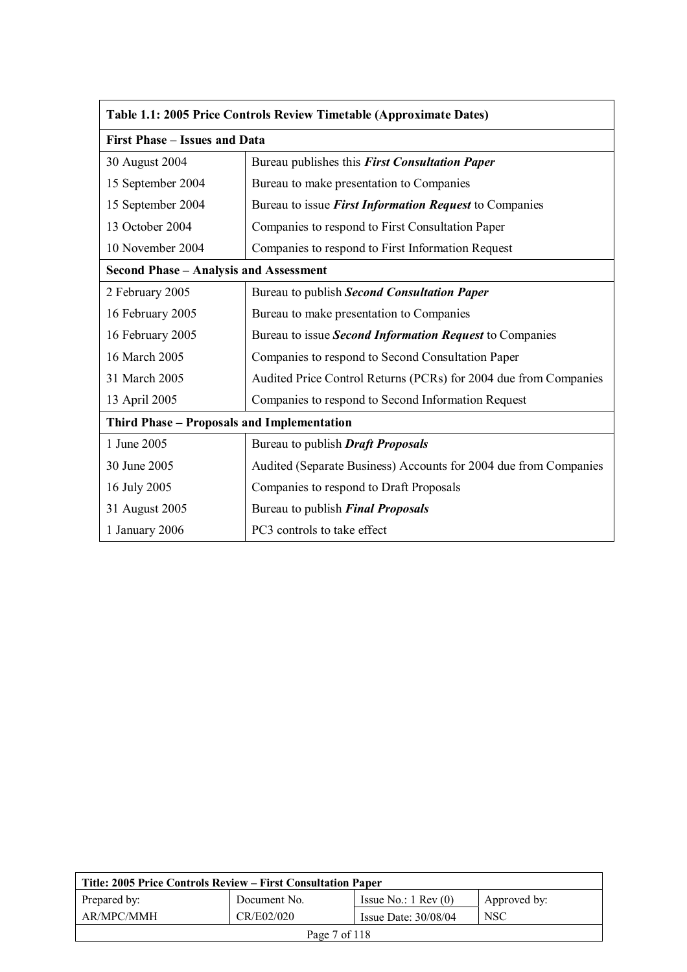| Table 1.1: 2005 Price Controls Review Timetable (Approximate Dates) |                                                                  |  |  |
|---------------------------------------------------------------------|------------------------------------------------------------------|--|--|
| <b>First Phase - Issues and Data</b>                                |                                                                  |  |  |
| 30 August 2004                                                      | Bureau publishes this First Consultation Paper                   |  |  |
| 15 September 2004                                                   | Bureau to make presentation to Companies                         |  |  |
| 15 September 2004                                                   | Bureau to issue <i>First Information Request</i> to Companies    |  |  |
| 13 October 2004                                                     | Companies to respond to First Consultation Paper                 |  |  |
| 10 November 2004                                                    | Companies to respond to First Information Request                |  |  |
| <b>Second Phase - Analysis and Assessment</b>                       |                                                                  |  |  |
| 2 February 2005                                                     | Bureau to publish Second Consultation Paper                      |  |  |
| 16 February 2005                                                    | Bureau to make presentation to Companies                         |  |  |
| 16 February 2005                                                    | Bureau to issue Second Information Request to Companies          |  |  |
| 16 March 2005                                                       | Companies to respond to Second Consultation Paper                |  |  |
| 31 March 2005                                                       | Audited Price Control Returns (PCRs) for 2004 due from Companies |  |  |
| 13 April 2005                                                       | Companies to respond to Second Information Request               |  |  |
| Third Phase - Proposals and Implementation                          |                                                                  |  |  |
| 1 June 2005                                                         | Bureau to publish <b>Draft Proposals</b>                         |  |  |
| 30 June 2005                                                        | Audited (Separate Business) Accounts for 2004 due from Companies |  |  |
| 16 July 2005                                                        | Companies to respond to Draft Proposals                          |  |  |
| 31 August 2005                                                      | Bureau to publish Final Proposals                                |  |  |
| 1 January 2006                                                      | PC3 controls to take effect                                      |  |  |

| Title: 2005 Price Controls Review – First Consultation Paper |              |                               |              |
|--------------------------------------------------------------|--------------|-------------------------------|--------------|
| Prepared by:                                                 | Document No. | Issue No.: $1 \text{ Rev}(0)$ | Approved by: |
| AR/MPC/MMH                                                   | CR/E02/020   | Issue Date: $30/08/04$        | <b>NSC</b>   |
| Page 7 of 118                                                |              |                               |              |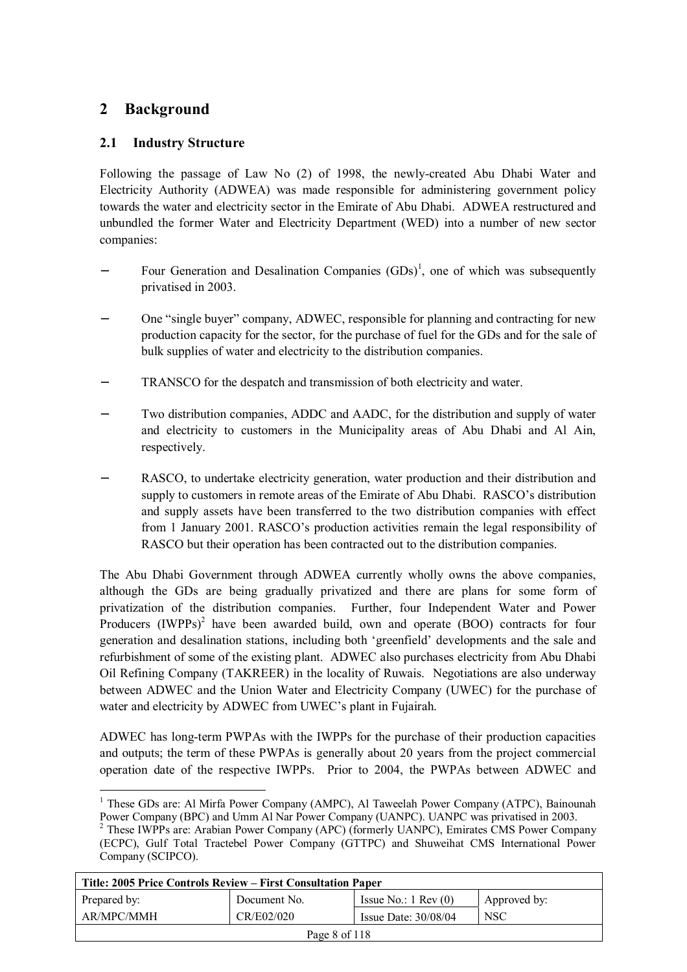# **2 Background**

 $\overline{a}$ 

# **2.1 Industry Structure**

Following the passage of Law No (2) of 1998, the newly-created Abu Dhabi Water and Electricity Authority (ADWEA) was made responsible for administering government policy towards the water and electricity sector in the Emirate of Abu Dhabi. ADWEA restructured and unbundled the former Water and Electricity Department (WED) into a number of new sector companies:

- − Four Generation and Desalination Companies (GDs)<sup>1</sup>, one of which was subsequently privatised in 2003.
- One "single buyer" company, ADWEC, responsible for planning and contracting for new production capacity for the sector, for the purchase of fuel for the GDs and for the sale of bulk supplies of water and electricity to the distribution companies.
- TRANSCO for the despatch and transmission of both electricity and water.
- Two distribution companies, ADDC and AADC, for the distribution and supply of water and electricity to customers in the Municipality areas of Abu Dhabi and Al Ain, respectively.
- RASCO, to undertake electricity generation, water production and their distribution and supply to customers in remote areas of the Emirate of Abu Dhabi. RASCO's distribution and supply assets have been transferred to the two distribution companies with effect from 1 January 2001. RASCO's production activities remain the legal responsibility of RASCO but their operation has been contracted out to the distribution companies.

The Abu Dhabi Government through ADWEA currently wholly owns the above companies, although the GDs are being gradually privatized and there are plans for some form of privatization of the distribution companies. Further, four Independent Water and Power Producers  $(IWPPs)^2$  have been awarded build, own and operate  $(BOO)$  contracts for four generation and desalination stations, including both 'greenfield' developments and the sale and refurbishment of some of the existing plant. ADWEC also purchases electricity from Abu Dhabi Oil Refining Company (TAKREER) in the locality of Ruwais. Negotiations are also underway between ADWEC and the Union Water and Electricity Company (UWEC) for the purchase of water and electricity by ADWEC from UWEC's plant in Fujairah.

ADWEC has long-term PWPAs with the IWPPs for the purchase of their production capacities and outputs; the term of these PWPAs is generally about 20 years from the project commercial operation date of the respective IWPPs. Prior to 2004, the PWPAs between ADWEC and

<sup>&</sup>lt;sup>2</sup> These IWPPs are: Arabian Power Company (APC) (formerly UANPC), Emirates CMS Power Company (ECPC), Gulf Total Tractebel Power Company (GTTPC) and Shuweihat CMS International Power Company (SCIPCO).

| Title: 2005 Price Controls Review – First Consultation Paper |              |                               |              |
|--------------------------------------------------------------|--------------|-------------------------------|--------------|
| Prepared by:                                                 | Document No. | Issue No.: $1 \text{ Rev}(0)$ | Approved by: |
| AR/MPC/MMH                                                   | CR/E02/020   | Issue Date: $30/08/04$        | <b>NSC</b>   |
| Page 8 of 118                                                |              |                               |              |

<sup>&</sup>lt;sup>1</sup> These GDs are: Al Mirfa Power Company (AMPC), Al Taweelah Power Company (ATPC), Bainounah Power Company (BPC) and Umm Al Nar Power Company (UANPC). UANPC was privatised in 2003.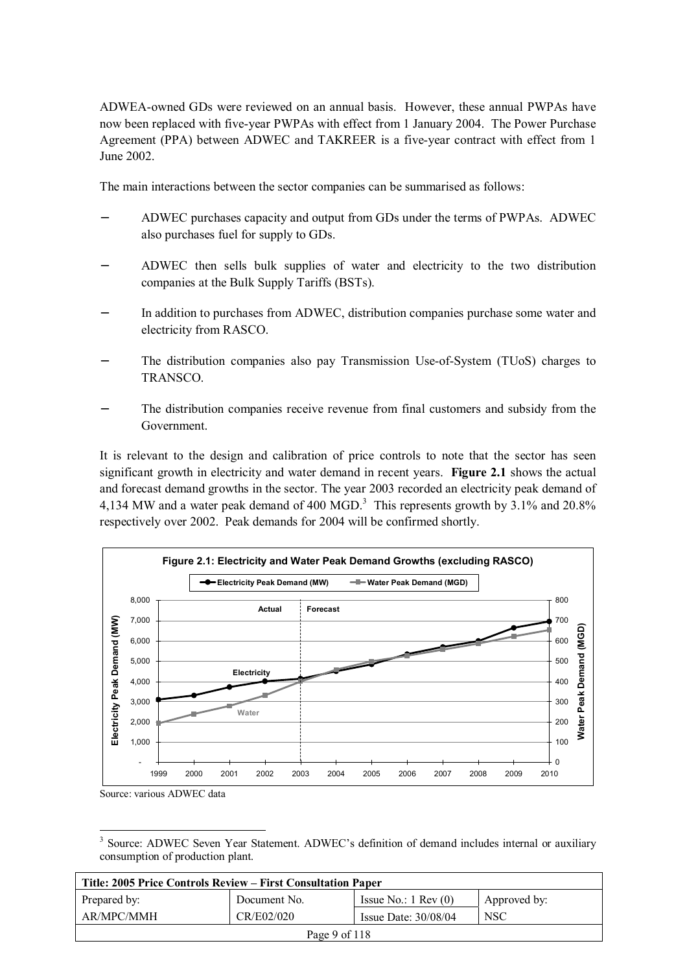ADWEA-owned GDs were reviewed on an annual basis. However, these annual PWPAs have now been replaced with five-year PWPAs with effect from 1 January 2004. The Power Purchase Agreement (PPA) between ADWEC and TAKREER is a five-year contract with effect from 1 June 2002.

The main interactions between the sector companies can be summarised as follows:

- − ADWEC purchases capacity and output from GDs under the terms of PWPAs. ADWEC also purchases fuel for supply to GDs.
- − ADWEC then sells bulk supplies of water and electricity to the two distribution companies at the Bulk Supply Tariffs (BSTs).
- In addition to purchases from ADWEC, distribution companies purchase some water and electricity from RASCO.
- The distribution companies also pay Transmission Use-of-System (TUoS) charges to TRANSCO.
- The distribution companies receive revenue from final customers and subsidy from the Government.

It is relevant to the design and calibration of price controls to note that the sector has seen significant growth in electricity and water demand in recent years. **Figure 2.1** shows the actual and forecast demand growths in the sector. The year 2003 recorded an electricity peak demand of 4,134 MW and a water peak demand of 400 MGD.<sup>3</sup> This represents growth by 3.1% and 20.8% respectively over 2002. Peak demands for 2004 will be confirmed shortly.



Source: various ADWEC data

 $\overline{a}$ <sup>3</sup> Source: ADWEC Seven Year Statement. ADWEC's definition of demand includes internal or auxiliary consumption of production plant.

| Title: 2005 Price Controls Review – First Consultation Paper                  |            |                        |            |  |
|-------------------------------------------------------------------------------|------------|------------------------|------------|--|
| Issue No.: $1 \text{ Rev}(0)$<br>Approved by:<br>Prepared by:<br>Document No. |            |                        |            |  |
| AR/MPC/MMH                                                                    | CR/E02/020 | Issue Date: $30/08/04$ | <b>NSC</b> |  |
| Page 9 of 118                                                                 |            |                        |            |  |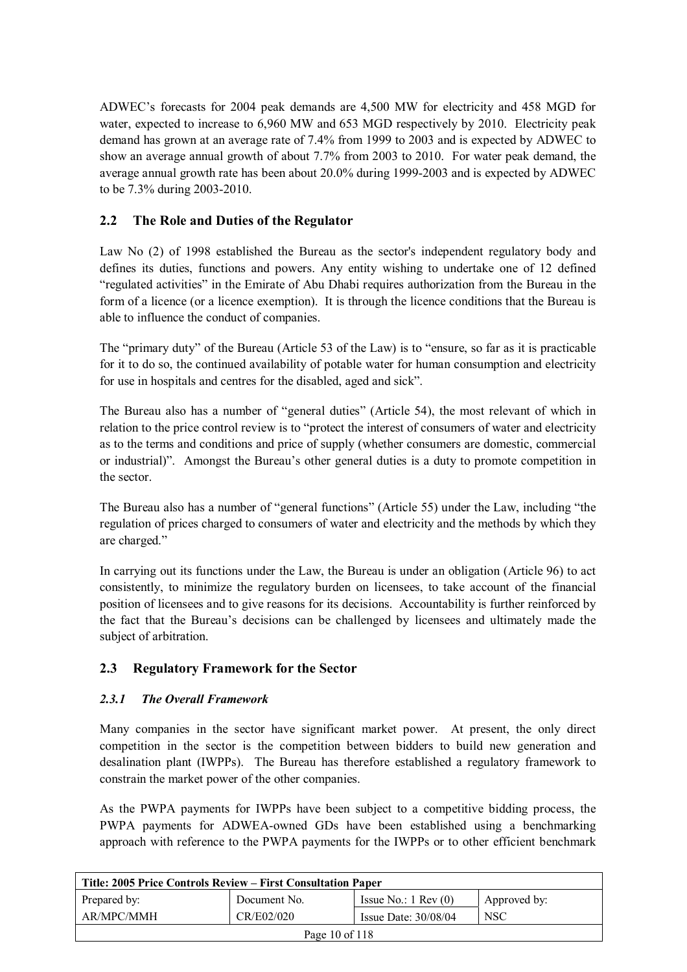ADWEC's forecasts for 2004 peak demands are 4,500 MW for electricity and 458 MGD for water, expected to increase to 6,960 MW and 653 MGD respectively by 2010. Electricity peak demand has grown at an average rate of 7.4% from 1999 to 2003 and is expected by ADWEC to show an average annual growth of about 7.7% from 2003 to 2010. For water peak demand, the average annual growth rate has been about 20.0% during 1999-2003 and is expected by ADWEC to be 7.3% during 2003-2010.

# **2.2 The Role and Duties of the Regulator**

Law No (2) of 1998 established the Bureau as the sector's independent regulatory body and defines its duties, functions and powers. Any entity wishing to undertake one of 12 defined "regulated activities" in the Emirate of Abu Dhabi requires authorization from the Bureau in the form of a licence (or a licence exemption). It is through the licence conditions that the Bureau is able to influence the conduct of companies.

The "primary duty" of the Bureau (Article 53 of the Law) is to "ensure, so far as it is practicable for it to do so, the continued availability of potable water for human consumption and electricity for use in hospitals and centres for the disabled, aged and sick".

The Bureau also has a number of "general duties" (Article 54), the most relevant of which in relation to the price control review is to "protect the interest of consumers of water and electricity as to the terms and conditions and price of supply (whether consumers are domestic, commercial or industrial)". Amongst the Bureau's other general duties is a duty to promote competition in the sector.

The Bureau also has a number of "general functions" (Article 55) under the Law, including "the regulation of prices charged to consumers of water and electricity and the methods by which they are charged."

In carrying out its functions under the Law, the Bureau is under an obligation (Article 96) to act consistently, to minimize the regulatory burden on licensees, to take account of the financial position of licensees and to give reasons for its decisions. Accountability is further reinforced by the fact that the Bureau's decisions can be challenged by licensees and ultimately made the subject of arbitration.

# **2.3 Regulatory Framework for the Sector**

### *2.3.1 The Overall Framework*

Many companies in the sector have significant market power. At present, the only direct competition in the sector is the competition between bidders to build new generation and desalination plant (IWPPs). The Bureau has therefore established a regulatory framework to constrain the market power of the other companies.

As the PWPA payments for IWPPs have been subject to a competitive bidding process, the PWPA payments for ADWEA-owned GDs have been established using a benchmarking approach with reference to the PWPA payments for the IWPPs or to other efficient benchmark

| Title: 2005 Price Controls Review – First Consultation Paper |              |                               |              |  |
|--------------------------------------------------------------|--------------|-------------------------------|--------------|--|
| Prepared by:                                                 | Document No. | Issue No.: $1 \text{ Rev}(0)$ | Approved by: |  |
| AR/MPC/MMH                                                   | CR/E02/020   | Issue Date: $30/08/04$        | <b>NSC</b>   |  |
| Page 10 of 118                                               |              |                               |              |  |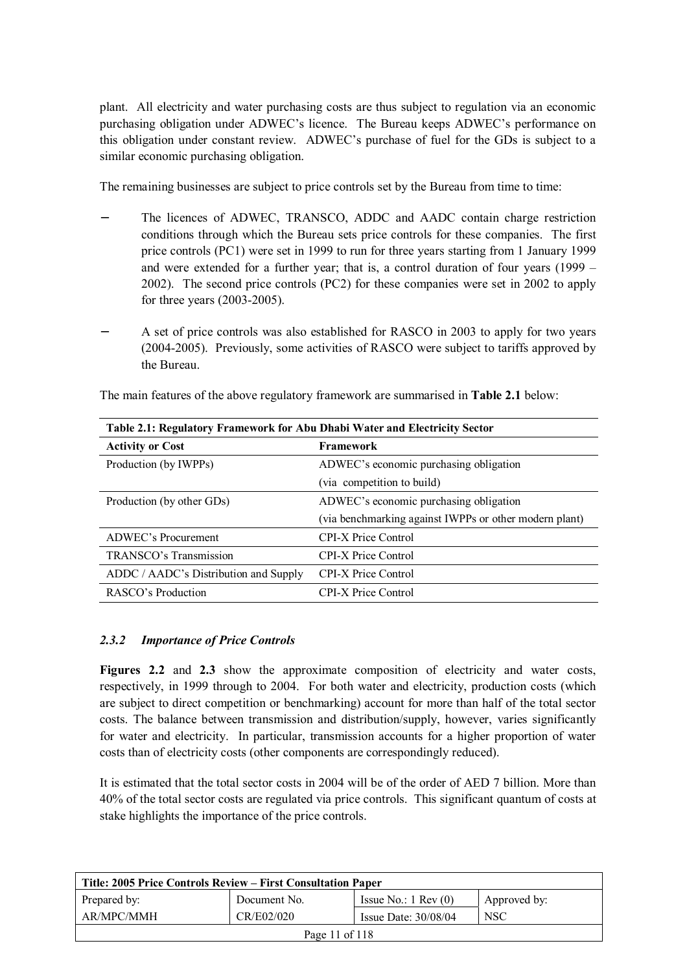plant. All electricity and water purchasing costs are thus subject to regulation via an economic purchasing obligation under ADWEC's licence. The Bureau keeps ADWEC's performance on this obligation under constant review. ADWEC's purchase of fuel for the GDs is subject to a similar economic purchasing obligation.

The remaining businesses are subject to price controls set by the Bureau from time to time:

- The licences of ADWEC, TRANSCO, ADDC and AADC contain charge restriction conditions through which the Bureau sets price controls for these companies. The first price controls (PC1) were set in 1999 to run for three years starting from 1 January 1999 and were extended for a further year; that is, a control duration of four years (1999 – 2002). The second price controls (PC2) for these companies were set in 2002 to apply for three years (2003-2005).
- A set of price controls was also established for RASCO in 2003 to apply for two years (2004-2005). Previously, some activities of RASCO were subject to tariffs approved by the Bureau.

| Table 2.1: Regulatory Framework for Abu Dhabi Water and Electricity Sector |                                                        |  |
|----------------------------------------------------------------------------|--------------------------------------------------------|--|
| <b>Activity or Cost</b>                                                    | <b>Framework</b>                                       |  |
| Production (by IWPPs)                                                      | ADWEC's economic purchasing obligation                 |  |
|                                                                            | (via competition to build)                             |  |
| Production (by other GDs)                                                  | ADWEC's economic purchasing obligation                 |  |
|                                                                            | (via benchmarking against IWPPs or other modern plant) |  |
| ADWEC's Procurement                                                        | <b>CPI-X Price Control</b>                             |  |
| TRANSCO's Transmission                                                     | <b>CPI-X Price Control</b>                             |  |
| ADDC / AADC's Distribution and Supply                                      | CPI-X Price Control                                    |  |
| RASCO's Production                                                         | <b>CPI-X Price Control</b>                             |  |

The main features of the above regulatory framework are summarised in **Table 2.1** below:

### *2.3.2 Importance of Price Controls*

**Figures 2.2** and 2.3 show the approximate composition of electricity and water costs, respectively, in 1999 through to 2004. For both water and electricity, production costs (which are subject to direct competition or benchmarking) account for more than half of the total sector costs. The balance between transmission and distribution/supply, however, varies significantly for water and electricity. In particular, transmission accounts for a higher proportion of water costs than of electricity costs (other components are correspondingly reduced).

It is estimated that the total sector costs in 2004 will be of the order of AED 7 billion. More than 40% of the total sector costs are regulated via price controls. This significant quantum of costs at stake highlights the importance of the price controls.

| Title: 2005 Price Controls Review – First Consultation Paper |              |                               |              |
|--------------------------------------------------------------|--------------|-------------------------------|--------------|
| Prepared by:                                                 | Document No. | Issue No.: $1 \text{ Rev}(0)$ | Approved by: |
| AR/MPC/MMH                                                   | CR/E02/020   | Issue Date: $30/08/04$        | <b>NSC</b>   |
| Page 11 of 118                                               |              |                               |              |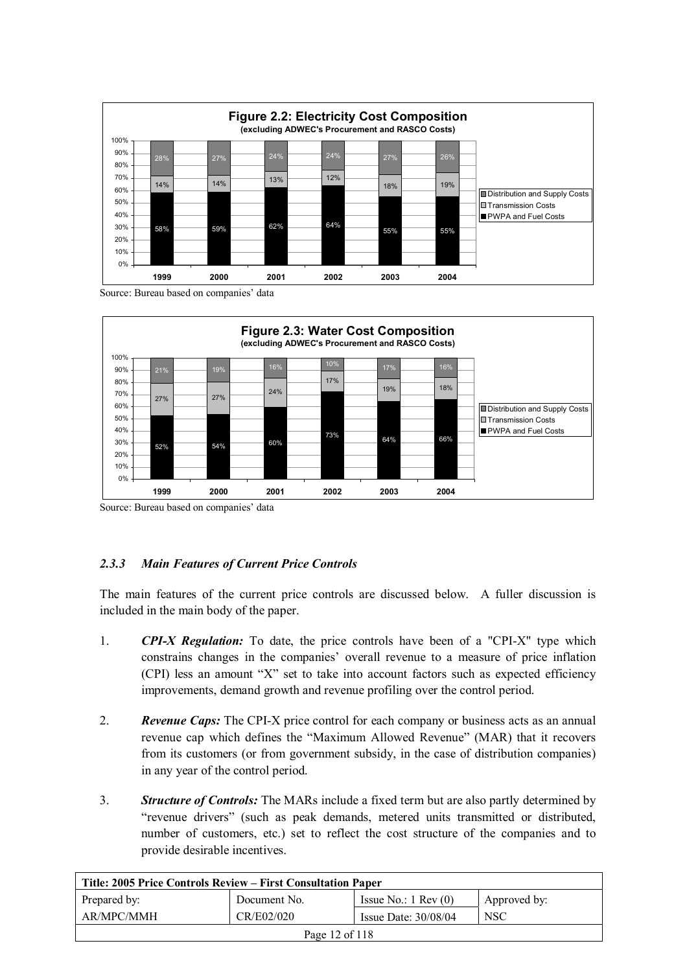

Source: Bureau based on companies' data



Source: Bureau based on companies' data

# *2.3.3 Main Features of Current Price Controls*

The main features of the current price controls are discussed below. A fuller discussion is included in the main body of the paper.

- 1. *CPI-X Regulation:* To date, the price controls have been of a "CPI-X" type which constrains changes in the companies' overall revenue to a measure of price inflation (CPI) less an amount "X" set to take into account factors such as expected efficiency improvements, demand growth and revenue profiling over the control period.
- 2. *Revenue Caps:* The CPI-X price control for each company or business acts as an annual revenue cap which defines the "Maximum Allowed Revenue" (MAR) that it recovers from its customers (or from government subsidy, in the case of distribution companies) in any year of the control period.
- 3. *Structure of Controls:* The MARs include a fixed term but are also partly determined by "revenue drivers" (such as peak demands, metered units transmitted or distributed, number of customers, etc.) set to reflect the cost structure of the companies and to provide desirable incentives.

| Title: 2005 Price Controls Review – First Consultation Paper                  |  |  |  |  |
|-------------------------------------------------------------------------------|--|--|--|--|
| Issue No.: $1 \text{ Rev}(0)$<br>Approved by:<br>Prepared by:<br>Document No. |  |  |  |  |
| AR/MPC/MMH<br>CR/E02/020<br><b>NSC</b><br>Issue Date: $30/08/04$              |  |  |  |  |
| Page 12 of 118                                                                |  |  |  |  |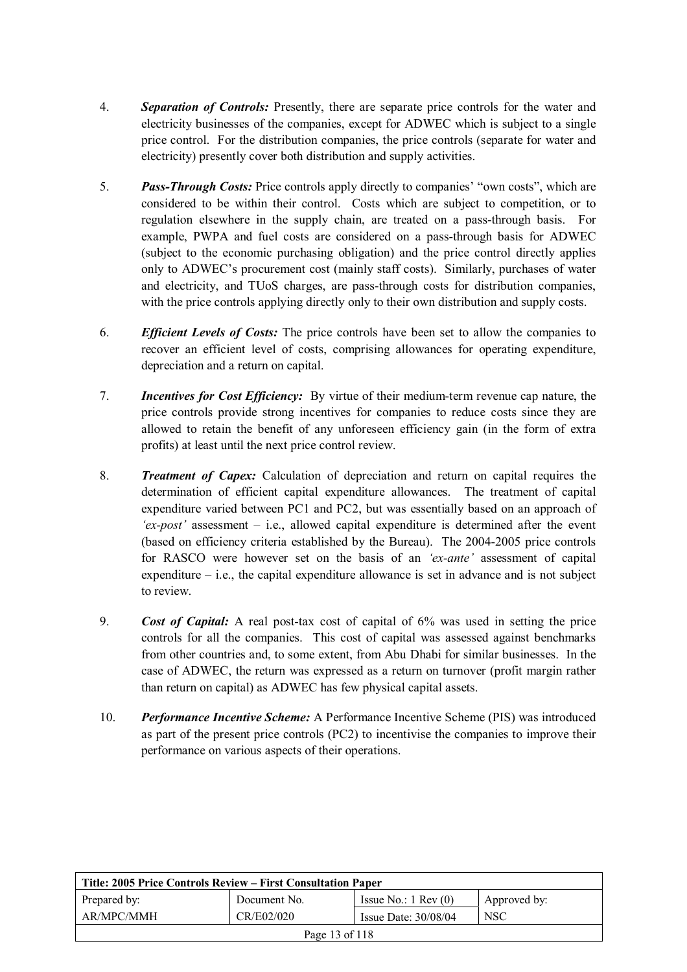- 4. *Separation of Controls:* Presently, there are separate price controls for the water and electricity businesses of the companies, except for ADWEC which is subject to a single price control. For the distribution companies, the price controls (separate for water and electricity) presently cover both distribution and supply activities.
- 5. *Pass-Through Costs:* Price controls apply directly to companies' "own costs", which are considered to be within their control. Costs which are subject to competition, or to regulation elsewhere in the supply chain, are treated on a pass-through basis. For example, PWPA and fuel costs are considered on a pass-through basis for ADWEC (subject to the economic purchasing obligation) and the price control directly applies only to ADWEC's procurement cost (mainly staff costs). Similarly, purchases of water and electricity, and TUoS charges, are pass-through costs for distribution companies, with the price controls applying directly only to their own distribution and supply costs.
- 6. *Efficient Levels of Costs:* The price controls have been set to allow the companies to recover an efficient level of costs, comprising allowances for operating expenditure, depreciation and a return on capital.
- 7. *Incentives for Cost Efficiency:* By virtue of their medium-term revenue cap nature, the price controls provide strong incentives for companies to reduce costs since they are allowed to retain the benefit of any unforeseen efficiency gain (in the form of extra profits) at least until the next price control review.
- 8. *Treatment of Capex:* Calculation of depreciation and return on capital requires the determination of efficient capital expenditure allowances. The treatment of capital expenditure varied between PC1 and PC2, but was essentially based on an approach of *'ex-post'* assessment – i.e., allowed capital expenditure is determined after the event (based on efficiency criteria established by the Bureau). The 2004-2005 price controls for RASCO were however set on the basis of an *'ex-ante'* assessment of capital expenditure  $-$  i.e., the capital expenditure allowance is set in advance and is not subject to review.
- 9. *Cost of Capital:* A real post-tax cost of capital of 6% was used in setting the price controls for all the companies. This cost of capital was assessed against benchmarks from other countries and, to some extent, from Abu Dhabi for similar businesses. In the case of ADWEC, the return was expressed as a return on turnover (profit margin rather than return on capital) as ADWEC has few physical capital assets.
- 10. *Performance Incentive Scheme:* A Performance Incentive Scheme (PIS) was introduced as part of the present price controls (PC2) to incentivise the companies to improve their performance on various aspects of their operations.

| Title: 2005 Price Controls Review – First Consultation Paper                  |  |  |  |  |
|-------------------------------------------------------------------------------|--|--|--|--|
| Issue No.: $1 \text{ Rev}(0)$<br>Prepared by:<br>Document No.<br>Approved by: |  |  |  |  |
| CR/E02/020<br>AR/MPC/MMH<br><b>NSC</b><br>Issue Date: $30/08/04$              |  |  |  |  |
| Page 13 of 118                                                                |  |  |  |  |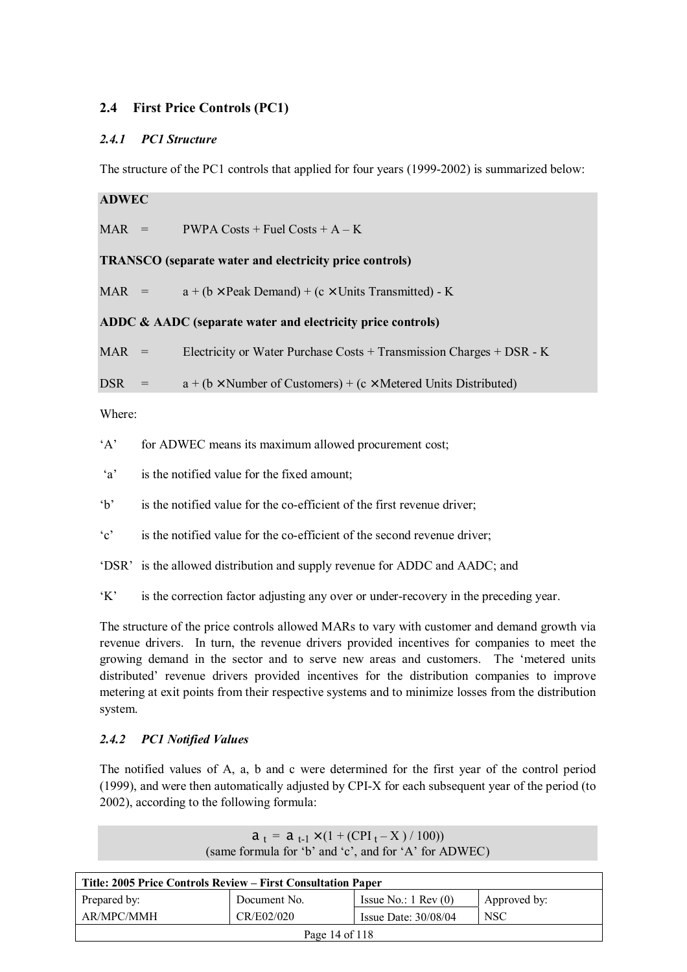# **2.4 First Price Controls (PC1)**

## *2.4.1 PC1 Structure*

The structure of the PC1 controls that applied for four years (1999-2002) is summarized below:

**ADWEC** 

 $MAR = PWPA \text{Costs} + \text{Fuel} \text{Costs} + A - K$ 

**TRANSCO (separate water and electricity price controls)** 

MAR =  $a + (b \times \text{Peak Domain}) + (c \times \text{Unit's Transmitted}) - K$ 

# **ADDC & AADC (separate water and electricity price controls)**

 $MAR$  = Electricity or Water Purchase Costs + Transmission Charges + DSR - K

DSR =  $a + (b \times$  Number of Customers) + (c × Metered Units Distributed)

Where:

'A' for ADWEC means its maximum allowed procurement cost;

'a' is the notified value for the fixed amount;

'b' is the notified value for the co-efficient of the first revenue driver;

'c' is the notified value for the co-efficient of the second revenue driver;

'DSR' is the allowed distribution and supply revenue for ADDC and AADC; and

'K' is the correction factor adjusting any over or under-recovery in the preceding year.

The structure of the price controls allowed MARs to vary with customer and demand growth via revenue drivers. In turn, the revenue drivers provided incentives for companies to meet the growing demand in the sector and to serve new areas and customers. The 'metered units distributed' revenue drivers provided incentives for the distribution companies to improve metering at exit points from their respective systems and to minimize losses from the distribution system.

# *2.4.2 PC1 Notified Values*

The notified values of A, a, b and c were determined for the first year of the control period (1999), and were then automatically adjusted by CPI-X for each subsequent year of the period (to 2002), according to the following formula:

| Title: 2005 Price Controls Review – First Consultation Paper           |              |                               |              |  |
|------------------------------------------------------------------------|--------------|-------------------------------|--------------|--|
| Prepared by:                                                           | Document No. | Issue No.: $1 \text{ Rev}(0)$ | Approved by: |  |
| CR/E02/020<br>AR/MPC/MMH<br>NSC <sup>.</sup><br>Issue Date: $30/08/04$ |              |                               |              |  |
| Page 14 of 118                                                         |              |                               |              |  |

 $a_t = a_{t-1} \times (1 + (CPI_t - X) / 100)$ (same formula for 'b' and 'c', and for 'A' for ADWEC)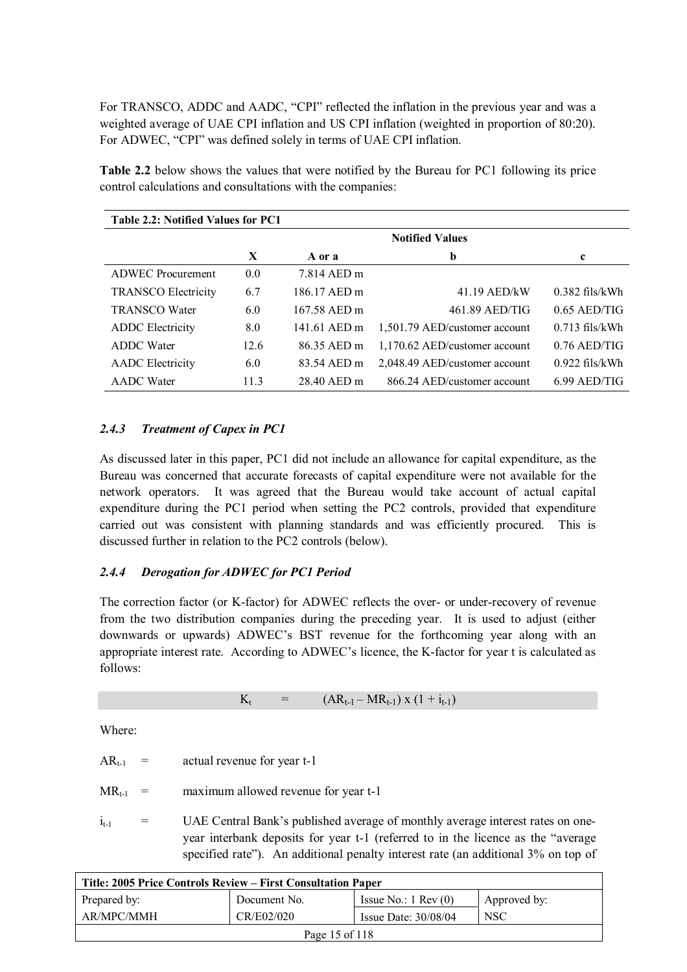For TRANSCO, ADDC and AADC, "CPI" reflected the inflation in the previous year and was a weighted average of UAE CPI inflation and US CPI inflation (weighted in proportion of 80:20). For ADWEC, "CPI" was defined solely in terms of UAE CPI inflation.

| Table 2.2: Notified Values for PC1 |      |              |                               |                  |
|------------------------------------|------|--------------|-------------------------------|------------------|
|                                    |      |              | <b>Notified Values</b>        |                  |
|                                    | X    | A or a       | b                             | $\mathbf c$      |
| <b>ADWEC</b> Procurement           | 0.0  | 7.814 AED m  |                               |                  |
| <b>TRANSCO Electricity</b>         | 6.7  | 186.17 AED m | 41.19 AED/kW                  | $0.382$ fils/kWh |
| <b>TRANSCO Water</b>               | 6.0  | 167.58 AED m | 461.89 AED/TIG                | $0.65$ AED/TIG   |
| <b>ADDC</b> Electricity            | 8.0  | 141.61 AED m | 1,501.79 AED/customer account | $0.713$ fils/kWh |
| <b>ADDC</b> Water                  | 12.6 | 86.35 AED m  | 1,170.62 AED/customer account | $0.76$ AED/TIG   |
| <b>AADC</b> Electricity            | 6.0  | 83.54 AED m  | 2,048.49 AED/customer account | $0.922$ fils/kWh |
| <b>AADC</b> Water                  | 11.3 | 28.40 AED m  | 866.24 AED/customer account   | $6.99$ AED/TIG   |

**Table 2.2** below shows the values that were notified by the Bureau for PC1 following its price control calculations and consultations with the companies:

# *2.4.3 Treatment of Capex in PC1*

As discussed later in this paper, PC1 did not include an allowance for capital expenditure, as the Bureau was concerned that accurate forecasts of capital expenditure were not available for the network operators. It was agreed that the Bureau would take account of actual capital expenditure during the PC1 period when setting the PC2 controls, provided that expenditure carried out was consistent with planning standards and was efficiently procured. This is discussed further in relation to the PC2 controls (below).

### *2.4.4 Derogation for ADWEC for PC1 Period*

The correction factor (or K-factor) for ADWEC reflects the over- or under-recovery of revenue from the two distribution companies during the preceding year. It is used to adjust (either downwards or upwards) ADWEC's BST revenue for the forthcoming year along with an appropriate interest rate. According to ADWEC's licence, the K-factor for year t is calculated as follows:

 $K_t$  =  $(AR_{t-1} - MR_{t-1}) \times (1 + i_{t-1})$ 

Where:

| $AR_{t-1}$ | actual revenue for year t-1 |
|------------|-----------------------------|
|------------|-----------------------------|

 $MR_{t-1}$  = maximum allowed revenue for year t-1

 $i_{t-1}$  = UAE Central Bank's published average of monthly average interest rates on oneyear interbank deposits for year t-1 (referred to in the licence as the "average specified rate"). An additional penalty interest rate (an additional 3% on top of

| Title: 2005 Price Controls Review – First Consultation Paper                  |  |  |  |  |
|-------------------------------------------------------------------------------|--|--|--|--|
| Issue No.: $1 \text{ Rev}(0)$<br>Prepared by:<br>Document No.<br>Approved by: |  |  |  |  |
| CR/E02/020<br>AR/MPC/MMH<br><b>NSC</b><br>Issue Date: $30/08/04$              |  |  |  |  |
| Page 15 of 118                                                                |  |  |  |  |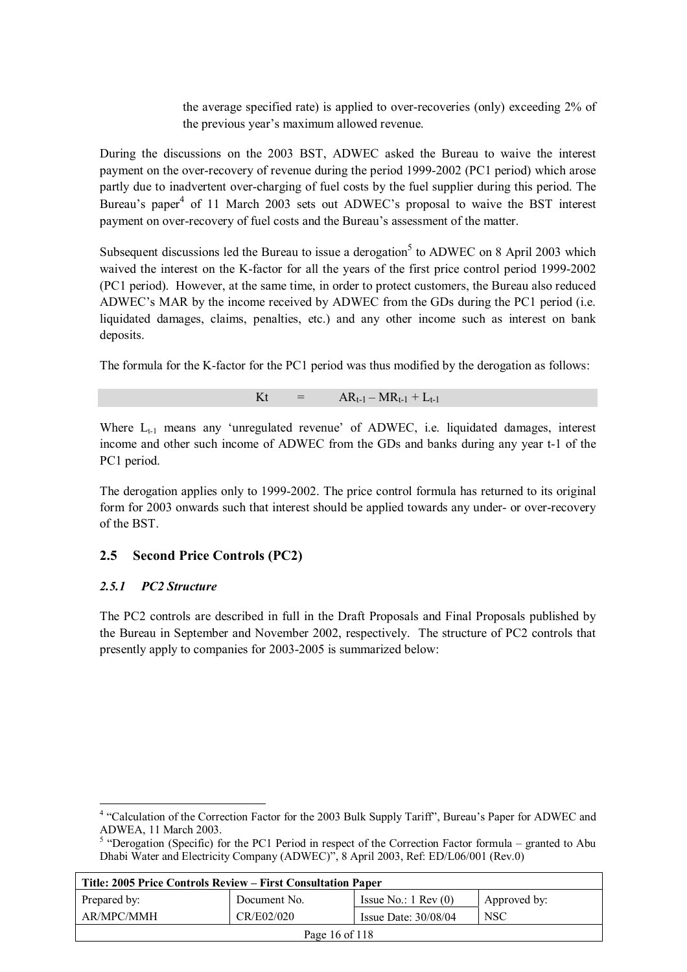the average specified rate) is applied to over-recoveries (only) exceeding 2% of the previous year's maximum allowed revenue.

During the discussions on the 2003 BST, ADWEC asked the Bureau to waive the interest payment on the over-recovery of revenue during the period 1999-2002 (PC1 period) which arose partly due to inadvertent over-charging of fuel costs by the fuel supplier during this period. The Bureau's paper<sup>4</sup> of 11 March 2003 sets out ADWEC's proposal to waive the BST interest payment on over-recovery of fuel costs and the Bureau's assessment of the matter.

Subsequent discussions led the Bureau to issue a derogation<sup>5</sup> to ADWEC on 8 April 2003 which waived the interest on the K-factor for all the years of the first price control period 1999-2002 (PC1 period). However, at the same time, in order to protect customers, the Bureau also reduced ADWEC's MAR by the income received by ADWEC from the GDs during the PC1 period (i.e. liquidated damages, claims, penalties, etc.) and any other income such as interest on bank deposits.

The formula for the K-factor for the PC1 period was thus modified by the derogation as follows:

Kt =  $AR_{t-1} - MR_{t-1} + L_{t-1}$ 

Where  $L_{t-1}$  means any 'unregulated revenue' of ADWEC, i.e. liquidated damages, interest income and other such income of ADWEC from the GDs and banks during any year t-1 of the PC1 period.

The derogation applies only to 1999-2002. The price control formula has returned to its original form for 2003 onwards such that interest should be applied towards any under- or over-recovery of the BST.

# **2.5 Second Price Controls (PC2)**

### *2.5.1 PC2 Structure*

 $\overline{a}$ 

The PC2 controls are described in full in the Draft Proposals and Final Proposals published by the Bureau in September and November 2002, respectively. The structure of PC2 controls that presently apply to companies for 2003-2005 is summarized below:

 $<sup>5</sup>$  "Derogation (Specific) for the PC1 Period in respect of the Correction Factor formula – granted to Abu</sup> Dhabi Water and Electricity Company (ADWEC)", 8 April 2003, Ref: ED/L06/001 (Rev.0)

| Title: 2005 Price Controls Review – First Consultation Paper                  |  |  |  |  |
|-------------------------------------------------------------------------------|--|--|--|--|
| Issue No.: $1 \text{ Rev}(0)$<br>Prepared by:<br>Document No.<br>Approved by: |  |  |  |  |
| AR/MPC/MMH<br>CR/E02/020<br><b>NSC</b><br>Issue Date: $30/08/04$              |  |  |  |  |
| Page 16 of 118                                                                |  |  |  |  |

<sup>&</sup>lt;sup>4</sup> "Calculation of the Correction Factor for the 2003 Bulk Supply Tariff", Bureau's Paper for ADWEC and ADWEA, 11 March 2003.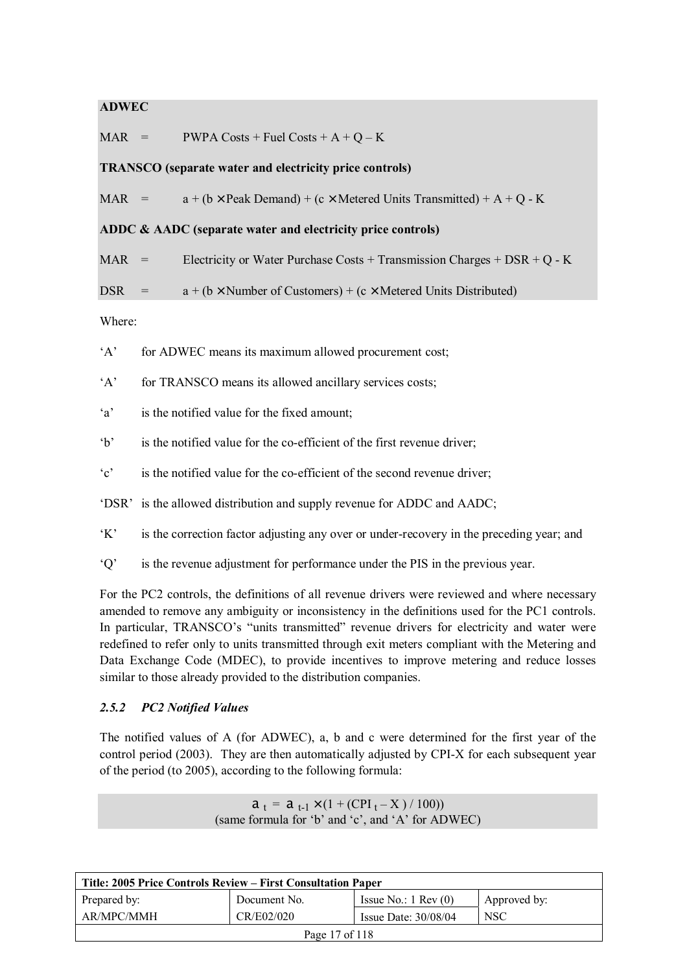## **ADWEC**

 $MAR$  = PWPA Costs + Fuel Costs + A + Q – K

### **TRANSCO (separate water and electricity price controls)**

MAR =  $a + (b \times$  Peak Demand) + (c  $\times$  Metered Units Transmitted) + A + O - K

#### **ADDC & AADC (separate water and electricity price controls)**

MAR = Electricity or Water Purchase Costs + Transmission Charges + DSR + Q - K

$$
DSR = a + (b \times Number of Customers) + (c \times Metered Units Distributed)
$$

Where:

'A' for ADWEC means its maximum allowed procurement cost;

'A' for TRANSCO means its allowed ancillary services costs;

- 'a' is the notified value for the fixed amount;
- 'b' is the notified value for the co-efficient of the first revenue driver;
- 'c' is the notified value for the co-efficient of the second revenue driver;
- 'DSR' is the allowed distribution and supply revenue for ADDC and AADC;
- 'K' is the correction factor adjusting any over or under-recovery in the preceding year; and
- 'Q' is the revenue adjustment for performance under the PIS in the previous year.

For the PC2 controls, the definitions of all revenue drivers were reviewed and where necessary amended to remove any ambiguity or inconsistency in the definitions used for the PC1 controls. In particular, TRANSCO's "units transmitted" revenue drivers for electricity and water were redefined to refer only to units transmitted through exit meters compliant with the Metering and Data Exchange Code (MDEC), to provide incentives to improve metering and reduce losses similar to those already provided to the distribution companies.

### *2.5.2 PC2 Notified Values*

The notified values of A (for ADWEC), a, b and c were determined for the first year of the control period (2003). They are then automatically adjusted by CPI-X for each subsequent year of the period (to 2005), according to the following formula:

> $a_t = a_{t-1} \times (1 + (CPI_t - X) / 100)$ (same formula for 'b' and 'c', and 'A' for ADWEC)

| Title: 2005 Price Controls Review – First Consultation Paper     |              |                               |              |  |
|------------------------------------------------------------------|--------------|-------------------------------|--------------|--|
| Prepared by:                                                     | Document No. | Issue No.: $1 \text{ Rev}(0)$ | Approved by: |  |
| AR/MPC/MMH<br>CR/E02/020<br><b>NSC</b><br>Issue Date: $30/08/04$ |              |                               |              |  |
| Page 17 of 118                                                   |              |                               |              |  |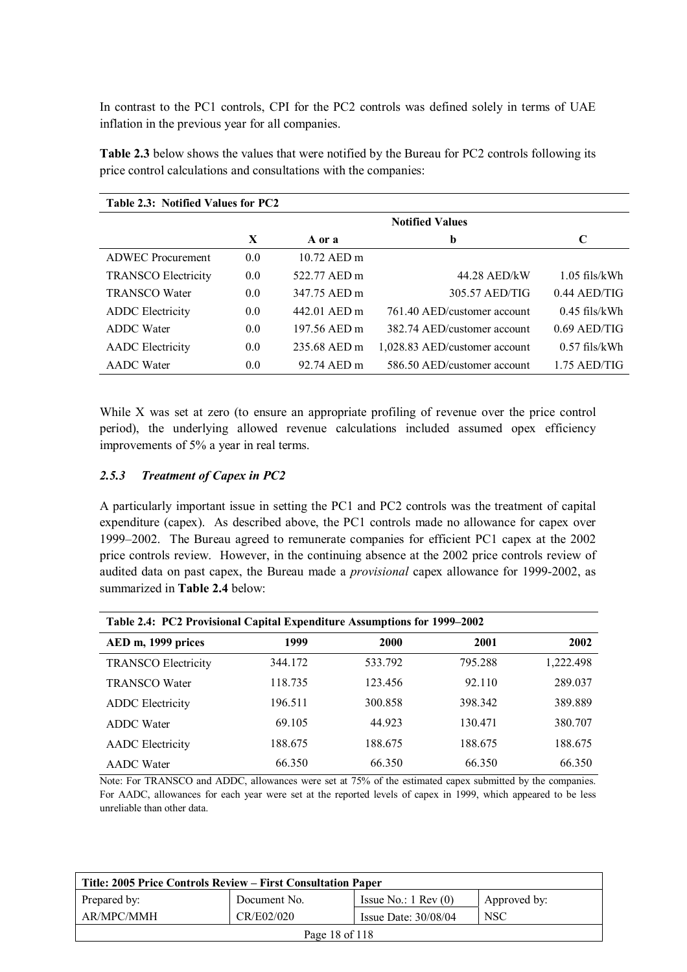In contrast to the PC1 controls, CPI for the PC2 controls was defined solely in terms of UAE inflation in the previous year for all companies.

| Table 2.3: Notified Values for PC2 |     |              |                               |                 |  |  |
|------------------------------------|-----|--------------|-------------------------------|-----------------|--|--|
|                                    |     |              | <b>Notified Values</b>        |                 |  |  |
|                                    | X   | A or a       | b                             | C               |  |  |
| <b>ADWEC</b> Procurement           | 0.0 | 10.72 AED m  |                               |                 |  |  |
| <b>TRANSCO Electricity</b>         | 0.0 | 522.77 AED m | 44.28 AED/kW                  | $1.05$ fils/kWh |  |  |
| <b>TRANSCO Water</b>               | 0.0 | 347.75 AED m | 305.57 AED/TIG                | $0.44$ AED/TIG  |  |  |
| <b>ADDC</b> Electricity            | 0.0 | 442.01 AED m | 761.40 AED/customer account   | $0.45$ fils/kWh |  |  |
| <b>ADDC</b> Water                  | 0.0 | 197.56 AED m | 382.74 AED/customer account   | $0.69$ AED/TIG  |  |  |
| <b>AADC</b> Electricity            | 0.0 | 235.68 AED m | 1,028.83 AED/customer account | $0.57$ fils/kWh |  |  |
| <b>AADC</b> Water                  | 0.0 | 92.74 AED m  | 586.50 AED/customer account   | $1.75$ AED/TIG  |  |  |

**Table 2.3** below shows the values that were notified by the Bureau for PC2 controls following its price control calculations and consultations with the companies:

While X was set at zero (to ensure an appropriate profiling of revenue over the price control period), the underlying allowed revenue calculations included assumed opex efficiency improvements of 5% a year in real terms.

#### *2.5.3 Treatment of Capex in PC2*

A particularly important issue in setting the PC1 and PC2 controls was the treatment of capital expenditure (capex). As described above, the PC1 controls made no allowance for capex over 1999–2002. The Bureau agreed to remunerate companies for efficient PC1 capex at the 2002 price controls review. However, in the continuing absence at the 2002 price controls review of audited data on past capex, the Bureau made a *provisional* capex allowance for 1999-2002, as summarized in **Table 2.4** below:

| Table 2.4: PC2 Provisional Capital Expenditure Assumptions for 1999–2002 |         |         |         |           |  |
|--------------------------------------------------------------------------|---------|---------|---------|-----------|--|
| AED m, 1999 prices                                                       | 1999    | 2000    | 2001    | 2002      |  |
| <b>TRANSCO Electricity</b>                                               | 344.172 | 533.792 | 795.288 | 1,222.498 |  |
| <b>TRANSCO Water</b>                                                     | 118.735 | 123.456 | 92.110  | 289.037   |  |
| <b>ADDC</b> Electricity                                                  | 196.511 | 300.858 | 398.342 | 389.889   |  |
| <b>ADDC</b> Water                                                        | 69.105  | 44.923  | 130.471 | 380.707   |  |
| <b>AADC</b> Electricity                                                  | 188.675 | 188.675 | 188.675 | 188.675   |  |
| <b>AADC</b> Water                                                        | 66.350  | 66.350  | 66.350  | 66.350    |  |

Note: For TRANSCO and ADDC, allowances were set at 75% of the estimated capex submitted by the companies. For AADC, allowances for each year were set at the reported levels of capex in 1999, which appeared to be less unreliable than other data.

| Title: 2005 Price Controls Review – First Consultation Paper |              |                               |              |  |
|--------------------------------------------------------------|--------------|-------------------------------|--------------|--|
| Prepared by:                                                 | Document No. | Issue No.: $1 \text{ Rev}(0)$ | Approved by: |  |
| AR/MPC/MMH                                                   | CR/E02/020   | Issue Date: $30/08/04$        | <b>NSC</b>   |  |
| Page 18 of 118                                               |              |                               |              |  |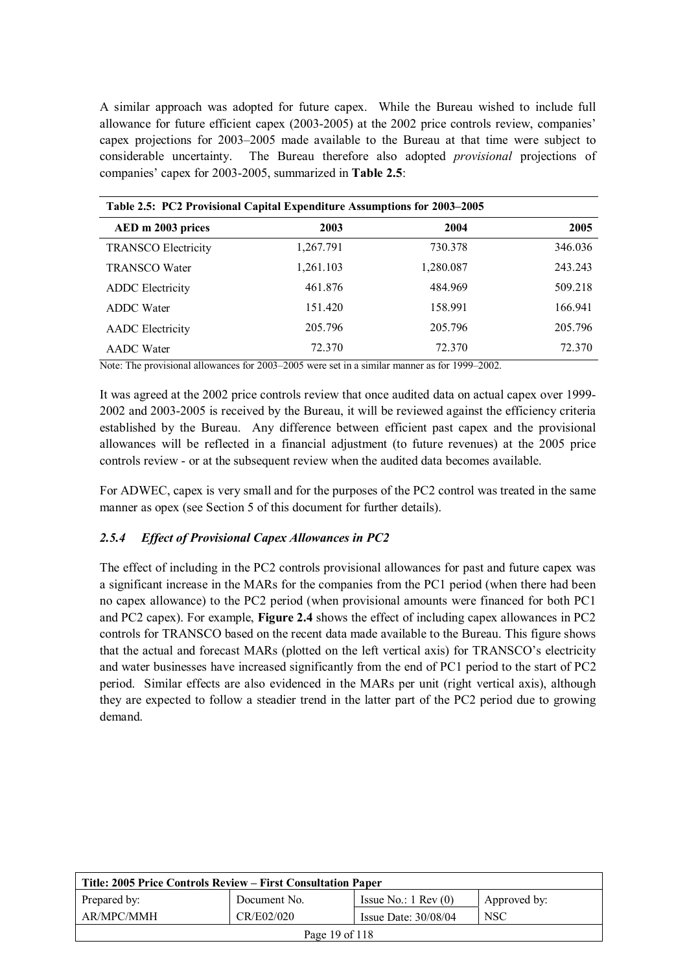A similar approach was adopted for future capex. While the Bureau wished to include full allowance for future efficient capex (2003-2005) at the 2002 price controls review, companies' capex projections for 2003–2005 made available to the Bureau at that time were subject to considerable uncertainty. The Bureau therefore also adopted *provisional* projections of companies' capex for 2003-2005, summarized in **Table 2.5**:

| Table 2.5: PC2 Provisional Capital Expenditure Assumptions for 2003–2005 |           |           |         |  |
|--------------------------------------------------------------------------|-----------|-----------|---------|--|
| AED m 2003 prices                                                        | 2003      | 2004      | 2005    |  |
| <b>TRANSCO Electricity</b>                                               | 1,267.791 | 730.378   | 346.036 |  |
| <b>TRANSCO Water</b>                                                     | 1,261.103 | 1,280.087 | 243.243 |  |
| <b>ADDC</b> Electricity                                                  | 461.876   | 484.969   | 509.218 |  |
| <b>ADDC</b> Water                                                        | 151.420   | 158.991   | 166.941 |  |
| <b>AADC</b> Electricity                                                  | 205.796   | 205.796   | 205.796 |  |
| <b>AADC</b> Water                                                        | 72.370    | 72.370    | 72.370  |  |

Note: The provisional allowances for 2003–2005 were set in a similar manner as for 1999–2002.

It was agreed at the 2002 price controls review that once audited data on actual capex over 1999- 2002 and 2003-2005 is received by the Bureau, it will be reviewed against the efficiency criteria established by the Bureau. Any difference between efficient past capex and the provisional allowances will be reflected in a financial adjustment (to future revenues) at the 2005 price controls review - or at the subsequent review when the audited data becomes available.

For ADWEC, capex is very small and for the purposes of the PC2 control was treated in the same manner as opex (see Section 5 of this document for further details).

### *2.5.4 Effect of Provisional Capex Allowances in PC2*

The effect of including in the PC2 controls provisional allowances for past and future capex was a significant increase in the MARs for the companies from the PC1 period (when there had been no capex allowance) to the PC2 period (when provisional amounts were financed for both PC1 and PC2 capex). For example, **Figure 2.4** shows the effect of including capex allowances in PC2 controls for TRANSCO based on the recent data made available to the Bureau. This figure shows that the actual and forecast MARs (plotted on the left vertical axis) for TRANSCO's electricity and water businesses have increased significantly from the end of PC1 period to the start of PC2 period. Similar effects are also evidenced in the MARs per unit (right vertical axis), although they are expected to follow a steadier trend in the latter part of the PC2 period due to growing demand.

| Title: 2005 Price Controls Review – First Consultation Paper |              |                               |                  |  |
|--------------------------------------------------------------|--------------|-------------------------------|------------------|--|
| Prepared by:                                                 | Document No. | Issue No.: $1 \text{ Rev}(0)$ | Approved by:     |  |
| AR/MPC/MMH                                                   | CR/E02/020   | Issue Date: $30/08/04$        | NSC <sup>.</sup> |  |
| Page 19 of 118                                               |              |                               |                  |  |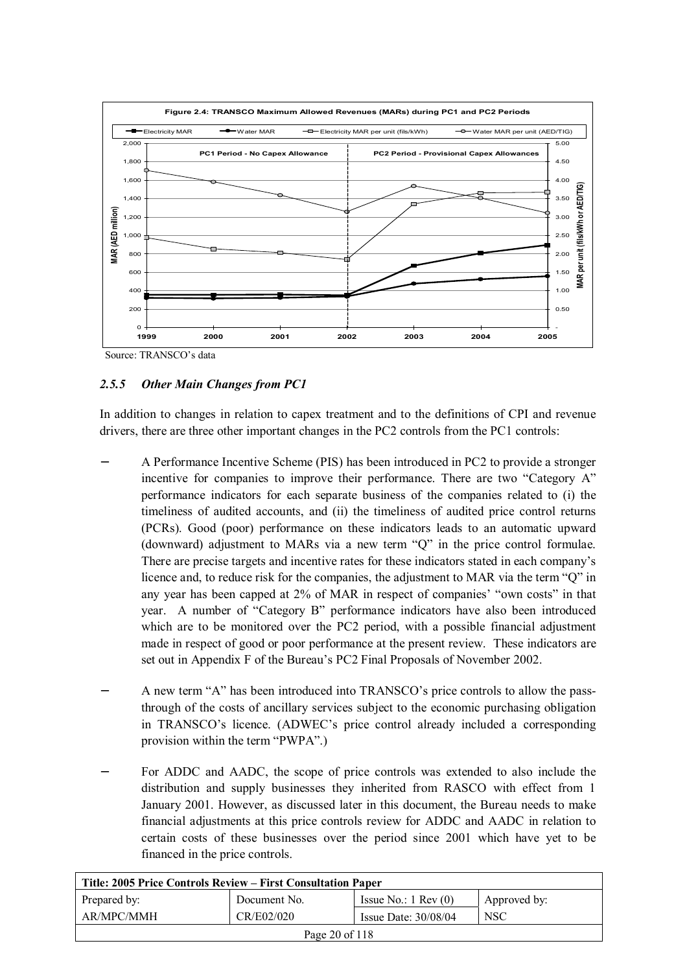

Source: TRANSCO's data

# *2.5.5 Other Main Changes from PC1*

In addition to changes in relation to capex treatment and to the definitions of CPI and revenue drivers, there are three other important changes in the PC2 controls from the PC1 controls:

- − A Performance Incentive Scheme (PIS) has been introduced in PC2 to provide a stronger incentive for companies to improve their performance. There are two "Category A" performance indicators for each separate business of the companies related to (i) the timeliness of audited accounts, and (ii) the timeliness of audited price control returns (PCRs). Good (poor) performance on these indicators leads to an automatic upward (downward) adjustment to MARs via a new term "Q" in the price control formulae. There are precise targets and incentive rates for these indicators stated in each company's licence and, to reduce risk for the companies, the adjustment to MAR via the term "Q" in any year has been capped at 2% of MAR in respect of companies' "own costs" in that year. A number of "Category B" performance indicators have also been introduced which are to be monitored over the PC2 period, with a possible financial adjustment made in respect of good or poor performance at the present review. These indicators are set out in Appendix F of the Bureau's PC2 Final Proposals of November 2002.
- − A new term "A" has been introduced into TRANSCO's price controls to allow the passthrough of the costs of ancillary services subject to the economic purchasing obligation in TRANSCO's licence. (ADWEC's price control already included a corresponding provision within the term "PWPA".)
- For ADDC and AADC, the scope of price controls was extended to also include the distribution and supply businesses they inherited from RASCO with effect from 1 January 2001. However, as discussed later in this document, the Bureau needs to make financial adjustments at this price controls review for ADDC and AADC in relation to certain costs of these businesses over the period since 2001 which have yet to be financed in the price controls.

| Title: 2005 Price Controls Review – First Consultation Paper |              |                               |              |  |
|--------------------------------------------------------------|--------------|-------------------------------|--------------|--|
| Prepared by:                                                 | Document No. | Issue No.: $1 \text{ Rev}(0)$ | Approved by: |  |
| AR/MPC/MMH                                                   | CR/E02/020   | Issue Date: $30/08/04$        | <b>NSC</b>   |  |
| Page 20 of 118                                               |              |                               |              |  |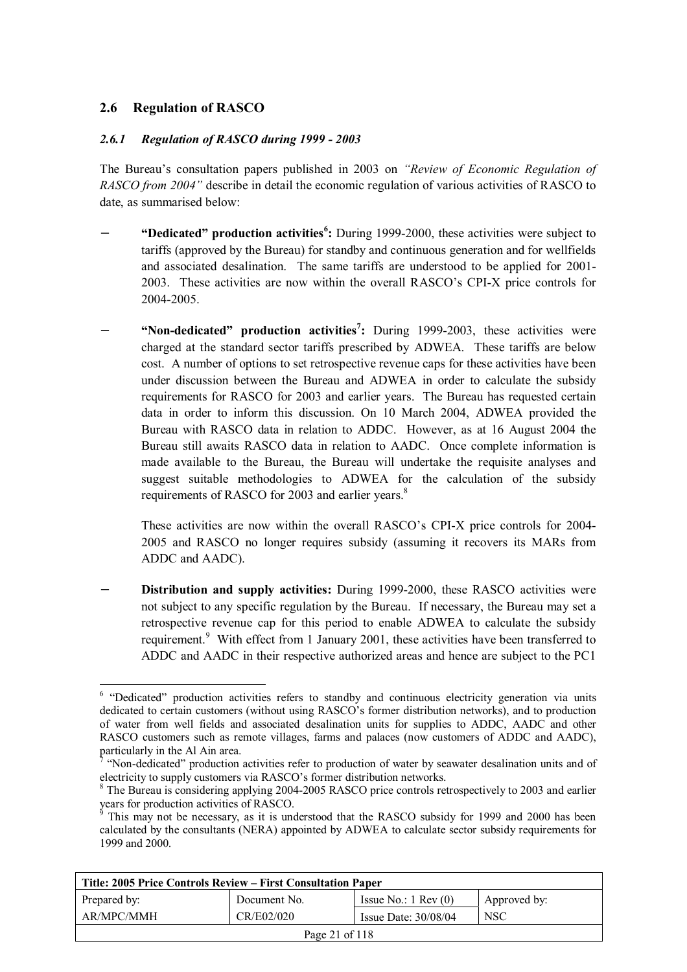# **2.6 Regulation of RASCO**

 $\overline{a}$ 

## *2.6.1 Regulation of RASCO during 1999 - 2003*

The Bureau's consultation papers published in 2003 on *"Review of Economic Regulation of RASCO from 2004"* describe in detail the economic regulation of various activities of RASCO to date, as summarised below:

- − **"Dedicated" production activities<sup>6</sup> :** During 1999-2000, these activities were subject to tariffs (approved by the Bureau) for standby and continuous generation and for wellfields and associated desalination. The same tariffs are understood to be applied for 2001- 2003. These activities are now within the overall RASCO's CPI-X price controls for 2004-2005.
- − **"Non-dedicated" production activities<sup>7</sup> :** During 1999-2003, these activities were charged at the standard sector tariffs prescribed by ADWEA. These tariffs are below cost. A number of options to set retrospective revenue caps for these activities have been under discussion between the Bureau and ADWEA in order to calculate the subsidy requirements for RASCO for 2003 and earlier years. The Bureau has requested certain data in order to inform this discussion. On 10 March 2004, ADWEA provided the Bureau with RASCO data in relation to ADDC. However, as at 16 August 2004 the Bureau still awaits RASCO data in relation to AADC. Once complete information is made available to the Bureau, the Bureau will undertake the requisite analyses and suggest suitable methodologies to ADWEA for the calculation of the subsidy requirements of RASCO for 2003 and earlier years.<sup>8</sup>

These activities are now within the overall RASCO's CPI-X price controls for 2004- 2005 and RASCO no longer requires subsidy (assuming it recovers its MARs from ADDC and AADC).

− **Distribution and supply activities:** During 1999-2000, these RASCO activities were not subject to any specific regulation by the Bureau. If necessary, the Bureau may set a retrospective revenue cap for this period to enable ADWEA to calculate the subsidy requirement.<sup>9</sup> With effect from 1 January 2001, these activities have been transferred to ADDC and AADC in their respective authorized areas and hence are subject to the PC1

This may not be necessary, as it is understood that the RASCO subsidy for 1999 and 2000 has been calculated by the consultants (NERA) appointed by ADWEA to calculate sector subsidy requirements for 1999 and 2000.

| Title: 2005 Price Controls Review – First Consultation Paper |              |                               |              |  |
|--------------------------------------------------------------|--------------|-------------------------------|--------------|--|
| Prepared by:                                                 | Document No. | Issue No.: $1 \text{ Rev}(0)$ | Approved by: |  |
| AR/MPC/MMH                                                   | CR/E02/020   | Issue Date: $30/08/04$        | <b>NSC</b>   |  |
| Page 21 of 118                                               |              |                               |              |  |

<sup>&</sup>lt;sup>6</sup> "Dedicated" production activities refers to standby and continuous electricity generation via units dedicated to certain customers (without using RASCO's former distribution networks), and to production of water from well fields and associated desalination units for supplies to ADDC, AADC and other RASCO customers such as remote villages, farms and palaces (now customers of ADDC and AADC), particularly in the Al Ain area.

<sup>7</sup> "Non-dedicated" production activities refer to production of water by seawater desalination units and of electricity to supply customers via RASCO's former distribution networks.

<sup>&</sup>lt;sup>8</sup> The Bureau is considering applying 2004-2005 RASCO price controls retrospectively to 2003 and earlier years for production activities of RASCO.<br><sup>9</sup> This may not be necessary, as it is und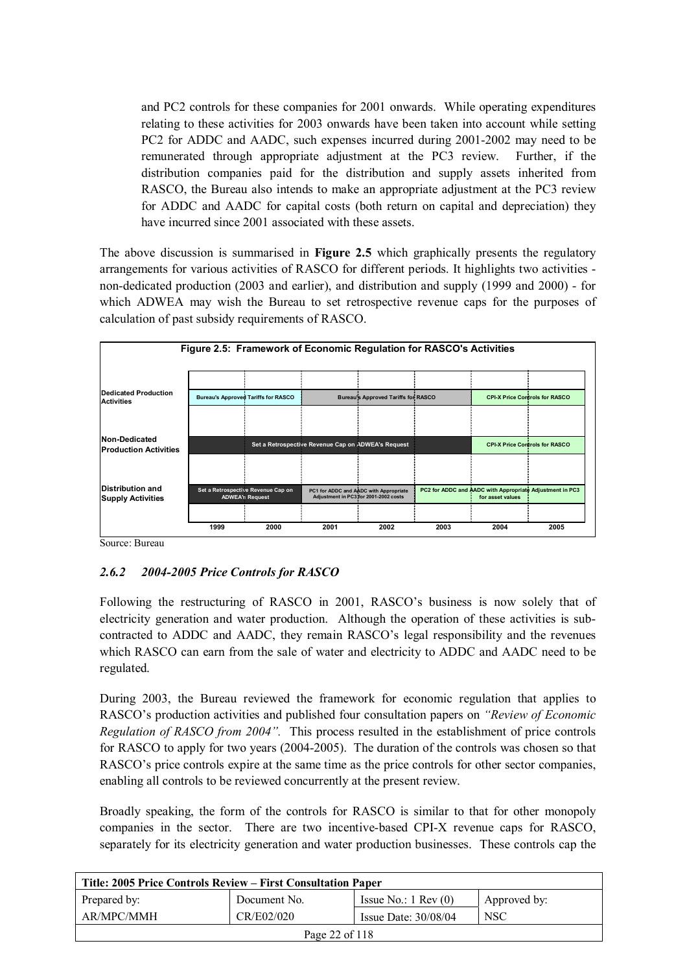and PC2 controls for these companies for 2001 onwards. While operating expenditures relating to these activities for 2003 onwards have been taken into account while setting PC2 for ADDC and AADC, such expenses incurred during 2001-2002 may need to be remunerated through appropriate adjustment at the PC3 review. Further, if the distribution companies paid for the distribution and supply assets inherited from RASCO, the Bureau also intends to make an appropriate adjustment at the PC3 review for ADDC and AADC for capital costs (both return on capital and depreciation) they have incurred since 2001 associated with these assets.

The above discussion is summarised in **Figure 2.5** which graphically presents the regulatory arrangements for various activities of RASCO for different periods. It highlights two activities non-dedicated production (2003 and earlier), and distribution and supply (1999 and 2000) - for which ADWEA may wish the Bureau to set retrospective revenue caps for the purposes of calculation of past subsidy requirements of RASCO.



Source: Bureau

# *2.6.2 2004-2005 Price Controls for RASCO*

Following the restructuring of RASCO in 2001, RASCO's business is now solely that of electricity generation and water production. Although the operation of these activities is subcontracted to ADDC and AADC, they remain RASCO's legal responsibility and the revenues which RASCO can earn from the sale of water and electricity to ADDC and AADC need to be regulated.

During 2003, the Bureau reviewed the framework for economic regulation that applies to RASCO's production activities and published four consultation papers on *"Review of Economic Regulation of RASCO from 2004".* This process resulted in the establishment of price controls for RASCO to apply for two years (2004-2005). The duration of the controls was chosen so that RASCO's price controls expire at the same time as the price controls for other sector companies, enabling all controls to be reviewed concurrently at the present review.

Broadly speaking, the form of the controls for RASCO is similar to that for other monopoly companies in the sector. There are two incentive-based CPI-X revenue caps for RASCO, separately for its electricity generation and water production businesses. These controls cap the

| Title: 2005 Price Controls Review – First Consultation Paper |              |                               |              |  |
|--------------------------------------------------------------|--------------|-------------------------------|--------------|--|
| Prepared by:                                                 | Document No. | Issue No.: $1 \text{ Rev}(0)$ | Approved by: |  |
| AR/MPC/MMH                                                   | CR/E02/020   | Issue Date: $30/08/04$        | <b>NSC</b>   |  |
| Page 22 of 118                                               |              |                               |              |  |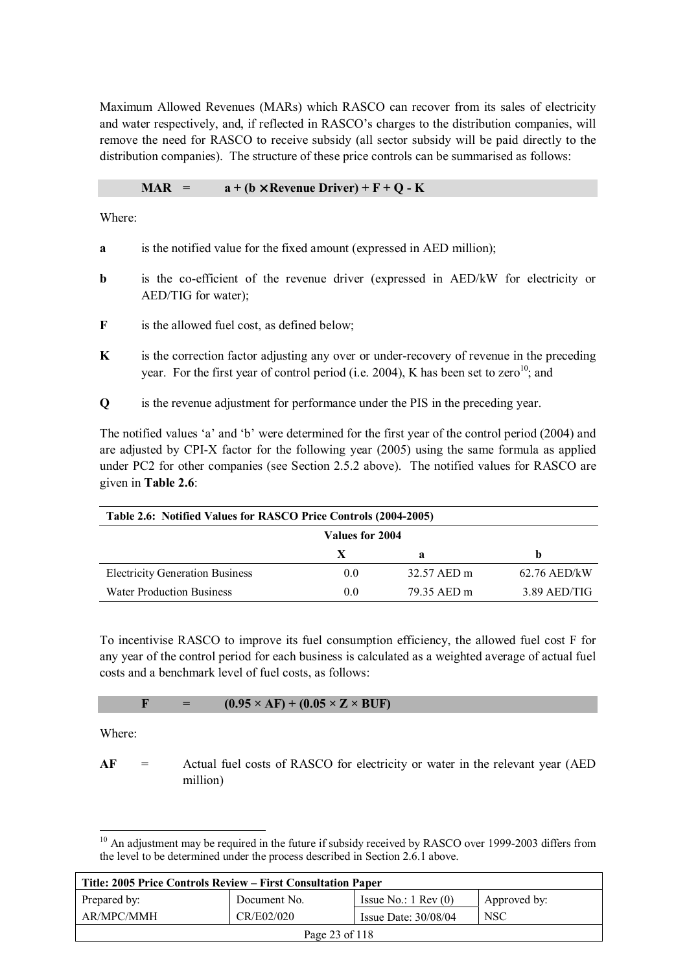Maximum Allowed Revenues (MARs) which RASCO can recover from its sales of electricity and water respectively, and, if reflected in RASCO's charges to the distribution companies, will remove the need for RASCO to receive subsidy (all sector subsidy will be paid directly to the distribution companies). The structure of these price controls can be summarised as follows:

#### **MAR** =  $a + (b \times \text{ Revenue Driver}) + F + Q - K$

Where:

- **a** is the notified value for the fixed amount (expressed in AED million);
- **b** is the co-efficient of the revenue driver (expressed in AED/kW for electricity or AED/TIG for water);
- **F** is the allowed fuel cost, as defined below;
- **K** is the correction factor adjusting any over or under-recovery of revenue in the preceding year. For the first year of control period (i.e. 2004), K has been set to zero<sup>10</sup>; and
- **Q** is the revenue adjustment for performance under the PIS in the preceding year.

The notified values 'a' and 'b' were determined for the first year of the control period (2004) and are adjusted by CPI-X factor for the following year (2005) using the same formula as applied under PC2 for other companies (see Section 2.5.2 above). The notified values for RASCO are given in **Table 2.6**:

| Table 2.6: Notified Values for RASCO Price Controls (2004-2005) |               |             |                |  |
|-----------------------------------------------------------------|---------------|-------------|----------------|--|
| Values for 2004                                                 |               |             |                |  |
|                                                                 | X             | a           | h              |  |
| <b>Electricity Generation Business</b>                          | 0.0           | 32.57 AED m | $62.76$ AED/kW |  |
| <b>Water Production Business</b>                                | $0.0^{\circ}$ | 79.35 AED m | $3.89$ AED/TIG |  |

To incentivise RASCO to improve its fuel consumption efficiency, the allowed fuel cost F for any year of the control period for each business is calculated as a weighted average of actual fuel costs and a benchmark level of fuel costs, as follows:

$$
F = (0.95 \times AF) + (0.05 \times Z \times BUF)
$$

Where:

**AF** = Actual fuel costs of RASCO for electricity or water in the relevant year (AED million)

 $\overline{a}$ <sup>10</sup> An adjustment may be required in the future if subsidy received by RASCO over 1999-2003 differs from the level to be determined under the process described in Section 2.6.1 above.

| Title: 2005 Price Controls Review – First Consultation Paper |              |                               |              |  |
|--------------------------------------------------------------|--------------|-------------------------------|--------------|--|
| Prepared by:                                                 | Document No. | Issue No.: $1 \text{ Rev}(0)$ | Approved by: |  |
| AR/MPC/MMH                                                   | CR/E02/020   | Issue Date: $30/08/04$        | <b>NSC</b>   |  |
| Page 23 of 118                                               |              |                               |              |  |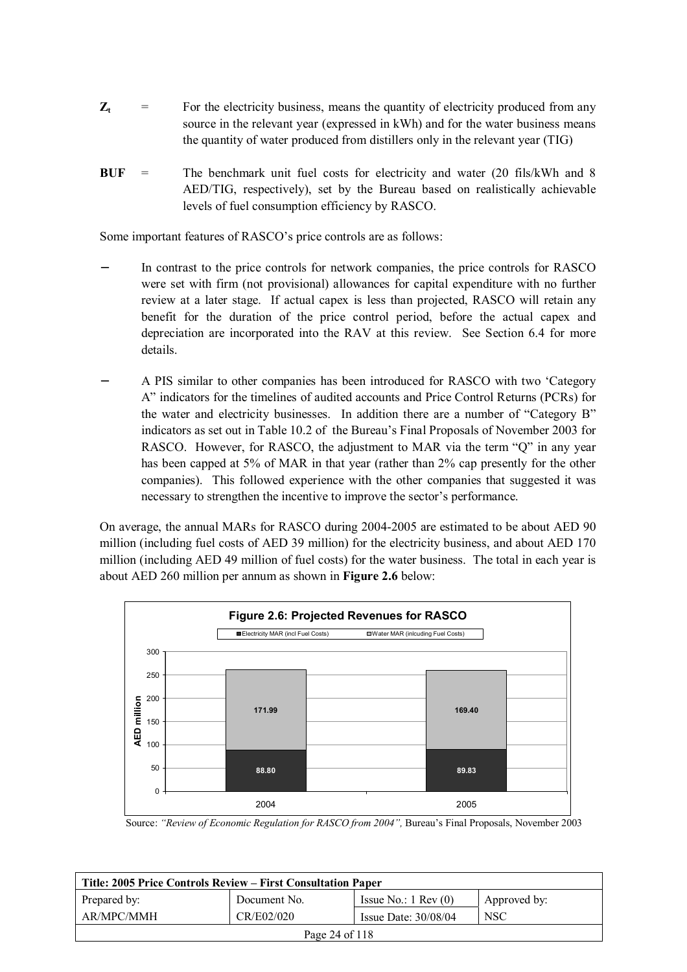- $Z_t$  = For the electricity business, means the quantity of electricity produced from any source in the relevant year (expressed in kWh) and for the water business means the quantity of water produced from distillers only in the relevant year (TIG)
- **BUF** = The benchmark unit fuel costs for electricity and water (20 fils/kWh and 8 AED/TIG, respectively), set by the Bureau based on realistically achievable levels of fuel consumption efficiency by RASCO.

Some important features of RASCO's price controls are as follows:

- In contrast to the price controls for network companies, the price controls for RASCO were set with firm (not provisional) allowances for capital expenditure with no further review at a later stage. If actual capex is less than projected, RASCO will retain any benefit for the duration of the price control period, before the actual capex and depreciation are incorporated into the RAV at this review. See Section 6.4 for more details.
- − A PIS similar to other companies has been introduced for RASCO with two 'Category A" indicators for the timelines of audited accounts and Price Control Returns (PCRs) for the water and electricity businesses. In addition there are a number of "Category B" indicators as set out in Table 10.2 of the Bureau's Final Proposals of November 2003 for RASCO. However, for RASCO, the adjustment to MAR via the term "Q" in any year has been capped at 5% of MAR in that year (rather than 2% cap presently for the other companies). This followed experience with the other companies that suggested it was necessary to strengthen the incentive to improve the sector's performance.

On average, the annual MARs for RASCO during 2004-2005 are estimated to be about AED 90 million (including fuel costs of AED 39 million) for the electricity business, and about AED 170 million (including AED 49 million of fuel costs) for the water business. The total in each year is about AED 260 million per annum as shown in **Figure 2.6** below:



Source: *"Review of Economic Regulation for RASCO from 2004",* Bureau's Final Proposals, November 2003

| Title: 2005 Price Controls Review – First Consultation Paper |              |                               |              |  |
|--------------------------------------------------------------|--------------|-------------------------------|--------------|--|
| Prepared by:                                                 | Document No. | Issue No.: $1 \text{ Rev}(0)$ | Approved by: |  |
| AR/MPC/MMH                                                   | CR/E02/020   | Issue Date: $30/08/04$        | <b>NSC</b>   |  |
| Page 24 of 118                                               |              |                               |              |  |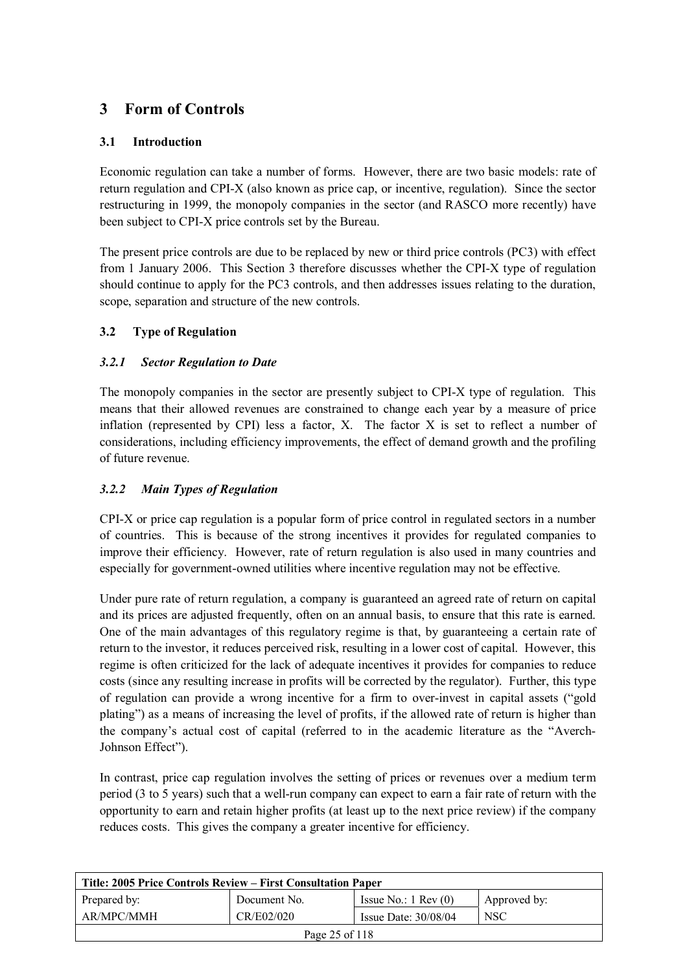# **3 Form of Controls**

# **3.1 Introduction**

Economic regulation can take a number of forms. However, there are two basic models: rate of return regulation and CPI-X (also known as price cap, or incentive, regulation). Since the sector restructuring in 1999, the monopoly companies in the sector (and RASCO more recently) have been subject to CPI-X price controls set by the Bureau.

The present price controls are due to be replaced by new or third price controls (PC3) with effect from 1 January 2006. This Section 3 therefore discusses whether the CPI-X type of regulation should continue to apply for the PC3 controls, and then addresses issues relating to the duration, scope, separation and structure of the new controls.

# **3.2 Type of Regulation**

# *3.2.1 Sector Regulation to Date*

The monopoly companies in the sector are presently subject to CPI-X type of regulation. This means that their allowed revenues are constrained to change each year by a measure of price inflation (represented by CPI) less a factor, X. The factor X is set to reflect a number of considerations, including efficiency improvements, the effect of demand growth and the profiling of future revenue.

# *3.2.2 Main Types of Regulation*

CPI-X or price cap regulation is a popular form of price control in regulated sectors in a number of countries. This is because of the strong incentives it provides for regulated companies to improve their efficiency. However, rate of return regulation is also used in many countries and especially for government-owned utilities where incentive regulation may not be effective.

Under pure rate of return regulation, a company is guaranteed an agreed rate of return on capital and its prices are adjusted frequently, often on an annual basis, to ensure that this rate is earned. One of the main advantages of this regulatory regime is that, by guaranteeing a certain rate of return to the investor, it reduces perceived risk, resulting in a lower cost of capital. However, this regime is often criticized for the lack of adequate incentives it provides for companies to reduce costs (since any resulting increase in profits will be corrected by the regulator). Further, this type of regulation can provide a wrong incentive for a firm to over-invest in capital assets ("gold plating") as a means of increasing the level of profits, if the allowed rate of return is higher than the company's actual cost of capital (referred to in the academic literature as the "Averch-Johnson Effect").

In contrast, price cap regulation involves the setting of prices or revenues over a medium term period (3 to 5 years) such that a well-run company can expect to earn a fair rate of return with the opportunity to earn and retain higher profits (at least up to the next price review) if the company reduces costs. This gives the company a greater incentive for efficiency.

| Title: 2005 Price Controls Review – First Consultation Paper |              |                               |              |  |
|--------------------------------------------------------------|--------------|-------------------------------|--------------|--|
| Prepared by:                                                 | Document No. | Issue No.: $1 \text{ Rev}(0)$ | Approved by: |  |
| AR/MPC/MMH                                                   | CR/E02/020   | Issue Date: $30/08/04$        | <b>NSC</b>   |  |
| Page 25 of 118                                               |              |                               |              |  |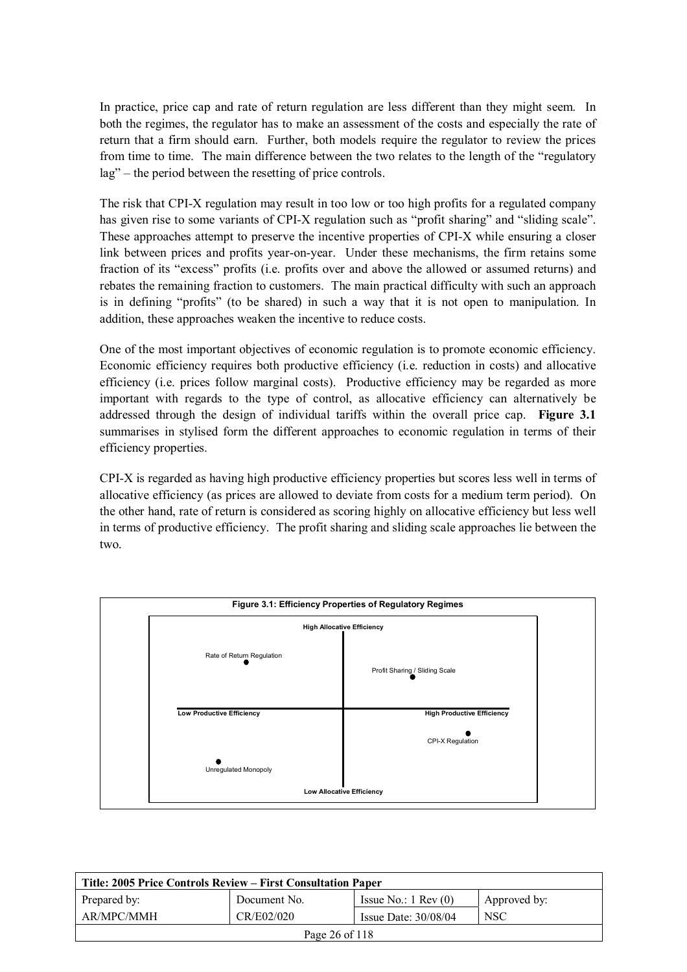In practice, price cap and rate of return regulation are less different than they might seem. In both the regimes, the regulator has to make an assessment of the costs and especially the rate of return that a firm should earn. Further, both models require the regulator to review the prices from time to time. The main difference between the two relates to the length of the "regulatory lag" – the period between the resetting of price controls.

The risk that CPI-X regulation may result in too low or too high profits for a regulated company has given rise to some variants of CPI-X regulation such as "profit sharing" and "sliding scale". These approaches attempt to preserve the incentive properties of CPI-X while ensuring a closer link between prices and profits year-on-year. Under these mechanisms, the firm retains some fraction of its "excess" profits (i.e. profits over and above the allowed or assumed returns) and rebates the remaining fraction to customers. The main practical difficulty with such an approach is in defining "profits" (to be shared) in such a way that it is not open to manipulation. In addition, these approaches weaken the incentive to reduce costs.

One of the most important objectives of economic regulation is to promote economic efficiency. Economic efficiency requires both productive efficiency (i.e. reduction in costs) and allocative efficiency (i.e. prices follow marginal costs). Productive efficiency may be regarded as more important with regards to the type of control, as allocative efficiency can alternatively be addressed through the design of individual tariffs within the overall price cap. **Figure 3.1** summarises in stylised form the different approaches to economic regulation in terms of their efficiency properties.

CPI-X is regarded as having high productive efficiency properties but scores less well in terms of allocative efficiency (as prices are allowed to deviate from costs for a medium term period). On the other hand, rate of return is considered as scoring highly on allocative efficiency but less well in terms of productive efficiency. The profit sharing and sliding scale approaches lie between the two.



| Title: 2005 Price Controls Review – First Consultation Paper |              |                               |                  |
|--------------------------------------------------------------|--------------|-------------------------------|------------------|
| Prepared by:                                                 | Document No. | Issue No.: $1 \text{ Rev}(0)$ | Approved by:     |
| AR/MPC/MMH                                                   | CR/E02/020   | Issue Date: $30/08/04$        | NSC <sup>.</sup> |
| Page 26 of 118                                               |              |                               |                  |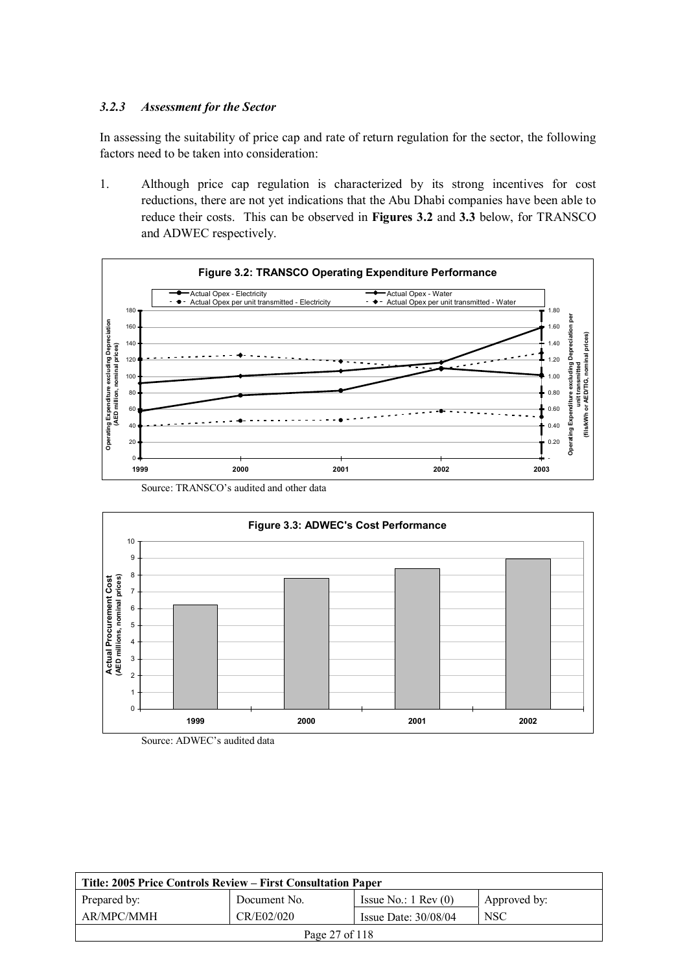## *3.2.3 Assessment for the Sector*

In assessing the suitability of price cap and rate of return regulation for the sector, the following factors need to be taken into consideration:

1. Although price cap regulation is characterized by its strong incentives for cost reductions, there are not yet indications that the Abu Dhabi companies have been able to reduce their costs. This can be observed in **Figures 3.2** and **3.3** below, for TRANSCO and ADWEC respectively.







Source: ADWEC's audited data

| Title: 2005 Price Controls Review – First Consultation Paper |              |                               |              |
|--------------------------------------------------------------|--------------|-------------------------------|--------------|
| Prepared by:                                                 | Document No. | Issue No.: $1 \text{ Rev}(0)$ | Approved by: |
| AR/MPC/MMH                                                   | CR/E02/020   | Issue Date: $30/08/04$        | <b>NSC</b>   |
| Page 27 of 118                                               |              |                               |              |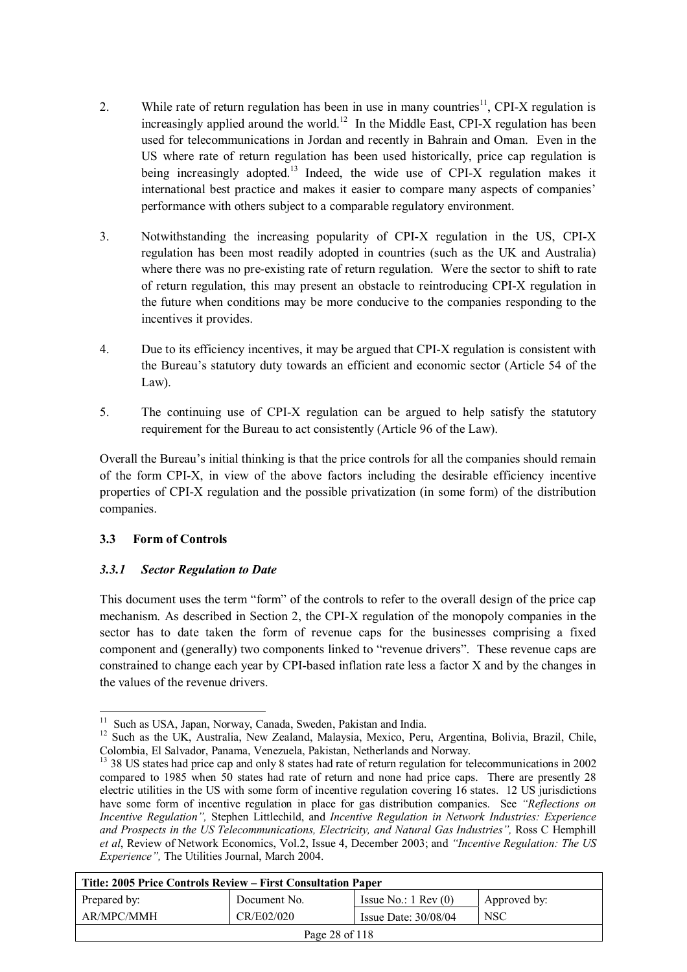- 2. While rate of return regulation has been in use in many countries<sup>11</sup>, CPI-X regulation is increasingly applied around the world.<sup>12</sup> In the Middle East, CPI-X regulation has been used for telecommunications in Jordan and recently in Bahrain and Oman. Even in the US where rate of return regulation has been used historically, price cap regulation is being increasingly adopted.<sup>13</sup> Indeed, the wide use of CPI-X regulation makes it international best practice and makes it easier to compare many aspects of companies' performance with others subject to a comparable regulatory environment.
- 3. Notwithstanding the increasing popularity of CPI-X regulation in the US, CPI-X regulation has been most readily adopted in countries (such as the UK and Australia) where there was no pre-existing rate of return regulation. Were the sector to shift to rate of return regulation, this may present an obstacle to reintroducing CPI-X regulation in the future when conditions may be more conducive to the companies responding to the incentives it provides.
- 4. Due to its efficiency incentives, it may be argued that CPI-X regulation is consistent with the Bureau's statutory duty towards an efficient and economic sector (Article 54 of the Law).
- 5. The continuing use of CPI-X regulation can be argued to help satisfy the statutory requirement for the Bureau to act consistently (Article 96 of the Law).

Overall the Bureau's initial thinking is that the price controls for all the companies should remain of the form CPI-X, in view of the above factors including the desirable efficiency incentive properties of CPI-X regulation and the possible privatization (in some form) of the distribution companies.

### **3.3 Form of Controls**

 $\overline{a}$ 

### *3.3.1 Sector Regulation to Date*

This document uses the term "form" of the controls to refer to the overall design of the price cap mechanism. As described in Section 2, the CPI-X regulation of the monopoly companies in the sector has to date taken the form of revenue caps for the businesses comprising a fixed component and (generally) two components linked to "revenue drivers". These revenue caps are constrained to change each year by CPI-based inflation rate less a factor X and by the changes in the values of the revenue drivers.

<sup>&</sup>lt;sup>13</sup> 38 US states had price cap and only 8 states had rate of return regulation for telecommunications in 2002 compared to 1985 when 50 states had rate of return and none had price caps. There are presently 28 electric utilities in the US with some form of incentive regulation covering 16 states. 12 US jurisdictions have some form of incentive regulation in place for gas distribution companies. See *"Reflections on Incentive Regulation",* Stephen Littlechild, and *Incentive Regulation in Network Industries: Experience*  and Prospects in the US Telecommunications, Electricity, and Natural Gas Industries", Ross C Hemphill *et al*, Review of Network Economics, Vol.2, Issue 4, December 2003; and *"Incentive Regulation: The US Experience",* The Utilities Journal, March 2004.

| Title: 2005 Price Controls Review – First Consultation Paper |              |                               |              |
|--------------------------------------------------------------|--------------|-------------------------------|--------------|
| Prepared by:                                                 | Document No. | Issue No.: $1 \text{ Rev}(0)$ | Approved by: |
| AR/MPC/MMH                                                   | CR/E02/020   | Issue Date: $30/08/04$        | <b>NSC</b>   |
| Page 28 of 118                                               |              |                               |              |

<sup>&</sup>lt;sup>11</sup> Such as USA, Japan, Norway, Canada, Sweden, Pakistan and India.

<sup>&</sup>lt;sup>12</sup> Such as the UK, Australia, New Zealand, Malaysia, Mexico, Peru, Argentina, Bolivia, Brazil, Chile, Colombia, El Salvador, Panama, Venezuela, Pakistan, Netherlands and Norway.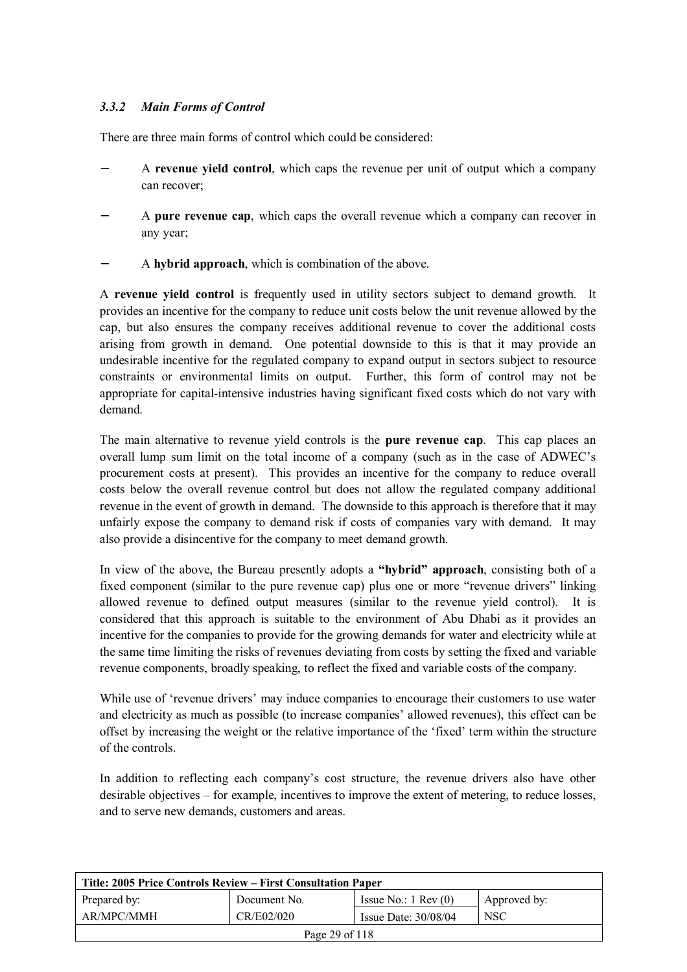# *3.3.2 Main Forms of Control*

There are three main forms of control which could be considered:

- − A **revenue yield control**, which caps the revenue per unit of output which a company can recover;
- − A **pure revenue cap**, which caps the overall revenue which a company can recover in any year;
- − A **hybrid approach**, which is combination of the above.

A **revenue yield control** is frequently used in utility sectors subject to demand growth. It provides an incentive for the company to reduce unit costs below the unit revenue allowed by the cap, but also ensures the company receives additional revenue to cover the additional costs arising from growth in demand. One potential downside to this is that it may provide an undesirable incentive for the regulated company to expand output in sectors subject to resource constraints or environmental limits on output. Further, this form of control may not be appropriate for capital-intensive industries having significant fixed costs which do not vary with demand.

The main alternative to revenue yield controls is the **pure revenue cap**. This cap places an overall lump sum limit on the total income of a company (such as in the case of ADWEC's procurement costs at present). This provides an incentive for the company to reduce overall costs below the overall revenue control but does not allow the regulated company additional revenue in the event of growth in demand. The downside to this approach is therefore that it may unfairly expose the company to demand risk if costs of companies vary with demand. It may also provide a disincentive for the company to meet demand growth.

In view of the above, the Bureau presently adopts a **"hybrid" approach**, consisting both of a fixed component (similar to the pure revenue cap) plus one or more "revenue drivers" linking allowed revenue to defined output measures (similar to the revenue yield control). It is considered that this approach is suitable to the environment of Abu Dhabi as it provides an incentive for the companies to provide for the growing demands for water and electricity while at the same time limiting the risks of revenues deviating from costs by setting the fixed and variable revenue components, broadly speaking, to reflect the fixed and variable costs of the company.

While use of 'revenue drivers' may induce companies to encourage their customers to use water and electricity as much as possible (to increase companies' allowed revenues), this effect can be offset by increasing the weight or the relative importance of the 'fixed' term within the structure of the controls.

In addition to reflecting each company's cost structure, the revenue drivers also have other desirable objectives – for example, incentives to improve the extent of metering, to reduce losses, and to serve new demands, customers and areas.

| Title: 2005 Price Controls Review – First Consultation Paper |              |                               |              |
|--------------------------------------------------------------|--------------|-------------------------------|--------------|
| Prepared by:                                                 | Document No. | Issue No.: $1 \text{ Rev}(0)$ | Approved by: |
| AR/MPC/MMH                                                   | CR/E02/020   | Issue Date: $30/08/04$        | <b>NSC</b>   |
| Page 29 of 118                                               |              |                               |              |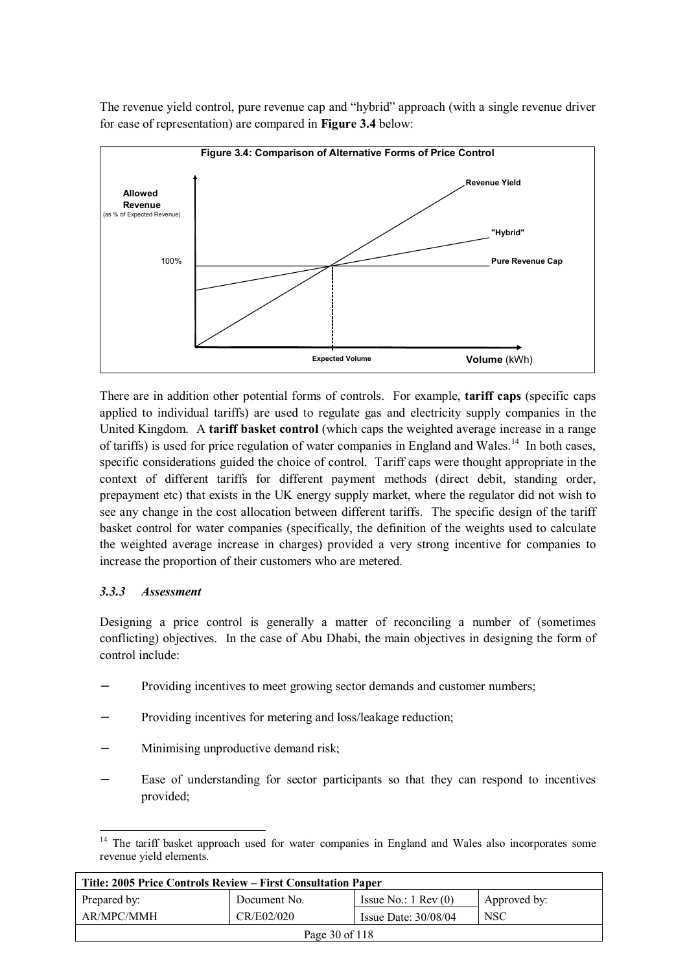The revenue yield control, pure revenue cap and "hybrid" approach (with a single revenue driver for ease of representation) are compared in **Figure 3.4** below:



There are in addition other potential forms of controls. For example, **tariff caps** (specific caps applied to individual tariffs) are used to regulate gas and electricity supply companies in the United Kingdom. A **tariff basket control** (which caps the weighted average increase in a range of tariffs) is used for price regulation of water companies in England and Wales.<sup>14</sup> In both cases, specific considerations guided the choice of control. Tariff caps were thought appropriate in the context of different tariffs for different payment methods (direct debit, standing order, prepayment etc) that exists in the UK energy supply market, where the regulator did not wish to see any change in the cost allocation between different tariffs. The specific design of the tariff basket control for water companies (specifically, the definition of the weights used to calculate the weighted average increase in charges) provided a very strong incentive for companies to increase the proportion of their customers who are metered.

### *3.3.3 Assessment*

Designing a price control is generally a matter of reconciling a number of (sometimes conflicting) objectives. In the case of Abu Dhabi, the main objectives in designing the form of control include:

- Providing incentives to meet growing sector demands and customer numbers;
- Providing incentives for metering and loss/leakage reduction;
- Minimising unproductive demand risk;
- Ease of understanding for sector participants so that they can respond to incentives provided;

 $\overline{a}$  $14$  The tariff basket approach used for water companies in England and Wales also incorporates some revenue yield elements.

| Title: 2005 Price Controls Review – First Consultation Paper |              |                               |              |
|--------------------------------------------------------------|--------------|-------------------------------|--------------|
| Prepared by:                                                 | Document No. | Issue No.: $1 \text{ Rev}(0)$ | Approved by: |
| AR/MPC/MMH                                                   | CR/E02/020   | Issue Date: $30/08/04$        | <b>NSC</b>   |
| Page 30 of 118                                               |              |                               |              |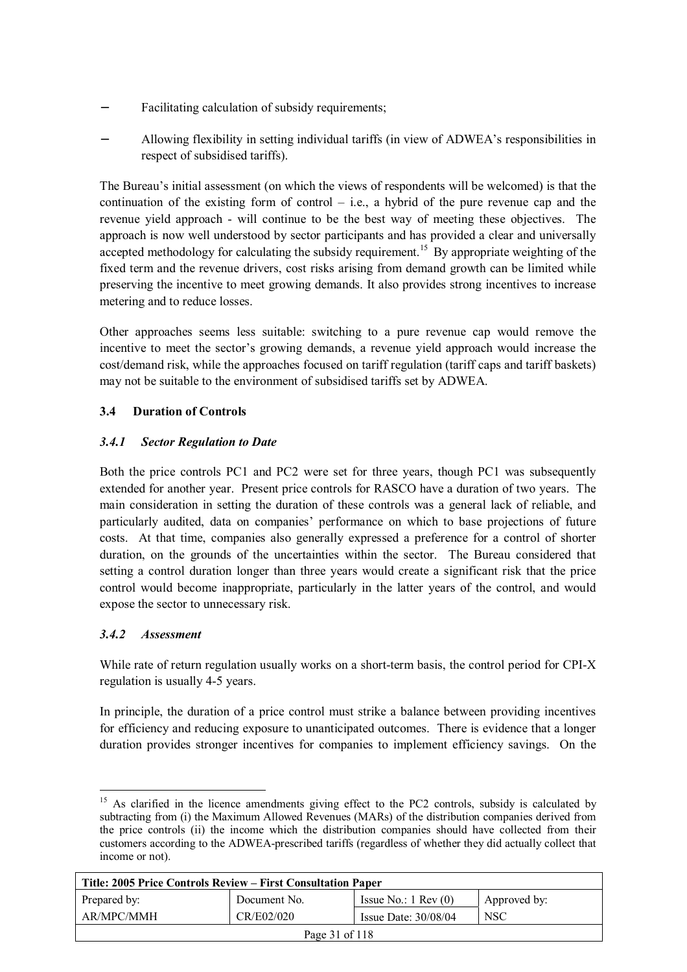- Facilitating calculation of subsidy requirements;
- − Allowing flexibility in setting individual tariffs (in view of ADWEA's responsibilities in respect of subsidised tariffs).

The Bureau's initial assessment (on which the views of respondents will be welcomed) is that the continuation of the existing form of control  $-$  i.e., a hybrid of the pure revenue cap and the revenue yield approach - will continue to be the best way of meeting these objectives. The approach is now well understood by sector participants and has provided a clear and universally accepted methodology for calculating the subsidy requirement.<sup>15</sup> By appropriate weighting of the fixed term and the revenue drivers, cost risks arising from demand growth can be limited while preserving the incentive to meet growing demands. It also provides strong incentives to increase metering and to reduce losses.

Other approaches seems less suitable: switching to a pure revenue cap would remove the incentive to meet the sector's growing demands, a revenue yield approach would increase the cost/demand risk, while the approaches focused on tariff regulation (tariff caps and tariff baskets) may not be suitable to the environment of subsidised tariffs set by ADWEA.

# **3.4 Duration of Controls**

# *3.4.1 Sector Regulation to Date*

Both the price controls PC1 and PC2 were set for three years, though PC1 was subsequently extended for another year. Present price controls for RASCO have a duration of two years. The main consideration in setting the duration of these controls was a general lack of reliable, and particularly audited, data on companies' performance on which to base projections of future costs. At that time, companies also generally expressed a preference for a control of shorter duration, on the grounds of the uncertainties within the sector. The Bureau considered that setting a control duration longer than three years would create a significant risk that the price control would become inappropriate, particularly in the latter years of the control, and would expose the sector to unnecessary risk.

### *3.4.2 Assessment*

 $\overline{a}$ 

While rate of return regulation usually works on a short-term basis, the control period for CPI-X regulation is usually 4-5 years.

In principle, the duration of a price control must strike a balance between providing incentives for efficiency and reducing exposure to unanticipated outcomes. There is evidence that a longer duration provides stronger incentives for companies to implement efficiency savings. On the

<sup>&</sup>lt;sup>15</sup> As clarified in the licence amendments giving effect to the PC2 controls, subsidy is calculated by subtracting from (i) the Maximum Allowed Revenues (MARs) of the distribution companies derived from the price controls (ii) the income which the distribution companies should have collected from their customers according to the ADWEA-prescribed tariffs (regardless of whether they did actually collect that income or not).

| Title: 2005 Price Controls Review – First Consultation Paper |              |                               |              |
|--------------------------------------------------------------|--------------|-------------------------------|--------------|
| Prepared by:                                                 | Document No. | Issue No.: $1 \text{ Rev}(0)$ | Approved by: |
| AR/MPC/MMH                                                   | CR/E02/020   | Issue Date: $30/08/04$        | <b>NSC</b>   |
| Page 31 of 118                                               |              |                               |              |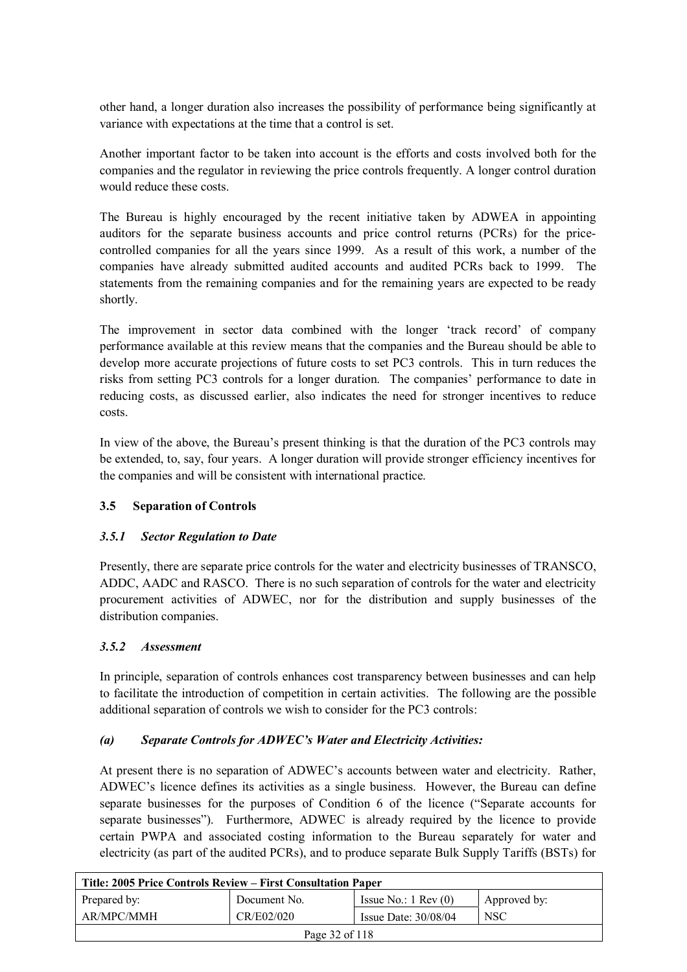other hand, a longer duration also increases the possibility of performance being significantly at variance with expectations at the time that a control is set.

Another important factor to be taken into account is the efforts and costs involved both for the companies and the regulator in reviewing the price controls frequently. A longer control duration would reduce these costs.

The Bureau is highly encouraged by the recent initiative taken by ADWEA in appointing auditors for the separate business accounts and price control returns (PCRs) for the pricecontrolled companies for all the years since 1999. As a result of this work, a number of the companies have already submitted audited accounts and audited PCRs back to 1999. The statements from the remaining companies and for the remaining years are expected to be ready shortly.

The improvement in sector data combined with the longer 'track record' of company performance available at this review means that the companies and the Bureau should be able to develop more accurate projections of future costs to set PC3 controls. This in turn reduces the risks from setting PC3 controls for a longer duration. The companies' performance to date in reducing costs, as discussed earlier, also indicates the need for stronger incentives to reduce costs.

In view of the above, the Bureau's present thinking is that the duration of the PC3 controls may be extended, to, say, four years. A longer duration will provide stronger efficiency incentives for the companies and will be consistent with international practice.

### **3.5 Separation of Controls**

### *3.5.1 Sector Regulation to Date*

Presently, there are separate price controls for the water and electricity businesses of TRANSCO, ADDC, AADC and RASCO. There is no such separation of controls for the water and electricity procurement activities of ADWEC, nor for the distribution and supply businesses of the distribution companies.

### *3.5.2 Assessment*

In principle, separation of controls enhances cost transparency between businesses and can help to facilitate the introduction of competition in certain activities. The following are the possible additional separation of controls we wish to consider for the PC3 controls:

### *(a) Separate Controls for ADWEC's Water and Electricity Activities:*

At present there is no separation of ADWEC's accounts between water and electricity. Rather, ADWEC's licence defines its activities as a single business. However, the Bureau can define separate businesses for the purposes of Condition 6 of the licence ("Separate accounts for separate businesses"). Furthermore, ADWEC is already required by the licence to provide certain PWPA and associated costing information to the Bureau separately for water and electricity (as part of the audited PCRs), and to produce separate Bulk Supply Tariffs (BSTs) for

| Title: 2005 Price Controls Review – First Consultation Paper |              |                               |              |
|--------------------------------------------------------------|--------------|-------------------------------|--------------|
| Prepared by:                                                 | Document No. | Issue No.: $1 \text{ Rev}(0)$ | Approved by: |
| AR/MPC/MMH                                                   | CR/E02/020   | Issue Date: $30/08/04$        | <b>NSC</b>   |
| Page 32 of 118                                               |              |                               |              |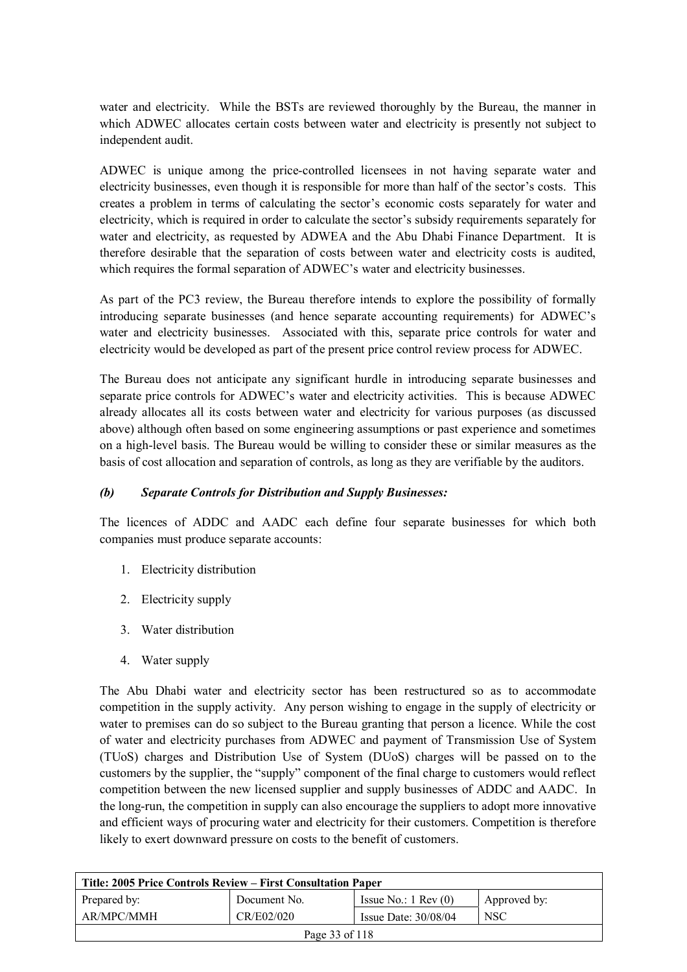water and electricity. While the BSTs are reviewed thoroughly by the Bureau, the manner in which ADWEC allocates certain costs between water and electricity is presently not subject to independent audit.

ADWEC is unique among the price-controlled licensees in not having separate water and electricity businesses, even though it is responsible for more than half of the sector's costs. This creates a problem in terms of calculating the sector's economic costs separately for water and electricity, which is required in order to calculate the sector's subsidy requirements separately for water and electricity, as requested by ADWEA and the Abu Dhabi Finance Department. It is therefore desirable that the separation of costs between water and electricity costs is audited, which requires the formal separation of ADWEC's water and electricity businesses.

As part of the PC3 review, the Bureau therefore intends to explore the possibility of formally introducing separate businesses (and hence separate accounting requirements) for ADWEC's water and electricity businesses. Associated with this, separate price controls for water and electricity would be developed as part of the present price control review process for ADWEC.

The Bureau does not anticipate any significant hurdle in introducing separate businesses and separate price controls for ADWEC's water and electricity activities. This is because ADWEC already allocates all its costs between water and electricity for various purposes (as discussed above) although often based on some engineering assumptions or past experience and sometimes on a high-level basis. The Bureau would be willing to consider these or similar measures as the basis of cost allocation and separation of controls, as long as they are verifiable by the auditors.

### *(b) Separate Controls for Distribution and Supply Businesses:*

The licences of ADDC and AADC each define four separate businesses for which both companies must produce separate accounts:

- 1. Electricity distribution
- 2. Electricity supply
- 3. Water distribution
- 4. Water supply

The Abu Dhabi water and electricity sector has been restructured so as to accommodate competition in the supply activity. Any person wishing to engage in the supply of electricity or water to premises can do so subject to the Bureau granting that person a licence. While the cost of water and electricity purchases from ADWEC and payment of Transmission Use of System (TUoS) charges and Distribution Use of System (DUoS) charges will be passed on to the customers by the supplier, the "supply" component of the final charge to customers would reflect competition between the new licensed supplier and supply businesses of ADDC and AADC. In the long-run, the competition in supply can also encourage the suppliers to adopt more innovative and efficient ways of procuring water and electricity for their customers. Competition is therefore likely to exert downward pressure on costs to the benefit of customers.

| Title: 2005 Price Controls Review – First Consultation Paper |              |                               |              |
|--------------------------------------------------------------|--------------|-------------------------------|--------------|
| Prepared by:                                                 | Document No. | Issue No.: $1 \text{ Rev}(0)$ | Approved by: |
| AR/MPC/MMH                                                   | CR/E02/020   | Issue Date: $30/08/04$        | <b>NSC</b>   |
| Page 33 of 118                                               |              |                               |              |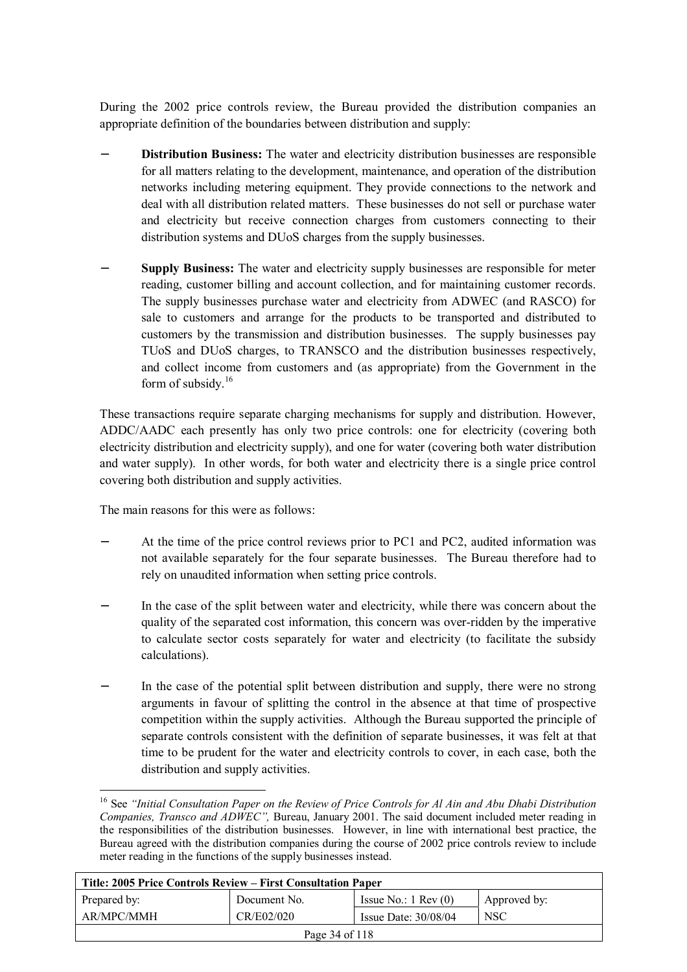During the 2002 price controls review, the Bureau provided the distribution companies an appropriate definition of the boundaries between distribution and supply:

- **Distribution Business:** The water and electricity distribution businesses are responsible for all matters relating to the development, maintenance, and operation of the distribution networks including metering equipment. They provide connections to the network and deal with all distribution related matters. These businesses do not sell or purchase water and electricity but receive connection charges from customers connecting to their distribution systems and DUoS charges from the supply businesses.
- **Supply Business:** The water and electricity supply businesses are responsible for meter reading, customer billing and account collection, and for maintaining customer records. The supply businesses purchase water and electricity from ADWEC (and RASCO) for sale to customers and arrange for the products to be transported and distributed to customers by the transmission and distribution businesses. The supply businesses pay TUoS and DUoS charges, to TRANSCO and the distribution businesses respectively, and collect income from customers and (as appropriate) from the Government in the form of subsidy. $16$

These transactions require separate charging mechanisms for supply and distribution. However, ADDC/AADC each presently has only two price controls: one for electricity (covering both electricity distribution and electricity supply), and one for water (covering both water distribution and water supply). In other words, for both water and electricity there is a single price control covering both distribution and supply activities.

The main reasons for this were as follows:

 $\overline{a}$ 

- At the time of the price control reviews prior to PC1 and PC2, audited information was not available separately for the four separate businesses. The Bureau therefore had to rely on unaudited information when setting price controls.
- In the case of the split between water and electricity, while there was concern about the quality of the separated cost information, this concern was over-ridden by the imperative to calculate sector costs separately for water and electricity (to facilitate the subsidy calculations).
- In the case of the potential split between distribution and supply, there were no strong arguments in favour of splitting the control in the absence at that time of prospective competition within the supply activities. Although the Bureau supported the principle of separate controls consistent with the definition of separate businesses, it was felt at that time to be prudent for the water and electricity controls to cover, in each case, both the distribution and supply activities.

<sup>16</sup> See *"Initial Consultation Paper on the Review of Price Controls for Al Ain and Abu Dhabi Distribution Companies, Transco and ADWEC",* Bureau, January 2001. The said document included meter reading in the responsibilities of the distribution businesses. However, in line with international best practice, the Bureau agreed with the distribution companies during the course of 2002 price controls review to include meter reading in the functions of the supply businesses instead.

| Title: 2005 Price Controls Review – First Consultation Paper |              |                               |              |
|--------------------------------------------------------------|--------------|-------------------------------|--------------|
| Prepared by:                                                 | Document No. | Issue No.: $1 \text{ Rev}(0)$ | Approved by: |
| AR/MPC/MMH                                                   | CR/E02/020   | Issue Date: $30/08/04$        | <b>NSC</b>   |
| Page 34 of 118                                               |              |                               |              |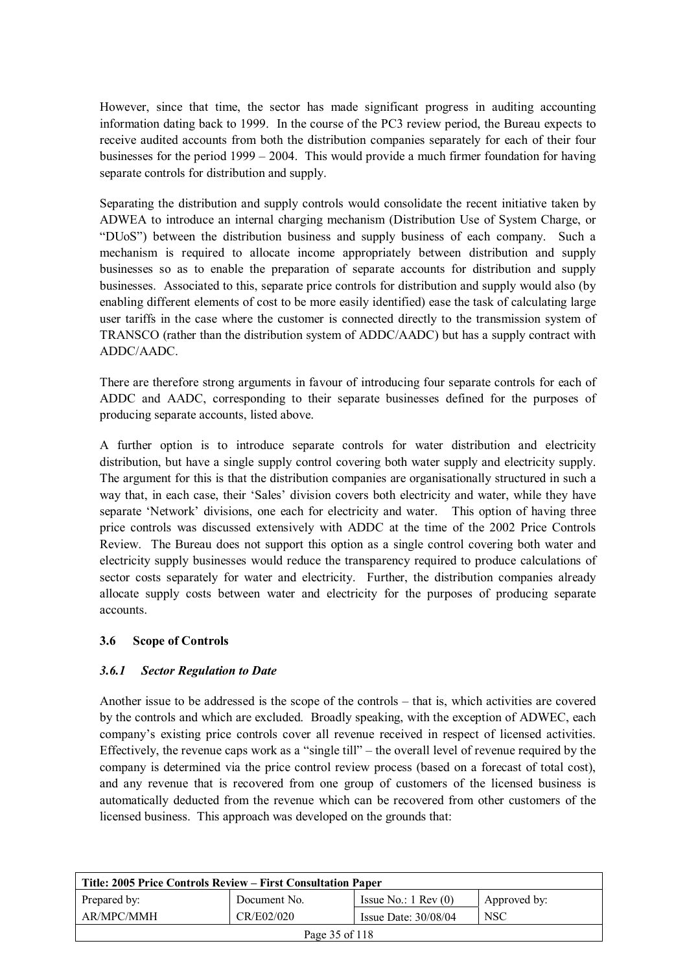However, since that time, the sector has made significant progress in auditing accounting information dating back to 1999. In the course of the PC3 review period, the Bureau expects to receive audited accounts from both the distribution companies separately for each of their four businesses for the period 1999 – 2004. This would provide a much firmer foundation for having separate controls for distribution and supply.

Separating the distribution and supply controls would consolidate the recent initiative taken by ADWEA to introduce an internal charging mechanism (Distribution Use of System Charge, or "DUoS") between the distribution business and supply business of each company. Such a mechanism is required to allocate income appropriately between distribution and supply businesses so as to enable the preparation of separate accounts for distribution and supply businesses. Associated to this, separate price controls for distribution and supply would also (by enabling different elements of cost to be more easily identified) ease the task of calculating large user tariffs in the case where the customer is connected directly to the transmission system of TRANSCO (rather than the distribution system of ADDC/AADC) but has a supply contract with ADDC/AADC.

There are therefore strong arguments in favour of introducing four separate controls for each of ADDC and AADC, corresponding to their separate businesses defined for the purposes of producing separate accounts, listed above.

A further option is to introduce separate controls for water distribution and electricity distribution, but have a single supply control covering both water supply and electricity supply. The argument for this is that the distribution companies are organisationally structured in such a way that, in each case, their 'Sales' division covers both electricity and water, while they have separate 'Network' divisions, one each for electricity and water. This option of having three price controls was discussed extensively with ADDC at the time of the 2002 Price Controls Review. The Bureau does not support this option as a single control covering both water and electricity supply businesses would reduce the transparency required to produce calculations of sector costs separately for water and electricity. Further, the distribution companies already allocate supply costs between water and electricity for the purposes of producing separate accounts.

### **3.6 Scope of Controls**

### *3.6.1 Sector Regulation to Date*

Another issue to be addressed is the scope of the controls – that is, which activities are covered by the controls and which are excluded. Broadly speaking, with the exception of ADWEC, each company's existing price controls cover all revenue received in respect of licensed activities. Effectively, the revenue caps work as a "single till" – the overall level of revenue required by the company is determined via the price control review process (based on a forecast of total cost), and any revenue that is recovered from one group of customers of the licensed business is automatically deducted from the revenue which can be recovered from other customers of the licensed business. This approach was developed on the grounds that:

| Title: 2005 Price Controls Review – First Consultation Paper |              |                               |                  |
|--------------------------------------------------------------|--------------|-------------------------------|------------------|
| Prepared by:                                                 | Document No. | Issue No.: $1 \text{ Rev}(0)$ | Approved by:     |
| AR/MPC/MMH                                                   | CR/E02/020   | Issue Date: $30/08/04$        | NSC <sup>.</sup> |
| Page 35 of 118                                               |              |                               |                  |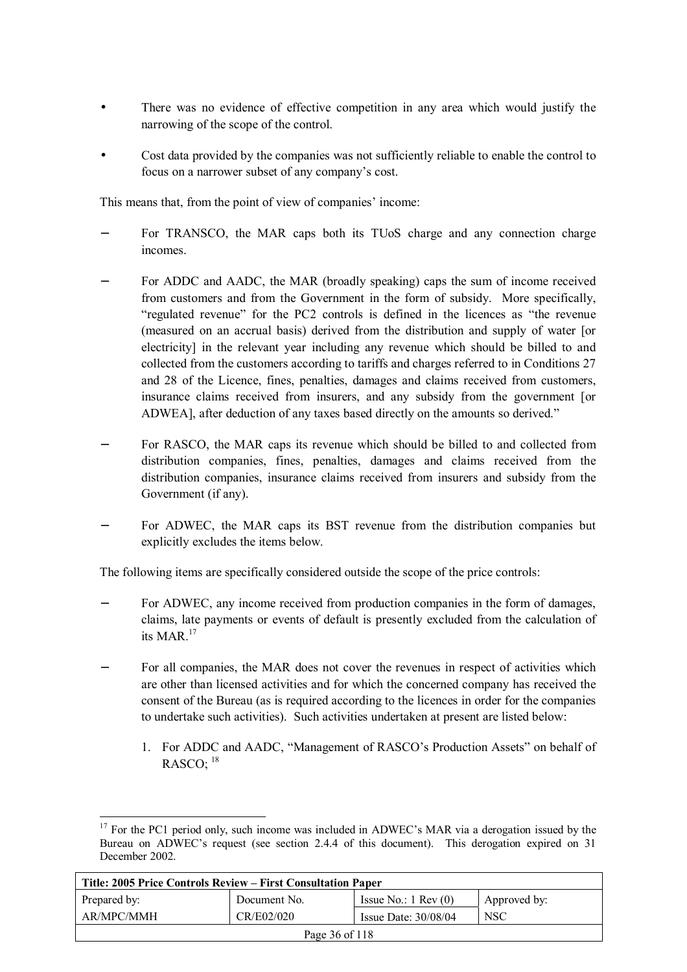- There was no evidence of effective competition in any area which would justify the narrowing of the scope of the control.
- Cost data provided by the companies was not sufficiently reliable to enable the control to focus on a narrower subset of any company's cost.

This means that, from the point of view of companies' income:

- For TRANSCO, the MAR caps both its TUoS charge and any connection charge incomes.
- For ADDC and AADC, the MAR (broadly speaking) caps the sum of income received from customers and from the Government in the form of subsidy. More specifically, "regulated revenue" for the PC2 controls is defined in the licences as "the revenue (measured on an accrual basis) derived from the distribution and supply of water [or electricity] in the relevant year including any revenue which should be billed to and collected from the customers according to tariffs and charges referred to in Conditions 27 and 28 of the Licence, fines, penalties, damages and claims received from customers, insurance claims received from insurers, and any subsidy from the government [or ADWEA], after deduction of any taxes based directly on the amounts so derived."
- For RASCO, the MAR caps its revenue which should be billed to and collected from distribution companies, fines, penalties, damages and claims received from the distribution companies, insurance claims received from insurers and subsidy from the Government (if any).
- For ADWEC, the MAR caps its BST revenue from the distribution companies but explicitly excludes the items below.

The following items are specifically considered outside the scope of the price controls:

- For ADWEC, any income received from production companies in the form of damages, claims, late payments or events of default is presently excluded from the calculation of its MAR.17
- For all companies, the MAR does not cover the revenues in respect of activities which are other than licensed activities and for which the concerned company has received the consent of the Bureau (as is required according to the licences in order for the companies to undertake such activities). Such activities undertaken at present are listed below:
	- 1. For ADDC and AADC, "Management of RASCO's Production Assets" on behalf of RASCO:  $18$

 $\overline{a}$  $17$  For the PC1 period only, such income was included in ADWEC's MAR via a derogation issued by the Bureau on ADWEC's request (see section 2.4.4 of this document). This derogation expired on 31 December 2002.

| Title: 2005 Price Controls Review – First Consultation Paper |              |                               |              |
|--------------------------------------------------------------|--------------|-------------------------------|--------------|
| Prepared by:                                                 | Document No. | Issue No.: $1 \text{ Rev}(0)$ | Approved by: |
| AR/MPC/MMH                                                   | CR/E02/020   | Issue Date: $30/08/04$        | <b>NSC</b>   |
| Page 36 of 118                                               |              |                               |              |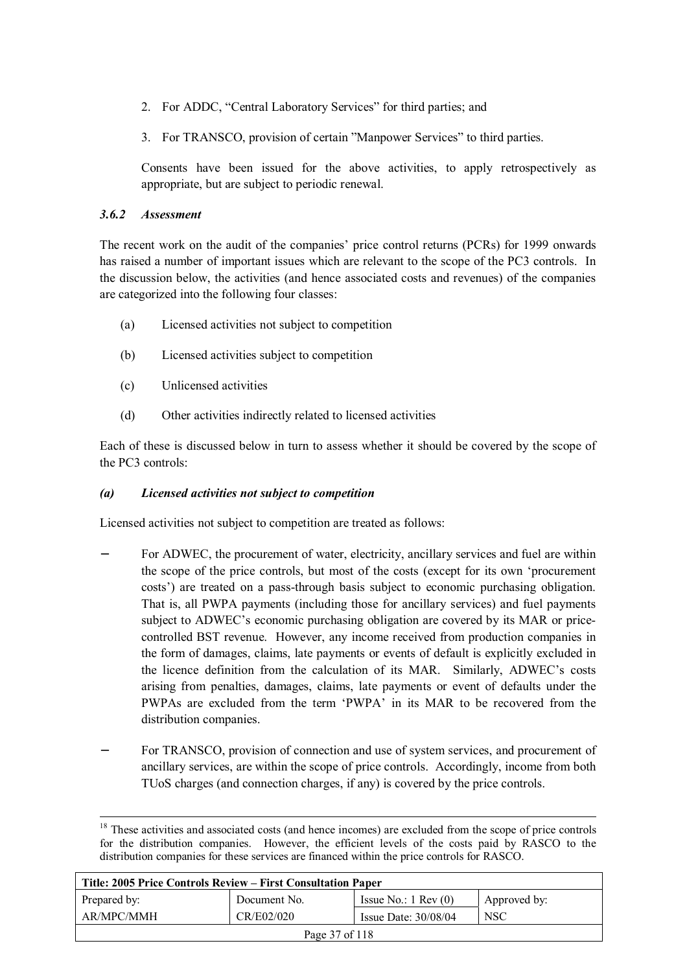- 2. For ADDC, "Central Laboratory Services" for third parties; and
- 3. For TRANSCO, provision of certain "Manpower Services" to third parties.

Consents have been issued for the above activities, to apply retrospectively as appropriate, but are subject to periodic renewal.

## *3.6.2 Assessment*

The recent work on the audit of the companies' price control returns (PCRs) for 1999 onwards has raised a number of important issues which are relevant to the scope of the PC3 controls. In the discussion below, the activities (and hence associated costs and revenues) of the companies are categorized into the following four classes:

- (a) Licensed activities not subject to competition
- (b) Licensed activities subject to competition
- (c) Unlicensed activities
- (d) Other activities indirectly related to licensed activities

Each of these is discussed below in turn to assess whether it should be covered by the scope of the PC3 controls:

## *(a) Licensed activities not subject to competition*

Licensed activities not subject to competition are treated as follows:

- For ADWEC, the procurement of water, electricity, ancillary services and fuel are within the scope of the price controls, but most of the costs (except for its own 'procurement costs') are treated on a pass-through basis subject to economic purchasing obligation. That is, all PWPA payments (including those for ancillary services) and fuel payments subject to ADWEC's economic purchasing obligation are covered by its MAR or pricecontrolled BST revenue. However, any income received from production companies in the form of damages, claims, late payments or events of default is explicitly excluded in the licence definition from the calculation of its MAR. Similarly, ADWEC's costs arising from penalties, damages, claims, late payments or event of defaults under the PWPAs are excluded from the term 'PWPA' in its MAR to be recovered from the distribution companies.
- For TRANSCO, provision of connection and use of system services, and procurement of ancillary services, are within the scope of price controls. Accordingly, income from both TUoS charges (and connection charges, if any) is covered by the price controls.

<sup>&</sup>lt;sup>18</sup> These activities and associated costs (and hence incomes) are excluded from the scope of price controls for the distribution companies. However, the efficient levels of the costs paid by RASCO to the distribution companies for these services are financed within the price controls for RASCO.

| Title: 2005 Price Controls Review – First Consultation Paper |              |                               |              |
|--------------------------------------------------------------|--------------|-------------------------------|--------------|
| Prepared by:                                                 | Document No. | Issue No.: $1 \text{ Rev}(0)$ | Approved by: |
| AR/MPC/MMH                                                   | <b>NSC</b>   |                               |              |
| Page 37 of 118                                               |              |                               |              |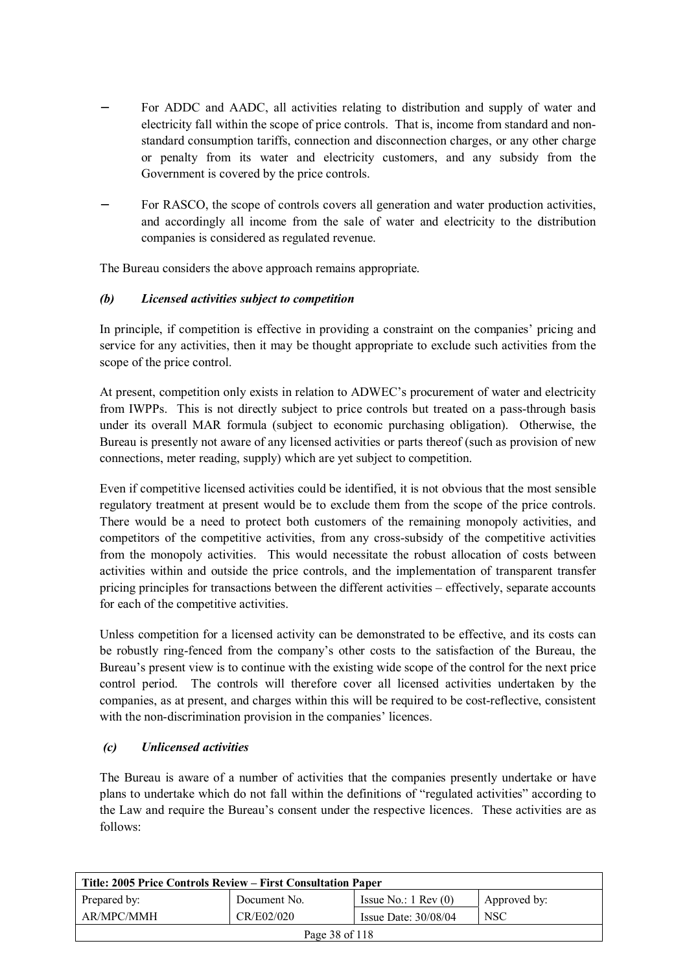- For ADDC and AADC, all activities relating to distribution and supply of water and electricity fall within the scope of price controls. That is, income from standard and nonstandard consumption tariffs, connection and disconnection charges, or any other charge or penalty from its water and electricity customers, and any subsidy from the Government is covered by the price controls.
- For RASCO, the scope of controls covers all generation and water production activities, and accordingly all income from the sale of water and electricity to the distribution companies is considered as regulated revenue.

The Bureau considers the above approach remains appropriate.

# *(b) Licensed activities subject to competition*

In principle, if competition is effective in providing a constraint on the companies' pricing and service for any activities, then it may be thought appropriate to exclude such activities from the scope of the price control.

At present, competition only exists in relation to ADWEC's procurement of water and electricity from IWPPs. This is not directly subject to price controls but treated on a pass-through basis under its overall MAR formula (subject to economic purchasing obligation). Otherwise, the Bureau is presently not aware of any licensed activities or parts thereof (such as provision of new connections, meter reading, supply) which are yet subject to competition.

Even if competitive licensed activities could be identified, it is not obvious that the most sensible regulatory treatment at present would be to exclude them from the scope of the price controls. There would be a need to protect both customers of the remaining monopoly activities, and competitors of the competitive activities, from any cross-subsidy of the competitive activities from the monopoly activities. This would necessitate the robust allocation of costs between activities within and outside the price controls, and the implementation of transparent transfer pricing principles for transactions between the different activities – effectively, separate accounts for each of the competitive activities.

Unless competition for a licensed activity can be demonstrated to be effective, and its costs can be robustly ring-fenced from the company's other costs to the satisfaction of the Bureau, the Bureau's present view is to continue with the existing wide scope of the control for the next price control period. The controls will therefore cover all licensed activities undertaken by the companies, as at present, and charges within this will be required to be cost-reflective, consistent with the non-discrimination provision in the companies' licences.

## *(c) Unlicensed activities*

The Bureau is aware of a number of activities that the companies presently undertake or have plans to undertake which do not fall within the definitions of "regulated activities" according to the Law and require the Bureau's consent under the respective licences. These activities are as follows:

| Title: 2005 Price Controls Review – First Consultation Paper |              |                               |              |
|--------------------------------------------------------------|--------------|-------------------------------|--------------|
| Prepared by:                                                 | Document No. | Issue No.: $1 \text{ Rev}(0)$ | Approved by: |
| AR/MPC/MMH                                                   | CR/E02/020   | Issue Date: $30/08/04$        | <b>NSC</b>   |
| Page 38 of 118                                               |              |                               |              |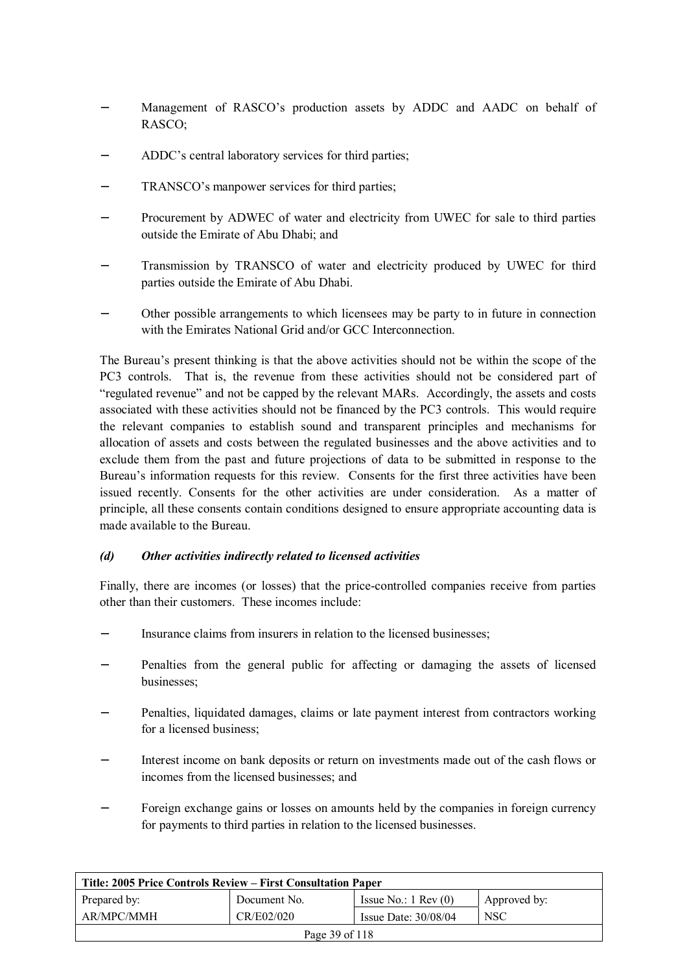- Management of RASCO's production assets by ADDC and AADC on behalf of RASCO;
- − ADDC's central laboratory services for third parties;
- TRANSCO's manpower services for third parties;
- Procurement by ADWEC of water and electricity from UWEC for sale to third parties outside the Emirate of Abu Dhabi; and
- Transmission by TRANSCO of water and electricity produced by UWEC for third parties outside the Emirate of Abu Dhabi.
- − Other possible arrangements to which licensees may be party to in future in connection with the Emirates National Grid and/or GCC Interconnection.

The Bureau's present thinking is that the above activities should not be within the scope of the PC3 controls. That is, the revenue from these activities should not be considered part of "regulated revenue" and not be capped by the relevant MARs. Accordingly, the assets and costs associated with these activities should not be financed by the PC3 controls. This would require the relevant companies to establish sound and transparent principles and mechanisms for allocation of assets and costs between the regulated businesses and the above activities and to exclude them from the past and future projections of data to be submitted in response to the Bureau's information requests for this review. Consents for the first three activities have been issued recently. Consents for the other activities are under consideration. As a matter of principle, all these consents contain conditions designed to ensure appropriate accounting data is made available to the Bureau.

## *(d) Other activities indirectly related to licensed activities*

Finally, there are incomes (or losses) that the price-controlled companies receive from parties other than their customers. These incomes include:

- Insurance claims from insurers in relation to the licensed businesses;
- − Penalties from the general public for affecting or damaging the assets of licensed businesses;
- Penalties, liquidated damages, claims or late payment interest from contractors working for a licensed business;
- − Interest income on bank deposits or return on investments made out of the cash flows or incomes from the licensed businesses; and
- − Foreign exchange gains or losses on amounts held by the companies in foreign currency for payments to third parties in relation to the licensed businesses.

| Title: 2005 Price Controls Review – First Consultation Paper |              |                               |              |
|--------------------------------------------------------------|--------------|-------------------------------|--------------|
| Prepared by:                                                 | Document No. | Issue No.: $1 \text{ Rev}(0)$ | Approved by: |
| AR/MPC/MMH                                                   | CR/E02/020   | Issue Date: $30/08/04$        | <b>NSC</b>   |
| Page 39 of 118                                               |              |                               |              |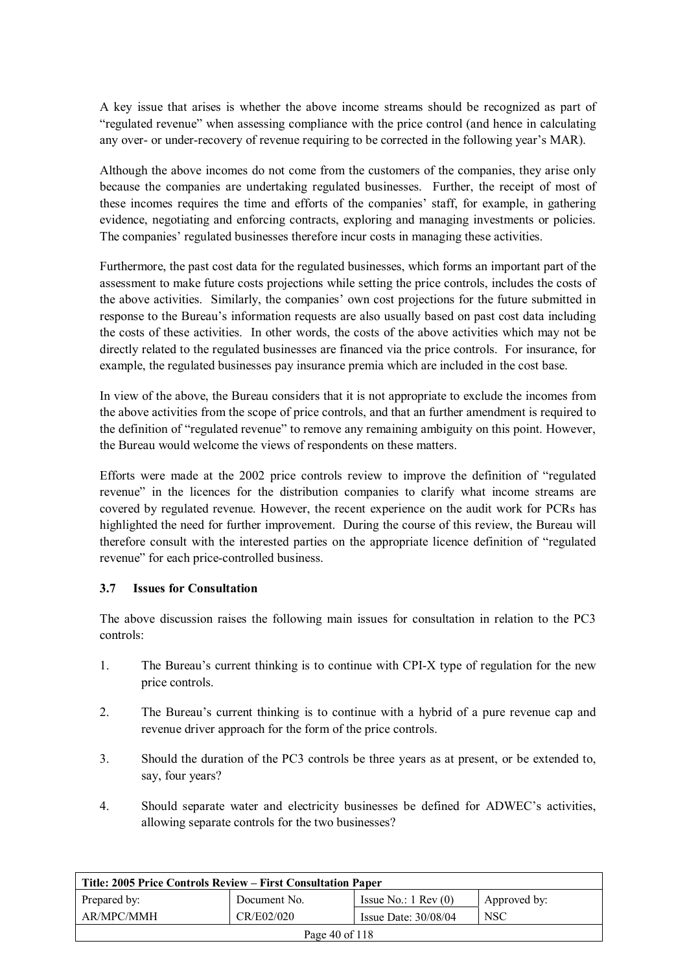A key issue that arises is whether the above income streams should be recognized as part of "regulated revenue" when assessing compliance with the price control (and hence in calculating any over- or under-recovery of revenue requiring to be corrected in the following year's MAR).

Although the above incomes do not come from the customers of the companies, they arise only because the companies are undertaking regulated businesses. Further, the receipt of most of these incomes requires the time and efforts of the companies' staff, for example, in gathering evidence, negotiating and enforcing contracts, exploring and managing investments or policies. The companies' regulated businesses therefore incur costs in managing these activities.

Furthermore, the past cost data for the regulated businesses, which forms an important part of the assessment to make future costs projections while setting the price controls, includes the costs of the above activities. Similarly, the companies' own cost projections for the future submitted in response to the Bureau's information requests are also usually based on past cost data including the costs of these activities. In other words, the costs of the above activities which may not be directly related to the regulated businesses are financed via the price controls. For insurance, for example, the regulated businesses pay insurance premia which are included in the cost base.

In view of the above, the Bureau considers that it is not appropriate to exclude the incomes from the above activities from the scope of price controls, and that an further amendment is required to the definition of "regulated revenue" to remove any remaining ambiguity on this point. However, the Bureau would welcome the views of respondents on these matters.

Efforts were made at the 2002 price controls review to improve the definition of "regulated revenue" in the licences for the distribution companies to clarify what income streams are covered by regulated revenue. However, the recent experience on the audit work for PCRs has highlighted the need for further improvement. During the course of this review, the Bureau will therefore consult with the interested parties on the appropriate licence definition of "regulated revenue" for each price-controlled business.

## **3.7 Issues for Consultation**

The above discussion raises the following main issues for consultation in relation to the PC3 controls:

- 1. The Bureau's current thinking is to continue with CPI-X type of regulation for the new price controls.
- 2. The Bureau's current thinking is to continue with a hybrid of a pure revenue cap and revenue driver approach for the form of the price controls.
- 3. Should the duration of the PC3 controls be three years as at present, or be extended to, say, four years?
- 4. Should separate water and electricity businesses be defined for ADWEC's activities, allowing separate controls for the two businesses?

| Title: 2005 Price Controls Review – First Consultation Paper |              |                               |              |
|--------------------------------------------------------------|--------------|-------------------------------|--------------|
| Prepared by:                                                 | Document No. | Issue No.: $1 \text{ Rev}(0)$ | Approved by: |
| AR/MPC/MMH                                                   | CR/E02/020   | Issue Date: $30/08/04$        | <b>NSC</b>   |
| Page 40 of 118                                               |              |                               |              |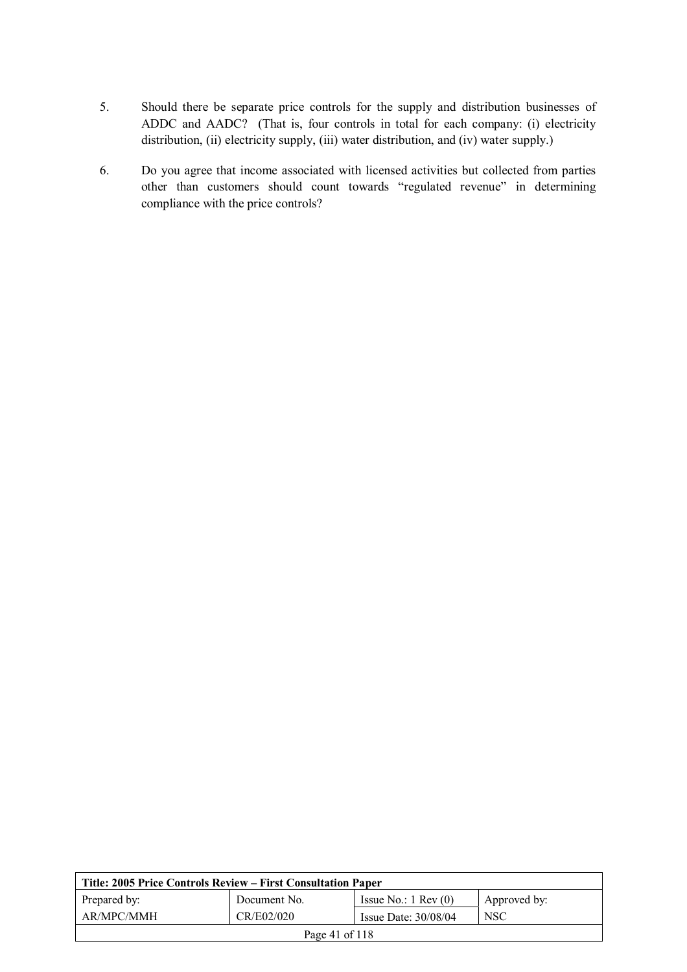- 5. Should there be separate price controls for the supply and distribution businesses of ADDC and AADC? (That is, four controls in total for each company: (i) electricity distribution, (ii) electricity supply, (iii) water distribution, and (iv) water supply.)
- 6. Do you agree that income associated with licensed activities but collected from parties other than customers should count towards "regulated revenue" in determining compliance with the price controls?

| Title: 2005 Price Controls Review – First Consultation Paper                  |            |                        |            |
|-------------------------------------------------------------------------------|------------|------------------------|------------|
| Issue No.: $1 \text{ Rev}(0)$<br>Prepared by:<br>Approved by:<br>Document No. |            |                        |            |
| AR/MPC/MMH                                                                    | CR/E02/020 | Issue Date: $30/08/04$ | <b>NSC</b> |
| Page 41 of 118                                                                |            |                        |            |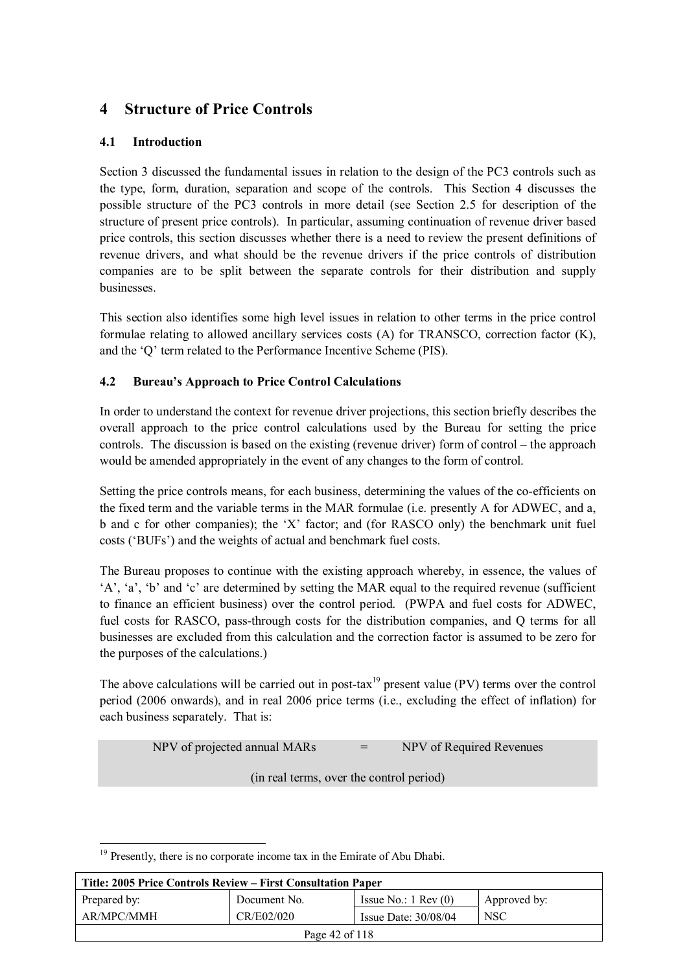# **4 Structure of Price Controls**

# **4.1 Introduction**

Section 3 discussed the fundamental issues in relation to the design of the PC3 controls such as the type, form, duration, separation and scope of the controls. This Section 4 discusses the possible structure of the PC3 controls in more detail (see Section 2.5 for description of the structure of present price controls). In particular, assuming continuation of revenue driver based price controls, this section discusses whether there is a need to review the present definitions of revenue drivers, and what should be the revenue drivers if the price controls of distribution companies are to be split between the separate controls for their distribution and supply businesses.

This section also identifies some high level issues in relation to other terms in the price control formulae relating to allowed ancillary services costs (A) for TRANSCO, correction factor (K), and the 'Q' term related to the Performance Incentive Scheme (PIS).

# **4.2 Bureau's Approach to Price Control Calculations**

In order to understand the context for revenue driver projections, this section briefly describes the overall approach to the price control calculations used by the Bureau for setting the price controls. The discussion is based on the existing (revenue driver) form of control – the approach would be amended appropriately in the event of any changes to the form of control.

Setting the price controls means, for each business, determining the values of the co-efficients on the fixed term and the variable terms in the MAR formulae (i.e. presently A for ADWEC, and a, b and c for other companies); the 'X' factor; and (for RASCO only) the benchmark unit fuel costs ('BUFs') and the weights of actual and benchmark fuel costs.

The Bureau proposes to continue with the existing approach whereby, in essence, the values of 'A', 'a', 'b' and 'c' are determined by setting the MAR equal to the required revenue (sufficient to finance an efficient business) over the control period. (PWPA and fuel costs for ADWEC, fuel costs for RASCO, pass-through costs for the distribution companies, and Q terms for all businesses are excluded from this calculation and the correction factor is assumed to be zero for the purposes of the calculations.)

The above calculations will be carried out in post-tax<sup>19</sup> present value (PV) terms over the control period (2006 onwards), and in real 2006 price terms (i.e., excluding the effect of inflation) for each business separately. That is:

NPV of projected annual MARs = NPV of Required Revenues

(in real terms, over the control period)

 $\overline{a}$  $19$  Presently, there is no corporate income tax in the Emirate of Abu Dhabi.

| Title: 2005 Price Controls Review – First Consultation Paper |              |                               |              |
|--------------------------------------------------------------|--------------|-------------------------------|--------------|
| Prepared by:                                                 | Document No. | Issue No.: $1 \text{ Rev}(0)$ | Approved by: |
| AR/MPC/MMH                                                   | CR/E02/020   | Issue Date: $30/08/04$        | <b>NSC</b>   |
| Page 42 of 118                                               |              |                               |              |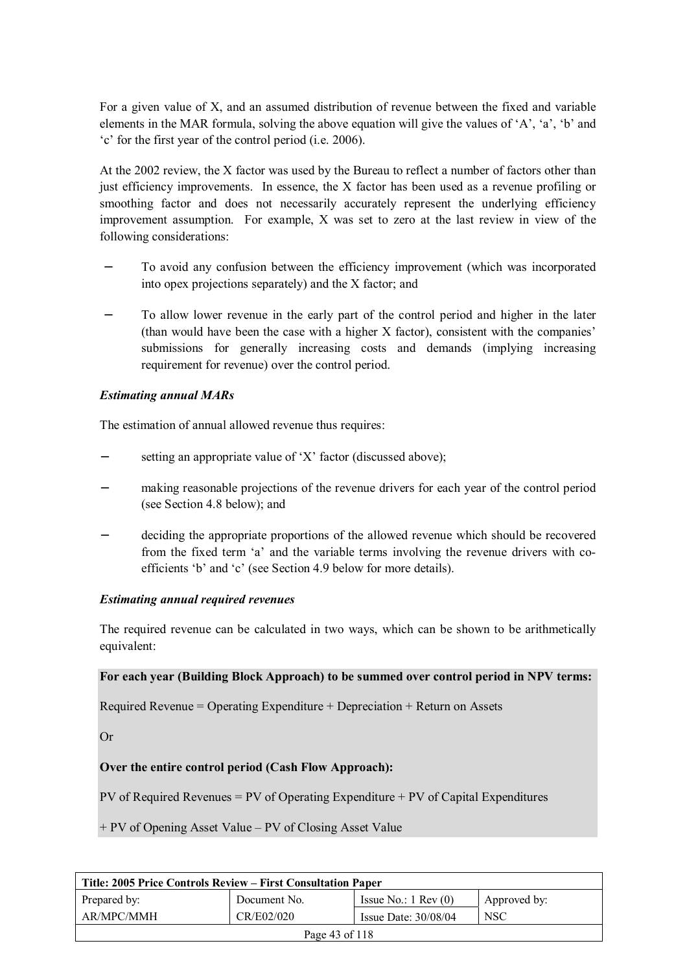For a given value of X, and an assumed distribution of revenue between the fixed and variable elements in the MAR formula, solving the above equation will give the values of 'A', 'a', 'b' and 'c' for the first year of the control period (i.e. 2006).

At the 2002 review, the X factor was used by the Bureau to reflect a number of factors other than just efficiency improvements. In essence, the X factor has been used as a revenue profiling or smoothing factor and does not necessarily accurately represent the underlying efficiency improvement assumption. For example, X was set to zero at the last review in view of the following considerations:

- To avoid any confusion between the efficiency improvement (which was incorporated into opex projections separately) and the X factor; and
- To allow lower revenue in the early part of the control period and higher in the later (than would have been the case with a higher X factor), consistent with the companies' submissions for generally increasing costs and demands (implying increasing requirement for revenue) over the control period.

#### *Estimating annual MARs*

The estimation of annual allowed revenue thus requires:

- setting an appropriate value of 'X' factor (discussed above);
- − making reasonable projections of the revenue drivers for each year of the control period (see Section 4.8 below); and
- deciding the appropriate proportions of the allowed revenue which should be recovered from the fixed term 'a' and the variable terms involving the revenue drivers with coefficients 'b' and 'c' (see Section 4.9 below for more details).

#### *Estimating annual required revenues*

The required revenue can be calculated in two ways, which can be shown to be arithmetically equivalent:

#### **For each year (Building Block Approach) to be summed over control period in NPV terms:**

Required Revenue = Operating Expenditure + Depreciation + Return on Assets

Or

## **Over the entire control period (Cash Flow Approach):**

PV of Required Revenues = PV of Operating Expenditure + PV of Capital Expenditures

+ PV of Opening Asset Value – PV of Closing Asset Value

| Title: 2005 Price Controls Review – First Consultation Paper |              |                               |              |
|--------------------------------------------------------------|--------------|-------------------------------|--------------|
| Prepared by:                                                 | Document No. | Issue No.: $1 \text{ Rev}(0)$ | Approved by: |
| AR/MPC/MMH                                                   | CR/E02/020   | Issue Date: $30/08/04$        | <b>NSC</b>   |
| Page 43 of 118                                               |              |                               |              |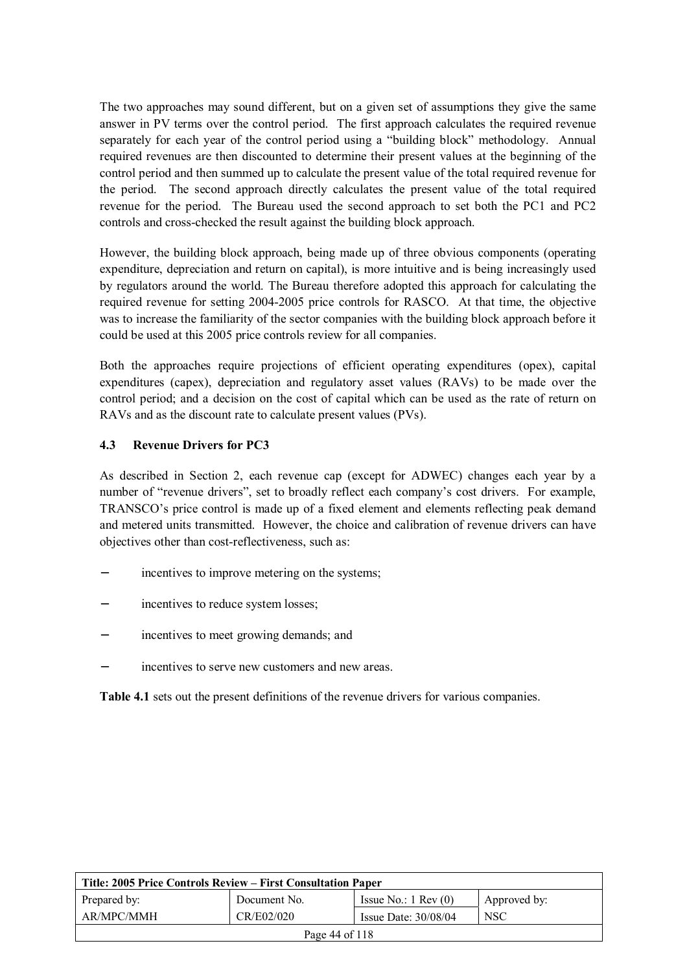The two approaches may sound different, but on a given set of assumptions they give the same answer in PV terms over the control period. The first approach calculates the required revenue separately for each year of the control period using a "building block" methodology. Annual required revenues are then discounted to determine their present values at the beginning of the control period and then summed up to calculate the present value of the total required revenue for the period. The second approach directly calculates the present value of the total required revenue for the period. The Bureau used the second approach to set both the PC1 and PC2 controls and cross-checked the result against the building block approach.

However, the building block approach, being made up of three obvious components (operating expenditure, depreciation and return on capital), is more intuitive and is being increasingly used by regulators around the world. The Bureau therefore adopted this approach for calculating the required revenue for setting 2004-2005 price controls for RASCO. At that time, the objective was to increase the familiarity of the sector companies with the building block approach before it could be used at this 2005 price controls review for all companies.

Both the approaches require projections of efficient operating expenditures (opex), capital expenditures (capex), depreciation and regulatory asset values (RAVs) to be made over the control period; and a decision on the cost of capital which can be used as the rate of return on RAVs and as the discount rate to calculate present values (PVs).

## **4.3 Revenue Drivers for PC3**

As described in Section 2, each revenue cap (except for ADWEC) changes each year by a number of "revenue drivers", set to broadly reflect each company's cost drivers. For example, TRANSCO's price control is made up of a fixed element and elements reflecting peak demand and metered units transmitted. However, the choice and calibration of revenue drivers can have objectives other than cost-reflectiveness, such as:

- incentives to improve metering on the systems;
- incentives to reduce system losses;
- incentives to meet growing demands; and
- incentives to serve new customers and new areas.

**Table 4.1** sets out the present definitions of the revenue drivers for various companies.

| Title: 2005 Price Controls Review – First Consultation Paper |              |                               |              |
|--------------------------------------------------------------|--------------|-------------------------------|--------------|
| Prepared by:                                                 | Document No. | Issue No.: $1 \text{ Rev}(0)$ | Approved by: |
| AR/MPC/MMH                                                   | CR/E02/020   | Issue Date: $30/08/04$        | <b>NSC</b>   |
| Page 44 of 118                                               |              |                               |              |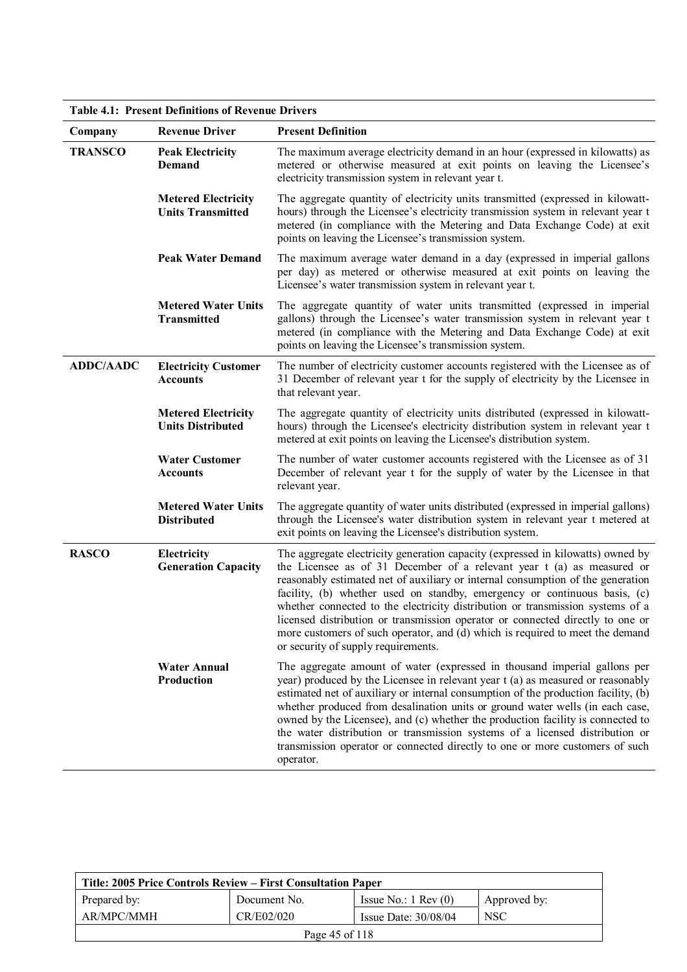**Table 4.1: Present Definitions of Revenue Drivers** 

| Company          | <b>Revenue Driver</b>                                  | <b>Present Definition</b>                                                                                                                                                                                                                                                                                                                                                                                                                                                                                                                                                                                             |
|------------------|--------------------------------------------------------|-----------------------------------------------------------------------------------------------------------------------------------------------------------------------------------------------------------------------------------------------------------------------------------------------------------------------------------------------------------------------------------------------------------------------------------------------------------------------------------------------------------------------------------------------------------------------------------------------------------------------|
| <b>TRANSCO</b>   | <b>Peak Electricity</b><br><b>Demand</b>               | The maximum average electricity demand in an hour (expressed in kilowatts) as<br>metered or otherwise measured at exit points on leaving the Licensee's<br>electricity transmission system in relevant year t.                                                                                                                                                                                                                                                                                                                                                                                                        |
|                  | <b>Metered Electricity</b><br><b>Units Transmitted</b> | The aggregate quantity of electricity units transmitted (expressed in kilowatt-<br>hours) through the Licensee's electricity transmission system in relevant year t<br>metered (in compliance with the Metering and Data Exchange Code) at exit<br>points on leaving the Licensee's transmission system.                                                                                                                                                                                                                                                                                                              |
|                  | <b>Peak Water Demand</b>                               | The maximum average water demand in a day (expressed in imperial gallons<br>per day) as metered or otherwise measured at exit points on leaving the<br>Licensee's water transmission system in relevant year t.                                                                                                                                                                                                                                                                                                                                                                                                       |
|                  | <b>Metered Water Units</b><br><b>Transmitted</b>       | The aggregate quantity of water units transmitted (expressed in imperial<br>gallons) through the Licensee's water transmission system in relevant year t<br>metered (in compliance with the Metering and Data Exchange Code) at exit<br>points on leaving the Licensee's transmission system.                                                                                                                                                                                                                                                                                                                         |
| <b>ADDC/AADC</b> | <b>Electricity Customer</b><br><b>Accounts</b>         | The number of electricity customer accounts registered with the Licensee as of<br>31 December of relevant year t for the supply of electricity by the Licensee in<br>that relevant year.                                                                                                                                                                                                                                                                                                                                                                                                                              |
|                  | <b>Metered Electricity</b><br><b>Units Distributed</b> | The aggregate quantity of electricity units distributed (expressed in kilowatt-<br>hours) through the Licensee's electricity distribution system in relevant year t<br>metered at exit points on leaving the Licensee's distribution system.                                                                                                                                                                                                                                                                                                                                                                          |
|                  | <b>Water Customer</b><br><b>Accounts</b>               | The number of water customer accounts registered with the Licensee as of 31<br>December of relevant year t for the supply of water by the Licensee in that<br>relevant year.                                                                                                                                                                                                                                                                                                                                                                                                                                          |
|                  | <b>Metered Water Units</b><br><b>Distributed</b>       | The aggregate quantity of water units distributed (expressed in imperial gallons)<br>through the Licensee's water distribution system in relevant year t metered at<br>exit points on leaving the Licensee's distribution system.                                                                                                                                                                                                                                                                                                                                                                                     |
| <b>RASCO</b>     | Electricity<br><b>Generation Capacity</b>              | The aggregate electricity generation capacity (expressed in kilowatts) owned by<br>the Licensee as of 31 December of a relevant year t (a) as measured or<br>reasonably estimated net of auxiliary or internal consumption of the generation<br>facility, (b) whether used on standby, emergency or continuous basis, (c)<br>whether connected to the electricity distribution or transmission systems of a<br>licensed distribution or transmission operator or connected directly to one or<br>more customers of such operator, and (d) which is required to meet the demand<br>or security of supply requirements. |
|                  | <b>Water Annual</b><br>Production                      | The aggregate amount of water (expressed in thousand imperial gallons per<br>year) produced by the Licensee in relevant year t (a) as measured or reasonably<br>estimated net of auxiliary or internal consumption of the production facility, (b)<br>whether produced from desalination units or ground water wells (in each case,<br>owned by the Licensee), and (c) whether the production facility is connected to<br>the water distribution or transmission systems of a licensed distribution or<br>transmission operator or connected directly to one or more customers of such<br>operator.                   |

| Title: 2005 Price Controls Review – First Consultation Paper                  |            |                        |            |  |
|-------------------------------------------------------------------------------|------------|------------------------|------------|--|
| Issue No.: $1 \text{ Rev}(0)$<br>Prepared by:<br>Document No.<br>Approved by: |            |                        |            |  |
| AR/MPC/MMH                                                                    | CR/E02/020 | Issue Date: $30/08/04$ | <b>NSC</b> |  |
| Page 45 of 118                                                                |            |                        |            |  |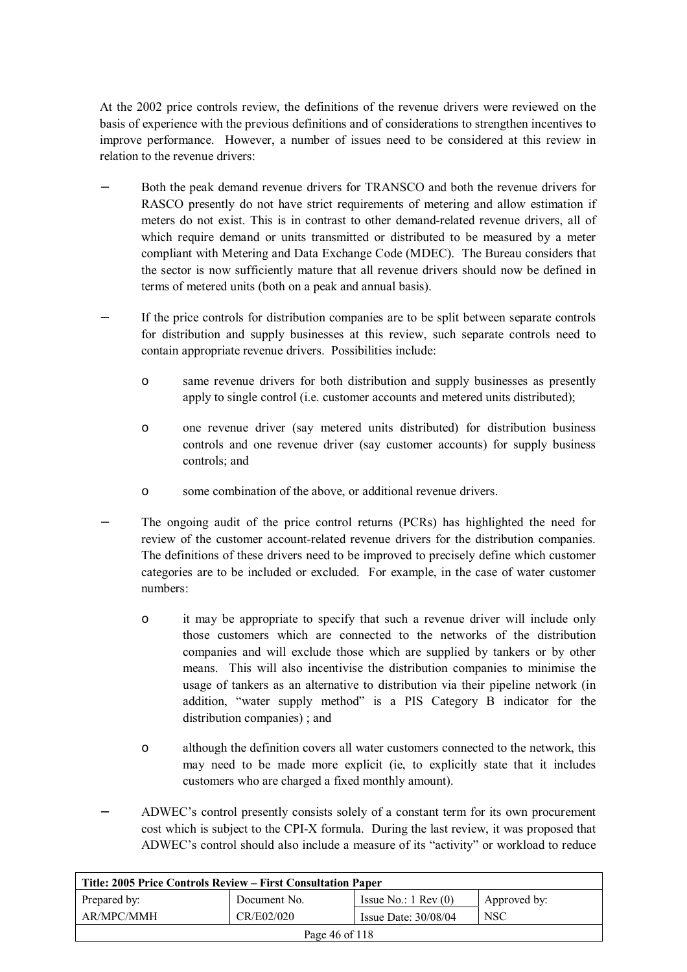At the 2002 price controls review, the definitions of the revenue drivers were reviewed on the basis of experience with the previous definitions and of considerations to strengthen incentives to improve performance. However, a number of issues need to be considered at this review in relation to the revenue drivers:

- Both the peak demand revenue drivers for TRANSCO and both the revenue drivers for RASCO presently do not have strict requirements of metering and allow estimation if meters do not exist. This is in contrast to other demand-related revenue drivers, all of which require demand or units transmitted or distributed to be measured by a meter compliant with Metering and Data Exchange Code (MDEC). The Bureau considers that the sector is now sufficiently mature that all revenue drivers should now be defined in terms of metered units (both on a peak and annual basis).
- If the price controls for distribution companies are to be split between separate controls for distribution and supply businesses at this review, such separate controls need to contain appropriate revenue drivers. Possibilities include:
	- o same revenue drivers for both distribution and supply businesses as presently apply to single control (i.e. customer accounts and metered units distributed);
	- o one revenue driver (say metered units distributed) for distribution business controls and one revenue driver (say customer accounts) for supply business controls; and
	- o some combination of the above, or additional revenue drivers.
- The ongoing audit of the price control returns (PCRs) has highlighted the need for review of the customer account-related revenue drivers for the distribution companies. The definitions of these drivers need to be improved to precisely define which customer categories are to be included or excluded. For example, in the case of water customer numbers:
	- o it may be appropriate to specify that such a revenue driver will include only those customers which are connected to the networks of the distribution companies and will exclude those which are supplied by tankers or by other means. This will also incentivise the distribution companies to minimise the usage of tankers as an alternative to distribution via their pipeline network (in addition, "water supply method" is a PIS Category B indicator for the distribution companies) ; and
	- o although the definition covers all water customers connected to the network, this may need to be made more explicit (ie, to explicitly state that it includes customers who are charged a fixed monthly amount).
- − ADWEC's control presently consists solely of a constant term for its own procurement cost which is subject to the CPI-X formula. During the last review, it was proposed that ADWEC's control should also include a measure of its "activity" or workload to reduce

| Title: 2005 Price Controls Review – First Consultation Paper |              |                               |              |
|--------------------------------------------------------------|--------------|-------------------------------|--------------|
| Prepared by:                                                 | Document No. | Issue No.: $1 \text{ Rev}(0)$ | Approved by: |
| AR/MPC/MMH                                                   | CR/E02/020   | Issue Date: $30/08/04$        | <b>NSC</b>   |
| Page 46 of 118                                               |              |                               |              |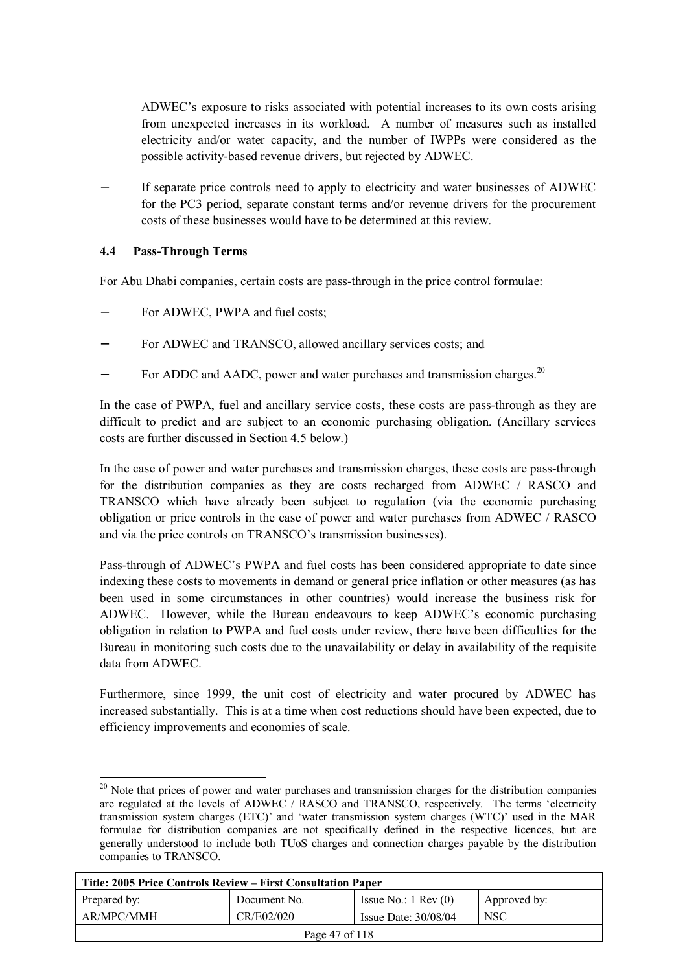ADWEC's exposure to risks associated with potential increases to its own costs arising from unexpected increases in its workload. A number of measures such as installed electricity and/or water capacity, and the number of IWPPs were considered as the possible activity-based revenue drivers, but rejected by ADWEC.

If separate price controls need to apply to electricity and water businesses of ADWEC for the PC3 period, separate constant terms and/or revenue drivers for the procurement costs of these businesses would have to be determined at this review.

#### **4.4 Pass-Through Terms**

 $\overline{a}$ 

For Abu Dhabi companies, certain costs are pass-through in the price control formulae:

- For ADWEC, PWPA and fuel costs;
- For ADWEC and TRANSCO, allowed ancillary services costs; and
- For ADDC and AADC, power and water purchases and transmission charges.<sup>20</sup>

In the case of PWPA, fuel and ancillary service costs, these costs are pass-through as they are difficult to predict and are subject to an economic purchasing obligation. (Ancillary services costs are further discussed in Section 4.5 below.)

In the case of power and water purchases and transmission charges, these costs are pass-through for the distribution companies as they are costs recharged from ADWEC / RASCO and TRANSCO which have already been subject to regulation (via the economic purchasing obligation or price controls in the case of power and water purchases from ADWEC / RASCO and via the price controls on TRANSCO's transmission businesses).

Pass-through of ADWEC's PWPA and fuel costs has been considered appropriate to date since indexing these costs to movements in demand or general price inflation or other measures (as has been used in some circumstances in other countries) would increase the business risk for ADWEC. However, while the Bureau endeavours to keep ADWEC's economic purchasing obligation in relation to PWPA and fuel costs under review, there have been difficulties for the Bureau in monitoring such costs due to the unavailability or delay in availability of the requisite data from ADWEC.

Furthermore, since 1999, the unit cost of electricity and water procured by ADWEC has increased substantially. This is at a time when cost reductions should have been expected, due to efficiency improvements and economies of scale.

 $20$  Note that prices of power and water purchases and transmission charges for the distribution companies are regulated at the levels of ADWEC / RASCO and TRANSCO, respectively. The terms 'electricity transmission system charges (ETC)' and 'water transmission system charges (WTC)' used in the MAR formulae for distribution companies are not specifically defined in the respective licences, but are generally understood to include both TUoS charges and connection charges payable by the distribution companies to TRANSCO.

| Title: 2005 Price Controls Review – First Consultation Paper |              |                               |              |
|--------------------------------------------------------------|--------------|-------------------------------|--------------|
| Prepared by:                                                 | Document No. | Issue No.: $1 \text{ Rev}(0)$ | Approved by: |
| AR/MPC/MMH                                                   | CR/E02/020   | Issue Date: $30/08/04$        | <b>NSC</b>   |
| Page 47 of 118                                               |              |                               |              |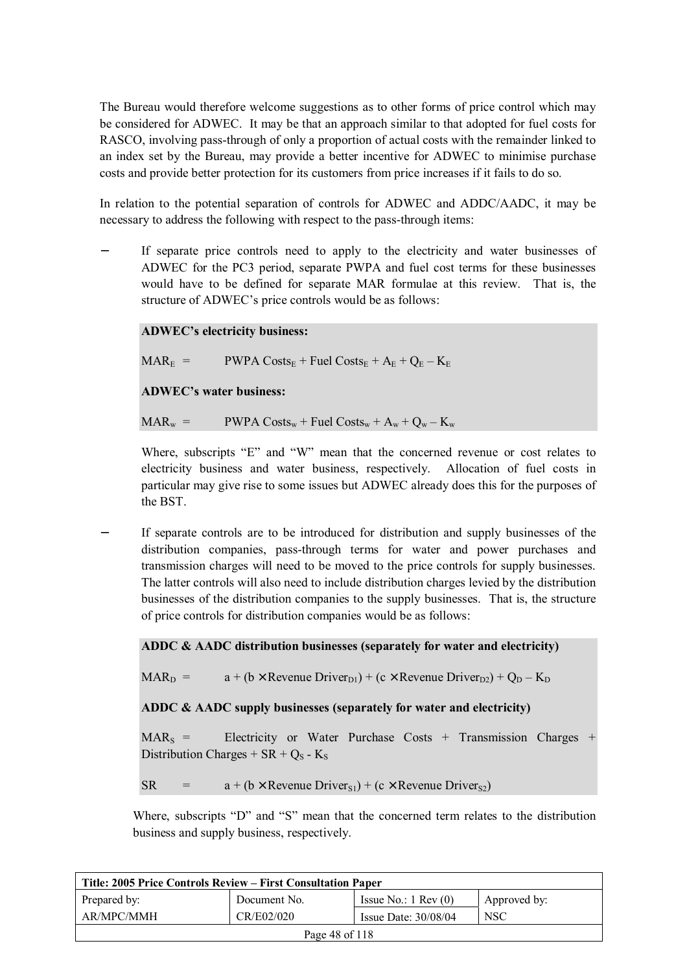The Bureau would therefore welcome suggestions as to other forms of price control which may be considered for ADWEC. It may be that an approach similar to that adopted for fuel costs for RASCO, involving pass-through of only a proportion of actual costs with the remainder linked to an index set by the Bureau, may provide a better incentive for ADWEC to minimise purchase costs and provide better protection for its customers from price increases if it fails to do so.

In relation to the potential separation of controls for ADWEC and ADDC/AADC, it may be necessary to address the following with respect to the pass-through items:

If separate price controls need to apply to the electricity and water businesses of ADWEC for the PC3 period, separate PWPA and fuel cost terms for these businesses would have to be defined for separate MAR formulae at this review. That is, the structure of ADWEC's price controls would be as follows:

#### **ADWEC's electricity business:**

 $\text{MAR}_{\text{F}}$  = PWPA Costs<sub>E</sub> + Fuel Costs<sub>E</sub> + A<sub>E</sub> + O<sub>E</sub> – K<sub>E</sub>

**ADWEC's water business:** 

 $\text{MAR}_w = \text{PWPA Costs}_w + \text{Fuel Costs}_w + A_w + Q_w - K_w$ 

Where, subscripts "E" and "W" mean that the concerned revenue or cost relates to electricity business and water business, respectively. Allocation of fuel costs in particular may give rise to some issues but ADWEC already does this for the purposes of the BST.

If separate controls are to be introduced for distribution and supply businesses of the distribution companies, pass-through terms for water and power purchases and transmission charges will need to be moved to the price controls for supply businesses. The latter controls will also need to include distribution charges levied by the distribution businesses of the distribution companies to the supply businesses. That is, the structure of price controls for distribution companies would be as follows:

#### **ADDC & AADC distribution businesses (separately for water and electricity)**

 $\text{MAR}_D = a + (b \times \text{Revenue Driver}_{D1}) + (c \times \text{Revenue Driver}_{D2}) + Q_D - K_D$ 

**ADDC & AADC supply businesses (separately for water and electricity)** 

 $MAR<sub>S</sub>$  = Electricity or Water Purchase Costs + Transmission Charges + Distribution Charges +  $SR + Q<sub>S</sub>$  - K<sub>S</sub>

 $SR = a + (b \times Revenue\,Driver_{S1}) + (c \times Revenue\,Driver_{S2})$ 

Where, subscripts "D" and "S" mean that the concerned term relates to the distribution business and supply business, respectively.

| Title: 2005 Price Controls Review – First Consultation Paper |              |                               |              |
|--------------------------------------------------------------|--------------|-------------------------------|--------------|
| Prepared by:                                                 | Document No. | Issue No.: $1 \text{ Rev}(0)$ | Approved by: |
| AR/MPC/MMH                                                   | CR/E02/020   | Issue Date: $30/08/04$        | <b>NSC</b>   |
| Page 48 of 118                                               |              |                               |              |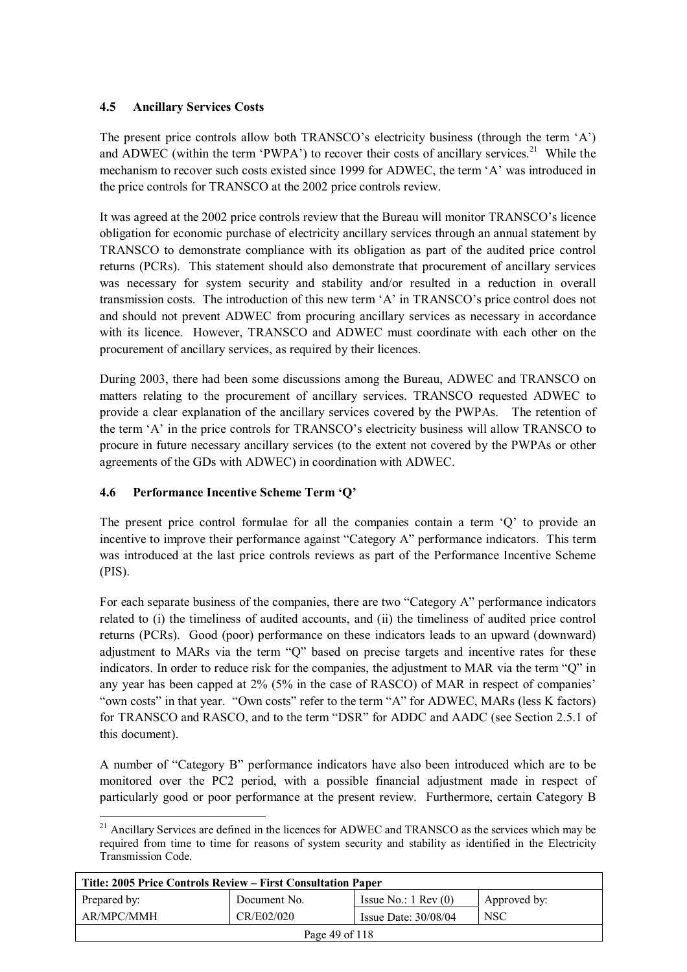# **4.5 Ancillary Services Costs**

The present price controls allow both TRANSCO's electricity business (through the term 'A') and ADWEC (within the term 'PWPA') to recover their costs of ancillary services.<sup>21</sup> While the mechanism to recover such costs existed since 1999 for ADWEC, the term 'A' was introduced in the price controls for TRANSCO at the 2002 price controls review.

It was agreed at the 2002 price controls review that the Bureau will monitor TRANSCO's licence obligation for economic purchase of electricity ancillary services through an annual statement by TRANSCO to demonstrate compliance with its obligation as part of the audited price control returns (PCRs). This statement should also demonstrate that procurement of ancillary services was necessary for system security and stability and/or resulted in a reduction in overall transmission costs. The introduction of this new term 'A' in TRANSCO's price control does not and should not prevent ADWEC from procuring ancillary services as necessary in accordance with its licence. However, TRANSCO and ADWEC must coordinate with each other on the procurement of ancillary services, as required by their licences.

During 2003, there had been some discussions among the Bureau, ADWEC and TRANSCO on matters relating to the procurement of ancillary services. TRANSCO requested ADWEC to provide a clear explanation of the ancillary services covered by the PWPAs. The retention of the term 'A' in the price controls for TRANSCO's electricity business will allow TRANSCO to procure in future necessary ancillary services (to the extent not covered by the PWPAs or other agreements of the GDs with ADWEC) in coordination with ADWEC.

# **4.6 Performance Incentive Scheme Term 'Q'**

The present price control formulae for all the companies contain a term 'Q' to provide an incentive to improve their performance against "Category A" performance indicators. This term was introduced at the last price controls reviews as part of the Performance Incentive Scheme (PIS).

For each separate business of the companies, there are two "Category A" performance indicators related to (i) the timeliness of audited accounts, and (ii) the timeliness of audited price control returns (PCRs). Good (poor) performance on these indicators leads to an upward (downward) adjustment to MARs via the term "Q" based on precise targets and incentive rates for these indicators. In order to reduce risk for the companies, the adjustment to MAR via the term "Q" in any year has been capped at 2% (5% in the case of RASCO) of MAR in respect of companies' "own costs" in that year. "Own costs" refer to the term "A" for ADWEC, MARs (less K factors) for TRANSCO and RASCO, and to the term "DSR" for ADDC and AADC (see Section 2.5.1 of this document).

A number of "Category B" performance indicators have also been introduced which are to be monitored over the PC2 period, with a possible financial adjustment made in respect of particularly good or poor performance at the present review. Furthermore, certain Category B

 $\overline{a}$  $21$  Ancillary Services are defined in the licences for ADWEC and TRANSCO as the services which may be required from time to time for reasons of system security and stability as identified in the Electricity Transmission Code.

| Title: 2005 Price Controls Review – First Consultation Paper |              |                               |              |
|--------------------------------------------------------------|--------------|-------------------------------|--------------|
| Prepared by:                                                 | Document No. | Issue No.: $1 \text{ Rev}(0)$ | Approved by: |
| AR/MPC/MMH                                                   | CR/E02/020   | Issue Date: $30/08/04$        | <b>NSC</b>   |
| Page 49 of 118                                               |              |                               |              |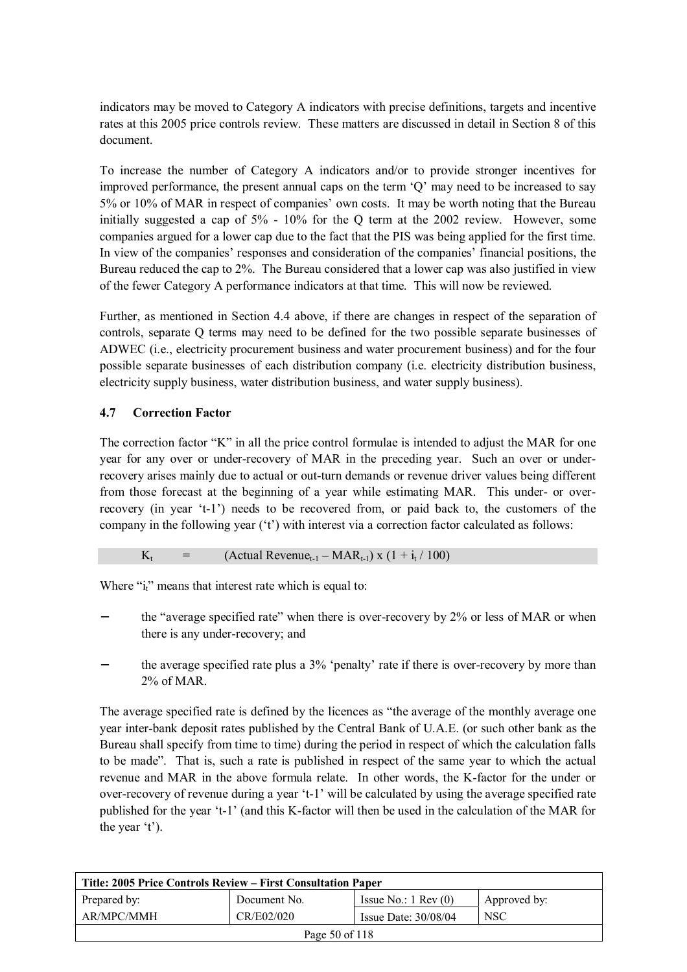indicators may be moved to Category A indicators with precise definitions, targets and incentive rates at this 2005 price controls review. These matters are discussed in detail in Section 8 of this document.

To increase the number of Category A indicators and/or to provide stronger incentives for improved performance, the present annual caps on the term 'Q' may need to be increased to say 5% or 10% of MAR in respect of companies' own costs. It may be worth noting that the Bureau initially suggested a cap of 5% - 10% for the Q term at the 2002 review. However, some companies argued for a lower cap due to the fact that the PIS was being applied for the first time. In view of the companies' responses and consideration of the companies' financial positions, the Bureau reduced the cap to 2%. The Bureau considered that a lower cap was also justified in view of the fewer Category A performance indicators at that time. This will now be reviewed.

Further, as mentioned in Section 4.4 above, if there are changes in respect of the separation of controls, separate Q terms may need to be defined for the two possible separate businesses of ADWEC (i.e., electricity procurement business and water procurement business) and for the four possible separate businesses of each distribution company (i.e. electricity distribution business, electricity supply business, water distribution business, and water supply business).

# **4.7 Correction Factor**

The correction factor "K" in all the price control formulae is intended to adjust the MAR for one year for any over or under-recovery of MAR in the preceding year. Such an over or underrecovery arises mainly due to actual or out-turn demands or revenue driver values being different from those forecast at the beginning of a year while estimating MAR. This under- or overrecovery (in year 't-1') needs to be recovered from, or paid back to, the customers of the company in the following year ('t') with interest via a correction factor calculated as follows:

$$
K_t = (Actual Revenue_{t-1} - MAR_{t-1}) x (1 + i_t / 100)
$$

Where  $i_i$ <sup>"</sup> means that interest rate which is equal to:

- the "average specified rate" when there is over-recovery by 2% or less of MAR or when there is any under-recovery; and
- the average specified rate plus a 3% 'penalty' rate if there is over-recovery by more than 2% of MAR.

The average specified rate is defined by the licences as "the average of the monthly average one year inter-bank deposit rates published by the Central Bank of U.A.E. (or such other bank as the Bureau shall specify from time to time) during the period in respect of which the calculation falls to be made". That is, such a rate is published in respect of the same year to which the actual revenue and MAR in the above formula relate. In other words, the K-factor for the under or over-recovery of revenue during a year 't-1' will be calculated by using the average specified rate published for the year 't-1' (and this K-factor will then be used in the calculation of the MAR for the year 't').

| Title: 2005 Price Controls Review – First Consultation Paper |              |                               |              |
|--------------------------------------------------------------|--------------|-------------------------------|--------------|
| Prepared by:                                                 | Document No. | Issue No.: $1 \text{ Rev}(0)$ | Approved by: |
| AR/MPC/MMH                                                   | CR/E02/020   | Issue Date: $30/08/04$        | <b>NSC</b>   |
| Page 50 of 118                                               |              |                               |              |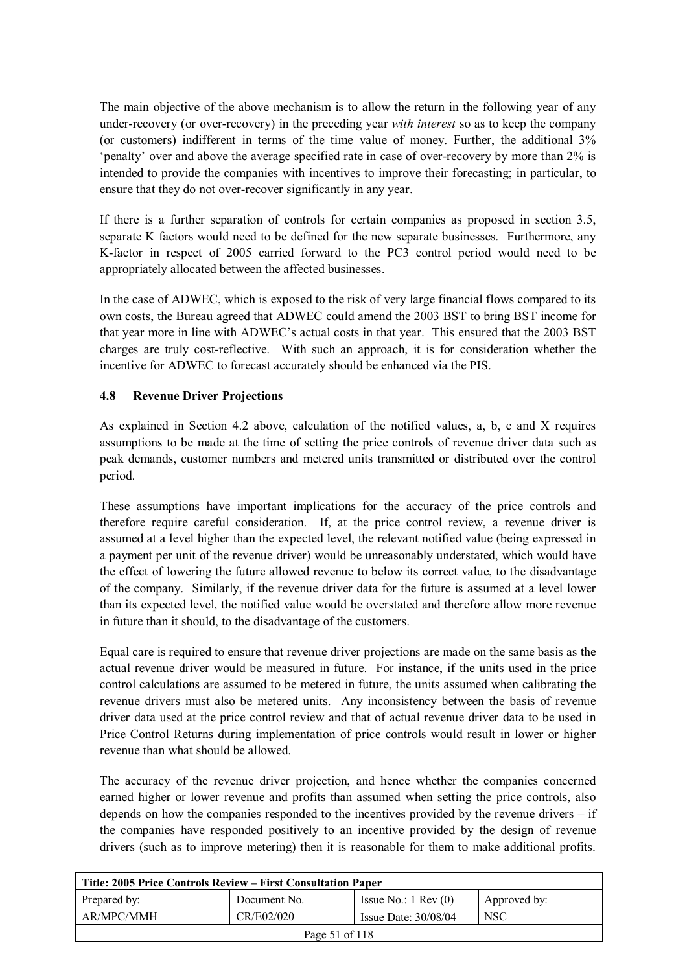The main objective of the above mechanism is to allow the return in the following year of any under-recovery (or over-recovery) in the preceding year *with interest* so as to keep the company (or customers) indifferent in terms of the time value of money. Further, the additional 3% 'penalty' over and above the average specified rate in case of over-recovery by more than 2% is intended to provide the companies with incentives to improve their forecasting; in particular, to ensure that they do not over-recover significantly in any year.

If there is a further separation of controls for certain companies as proposed in section 3.5, separate K factors would need to be defined for the new separate businesses. Furthermore, any K-factor in respect of 2005 carried forward to the PC3 control period would need to be appropriately allocated between the affected businesses.

In the case of ADWEC, which is exposed to the risk of very large financial flows compared to its own costs, the Bureau agreed that ADWEC could amend the 2003 BST to bring BST income for that year more in line with ADWEC's actual costs in that year. This ensured that the 2003 BST charges are truly cost-reflective. With such an approach, it is for consideration whether the incentive for ADWEC to forecast accurately should be enhanced via the PIS.

# **4.8 Revenue Driver Projections**

As explained in Section 4.2 above, calculation of the notified values, a, b, c and X requires assumptions to be made at the time of setting the price controls of revenue driver data such as peak demands, customer numbers and metered units transmitted or distributed over the control period.

These assumptions have important implications for the accuracy of the price controls and therefore require careful consideration. If, at the price control review, a revenue driver is assumed at a level higher than the expected level, the relevant notified value (being expressed in a payment per unit of the revenue driver) would be unreasonably understated, which would have the effect of lowering the future allowed revenue to below its correct value, to the disadvantage of the company. Similarly, if the revenue driver data for the future is assumed at a level lower than its expected level, the notified value would be overstated and therefore allow more revenue in future than it should, to the disadvantage of the customers.

Equal care is required to ensure that revenue driver projections are made on the same basis as the actual revenue driver would be measured in future. For instance, if the units used in the price control calculations are assumed to be metered in future, the units assumed when calibrating the revenue drivers must also be metered units. Any inconsistency between the basis of revenue driver data used at the price control review and that of actual revenue driver data to be used in Price Control Returns during implementation of price controls would result in lower or higher revenue than what should be allowed.

The accuracy of the revenue driver projection, and hence whether the companies concerned earned higher or lower revenue and profits than assumed when setting the price controls, also depends on how the companies responded to the incentives provided by the revenue drivers – if the companies have responded positively to an incentive provided by the design of revenue drivers (such as to improve metering) then it is reasonable for them to make additional profits.

| Title: 2005 Price Controls Review – First Consultation Paper |              |                               |              |
|--------------------------------------------------------------|--------------|-------------------------------|--------------|
| Prepared by:                                                 | Document No. | Issue No.: $1 \text{ Rev}(0)$ | Approved by: |
| AR/MPC/MMH                                                   | CR/E02/020   | Issue Date: $30/08/04$        | <b>NSC</b>   |
| Page 51 of 118                                               |              |                               |              |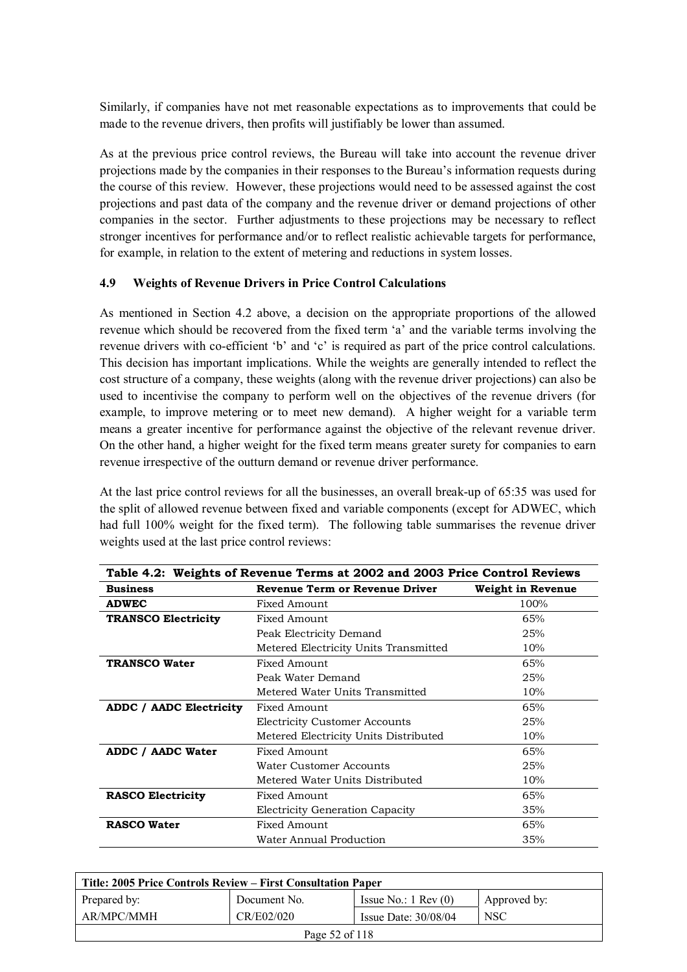Similarly, if companies have not met reasonable expectations as to improvements that could be made to the revenue drivers, then profits will justifiably be lower than assumed.

As at the previous price control reviews, the Bureau will take into account the revenue driver projections made by the companies in their responses to the Bureau's information requests during the course of this review. However, these projections would need to be assessed against the cost projections and past data of the company and the revenue driver or demand projections of other companies in the sector. Further adjustments to these projections may be necessary to reflect stronger incentives for performance and/or to reflect realistic achievable targets for performance, for example, in relation to the extent of metering and reductions in system losses.

#### **4.9 Weights of Revenue Drivers in Price Control Calculations**

As mentioned in Section 4.2 above, a decision on the appropriate proportions of the allowed revenue which should be recovered from the fixed term 'a' and the variable terms involving the revenue drivers with co-efficient 'b' and 'c' is required as part of the price control calculations. This decision has important implications. While the weights are generally intended to reflect the cost structure of a company, these weights (along with the revenue driver projections) can also be used to incentivise the company to perform well on the objectives of the revenue drivers (for example, to improve metering or to meet new demand). A higher weight for a variable term means a greater incentive for performance against the objective of the relevant revenue driver. On the other hand, a higher weight for the fixed term means greater surety for companies to earn revenue irrespective of the outturn demand or revenue driver performance.

At the last price control reviews for all the businesses, an overall break-up of 65:35 was used for the split of allowed revenue between fixed and variable components (except for ADWEC, which had full 100% weight for the fixed term). The following table summarises the revenue driver weights used at the last price control reviews:

| Table 4.2: Weights of Revenue Terms at 2002 and 2003 Price Control Reviews |                                             |                   |  |
|----------------------------------------------------------------------------|---------------------------------------------|-------------------|--|
| <b>Business</b>                                                            | <b>Revenue Term or Revenue Driver</b>       | Weight in Revenue |  |
| <b>ADWEC</b>                                                               | Fixed Amount                                | 100%              |  |
| <b>TRANSCO Electricity</b>                                                 | Fixed Amount                                | 65%               |  |
|                                                                            | Peak Electricity Demand                     | 25%               |  |
|                                                                            | Metered Electricity Units Transmitted       | 10%               |  |
| <b>TRANSCO Water</b>                                                       | Fixed Amount                                | 65%               |  |
|                                                                            | Peak Water Demand                           | 25%               |  |
|                                                                            | Metered Water Units Transmitted             | 10%               |  |
| ADDC / AADC Electricity                                                    | Fixed Amount                                | 65%               |  |
|                                                                            | 25%<br><b>Electricity Customer Accounts</b> |                   |  |
|                                                                            | Metered Electricity Units Distributed       | 10%               |  |
| ADDC / AADC Water                                                          | Fixed Amount                                | 65%               |  |
|                                                                            | Water Customer Accounts                     | 25%               |  |
|                                                                            | Metered Water Units Distributed             | 10%               |  |
| <b>RASCO Electricity</b>                                                   | 65%<br>Fixed Amount                         |                   |  |
|                                                                            | Electricity Generation Capacity             | 35%               |  |
| <b>RASCO Water</b>                                                         | Fixed Amount                                | 65%               |  |
|                                                                            | Water Annual Production                     | 35%               |  |

| Title: 2005 Price Controls Review – First Consultation Paper |              |                               |              |
|--------------------------------------------------------------|--------------|-------------------------------|--------------|
| Prepared by:                                                 | Document No. | Issue No.: $1 \text{ Rev}(0)$ | Approved by: |
| AR/MPC/MMH                                                   | CR/E02/020   | Issue Date: $30/08/04$        | <b>NSC</b>   |
| Page 52 of 118                                               |              |                               |              |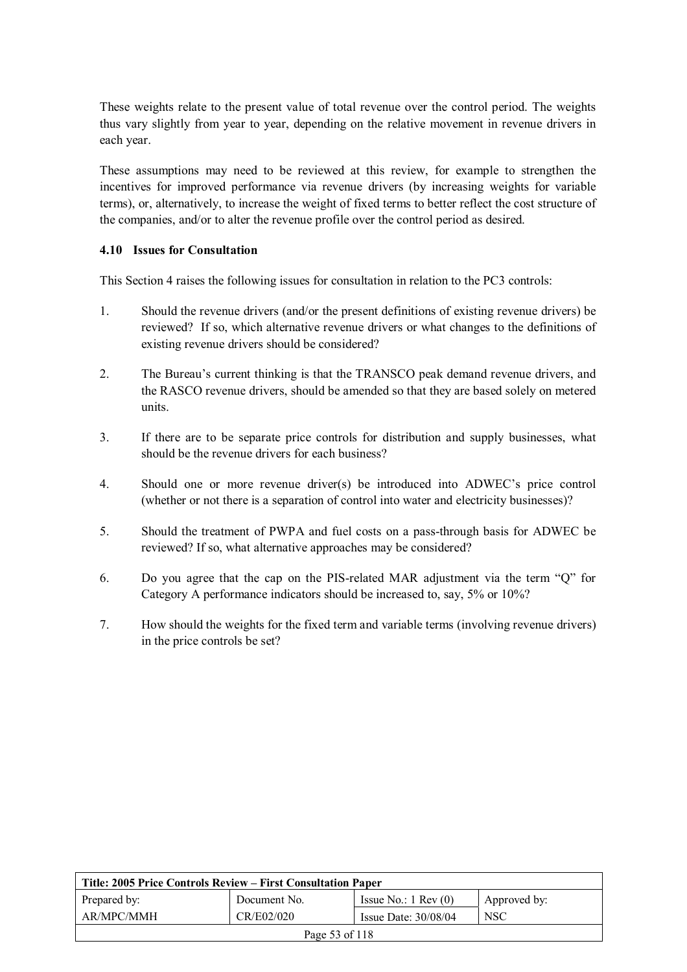These weights relate to the present value of total revenue over the control period. The weights thus vary slightly from year to year, depending on the relative movement in revenue drivers in each year.

These assumptions may need to be reviewed at this review, for example to strengthen the incentives for improved performance via revenue drivers (by increasing weights for variable terms), or, alternatively, to increase the weight of fixed terms to better reflect the cost structure of the companies, and/or to alter the revenue profile over the control period as desired.

#### **4.10 Issues for Consultation**

This Section 4 raises the following issues for consultation in relation to the PC3 controls:

- 1. Should the revenue drivers (and/or the present definitions of existing revenue drivers) be reviewed? If so, which alternative revenue drivers or what changes to the definitions of existing revenue drivers should be considered?
- 2. The Bureau's current thinking is that the TRANSCO peak demand revenue drivers, and the RASCO revenue drivers, should be amended so that they are based solely on metered units.
- 3. If there are to be separate price controls for distribution and supply businesses, what should be the revenue drivers for each business?
- 4. Should one or more revenue driver(s) be introduced into ADWEC's price control (whether or not there is a separation of control into water and electricity businesses)?
- 5. Should the treatment of PWPA and fuel costs on a pass-through basis for ADWEC be reviewed? If so, what alternative approaches may be considered?
- 6. Do you agree that the cap on the PIS-related MAR adjustment via the term "Q" for Category A performance indicators should be increased to, say, 5% or 10%?
- 7. How should the weights for the fixed term and variable terms (involving revenue drivers) in the price controls be set?

| Title: 2005 Price Controls Review – First Consultation Paper     |              |                               |              |
|------------------------------------------------------------------|--------------|-------------------------------|--------------|
| Prepared by:                                                     | Document No. | Issue No.: $1 \text{ Rev}(0)$ | Approved by: |
| AR/MPC/MMH<br>CR/E02/020<br><b>NSC</b><br>Issue Date: $30/08/04$ |              |                               |              |
| Page 53 of 118                                                   |              |                               |              |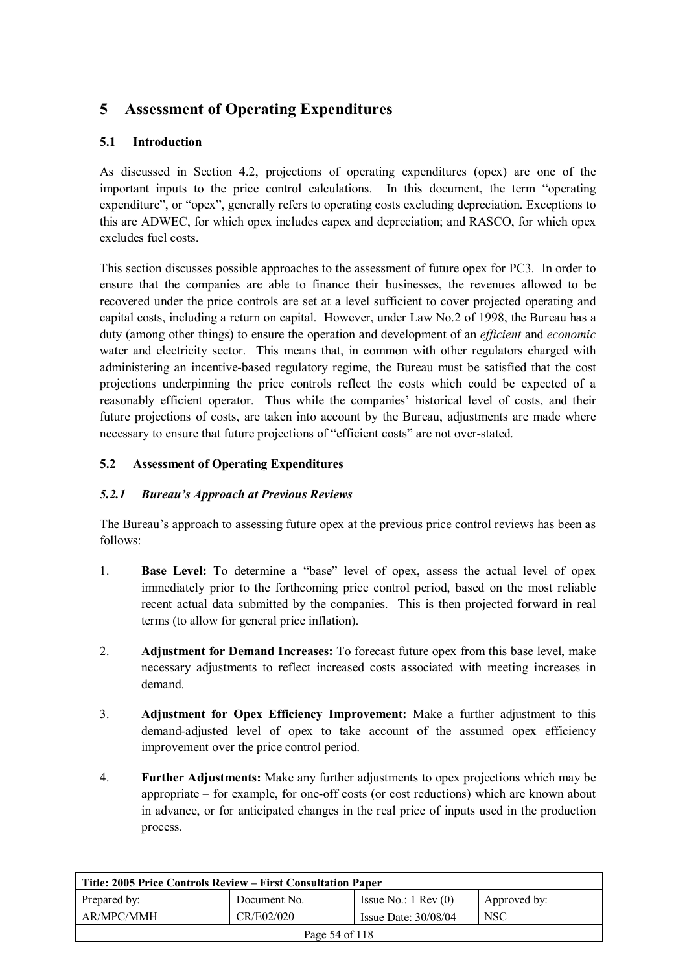# **5 Assessment of Operating Expenditures**

# **5.1 Introduction**

As discussed in Section 4.2, projections of operating expenditures (opex) are one of the important inputs to the price control calculations. In this document, the term "operating expenditure", or "opex", generally refers to operating costs excluding depreciation. Exceptions to this are ADWEC, for which opex includes capex and depreciation; and RASCO, for which opex excludes fuel costs.

This section discusses possible approaches to the assessment of future opex for PC3. In order to ensure that the companies are able to finance their businesses, the revenues allowed to be recovered under the price controls are set at a level sufficient to cover projected operating and capital costs, including a return on capital. However, under Law No.2 of 1998, the Bureau has a duty (among other things) to ensure the operation and development of an *efficient* and *economic* water and electricity sector. This means that, in common with other regulators charged with administering an incentive-based regulatory regime, the Bureau must be satisfied that the cost projections underpinning the price controls reflect the costs which could be expected of a reasonably efficient operator. Thus while the companies' historical level of costs, and their future projections of costs, are taken into account by the Bureau, adjustments are made where necessary to ensure that future projections of "efficient costs" are not over-stated.

# **5.2 Assessment of Operating Expenditures**

## *5.2.1 Bureau's Approach at Previous Reviews*

The Bureau's approach to assessing future opex at the previous price control reviews has been as follows:

- 1. **Base Level:** To determine a "base" level of opex, assess the actual level of opex immediately prior to the forthcoming price control period, based on the most reliable recent actual data submitted by the companies. This is then projected forward in real terms (to allow for general price inflation).
- 2. **Adjustment for Demand Increases:** To forecast future opex from this base level, make necessary adjustments to reflect increased costs associated with meeting increases in demand.
- 3. **Adjustment for Opex Efficiency Improvement:** Make a further adjustment to this demand-adjusted level of opex to take account of the assumed opex efficiency improvement over the price control period.
- 4. **Further Adjustments:** Make any further adjustments to opex projections which may be appropriate – for example, for one-off costs (or cost reductions) which are known about in advance, or for anticipated changes in the real price of inputs used in the production process.

| Title: 2005 Price Controls Review – First Consultation Paper |              |                               |              |
|--------------------------------------------------------------|--------------|-------------------------------|--------------|
| Prepared by:                                                 | Document No. | Issue No.: $1 \text{ Rev}(0)$ | Approved by: |
| AR/MPC/MMH                                                   | <b>NSC</b>   |                               |              |
| Page 54 of 118                                               |              |                               |              |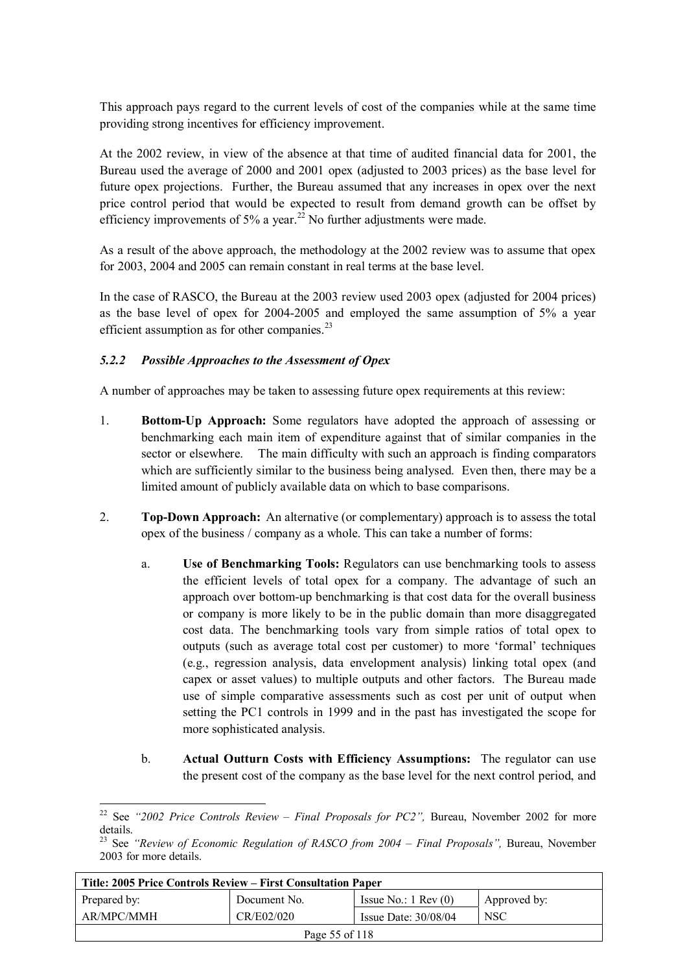This approach pays regard to the current levels of cost of the companies while at the same time providing strong incentives for efficiency improvement.

At the 2002 review, in view of the absence at that time of audited financial data for 2001, the Bureau used the average of 2000 and 2001 opex (adjusted to 2003 prices) as the base level for future opex projections. Further, the Bureau assumed that any increases in opex over the next price control period that would be expected to result from demand growth can be offset by efficiency improvements of 5% a year.<sup>22</sup> No further adjustments were made.

As a result of the above approach, the methodology at the 2002 review was to assume that opex for 2003, 2004 and 2005 can remain constant in real terms at the base level.

In the case of RASCO, the Bureau at the 2003 review used 2003 opex (adjusted for 2004 prices) as the base level of opex for 2004-2005 and employed the same assumption of 5% a year efficient assumption as for other companies. $^{23}$ 

## *5.2.2 Possible Approaches to the Assessment of Opex*

 $\overline{a}$ 

A number of approaches may be taken to assessing future opex requirements at this review:

- 1. **Bottom-Up Approach:** Some regulators have adopted the approach of assessing or benchmarking each main item of expenditure against that of similar companies in the sector or elsewhere. The main difficulty with such an approach is finding comparators which are sufficiently similar to the business being analysed. Even then, there may be a limited amount of publicly available data on which to base comparisons.
- 2. **Top-Down Approach:** An alternative (or complementary) approach is to assess the total opex of the business / company as a whole. This can take a number of forms:
	- a. **Use of Benchmarking Tools:** Regulators can use benchmarking tools to assess the efficient levels of total opex for a company. The advantage of such an approach over bottom-up benchmarking is that cost data for the overall business or company is more likely to be in the public domain than more disaggregated cost data. The benchmarking tools vary from simple ratios of total opex to outputs (such as average total cost per customer) to more 'formal' techniques (e.g., regression analysis, data envelopment analysis) linking total opex (and capex or asset values) to multiple outputs and other factors. The Bureau made use of simple comparative assessments such as cost per unit of output when setting the PC1 controls in 1999 and in the past has investigated the scope for more sophisticated analysis.
	- b. **Actual Outturn Costs with Efficiency Assumptions:** The regulator can use the present cost of the company as the base level for the next control period, and

<sup>&</sup>lt;sup>23</sup> See *"Review of Economic Regulation of RASCO from 2004 – Final Proposals"*, Bureau, November 2003 for more details.

| Title: 2005 Price Controls Review – First Consultation Paper |              |                               |              |
|--------------------------------------------------------------|--------------|-------------------------------|--------------|
| Prepared by:                                                 | Document No. | Issue No.: $1 \text{ Rev}(0)$ | Approved by: |
| AR/MPC/MMH                                                   | CR/E02/020   | Issue Date: $30/08/04$        | <b>NSC</b>   |
| Page 55 of 118                                               |              |                               |              |

<sup>&</sup>lt;sup>22</sup> See "2002 Price Controls Review – Final Proposals for PC2", Bureau, November 2002 for more details.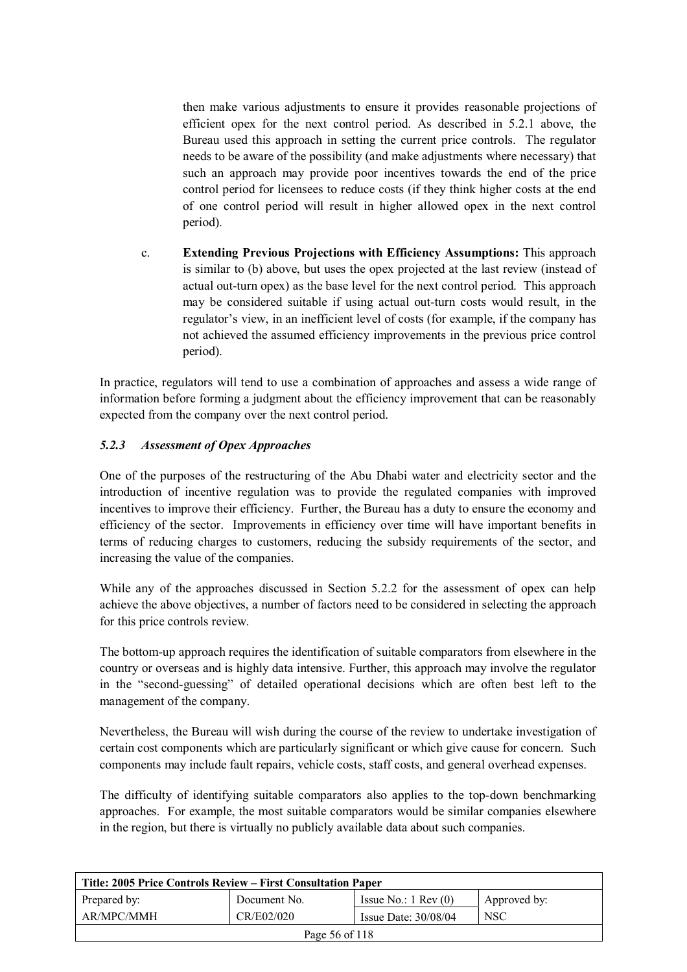then make various adjustments to ensure it provides reasonable projections of efficient opex for the next control period. As described in 5.2.1 above, the Bureau used this approach in setting the current price controls. The regulator needs to be aware of the possibility (and make adjustments where necessary) that such an approach may provide poor incentives towards the end of the price control period for licensees to reduce costs (if they think higher costs at the end of one control period will result in higher allowed opex in the next control period).

c. **Extending Previous Projections with Efficiency Assumptions:** This approach is similar to (b) above, but uses the opex projected at the last review (instead of actual out-turn opex) as the base level for the next control period. This approach may be considered suitable if using actual out-turn costs would result, in the regulator's view, in an inefficient level of costs (for example, if the company has not achieved the assumed efficiency improvements in the previous price control period).

In practice, regulators will tend to use a combination of approaches and assess a wide range of information before forming a judgment about the efficiency improvement that can be reasonably expected from the company over the next control period.

# *5.2.3 Assessment of Opex Approaches*

One of the purposes of the restructuring of the Abu Dhabi water and electricity sector and the introduction of incentive regulation was to provide the regulated companies with improved incentives to improve their efficiency. Further, the Bureau has a duty to ensure the economy and efficiency of the sector. Improvements in efficiency over time will have important benefits in terms of reducing charges to customers, reducing the subsidy requirements of the sector, and increasing the value of the companies.

While any of the approaches discussed in Section 5.2.2 for the assessment of opex can help achieve the above objectives, a number of factors need to be considered in selecting the approach for this price controls review.

The bottom-up approach requires the identification of suitable comparators from elsewhere in the country or overseas and is highly data intensive. Further, this approach may involve the regulator in the "second-guessing" of detailed operational decisions which are often best left to the management of the company.

Nevertheless, the Bureau will wish during the course of the review to undertake investigation of certain cost components which are particularly significant or which give cause for concern. Such components may include fault repairs, vehicle costs, staff costs, and general overhead expenses.

The difficulty of identifying suitable comparators also applies to the top-down benchmarking approaches. For example, the most suitable comparators would be similar companies elsewhere in the region, but there is virtually no publicly available data about such companies.

| Title: 2005 Price Controls Review – First Consultation Paper |              |                               |              |
|--------------------------------------------------------------|--------------|-------------------------------|--------------|
| Prepared by:                                                 | Document No. | Issue No.: $1 \text{ Rev}(0)$ | Approved by: |
| AR/MPC/MMH                                                   | CR/E02/020   | Issue Date: $30/08/04$        | <b>NSC</b>   |
| Page 56 of 118                                               |              |                               |              |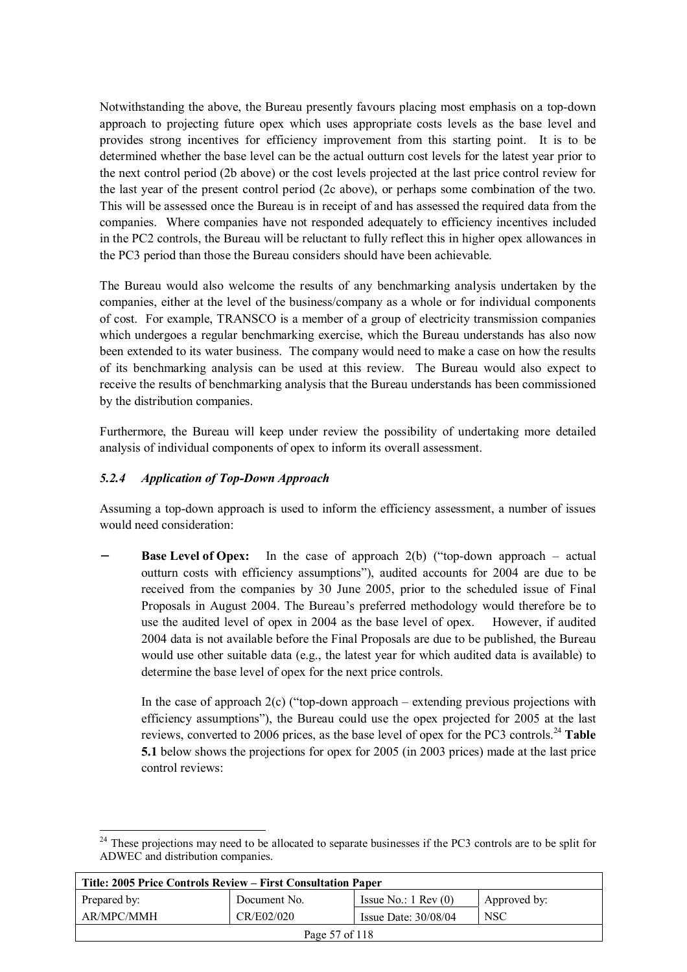Notwithstanding the above, the Bureau presently favours placing most emphasis on a top-down approach to projecting future opex which uses appropriate costs levels as the base level and provides strong incentives for efficiency improvement from this starting point. It is to be determined whether the base level can be the actual outturn cost levels for the latest year prior to the next control period (2b above) or the cost levels projected at the last price control review for the last year of the present control period (2c above), or perhaps some combination of the two. This will be assessed once the Bureau is in receipt of and has assessed the required data from the companies. Where companies have not responded adequately to efficiency incentives included in the PC2 controls, the Bureau will be reluctant to fully reflect this in higher opex allowances in the PC3 period than those the Bureau considers should have been achievable.

The Bureau would also welcome the results of any benchmarking analysis undertaken by the companies, either at the level of the business/company as a whole or for individual components of cost. For example, TRANSCO is a member of a group of electricity transmission companies which undergoes a regular benchmarking exercise, which the Bureau understands has also now been extended to its water business. The company would need to make a case on how the results of its benchmarking analysis can be used at this review. The Bureau would also expect to receive the results of benchmarking analysis that the Bureau understands has been commissioned by the distribution companies.

Furthermore, the Bureau will keep under review the possibility of undertaking more detailed analysis of individual components of opex to inform its overall assessment.

## *5.2.4 Application of Top-Down Approach*

Assuming a top-down approach is used to inform the efficiency assessment, a number of issues would need consideration:

**Base Level of Opex:** In the case of approach 2(b) ("top-down approach – actual outturn costs with efficiency assumptions"), audited accounts for 2004 are due to be received from the companies by 30 June 2005, prior to the scheduled issue of Final Proposals in August 2004. The Bureau's preferred methodology would therefore be to use the audited level of opex in 2004 as the base level of opex. However, if audited 2004 data is not available before the Final Proposals are due to be published, the Bureau would use other suitable data (e.g., the latest year for which audited data is available) to determine the base level of opex for the next price controls.

In the case of approach  $2(c)$  ("top-down approach – extending previous projections with efficiency assumptions"), the Bureau could use the opex projected for 2005 at the last reviews, converted to 2006 prices, as the base level of opex for the PC3 controls.<sup>24</sup> Table **5.1** below shows the projections for opex for 2005 (in 2003 prices) made at the last price control reviews:

 $\overline{a}$ <sup>24</sup> These projections may need to be allocated to separate businesses if the PC3 controls are to be split for ADWEC and distribution companies.

| Title: 2005 Price Controls Review – First Consultation Paper |              |                               |              |
|--------------------------------------------------------------|--------------|-------------------------------|--------------|
| Prepared by:                                                 | Document No. | Issue No.: $1 \text{ Rev}(0)$ | Approved by: |
| AR/MPC/MMH                                                   | CR/E02/020   | Issue Date: $30/08/04$        | <b>NSC</b>   |
| Page 57 of 118                                               |              |                               |              |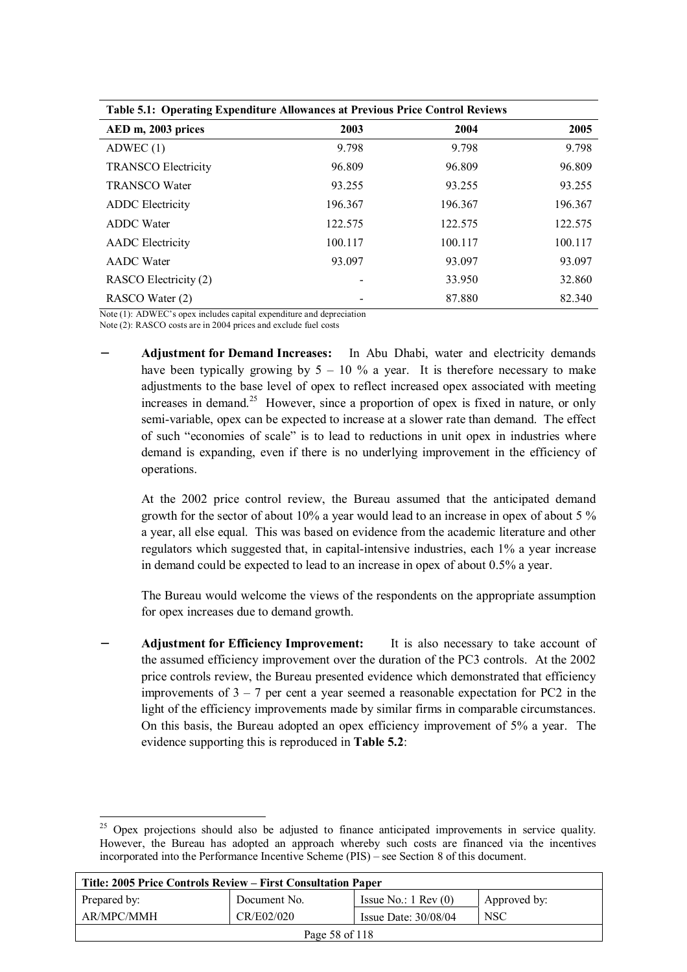| Table 3.1. Operating Expenditure Allowances at Frevious Frite Collition Reviews |         |         |         |
|---------------------------------------------------------------------------------|---------|---------|---------|
| AED m, 2003 prices                                                              | 2003    | 2004    | 2005    |
| ADWEC(1)                                                                        | 9.798   | 9.798   | 9.798   |
| <b>TRANSCO Electricity</b>                                                      | 96.809  | 96.809  | 96.809  |
| <b>TRANSCO Water</b>                                                            | 93.255  | 93.255  | 93.255  |
| <b>ADDC</b> Electricity                                                         | 196.367 | 196.367 | 196.367 |
| <b>ADDC</b> Water                                                               | 122.575 | 122.575 | 122.575 |
| <b>AADC</b> Electricity                                                         | 100.117 | 100.117 | 100.117 |
| <b>AADC</b> Water                                                               | 93.097  | 93.097  | 93.097  |
| RASCO Electricity (2)                                                           |         | 33.950  | 32.860  |
| RASCO Water (2)                                                                 |         | 87.880  | 82.340  |

**Table 5.1: Operating Expenditure Allowances at Previous Price Control Reviews** 

Note (1): ADWEC's opex includes capital expenditure and depreciation

Note (2): RASCO costs are in 2004 prices and exclude fuel costs

**Adjustment for Demand Increases:** In Abu Dhabi, water and electricity demands have been typically growing by  $5 - 10$  % a year. It is therefore necessary to make adjustments to the base level of opex to reflect increased opex associated with meeting increases in demand.<sup>25</sup> However, since a proportion of opex is fixed in nature, or only semi-variable, opex can be expected to increase at a slower rate than demand. The effect of such "economies of scale" is to lead to reductions in unit opex in industries where demand is expanding, even if there is no underlying improvement in the efficiency of operations.

At the 2002 price control review, the Bureau assumed that the anticipated demand growth for the sector of about 10% a year would lead to an increase in opex of about 5 % a year, all else equal. This was based on evidence from the academic literature and other regulators which suggested that, in capital-intensive industries, each 1% a year increase in demand could be expected to lead to an increase in opex of about 0.5% a year.

The Bureau would welcome the views of the respondents on the appropriate assumption for opex increases due to demand growth.

**Adjustment for Efficiency Improvement:** It is also necessary to take account of the assumed efficiency improvement over the duration of the PC3 controls. At the 2002 price controls review, the Bureau presented evidence which demonstrated that efficiency improvements of  $3 - 7$  per cent a year seemed a reasonable expectation for PC2 in the light of the efficiency improvements made by similar firms in comparable circumstances. On this basis, the Bureau adopted an opex efficiency improvement of 5% a year. The evidence supporting this is reproduced in **Table 5.2**:

 $\overline{a}$ <sup>25</sup> Opex projections should also be adjusted to finance anticipated improvements in service quality. However, the Bureau has adopted an approach whereby such costs are financed via the incentives incorporated into the Performance Incentive Scheme (PIS) – see Section 8 of this document.

| Title: 2005 Price Controls Review – First Consultation Paper     |              |                               |              |  |  |
|------------------------------------------------------------------|--------------|-------------------------------|--------------|--|--|
| Prepared by:                                                     | Document No. | Issue No.: $1 \text{ Rev}(0)$ | Approved by: |  |  |
| AR/MPC/MMH<br><b>NSC</b><br>CR/E02/020<br>Issue Date: $30/08/04$ |              |                               |              |  |  |
| Page 58 of 118                                                   |              |                               |              |  |  |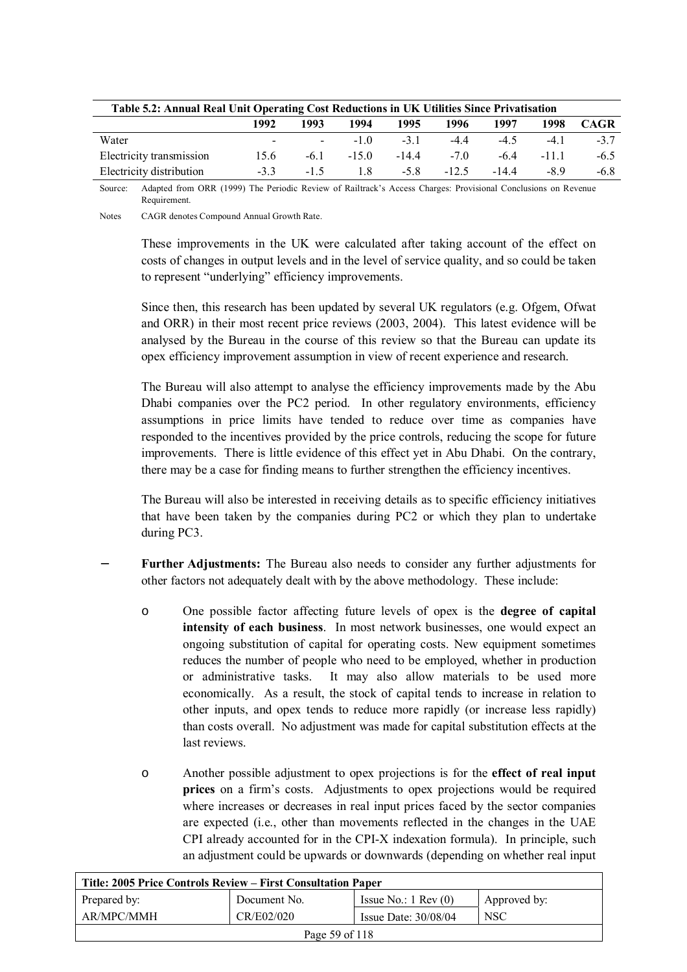| Table 5.2: Annual Real Unit Operating Cost Reductions in UK Utilities Since Privatisation |                         |        |             |         |         |        |        |             |
|-------------------------------------------------------------------------------------------|-------------------------|--------|-------------|---------|---------|--------|--------|-------------|
|                                                                                           | 1992                    | 1993   | 1994        | 1995    | 1996    | 1997   | 1998   | <b>CAGR</b> |
| Water                                                                                     | $\sim 100$ km s $^{-1}$ |        | $-10$ $-31$ |         | $-4.4$  | $-4.5$ | $-4.1$ | $-37$       |
| Electricity transmission                                                                  | 15.6                    | $-6.1$ | $-150$      | $-14.4$ | $-7.0$  | -64    | -111   | $-6.5$      |
| Electricity distribution                                                                  | $-33$                   | $-1.5$ | 18          | $-58$   | $-12.5$ | $-144$ | -89    | $-6.8$      |

Source: Adapted from ORR (1999) The Periodic Review of Railtrack's Access Charges: Provisional Conclusions on Revenue **Requirement** 

Notes CAGR denotes Compound Annual Growth Rate.

These improvements in the UK were calculated after taking account of the effect on costs of changes in output levels and in the level of service quality, and so could be taken to represent "underlying" efficiency improvements.

Since then, this research has been updated by several UK regulators (e.g. Ofgem, Ofwat and ORR) in their most recent price reviews (2003, 2004). This latest evidence will be analysed by the Bureau in the course of this review so that the Bureau can update its opex efficiency improvement assumption in view of recent experience and research.

The Bureau will also attempt to analyse the efficiency improvements made by the Abu Dhabi companies over the PC2 period. In other regulatory environments, efficiency assumptions in price limits have tended to reduce over time as companies have responded to the incentives provided by the price controls, reducing the scope for future improvements. There is little evidence of this effect yet in Abu Dhabi. On the contrary, there may be a case for finding means to further strengthen the efficiency incentives.

The Bureau will also be interested in receiving details as to specific efficiency initiatives that have been taken by the companies during PC2 or which they plan to undertake during PC3.

- Further Adjustments: The Bureau also needs to consider any further adjustments for other factors not adequately dealt with by the above methodology. These include:
	- o One possible factor affecting future levels of opex is the **degree of capital intensity of each business**. In most network businesses, one would expect an ongoing substitution of capital for operating costs. New equipment sometimes reduces the number of people who need to be employed, whether in production or administrative tasks. It may also allow materials to be used more economically. As a result, the stock of capital tends to increase in relation to other inputs, and opex tends to reduce more rapidly (or increase less rapidly) than costs overall. No adjustment was made for capital substitution effects at the last reviews.
	- o Another possible adjustment to opex projections is for the **effect of real input prices** on a firm's costs. Adjustments to opex projections would be required where increases or decreases in real input prices faced by the sector companies are expected (i.e., other than movements reflected in the changes in the UAE CPI already accounted for in the CPI-X indexation formula). In principle, such an adjustment could be upwards or downwards (depending on whether real input

| Title: 2005 Price Controls Review – First Consultation Paper |                                                    |                               |              |  |
|--------------------------------------------------------------|----------------------------------------------------|-------------------------------|--------------|--|
| Prepared by:                                                 | Document No.                                       | Issue No.: $1 \text{ Rev}(0)$ | Approved by: |  |
| AR/MPC/MMH                                                   | CR/E02/020<br><b>NSC</b><br>Issue Date: $30/08/04$ |                               |              |  |
|                                                              | Page 59 of 118                                     |                               |              |  |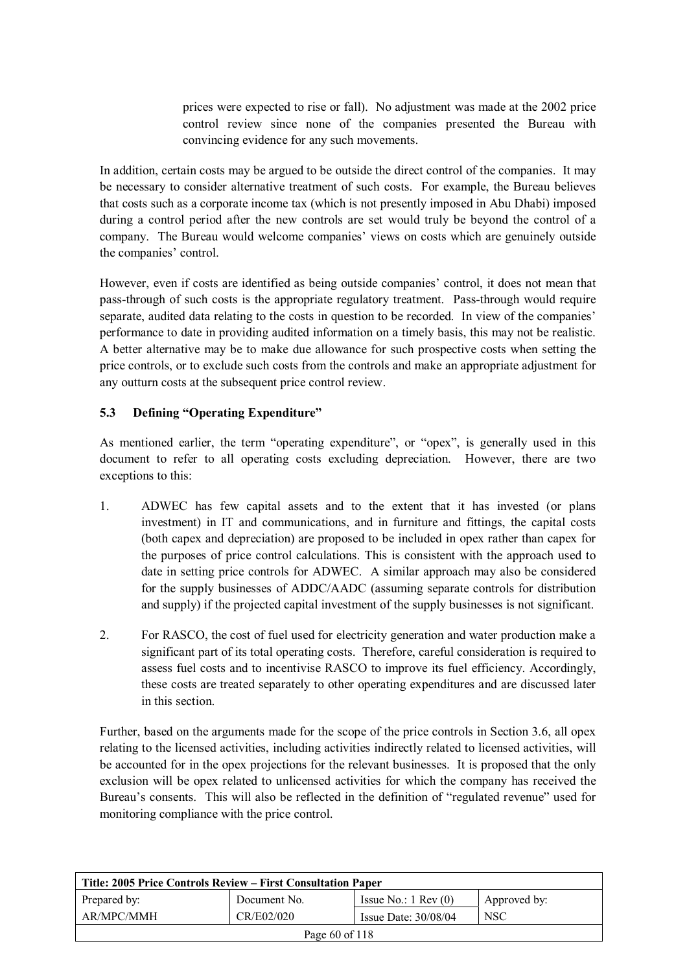prices were expected to rise or fall). No adjustment was made at the 2002 price control review since none of the companies presented the Bureau with convincing evidence for any such movements.

In addition, certain costs may be argued to be outside the direct control of the companies. It may be necessary to consider alternative treatment of such costs. For example, the Bureau believes that costs such as a corporate income tax (which is not presently imposed in Abu Dhabi) imposed during a control period after the new controls are set would truly be beyond the control of a company. The Bureau would welcome companies' views on costs which are genuinely outside the companies' control.

However, even if costs are identified as being outside companies' control, it does not mean that pass-through of such costs is the appropriate regulatory treatment. Pass-through would require separate, audited data relating to the costs in question to be recorded. In view of the companies' performance to date in providing audited information on a timely basis, this may not be realistic. A better alternative may be to make due allowance for such prospective costs when setting the price controls, or to exclude such costs from the controls and make an appropriate adjustment for any outturn costs at the subsequent price control review.

# **5.3 Defining "Operating Expenditure"**

As mentioned earlier, the term "operating expenditure", or "opex", is generally used in this document to refer to all operating costs excluding depreciation. However, there are two exceptions to this:

- 1. ADWEC has few capital assets and to the extent that it has invested (or plans investment) in IT and communications, and in furniture and fittings, the capital costs (both capex and depreciation) are proposed to be included in opex rather than capex for the purposes of price control calculations. This is consistent with the approach used to date in setting price controls for ADWEC. A similar approach may also be considered for the supply businesses of ADDC/AADC (assuming separate controls for distribution and supply) if the projected capital investment of the supply businesses is not significant.
- 2. For RASCO, the cost of fuel used for electricity generation and water production make a significant part of its total operating costs. Therefore, careful consideration is required to assess fuel costs and to incentivise RASCO to improve its fuel efficiency. Accordingly, these costs are treated separately to other operating expenditures and are discussed later in this section.

Further, based on the arguments made for the scope of the price controls in Section 3.6, all opex relating to the licensed activities, including activities indirectly related to licensed activities, will be accounted for in the opex projections for the relevant businesses. It is proposed that the only exclusion will be opex related to unlicensed activities for which the company has received the Bureau's consents. This will also be reflected in the definition of "regulated revenue" used for monitoring compliance with the price control.

| Title: 2005 Price Controls Review – First Consultation Paper |              |                               |              |  |  |
|--------------------------------------------------------------|--------------|-------------------------------|--------------|--|--|
| Prepared by:                                                 | Document No. | Issue No.: $1 \text{ Rev}(0)$ | Approved by: |  |  |
| AR/MPC/MMH                                                   | <b>NSC</b>   |                               |              |  |  |
| Page 60 of 118                                               |              |                               |              |  |  |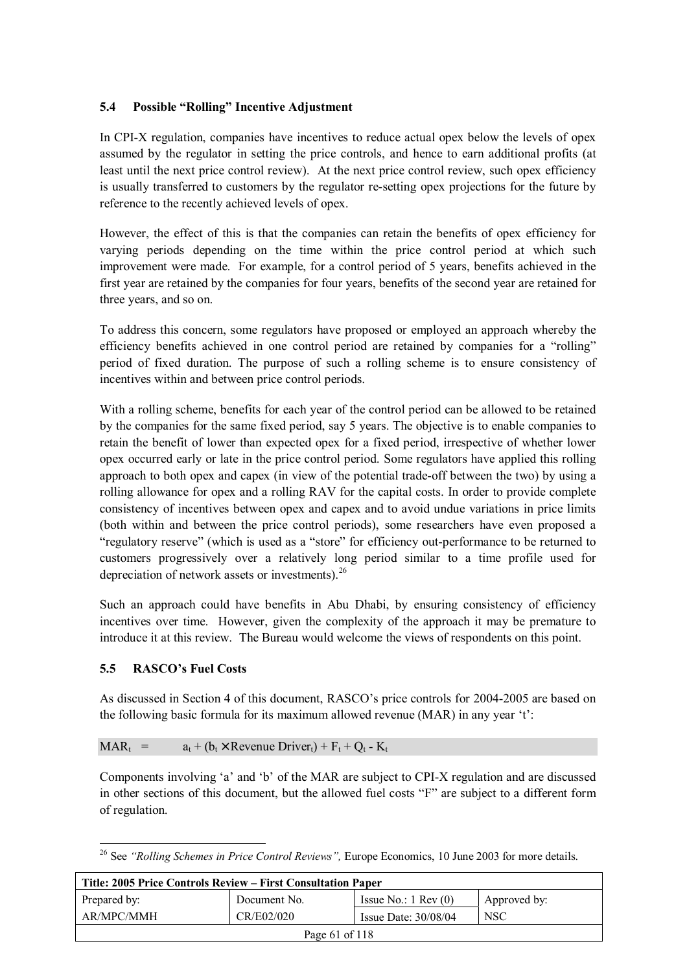# **5.4 Possible "Rolling" Incentive Adjustment**

In CPI-X regulation, companies have incentives to reduce actual opex below the levels of opex assumed by the regulator in setting the price controls, and hence to earn additional profits (at least until the next price control review). At the next price control review, such opex efficiency is usually transferred to customers by the regulator re-setting opex projections for the future by reference to the recently achieved levels of opex.

However, the effect of this is that the companies can retain the benefits of opex efficiency for varying periods depending on the time within the price control period at which such improvement were made. For example, for a control period of 5 years, benefits achieved in the first year are retained by the companies for four years, benefits of the second year are retained for three years, and so on.

To address this concern, some regulators have proposed or employed an approach whereby the efficiency benefits achieved in one control period are retained by companies for a "rolling" period of fixed duration. The purpose of such a rolling scheme is to ensure consistency of incentives within and between price control periods.

With a rolling scheme, benefits for each year of the control period can be allowed to be retained by the companies for the same fixed period, say 5 years. The objective is to enable companies to retain the benefit of lower than expected opex for a fixed period, irrespective of whether lower opex occurred early or late in the price control period. Some regulators have applied this rolling approach to both opex and capex (in view of the potential trade-off between the two) by using a rolling allowance for opex and a rolling RAV for the capital costs. In order to provide complete consistency of incentives between opex and capex and to avoid undue variations in price limits (both within and between the price control periods), some researchers have even proposed a "regulatory reserve" (which is used as a "store" for efficiency out-performance to be returned to customers progressively over a relatively long period similar to a time profile used for depreciation of network assets or investments).<sup>26</sup>

Such an approach could have benefits in Abu Dhabi, by ensuring consistency of efficiency incentives over time. However, given the complexity of the approach it may be premature to introduce it at this review. The Bureau would welcome the views of respondents on this point.

## **5.5 RASCO's Fuel Costs**

As discussed in Section 4 of this document, RASCO's price controls for 2004-2005 are based on the following basic formula for its maximum allowed revenue (MAR) in any year 't':

$$
MAR_t = a_t + (b_t \times Revenue\,text{ Driver}_t) + F_t + Q_t - K_t
$$

Components involving 'a' and 'b' of the MAR are subject to CPI-X regulation and are discussed in other sections of this document, but the allowed fuel costs "F" are subject to a different form of regulation.

 $\overline{a}$ <sup>26</sup> See *"Rolling Schemes in Price Control Reviews"*, Europe Economics, 10 June 2003 for more details.

| Title: 2005 Price Controls Review – First Consultation Paper     |              |                               |              |  |
|------------------------------------------------------------------|--------------|-------------------------------|--------------|--|
| Prepared by:                                                     | Document No. | Issue No.: $1 \text{ Rev}(0)$ | Approved by: |  |
| AR/MPC/MMH<br>CR/E02/020<br><b>NSC</b><br>Issue Date: $30/08/04$ |              |                               |              |  |
| Page 61 of 118                                                   |              |                               |              |  |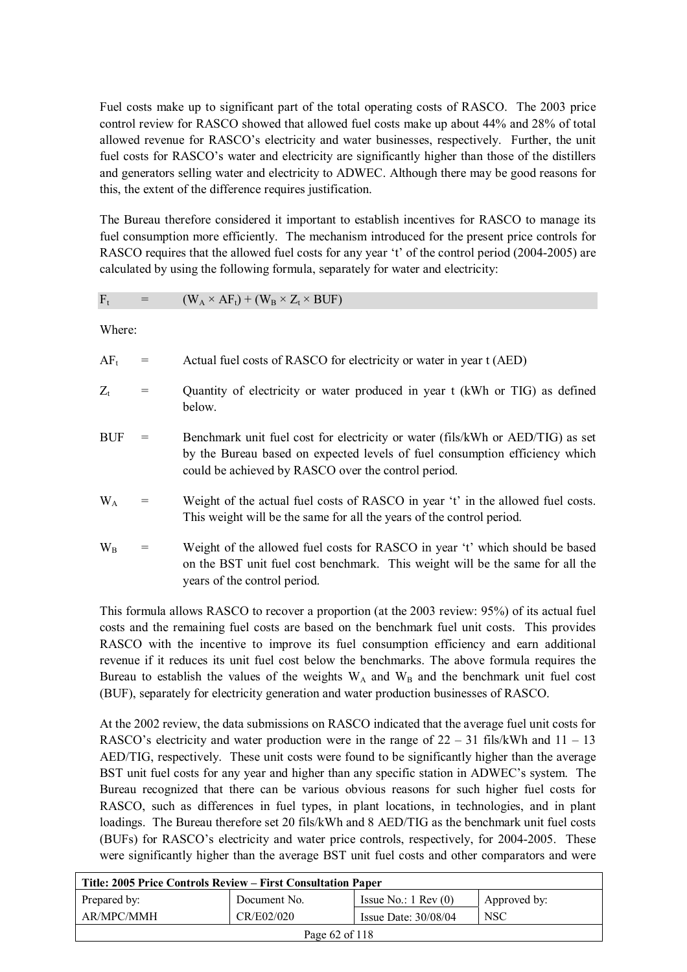Fuel costs make up to significant part of the total operating costs of RASCO. The 2003 price control review for RASCO showed that allowed fuel costs make up about 44% and 28% of total allowed revenue for RASCO's electricity and water businesses, respectively. Further, the unit fuel costs for RASCO's water and electricity are significantly higher than those of the distillers and generators selling water and electricity to ADWEC. Although there may be good reasons for this, the extent of the difference requires justification.

The Bureau therefore considered it important to establish incentives for RASCO to manage its fuel consumption more efficiently. The mechanism introduced for the present price controls for RASCO requires that the allowed fuel costs for any year 't' of the control period (2004-2005) are calculated by using the following formula, separately for water and electricity:

$$
F_t = (W_A \times AF_t) + (W_B \times Z_t \times BUF)
$$

Where:

| Actual fuel costs of RASCO for electricity or water in year t (AED)<br>$AF_t$ |  |
|-------------------------------------------------------------------------------|--|
|-------------------------------------------------------------------------------|--|

- $Z_t$  = Quantity of electricity or water produced in year t (kWh or TIG) as defined below.
- $BUF =$  Benchmark unit fuel cost for electricity or water (fils/kWh or AED/TIG) as set by the Bureau based on expected levels of fuel consumption efficiency which could be achieved by RASCO over the control period.
- $W_A$  = Weight of the actual fuel costs of RASCO in year 't' in the allowed fuel costs. This weight will be the same for all the years of the control period.
- $W_B$  = Weight of the allowed fuel costs for RASCO in year 't' which should be based on the BST unit fuel cost benchmark. This weight will be the same for all the years of the control period.

This formula allows RASCO to recover a proportion (at the 2003 review: 95%) of its actual fuel costs and the remaining fuel costs are based on the benchmark fuel unit costs. This provides RASCO with the incentive to improve its fuel consumption efficiency and earn additional revenue if it reduces its unit fuel cost below the benchmarks. The above formula requires the Bureau to establish the values of the weights  $W_A$  and  $W_B$  and the benchmark unit fuel cost (BUF), separately for electricity generation and water production businesses of RASCO.

At the 2002 review, the data submissions on RASCO indicated that the average fuel unit costs for RASCO's electricity and water production were in the range of  $22 - 31$  fils/kWh and  $11 - 13$ AED/TIG, respectively. These unit costs were found to be significantly higher than the average BST unit fuel costs for any year and higher than any specific station in ADWEC's system. The Bureau recognized that there can be various obvious reasons for such higher fuel costs for RASCO, such as differences in fuel types, in plant locations, in technologies, and in plant loadings. The Bureau therefore set 20 fils/kWh and 8 AED/TIG as the benchmark unit fuel costs (BUFs) for RASCO's electricity and water price controls, respectively, for 2004-2005. These were significantly higher than the average BST unit fuel costs and other comparators and were

| Title: 2005 Price Controls Review – First Consultation Paper     |                |                               |              |  |
|------------------------------------------------------------------|----------------|-------------------------------|--------------|--|
| Prepared by:                                                     | Document No.   | Issue No.: $1 \text{ Rev}(0)$ | Approved by: |  |
| AR/MPC/MMH<br>CR/E02/020<br><b>NSC</b><br>Issue Date: $30/08/04$ |                |                               |              |  |
|                                                                  | Page 62 of 118 |                               |              |  |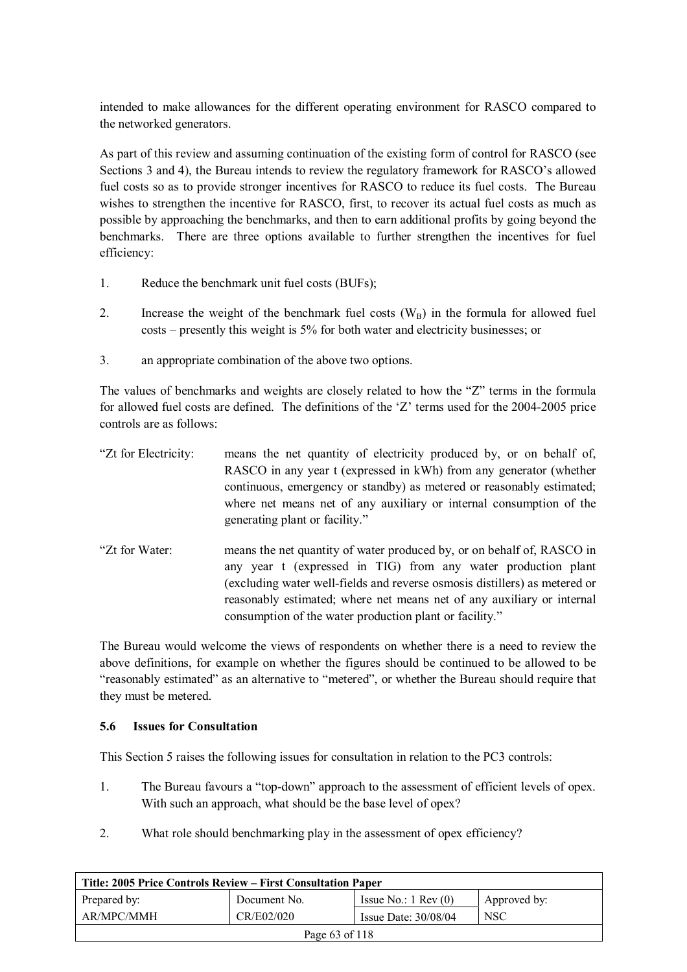intended to make allowances for the different operating environment for RASCO compared to the networked generators.

As part of this review and assuming continuation of the existing form of control for RASCO (see Sections 3 and 4), the Bureau intends to review the regulatory framework for RASCO's allowed fuel costs so as to provide stronger incentives for RASCO to reduce its fuel costs. The Bureau wishes to strengthen the incentive for RASCO, first, to recover its actual fuel costs as much as possible by approaching the benchmarks, and then to earn additional profits by going beyond the benchmarks. There are three options available to further strengthen the incentives for fuel efficiency:

- 1. Reduce the benchmark unit fuel costs (BUFs);
- 2. Increase the weight of the benchmark fuel costs  $(W_B)$  in the formula for allowed fuel costs – presently this weight is 5% for both water and electricity businesses; or
- 3. an appropriate combination of the above two options.

The values of benchmarks and weights are closely related to how the "Z" terms in the formula for allowed fuel costs are defined. The definitions of the 'Z' terms used for the 2004-2005 price controls are as follows:

| "Zt for Electricity: | means the net quantity of electricity produced by, or on behalf of,<br>RASCO in any year t (expressed in kWh) from any generator (whether<br>continuous, emergency or standby) as metered or reasonably estimated;<br>where net means net of any auxiliary or internal consumption of the<br>generating plant or facility."                                |
|----------------------|------------------------------------------------------------------------------------------------------------------------------------------------------------------------------------------------------------------------------------------------------------------------------------------------------------------------------------------------------------|
| "Zt for Water:       | means the net quantity of water produced by, or on behalf of, RASCO in<br>any year t (expressed in TIG) from any water production plant<br>(excluding water well-fields and reverse osmosis distillers) as metered or<br>reasonably estimated; where net means net of any auxiliary or internal<br>consumption of the water production plant or facility." |

The Bureau would welcome the views of respondents on whether there is a need to review the above definitions, for example on whether the figures should be continued to be allowed to be "reasonably estimated" as an alternative to "metered", or whether the Bureau should require that they must be metered.

## **5.6 Issues for Consultation**

This Section 5 raises the following issues for consultation in relation to the PC3 controls:

- 1. The Bureau favours a "top-down" approach to the assessment of efficient levels of opex. With such an approach, what should be the base level of opex?
- 2. What role should benchmarking play in the assessment of opex efficiency?

| Title: 2005 Price Controls Review – First Consultation Paper     |              |                               |              |  |  |
|------------------------------------------------------------------|--------------|-------------------------------|--------------|--|--|
| Prepared by:                                                     | Document No. | Issue No.: $1 \text{ Rev}(0)$ | Approved by: |  |  |
| AR/MPC/MMH<br>CR/E02/020<br><b>NSC</b><br>Issue Date: $30/08/04$ |              |                               |              |  |  |
| Page 63 of 118                                                   |              |                               |              |  |  |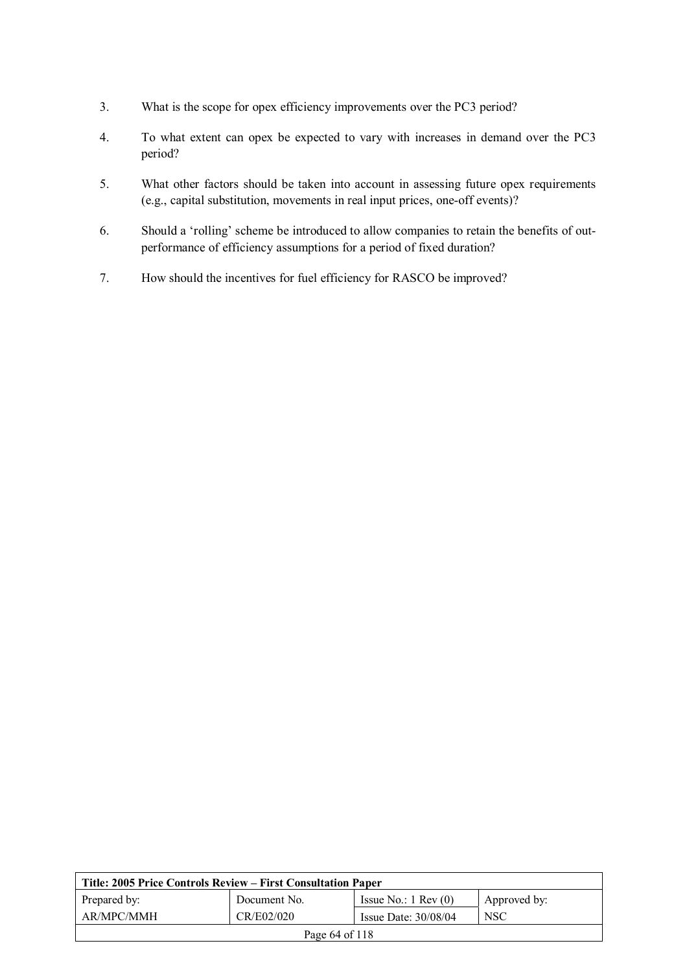- 3. What is the scope for opex efficiency improvements over the PC3 period?
- 4. To what extent can opex be expected to vary with increases in demand over the PC3 period?
- 5. What other factors should be taken into account in assessing future opex requirements (e.g., capital substitution, movements in real input prices, one-off events)?
- 6. Should a 'rolling' scheme be introduced to allow companies to retain the benefits of outperformance of efficiency assumptions for a period of fixed duration?
- 7. How should the incentives for fuel efficiency for RASCO be improved?

| Title: 2005 Price Controls Review – First Consultation Paper |                                                    |                               |              |  |
|--------------------------------------------------------------|----------------------------------------------------|-------------------------------|--------------|--|
| Prepared by:                                                 | Document No.                                       | Issue No.: $1 \text{ Rev}(0)$ | Approved by: |  |
| AR/MPC/MMH                                                   | CR/E02/020<br><b>NSC</b><br>Issue Date: $30/08/04$ |                               |              |  |
| Page 64 of 118                                               |                                                    |                               |              |  |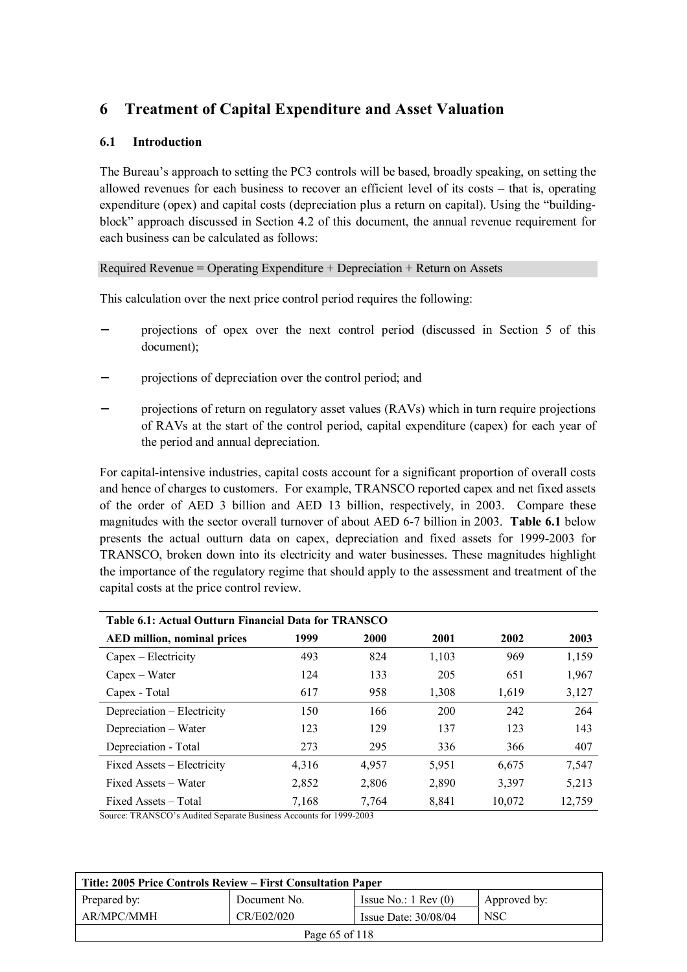# **6 Treatment of Capital Expenditure and Asset Valuation**

# **6.1 Introduction**

The Bureau's approach to setting the PC3 controls will be based, broadly speaking, on setting the allowed revenues for each business to recover an efficient level of its costs – that is, operating expenditure (opex) and capital costs (depreciation plus a return on capital). Using the "buildingblock" approach discussed in Section 4.2 of this document, the annual revenue requirement for each business can be calculated as follows:

## Required Revenue = Operating Expenditure + Depreciation + Return on Assets

This calculation over the next price control period requires the following:

- projections of opex over the next control period (discussed in Section 5 of this document);
- projections of depreciation over the control period; and
- projections of return on regulatory asset values (RAVs) which in turn require projections of RAVs at the start of the control period, capital expenditure (capex) for each year of the period and annual depreciation.

For capital-intensive industries, capital costs account for a significant proportion of overall costs and hence of charges to customers. For example, TRANSCO reported capex and net fixed assets of the order of AED 3 billion and AED 13 billion, respectively, in 2003. Compare these magnitudes with the sector overall turnover of about AED 6-7 billion in 2003. **Table 6.1** below presents the actual outturn data on capex, depreciation and fixed assets for 1999-2003 for TRANSCO, broken down into its electricity and water businesses. These magnitudes highlight the importance of the regulatory regime that should apply to the assessment and treatment of the capital costs at the price control review.

| Table 6.1: Actual Outturn Financial Data for TRANSCO |       |       |       |        |        |  |  |
|------------------------------------------------------|-------|-------|-------|--------|--------|--|--|
| <b>AED million, nominal prices</b>                   | 1999  | 2000  | 2001  | 2002   | 2003   |  |  |
| Capex – Electricity                                  | 493   | 824   | 1,103 | 969    | 1,159  |  |  |
| $Capex - Water$                                      | 124   | 133   | 205   | 651    | 1,967  |  |  |
| Capex - Total                                        | 617   | 958   | 1,308 | 1,619  | 3,127  |  |  |
| Depreciation – Electricity                           | 150   | 166   | 200   | 242    | 264    |  |  |
| Depreciation – Water                                 | 123   | 129   | 137   | 123    | 143    |  |  |
| Depreciation - Total                                 | 273   | 295   | 336   | 366    | 407    |  |  |
| Fixed Assets – Electricity                           | 4,316 | 4,957 | 5,951 | 6,675  | 7,547  |  |  |
| Fixed Assets – Water                                 | 2,852 | 2,806 | 2,890 | 3,397  | 5,213  |  |  |
| Fixed Assets – Total                                 | 7,168 | 7,764 | 8,841 | 10,072 | 12,759 |  |  |

Source: TRANSCO's Audited Separate Business Accounts for 1999-2003

| Title: 2005 Price Controls Review – First Consultation Paper |              |                               |              |  |
|--------------------------------------------------------------|--------------|-------------------------------|--------------|--|
| Prepared by:                                                 | Document No. | Issue No.: $1 \text{ Rev}(0)$ | Approved by: |  |
| AR/MPC/MMH                                                   | CR/E02/020   | Issue Date: $30/08/04$        | <b>NSC</b>   |  |
| Page 65 of 118                                               |              |                               |              |  |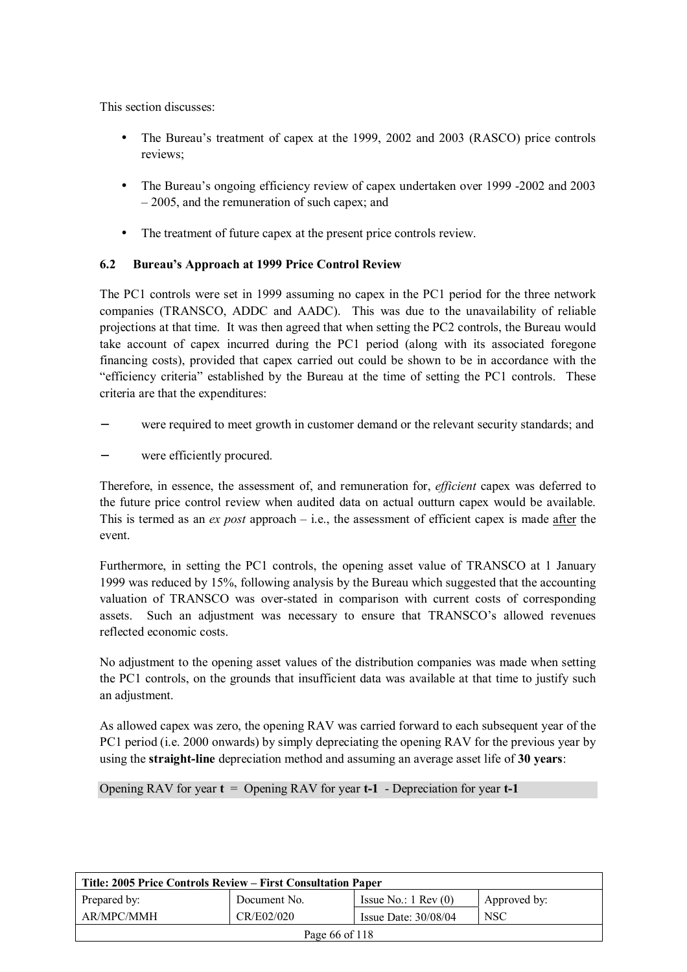This section discusses:

- The Bureau's treatment of capex at the 1999, 2002 and 2003 (RASCO) price controls reviews;
- The Bureau's ongoing efficiency review of capex undertaken over 1999 -2002 and 2003 – 2005, and the remuneration of such capex; and
- The treatment of future capex at the present price controls review.

# **6.2 Bureau's Approach at 1999 Price Control Review**

The PC1 controls were set in 1999 assuming no capex in the PC1 period for the three network companies (TRANSCO, ADDC and AADC). This was due to the unavailability of reliable projections at that time. It was then agreed that when setting the PC2 controls, the Bureau would take account of capex incurred during the PC1 period (along with its associated foregone financing costs), provided that capex carried out could be shown to be in accordance with the "efficiency criteria" established by the Bureau at the time of setting the PC1 controls. These criteria are that the expenditures:

- were required to meet growth in customer demand or the relevant security standards; and
- were efficiently procured.

Therefore, in essence, the assessment of, and remuneration for, *efficient* capex was deferred to the future price control review when audited data on actual outturn capex would be available. This is termed as an *ex post* approach – i.e., the assessment of efficient capex is made after the event.

Furthermore, in setting the PC1 controls, the opening asset value of TRANSCO at 1 January 1999 was reduced by 15%, following analysis by the Bureau which suggested that the accounting valuation of TRANSCO was over-stated in comparison with current costs of corresponding assets. Such an adjustment was necessary to ensure that TRANSCO's allowed revenues reflected economic costs.

No adjustment to the opening asset values of the distribution companies was made when setting the PC1 controls, on the grounds that insufficient data was available at that time to justify such an adjustment.

As allowed capex was zero, the opening RAV was carried forward to each subsequent year of the PC1 period (i.e. 2000 onwards) by simply depreciating the opening RAV for the previous year by using the **straight-line** depreciation method and assuming an average asset life of **30 years**:

Opening RAV for year **t** = Opening RAV for year **t-1** - Depreciation for year **t-1**

| Title: 2005 Price Controls Review – First Consultation Paper |              |                               |              |  |
|--------------------------------------------------------------|--------------|-------------------------------|--------------|--|
| Prepared by:                                                 | Document No. | Issue No.: $1 \text{ Rev}(0)$ | Approved by: |  |
| AR/MPC/MMH                                                   | CR/E02/020   | Issue Date: $30/08/04$        | <b>NSC</b>   |  |
| Page 66 of 118                                               |              |                               |              |  |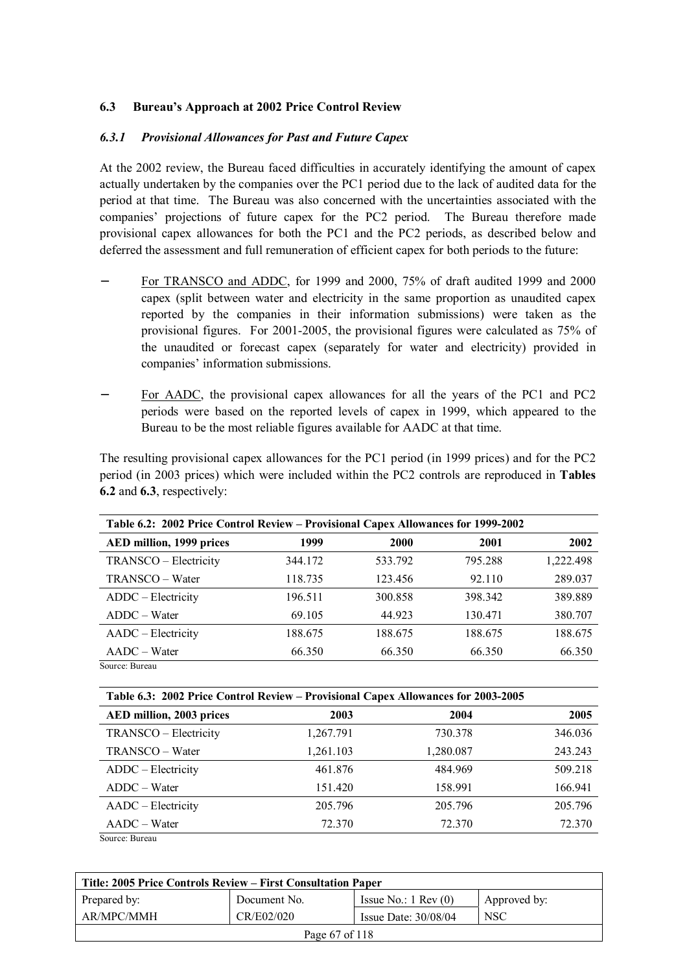## **6.3 Bureau's Approach at 2002 Price Control Review**

#### *6.3.1 Provisional Allowances for Past and Future Capex*

At the 2002 review, the Bureau faced difficulties in accurately identifying the amount of capex actually undertaken by the companies over the PC1 period due to the lack of audited data for the period at that time. The Bureau was also concerned with the uncertainties associated with the companies' projections of future capex for the PC2 period. The Bureau therefore made provisional capex allowances for both the PC1 and the PC2 periods, as described below and deferred the assessment and full remuneration of efficient capex for both periods to the future:

- − For TRANSCO and ADDC, for 1999 and 2000, 75% of draft audited 1999 and 2000 capex (split between water and electricity in the same proportion as unaudited capex reported by the companies in their information submissions) were taken as the provisional figures. For 2001-2005, the provisional figures were calculated as 75% of the unaudited or forecast capex (separately for water and electricity) provided in companies' information submissions.
- For AADC, the provisional capex allowances for all the years of the PC1 and PC2 periods were based on the reported levels of capex in 1999, which appeared to the Bureau to be the most reliable figures available for AADC at that time.

The resulting provisional capex allowances for the PC1 period (in 1999 prices) and for the PC2 period (in 2003 prices) which were included within the PC2 controls are reproduced in **Tables 6.2** and **6.3**, respectively:

| Table 6.2: 2002 Price Control Review – Provisional Capex Allowances for 1999-2002 |         |             |         |           |
|-----------------------------------------------------------------------------------|---------|-------------|---------|-----------|
| AED million, 1999 prices                                                          | 1999    | <b>2000</b> | 2001    | 2002      |
| TRANSCO - Electricity                                                             | 344.172 | 533.792     | 795.288 | 1,222.498 |
| TRANSCO – Water                                                                   | 118.735 | 123.456     | 92.110  | 289.037   |
| ADDC – Electricity                                                                | 196.511 | 300.858     | 398.342 | 389.889   |
| $ADDC - Water$                                                                    | 69.105  | 44.923      | 130.471 | 380.707   |
| AADC – Electricity                                                                | 188.675 | 188.675     | 188.675 | 188.675   |
| $AADC-Water$                                                                      | 66.350  | 66.350      | 66.350  | 66.350    |
| Source: Bureau                                                                    |         |             |         |           |

**Table 6.3: 2002 Price Control Review – Provisional Capex Allowances for 2003-2005** 

| AED million, 2003 prices | 2003      | 2004      | 2005    |
|--------------------------|-----------|-----------|---------|
| TRANSCO - Electricity    | 1,267.791 | 730.378   | 346.036 |
| TRANSCO - Water          | 1,261.103 | 1,280.087 | 243.243 |
| ADDC - Electricity       | 461.876   | 484.969   | 509.218 |
| ADDC - Water             | 151.420   | 158.991   | 166.941 |
| AADC - Electricity       | 205.796   | 205.796   | 205.796 |
| $AADC-Water$             | 72.370    | 72.370    | 72.370  |
| Source: Bureau           |           |           |         |

| Title: 2005 Price Controls Review – First Consultation Paper |              |                               |              |  |  |
|--------------------------------------------------------------|--------------|-------------------------------|--------------|--|--|
| Prepared by:                                                 | Document No. | Issue No.: $1 \text{ Rev}(0)$ | Approved by: |  |  |
| AR/MPC/MMH                                                   | CR/E02/020   | Issue Date: $30/08/04$        | <b>NSC</b>   |  |  |
| Page 67 of 118                                               |              |                               |              |  |  |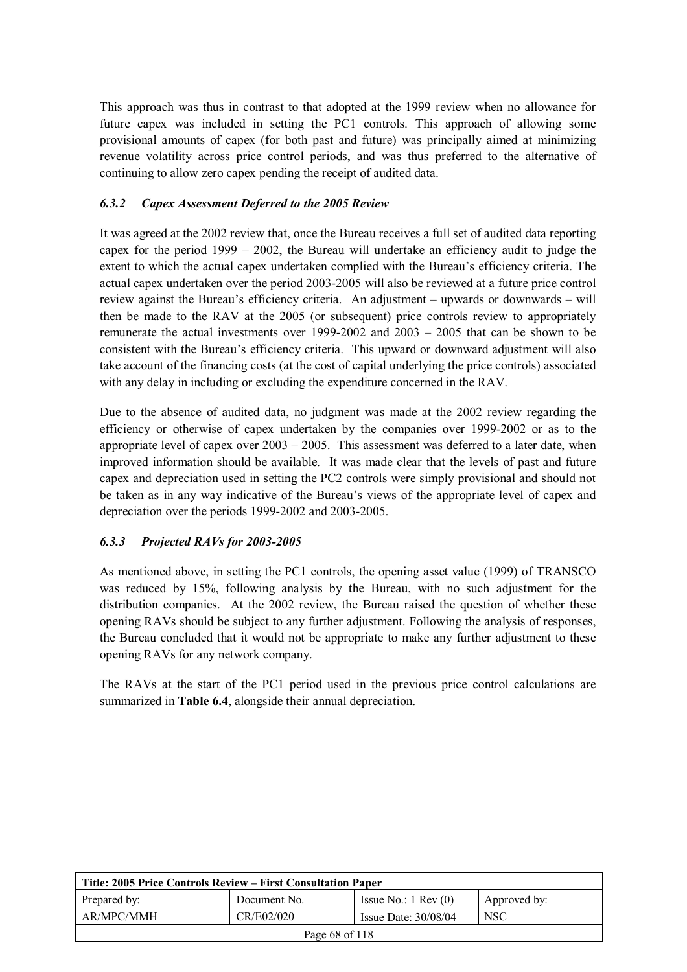This approach was thus in contrast to that adopted at the 1999 review when no allowance for future capex was included in setting the PC1 controls. This approach of allowing some provisional amounts of capex (for both past and future) was principally aimed at minimizing revenue volatility across price control periods, and was thus preferred to the alternative of continuing to allow zero capex pending the receipt of audited data.

# *6.3.2 Capex Assessment Deferred to the 2005 Review*

It was agreed at the 2002 review that, once the Bureau receives a full set of audited data reporting capex for the period 1999 – 2002, the Bureau will undertake an efficiency audit to judge the extent to which the actual capex undertaken complied with the Bureau's efficiency criteria. The actual capex undertaken over the period 2003-2005 will also be reviewed at a future price control review against the Bureau's efficiency criteria. An adjustment – upwards or downwards – will then be made to the RAV at the 2005 (or subsequent) price controls review to appropriately remunerate the actual investments over 1999-2002 and 2003 – 2005 that can be shown to be consistent with the Bureau's efficiency criteria. This upward or downward adjustment will also take account of the financing costs (at the cost of capital underlying the price controls) associated with any delay in including or excluding the expenditure concerned in the RAV.

Due to the absence of audited data, no judgment was made at the 2002 review regarding the efficiency or otherwise of capex undertaken by the companies over 1999-2002 or as to the appropriate level of capex over  $2003 - 2005$ . This assessment was deferred to a later date, when improved information should be available. It was made clear that the levels of past and future capex and depreciation used in setting the PC2 controls were simply provisional and should not be taken as in any way indicative of the Bureau's views of the appropriate level of capex and depreciation over the periods 1999-2002 and 2003-2005.

# *6.3.3 Projected RAVs for 2003-2005*

As mentioned above, in setting the PC1 controls, the opening asset value (1999) of TRANSCO was reduced by 15%, following analysis by the Bureau, with no such adjustment for the distribution companies. At the 2002 review, the Bureau raised the question of whether these opening RAVs should be subject to any further adjustment. Following the analysis of responses, the Bureau concluded that it would not be appropriate to make any further adjustment to these opening RAVs for any network company.

The RAVs at the start of the PC1 period used in the previous price control calculations are summarized in **Table 6.4**, alongside their annual depreciation.

| Title: 2005 Price Controls Review – First Consultation Paper |              |                               |              |  |
|--------------------------------------------------------------|--------------|-------------------------------|--------------|--|
| Prepared by:                                                 | Document No. | Issue No.: $1 \text{ Rev}(0)$ | Approved by: |  |
| AR/MPC/MMH                                                   | CR/E02/020   | Issue Date: $30/08/04$        | <b>NSC</b>   |  |
| Page 68 of 118                                               |              |                               |              |  |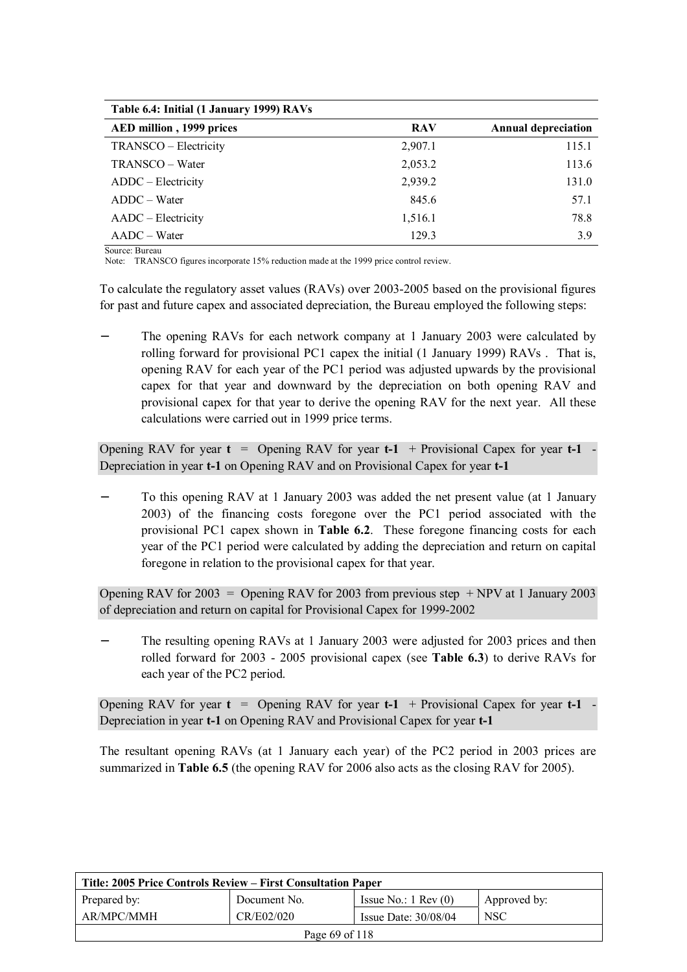| Table 6.4: Initial (1 January 1999) RAVs |            |                            |
|------------------------------------------|------------|----------------------------|
| AED million, 1999 prices                 | <b>RAV</b> | <b>Annual depreciation</b> |
| TRANSCO - Electricity                    | 2,907.1    | 115.1                      |
| TRANSCO – Water                          | 2,053.2    | 113.6                      |
| ADDC – Electricity                       | 2,939.2    | 131.0                      |
| $ADDC - Water$                           | 845.6      | 57.1                       |
| AADC – Electricity                       | 1,516.1    | 78.8                       |
| $AADC - Water$                           | 129.3      | 3.9                        |

Source: Bureau

Note: TRANSCO figures incorporate 15% reduction made at the 1999 price control review.

To calculate the regulatory asset values (RAVs) over 2003-2005 based on the provisional figures for past and future capex and associated depreciation, the Bureau employed the following steps:

The opening RAVs for each network company at 1 January 2003 were calculated by rolling forward for provisional PC1 capex the initial (1 January 1999) RAVs . That is, opening RAV for each year of the PC1 period was adjusted upwards by the provisional capex for that year and downward by the depreciation on both opening RAV and provisional capex for that year to derive the opening RAV for the next year. All these calculations were carried out in 1999 price terms.

Opening RAV for year  $t =$  Opening RAV for year  $t-1$  + Provisional Capex for year  $t-1$ Depreciation in year **t-1** on Opening RAV and on Provisional Capex for year **t-1**

To this opening RAV at 1 January 2003 was added the net present value (at 1 January 2003) of the financing costs foregone over the PC1 period associated with the provisional PC1 capex shown in **Table 6.2**. These foregone financing costs for each year of the PC1 period were calculated by adding the depreciation and return on capital foregone in relation to the provisional capex for that year.

Opening RAV for 2003 = Opening RAV for 2003 from previous step  $+ NPV$  at 1 January 2003 of depreciation and return on capital for Provisional Capex for 1999-2002

The resulting opening RAVs at 1 January 2003 were adjusted for 2003 prices and then rolled forward for 2003 - 2005 provisional capex (see **Table 6.3**) to derive RAVs for each year of the PC2 period.

Opening RAV for year **t** = Opening RAV for year **t-1** + Provisional Capex for year **t-1** - Depreciation in year **t-1** on Opening RAV and Provisional Capex for year **t-1**

The resultant opening RAVs (at 1 January each year) of the PC2 period in 2003 prices are summarized in **Table 6.5** (the opening RAV for 2006 also acts as the closing RAV for 2005).

| Title: 2005 Price Controls Review – First Consultation Paper |              |                               |              |  |
|--------------------------------------------------------------|--------------|-------------------------------|--------------|--|
| Prepared by:                                                 | Document No. | Issue No.: $1 \text{ Rev}(0)$ | Approved by: |  |
| AR/MPC/MMH                                                   | CR/E02/020   | Issue Date: $30/08/04$        | <b>NSC</b>   |  |
| Page 69 of 118                                               |              |                               |              |  |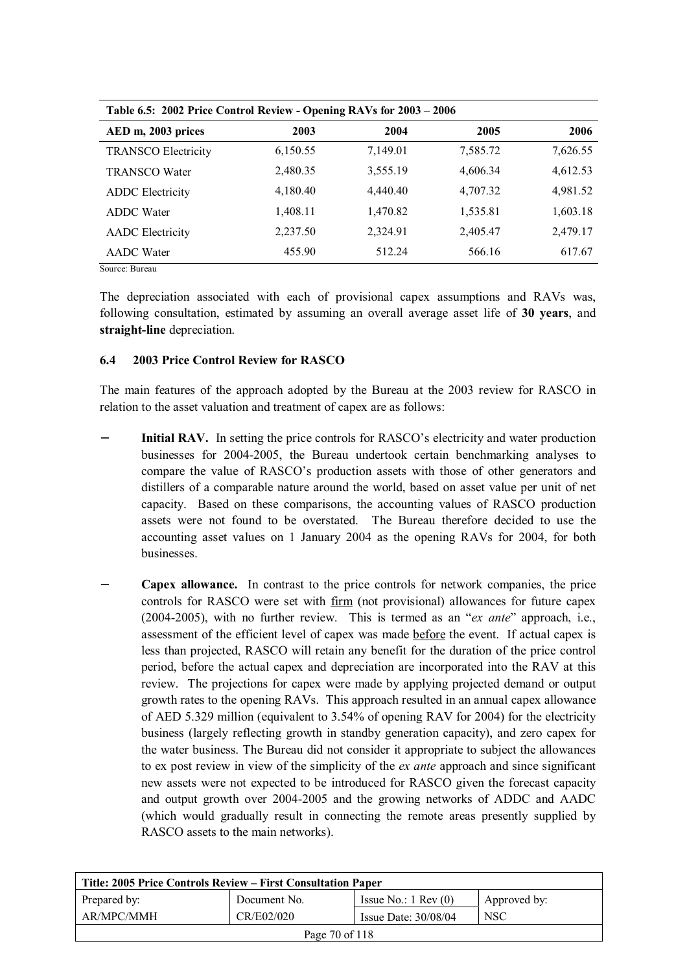| Table 6.5: 2002 Price Control Review - Opening RAVs for 2003 - 2006 |          |          |          |          |  |
|---------------------------------------------------------------------|----------|----------|----------|----------|--|
| AED m, 2003 prices                                                  | 2003     | 2004     | 2005     | 2006     |  |
| <b>TRANSCO Electricity</b>                                          | 6,150.55 | 7,149.01 | 7,585.72 | 7,626.55 |  |
| <b>TRANSCO Water</b>                                                | 2,480.35 | 3,555.19 | 4,606.34 | 4,612.53 |  |
| <b>ADDC</b> Electricity                                             | 4,180.40 | 4,440.40 | 4,707.32 | 4,981.52 |  |
| <b>ADDC</b> Water                                                   | 1,408.11 | 1,470.82 | 1,535.81 | 1,603.18 |  |
| <b>AADC</b> Electricity                                             | 2,237.50 | 2,324.91 | 2,405.47 | 2,479.17 |  |
| <b>AADC</b> Water                                                   | 455.90   | 512.24   | 566.16   | 617.67   |  |
| Source: Bureau                                                      |          |          |          |          |  |

The depreciation associated with each of provisional capex assumptions and RAVs was, following consultation, estimated by assuming an overall average asset life of **30 years**, and **straight-line** depreciation.

## **6.4 2003 Price Control Review for RASCO**

The main features of the approach adopted by the Bureau at the 2003 review for RASCO in relation to the asset valuation and treatment of capex are as follows:

- **Initial RAV.** In setting the price controls for RASCO's electricity and water production businesses for 2004-2005, the Bureau undertook certain benchmarking analyses to compare the value of RASCO's production assets with those of other generators and distillers of a comparable nature around the world, based on asset value per unit of net capacity. Based on these comparisons, the accounting values of RASCO production assets were not found to be overstated. The Bureau therefore decided to use the accounting asset values on 1 January 2004 as the opening RAVs for 2004, for both businesses.
- **Capex allowance.** In contrast to the price controls for network companies, the price controls for RASCO were set with firm (not provisional) allowances for future capex (2004-2005), with no further review. This is termed as an "*ex ante*" approach, i.e., assessment of the efficient level of capex was made before the event. If actual capex is less than projected, RASCO will retain any benefit for the duration of the price control period, before the actual capex and depreciation are incorporated into the RAV at this review. The projections for capex were made by applying projected demand or output growth rates to the opening RAVs. This approach resulted in an annual capex allowance of AED 5.329 million (equivalent to 3.54% of opening RAV for 2004) for the electricity business (largely reflecting growth in standby generation capacity), and zero capex for the water business. The Bureau did not consider it appropriate to subject the allowances to ex post review in view of the simplicity of the *ex ante* approach and since significant new assets were not expected to be introduced for RASCO given the forecast capacity and output growth over 2004-2005 and the growing networks of ADDC and AADC (which would gradually result in connecting the remote areas presently supplied by RASCO assets to the main networks).

| Title: 2005 Price Controls Review – First Consultation Paper |              |                               |              |  |  |
|--------------------------------------------------------------|--------------|-------------------------------|--------------|--|--|
| Prepared by:                                                 | Document No. | Issue No.: $1 \text{ Rev}(0)$ | Approved by: |  |  |
| AR/MPC/MMH                                                   | CR/E02/020   | Issue Date: $30/08/04$        | <b>NSC</b>   |  |  |
| Page 70 of 118                                               |              |                               |              |  |  |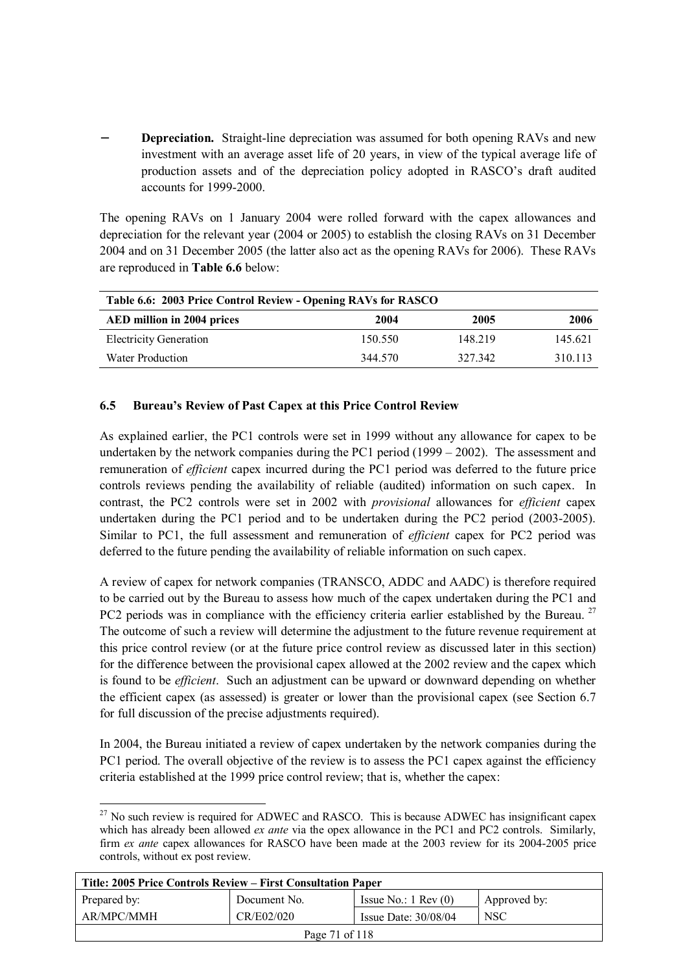**Depreciation.** Straight-line depreciation was assumed for both opening RAVs and new investment with an average asset life of 20 years, in view of the typical average life of production assets and of the depreciation policy adopted in RASCO's draft audited accounts for 1999-2000.

The opening RAVs on 1 January 2004 were rolled forward with the capex allowances and depreciation for the relevant year (2004 or 2005) to establish the closing RAVs on 31 December 2004 and on 31 December 2005 (the latter also act as the opening RAVs for 2006). These RAVs are reproduced in **Table 6.6** below:

| Table 6.6: 2003 Price Control Review - Opening RAVs for RASCO |         |         |         |  |  |
|---------------------------------------------------------------|---------|---------|---------|--|--|
| AED million in 2004 prices                                    | 2004    | 2005    | 2006    |  |  |
| <b>Electricity Generation</b>                                 | 150.550 | 148 219 | 145.621 |  |  |
| Water Production                                              | 344 570 | 327 342 | 310 113 |  |  |

#### **6.5 Bureau's Review of Past Capex at this Price Control Review**

As explained earlier, the PC1 controls were set in 1999 without any allowance for capex to be undertaken by the network companies during the PC1 period (1999 – 2002). The assessment and remuneration of *efficient* capex incurred during the PC1 period was deferred to the future price controls reviews pending the availability of reliable (audited) information on such capex. In contrast, the PC2 controls were set in 2002 with *provisional* allowances for *efficient* capex undertaken during the PC1 period and to be undertaken during the PC2 period (2003-2005). Similar to PC1, the full assessment and remuneration of *efficient* capex for PC2 period was deferred to the future pending the availability of reliable information on such capex.

A review of capex for network companies (TRANSCO, ADDC and AADC) is therefore required to be carried out by the Bureau to assess how much of the capex undertaken during the PC1 and PC2 periods was in compliance with the efficiency criteria earlier established by the Bureau.<sup>27</sup> The outcome of such a review will determine the adjustment to the future revenue requirement at this price control review (or at the future price control review as discussed later in this section) for the difference between the provisional capex allowed at the 2002 review and the capex which is found to be *efficient*. Such an adjustment can be upward or downward depending on whether the efficient capex (as assessed) is greater or lower than the provisional capex (see Section 6.7 for full discussion of the precise adjustments required).

In 2004, the Bureau initiated a review of capex undertaken by the network companies during the PC1 period. The overall objective of the review is to assess the PC1 capex against the efficiency criteria established at the 1999 price control review; that is, whether the capex:

 $\overline{a}$ 

| Title: 2005 Price Controls Review – First Consultation Paper |              |                               |              |  |
|--------------------------------------------------------------|--------------|-------------------------------|--------------|--|
| Prepared by:                                                 | Document No. | Issue No.: $1 \text{ Rev}(0)$ | Approved by: |  |
| AR/MPC/MMH                                                   | CR/E02/020   | Issue Date: $30/08/04$        | <b>NSC</b>   |  |
| Page 71 of 118                                               |              |                               |              |  |

 $27$  No such review is required for ADWEC and RASCO. This is because ADWEC has insignificant capex which has already been allowed *ex ante* via the opex allowance in the PC1 and PC2 controls. Similarly, firm *ex ante* capex allowances for RASCO have been made at the 2003 review for its 2004-2005 price controls, without ex post review.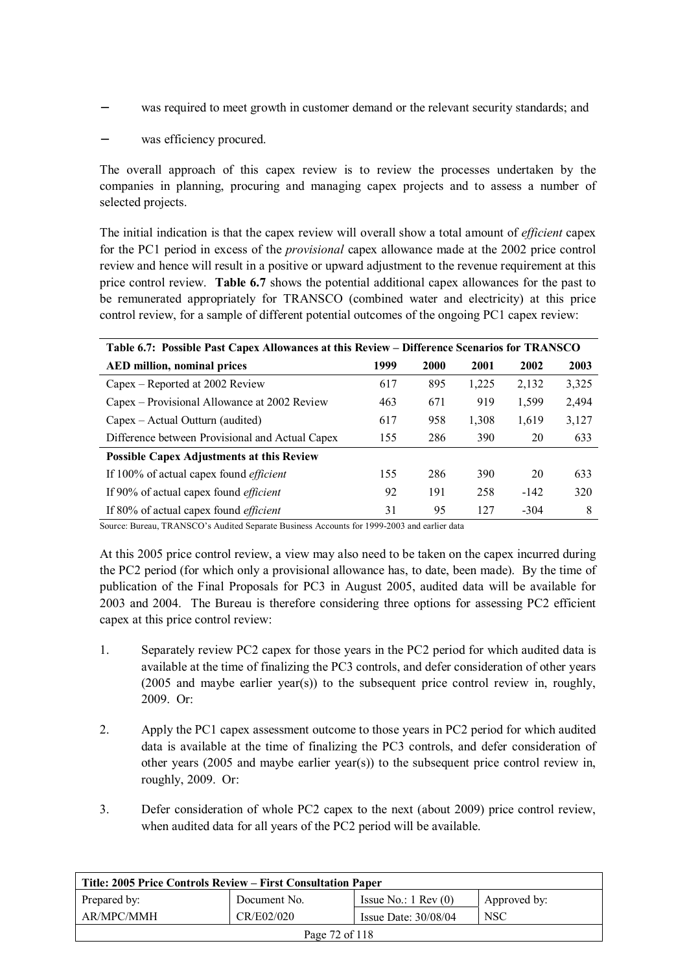- was required to meet growth in customer demand or the relevant security standards; and
- was efficiency procured.

The overall approach of this capex review is to review the processes undertaken by the companies in planning, procuring and managing capex projects and to assess a number of selected projects.

The initial indication is that the capex review will overall show a total amount of *efficient* capex for the PC1 period in excess of the *provisional* capex allowance made at the 2002 price control review and hence will result in a positive or upward adjustment to the revenue requirement at this price control review. **Table 6.7** shows the potential additional capex allowances for the past to be remunerated appropriately for TRANSCO (combined water and electricity) at this price control review, for a sample of different potential outcomes of the ongoing PC1 capex review:

| Table 6.7: Possible Past Capex Allowances at this Review – Difference Scenarios for TRANSCO |      |      |       |        |       |  |
|---------------------------------------------------------------------------------------------|------|------|-------|--------|-------|--|
| <b>AED million, nominal prices</b>                                                          | 1999 | 2000 | 2001  | 2002   | 2003  |  |
| Capex – Reported at 2002 Review                                                             | 617  | 895  | 1,225 | 2,132  | 3,325 |  |
| Capex – Provisional Allowance at 2002 Review                                                | 463  | 671  | 919   | 1,599  | 2,494 |  |
| Capex – Actual Outturn (audited)                                                            | 617  | 958  | 1,308 | 1,619  | 3,127 |  |
| Difference between Provisional and Actual Capex                                             | 155  | 286  | 390   | 20     | 633   |  |
| <b>Possible Capex Adjustments at this Review</b>                                            |      |      |       |        |       |  |
| If 100% of actual capex found <i>efficient</i>                                              | 155  | 286  | 390   | 20     | 633   |  |
| If 90% of actual capex found <i>efficient</i>                                               | 92   | 191  | 258   | $-142$ | 320   |  |
| If 80% of actual capex found <i>efficient</i>                                               | 31   | 95   | 127   | $-304$ | 8     |  |

Source: Bureau, TRANSCO's Audited Separate Business Accounts for 1999-2003 and earlier data

At this 2005 price control review, a view may also need to be taken on the capex incurred during the PC2 period (for which only a provisional allowance has, to date, been made). By the time of publication of the Final Proposals for PC3 in August 2005, audited data will be available for 2003 and 2004. The Bureau is therefore considering three options for assessing PC2 efficient capex at this price control review:

- 1. Separately review PC2 capex for those years in the PC2 period for which audited data is available at the time of finalizing the PC3 controls, and defer consideration of other years (2005 and maybe earlier year(s)) to the subsequent price control review in, roughly, 2009. Or:
- 2. Apply the PC1 capex assessment outcome to those years in PC2 period for which audited data is available at the time of finalizing the PC3 controls, and defer consideration of other years (2005 and maybe earlier year(s)) to the subsequent price control review in, roughly, 2009. Or:
- 3. Defer consideration of whole PC2 capex to the next (about 2009) price control review, when audited data for all years of the PC2 period will be available.

| Title: 2005 Price Controls Review – First Consultation Paper |              |                               |              |
|--------------------------------------------------------------|--------------|-------------------------------|--------------|
| Prepared by:                                                 | Document No. | Issue No.: $1 \text{ Rev}(0)$ | Approved by: |
| AR/MPC/MMH                                                   | CR/E02/020   | Issue Date: $30/08/04$        | <b>NSC</b>   |
| Page 72 of 118                                               |              |                               |              |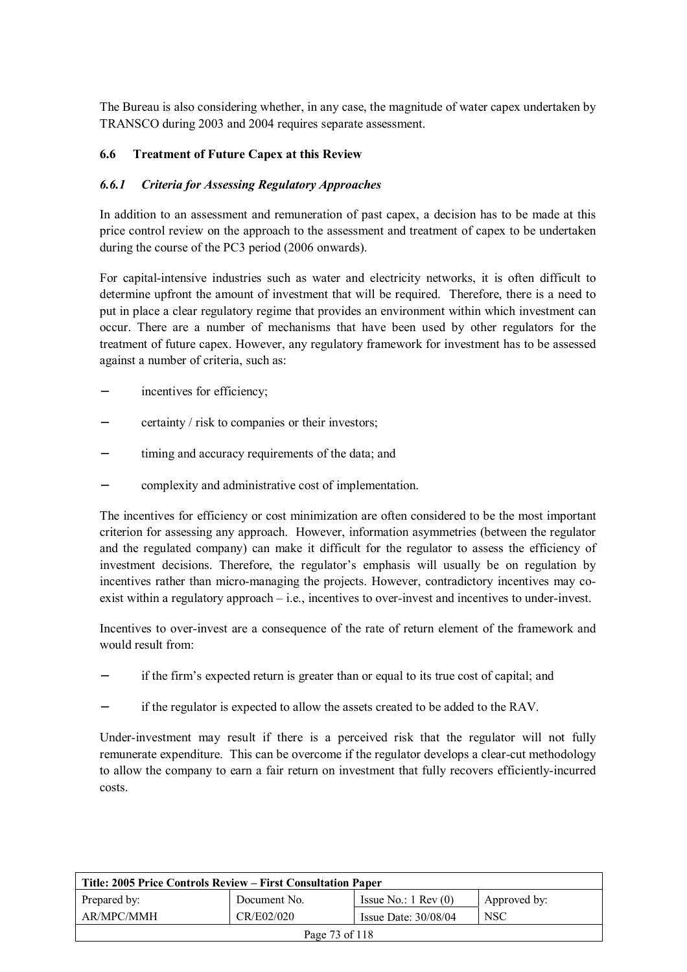The Bureau is also considering whether, in any case, the magnitude of water capex undertaken by TRANSCO during 2003 and 2004 requires separate assessment.

### **6.6 Treatment of Future Capex at this Review**

### *6.6.1 Criteria for Assessing Regulatory Approaches*

In addition to an assessment and remuneration of past capex, a decision has to be made at this price control review on the approach to the assessment and treatment of capex to be undertaken during the course of the PC3 period (2006 onwards).

For capital-intensive industries such as water and electricity networks, it is often difficult to determine upfront the amount of investment that will be required. Therefore, there is a need to put in place a clear regulatory regime that provides an environment within which investment can occur. There are a number of mechanisms that have been used by other regulators for the treatment of future capex. However, any regulatory framework for investment has to be assessed against a number of criteria, such as:

- incentives for efficiency;
- − certainty / risk to companies or their investors;
- timing and accuracy requirements of the data; and
- − complexity and administrative cost of implementation.

The incentives for efficiency or cost minimization are often considered to be the most important criterion for assessing any approach. However, information asymmetries (between the regulator and the regulated company) can make it difficult for the regulator to assess the efficiency of investment decisions. Therefore, the regulator's emphasis will usually be on regulation by incentives rather than micro-managing the projects. However, contradictory incentives may coexist within a regulatory approach – i.e., incentives to over-invest and incentives to under-invest.

Incentives to over-invest are a consequence of the rate of return element of the framework and would result from:

- − if the firm's expected return is greater than or equal to its true cost of capital; and
- if the regulator is expected to allow the assets created to be added to the RAV.

Under-investment may result if there is a perceived risk that the regulator will not fully remunerate expenditure. This can be overcome if the regulator develops a clear-cut methodology to allow the company to earn a fair return on investment that fully recovers efficiently-incurred costs.

| Title: 2005 Price Controls Review – First Consultation Paper |              |                               |              |
|--------------------------------------------------------------|--------------|-------------------------------|--------------|
| Prepared by:                                                 | Document No. | Issue No.: $1 \text{ Rev}(0)$ | Approved by: |
| AR/MPC/MMH                                                   | CR/E02/020   | Issue Date: $30/08/04$        | <b>NSC</b>   |
| Page 73 of 118                                               |              |                               |              |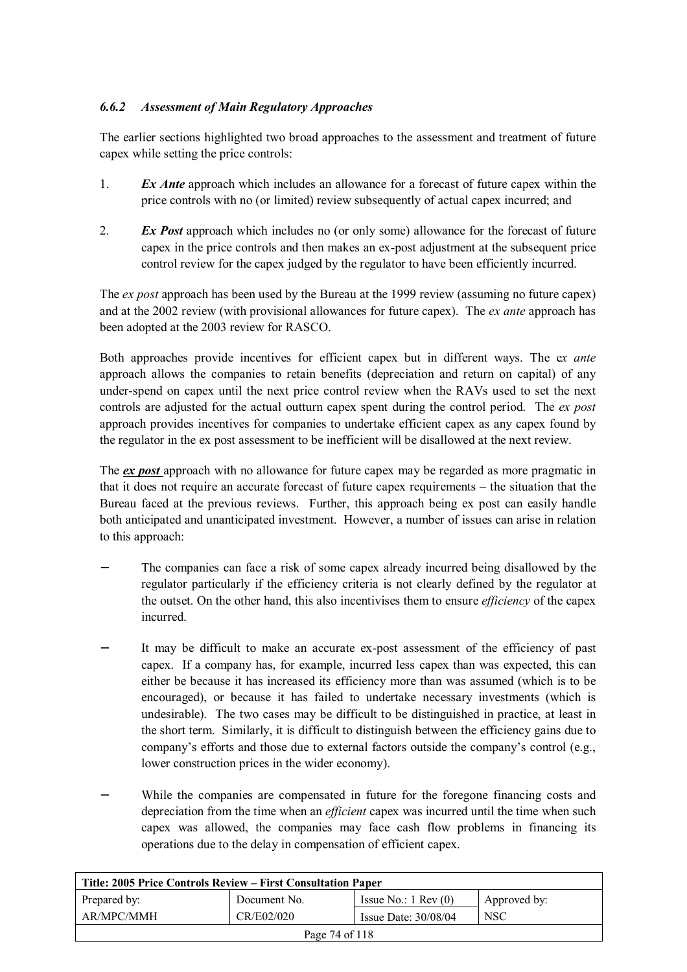# *6.6.2 Assessment of Main Regulatory Approaches*

The earlier sections highlighted two broad approaches to the assessment and treatment of future capex while setting the price controls:

- 1. *Ex Ante* approach which includes an allowance for a forecast of future capex within the price controls with no (or limited) review subsequently of actual capex incurred; and
- 2. *Ex Post* approach which includes no (or only some) allowance for the forecast of future capex in the price controls and then makes an ex-post adjustment at the subsequent price control review for the capex judged by the regulator to have been efficiently incurred.

The *ex post* approach has been used by the Bureau at the 1999 review (assuming no future capex) and at the 2002 review (with provisional allowances for future capex). The *ex ante* approach has been adopted at the 2003 review for RASCO.

Both approaches provide incentives for efficient capex but in different ways. The e*x ante* approach allows the companies to retain benefits (depreciation and return on capital) of any under-spend on capex until the next price control review when the RAVs used to set the next controls are adjusted for the actual outturn capex spent during the control period. The *ex post*  approach provides incentives for companies to undertake efficient capex as any capex found by the regulator in the ex post assessment to be inefficient will be disallowed at the next review.

The *ex post* approach with no allowance for future capex may be regarded as more pragmatic in that it does not require an accurate forecast of future capex requirements – the situation that the Bureau faced at the previous reviews. Further, this approach being ex post can easily handle both anticipated and unanticipated investment. However, a number of issues can arise in relation to this approach:

- The companies can face a risk of some capex already incurred being disallowed by the regulator particularly if the efficiency criteria is not clearly defined by the regulator at the outset. On the other hand, this also incentivises them to ensure *efficiency* of the capex incurred.
- It may be difficult to make an accurate ex-post assessment of the efficiency of past capex. If a company has, for example, incurred less capex than was expected, this can either be because it has increased its efficiency more than was assumed (which is to be encouraged), or because it has failed to undertake necessary investments (which is undesirable). The two cases may be difficult to be distinguished in practice, at least in the short term. Similarly, it is difficult to distinguish between the efficiency gains due to company's efforts and those due to external factors outside the company's control (e.g., lower construction prices in the wider economy).
- While the companies are compensated in future for the foregone financing costs and depreciation from the time when an *efficient* capex was incurred until the time when such capex was allowed, the companies may face cash flow problems in financing its operations due to the delay in compensation of efficient capex.

| Title: 2005 Price Controls Review – First Consultation Paper |              |                               |              |
|--------------------------------------------------------------|--------------|-------------------------------|--------------|
| Prepared by:                                                 | Document No. | Issue No.: $1 \text{ Rev}(0)$ | Approved by: |
| AR/MPC/MMH                                                   | CR/E02/020   | Issue Date: $30/08/04$        | <b>NSC</b>   |
| Page 74 of 118                                               |              |                               |              |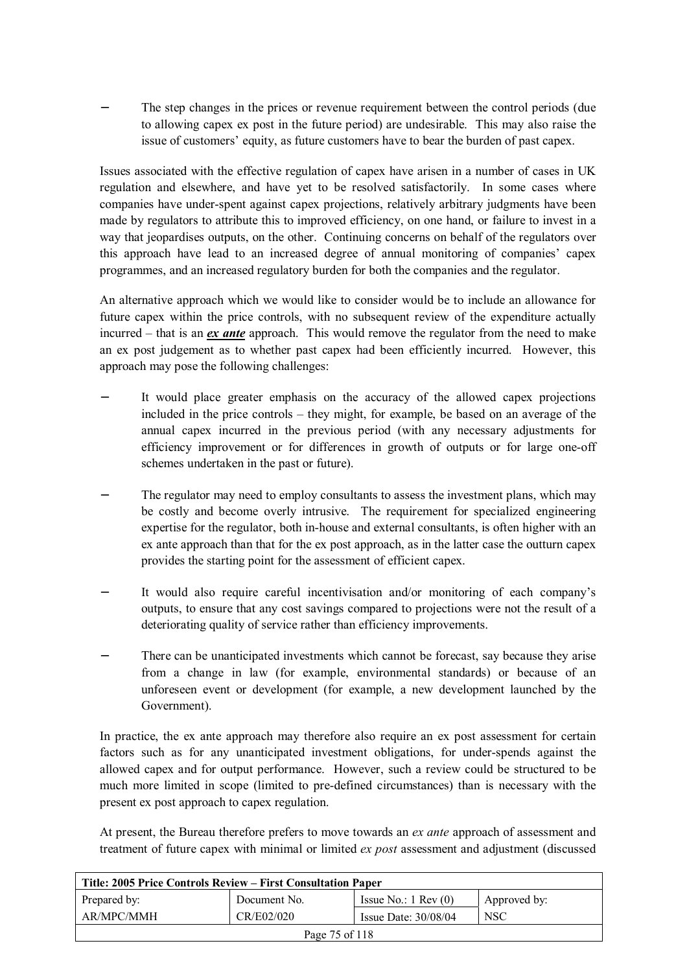The step changes in the prices or revenue requirement between the control periods (due to allowing capex ex post in the future period) are undesirable. This may also raise the issue of customers' equity, as future customers have to bear the burden of past capex.

Issues associated with the effective regulation of capex have arisen in a number of cases in UK regulation and elsewhere, and have yet to be resolved satisfactorily. In some cases where companies have under-spent against capex projections, relatively arbitrary judgments have been made by regulators to attribute this to improved efficiency, on one hand, or failure to invest in a way that jeopardises outputs, on the other. Continuing concerns on behalf of the regulators over this approach have lead to an increased degree of annual monitoring of companies' capex programmes, and an increased regulatory burden for both the companies and the regulator.

An alternative approach which we would like to consider would be to include an allowance for future capex within the price controls, with no subsequent review of the expenditure actually incurred – that is an *ex ante* approach. This would remove the regulator from the need to make an ex post judgement as to whether past capex had been efficiently incurred. However, this approach may pose the following challenges:

- It would place greater emphasis on the accuracy of the allowed capex projections included in the price controls – they might, for example, be based on an average of the annual capex incurred in the previous period (with any necessary adjustments for efficiency improvement or for differences in growth of outputs or for large one-off schemes undertaken in the past or future).
- The regulator may need to employ consultants to assess the investment plans, which may be costly and become overly intrusive. The requirement for specialized engineering expertise for the regulator, both in-house and external consultants, is often higher with an ex ante approach than that for the ex post approach, as in the latter case the outturn capex provides the starting point for the assessment of efficient capex.
- It would also require careful incentivisation and/or monitoring of each company's outputs, to ensure that any cost savings compared to projections were not the result of a deteriorating quality of service rather than efficiency improvements.
- There can be unanticipated investments which cannot be forecast, say because they arise from a change in law (for example, environmental standards) or because of an unforeseen event or development (for example, a new development launched by the Government).

In practice, the ex ante approach may therefore also require an ex post assessment for certain factors such as for any unanticipated investment obligations, for under-spends against the allowed capex and for output performance. However, such a review could be structured to be much more limited in scope (limited to pre-defined circumstances) than is necessary with the present ex post approach to capex regulation.

At present, the Bureau therefore prefers to move towards an *ex ante* approach of assessment and treatment of future capex with minimal or limited *ex post* assessment and adjustment (discussed

| Title: 2005 Price Controls Review – First Consultation Paper |              |                               |              |
|--------------------------------------------------------------|--------------|-------------------------------|--------------|
| Prepared by:                                                 | Document No. | Issue No.: $1 \text{ Rev}(0)$ | Approved by: |
| AR/MPC/MMH                                                   | CR/E02/020   | Issue Date: $30/08/04$        | <b>NSC</b>   |
| Page 75 of 118                                               |              |                               |              |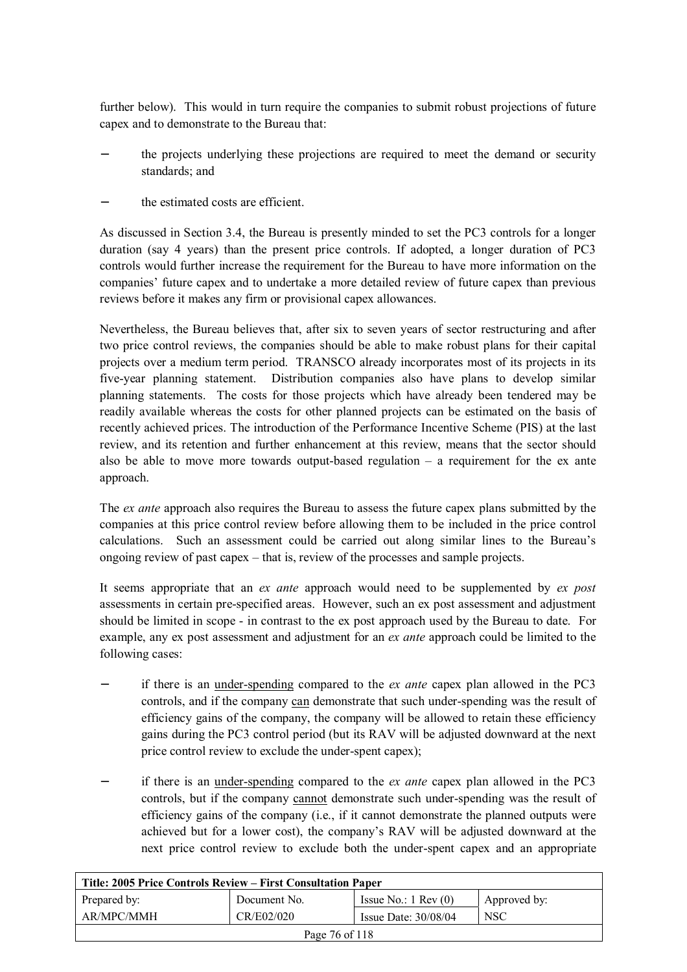further below). This would in turn require the companies to submit robust projections of future capex and to demonstrate to the Bureau that:

- the projects underlying these projections are required to meet the demand or security standards; and
- the estimated costs are efficient.

As discussed in Section 3.4, the Bureau is presently minded to set the PC3 controls for a longer duration (say 4 years) than the present price controls. If adopted, a longer duration of PC3 controls would further increase the requirement for the Bureau to have more information on the companies' future capex and to undertake a more detailed review of future capex than previous reviews before it makes any firm or provisional capex allowances.

Nevertheless, the Bureau believes that, after six to seven years of sector restructuring and after two price control reviews, the companies should be able to make robust plans for their capital projects over a medium term period. TRANSCO already incorporates most of its projects in its five-year planning statement. Distribution companies also have plans to develop similar planning statements. The costs for those projects which have already been tendered may be readily available whereas the costs for other planned projects can be estimated on the basis of recently achieved prices. The introduction of the Performance Incentive Scheme (PIS) at the last review, and its retention and further enhancement at this review, means that the sector should also be able to move more towards output-based regulation – a requirement for the ex ante approach.

The *ex ante* approach also requires the Bureau to assess the future capex plans submitted by the companies at this price control review before allowing them to be included in the price control calculations. Such an assessment could be carried out along similar lines to the Bureau's ongoing review of past capex – that is, review of the processes and sample projects.

It seems appropriate that an *ex ante* approach would need to be supplemented by *ex post*  assessments in certain pre-specified areas. However, such an ex post assessment and adjustment should be limited in scope - in contrast to the ex post approach used by the Bureau to date. For example, any ex post assessment and adjustment for an *ex ante* approach could be limited to the following cases:

- − if there is an under-spending compared to the *ex ante* capex plan allowed in the PC3 controls, and if the company can demonstrate that such under-spending was the result of efficiency gains of the company, the company will be allowed to retain these efficiency gains during the PC3 control period (but its RAV will be adjusted downward at the next price control review to exclude the under-spent capex);
- − if there is an under-spending compared to the *ex ante* capex plan allowed in the PC3 controls, but if the company cannot demonstrate such under-spending was the result of efficiency gains of the company (i.e., if it cannot demonstrate the planned outputs were achieved but for a lower cost), the company's RAV will be adjusted downward at the next price control review to exclude both the under-spent capex and an appropriate

| Title: 2005 Price Controls Review – First Consultation Paper |              |                               |              |
|--------------------------------------------------------------|--------------|-------------------------------|--------------|
| Prepared by:                                                 | Document No. | Issue No.: $1 \text{ Rev}(0)$ | Approved by: |
| AR/MPC/MMH                                                   | CR/E02/020   | Issue Date: $30/08/04$        | <b>NSC</b>   |
| Page 76 of 118                                               |              |                               |              |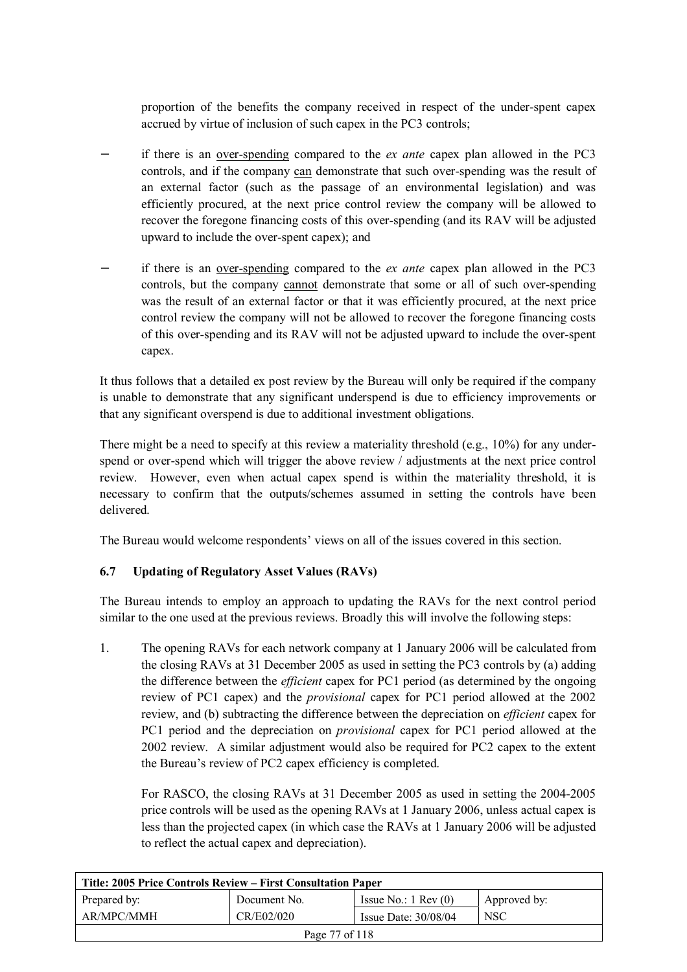proportion of the benefits the company received in respect of the under-spent capex accrued by virtue of inclusion of such capex in the PC3 controls;

- − if there is an over-spending compared to the *ex ante* capex plan allowed in the PC3 controls, and if the company can demonstrate that such over-spending was the result of an external factor (such as the passage of an environmental legislation) and was efficiently procured, at the next price control review the company will be allowed to recover the foregone financing costs of this over-spending (and its RAV will be adjusted upward to include the over-spent capex); and
- − if there is an over-spending compared to the *ex ante* capex plan allowed in the PC3 controls, but the company cannot demonstrate that some or all of such over-spending was the result of an external factor or that it was efficiently procured, at the next price control review the company will not be allowed to recover the foregone financing costs of this over-spending and its RAV will not be adjusted upward to include the over-spent capex.

It thus follows that a detailed ex post review by the Bureau will only be required if the company is unable to demonstrate that any significant underspend is due to efficiency improvements or that any significant overspend is due to additional investment obligations.

There might be a need to specify at this review a materiality threshold (e.g., 10%) for any underspend or over-spend which will trigger the above review / adjustments at the next price control review. However, even when actual capex spend is within the materiality threshold, it is necessary to confirm that the outputs/schemes assumed in setting the controls have been delivered.

The Bureau would welcome respondents' views on all of the issues covered in this section.

# **6.7 Updating of Regulatory Asset Values (RAVs)**

The Bureau intends to employ an approach to updating the RAVs for the next control period similar to the one used at the previous reviews. Broadly this will involve the following steps:

1. The opening RAVs for each network company at 1 January 2006 will be calculated from the closing RAVs at 31 December 2005 as used in setting the PC3 controls by (a) adding the difference between the *efficient* capex for PC1 period (as determined by the ongoing review of PC1 capex) and the *provisional* capex for PC1 period allowed at the 2002 review, and (b) subtracting the difference between the depreciation on *efficient* capex for PC1 period and the depreciation on *provisional* capex for PC1 period allowed at the 2002 review. A similar adjustment would also be required for PC2 capex to the extent the Bureau's review of PC2 capex efficiency is completed.

For RASCO, the closing RAVs at 31 December 2005 as used in setting the 2004-2005 price controls will be used as the opening RAVs at 1 January 2006, unless actual capex is less than the projected capex (in which case the RAVs at 1 January 2006 will be adjusted to reflect the actual capex and depreciation).

| Title: 2005 Price Controls Review – First Consultation Paper |              |                               |              |
|--------------------------------------------------------------|--------------|-------------------------------|--------------|
| Prepared by:                                                 | Document No. | Issue No.: $1 \text{ Rev}(0)$ | Approved by: |
| AR/MPC/MMH                                                   | CR/E02/020   | Issue Date: $30/08/04$        | <b>NSC</b>   |
| Page 77 of 118                                               |              |                               |              |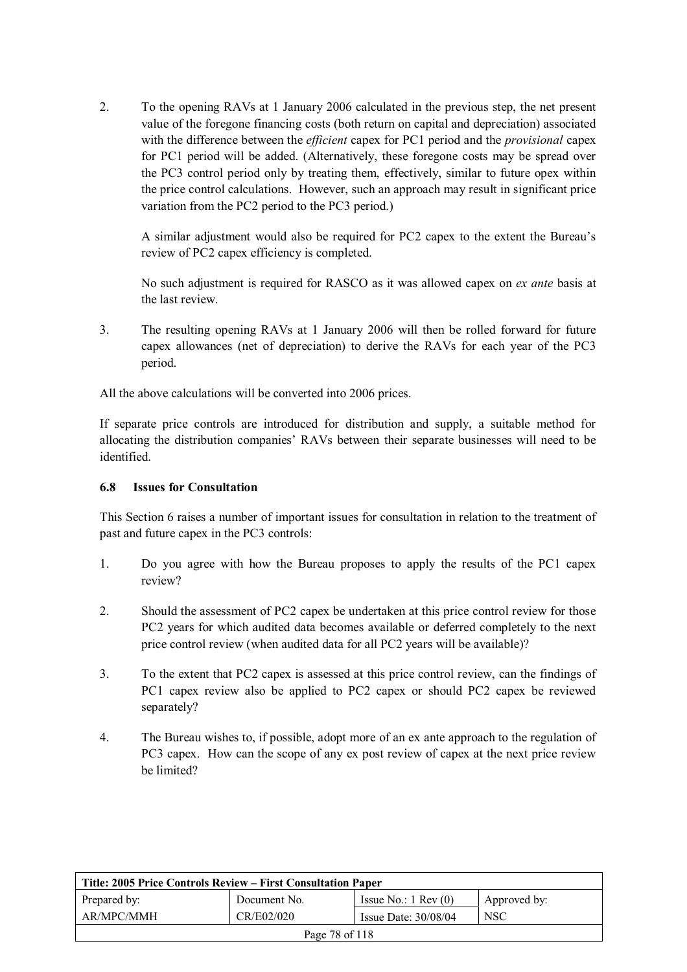2. To the opening RAVs at 1 January 2006 calculated in the previous step, the net present value of the foregone financing costs (both return on capital and depreciation) associated with the difference between the *efficient* capex for PC1 period and the *provisional* capex for PC1 period will be added. (Alternatively, these foregone costs may be spread over the PC3 control period only by treating them, effectively, similar to future opex within the price control calculations. However, such an approach may result in significant price variation from the PC2 period to the PC3 period.)

A similar adjustment would also be required for PC2 capex to the extent the Bureau's review of PC2 capex efficiency is completed.

No such adjustment is required for RASCO as it was allowed capex on *ex ante* basis at the last review.

3. The resulting opening RAVs at 1 January 2006 will then be rolled forward for future capex allowances (net of depreciation) to derive the RAVs for each year of the PC3 period.

All the above calculations will be converted into 2006 prices.

If separate price controls are introduced for distribution and supply, a suitable method for allocating the distribution companies' RAVs between their separate businesses will need to be identified.

#### **6.8 Issues for Consultation**

This Section 6 raises a number of important issues for consultation in relation to the treatment of past and future capex in the PC3 controls:

- 1. Do you agree with how the Bureau proposes to apply the results of the PC1 capex review?
- 2. Should the assessment of PC2 capex be undertaken at this price control review for those PC2 years for which audited data becomes available or deferred completely to the next price control review (when audited data for all PC2 years will be available)?
- 3. To the extent that PC2 capex is assessed at this price control review, can the findings of PC1 capex review also be applied to PC2 capex or should PC2 capex be reviewed separately?
- 4. The Bureau wishes to, if possible, adopt more of an ex ante approach to the regulation of PC3 capex. How can the scope of any ex post review of capex at the next price review be limited?

| Title: 2005 Price Controls Review – First Consultation Paper |              |                               |              |
|--------------------------------------------------------------|--------------|-------------------------------|--------------|
| Prepared by:                                                 | Document No. | Issue No.: $1 \text{ Rev}(0)$ | Approved by: |
| AR/MPC/MMH                                                   | CR/E02/020   | Issue Date: $30/08/04$        | <b>NSC</b>   |
| Page 78 of 118                                               |              |                               |              |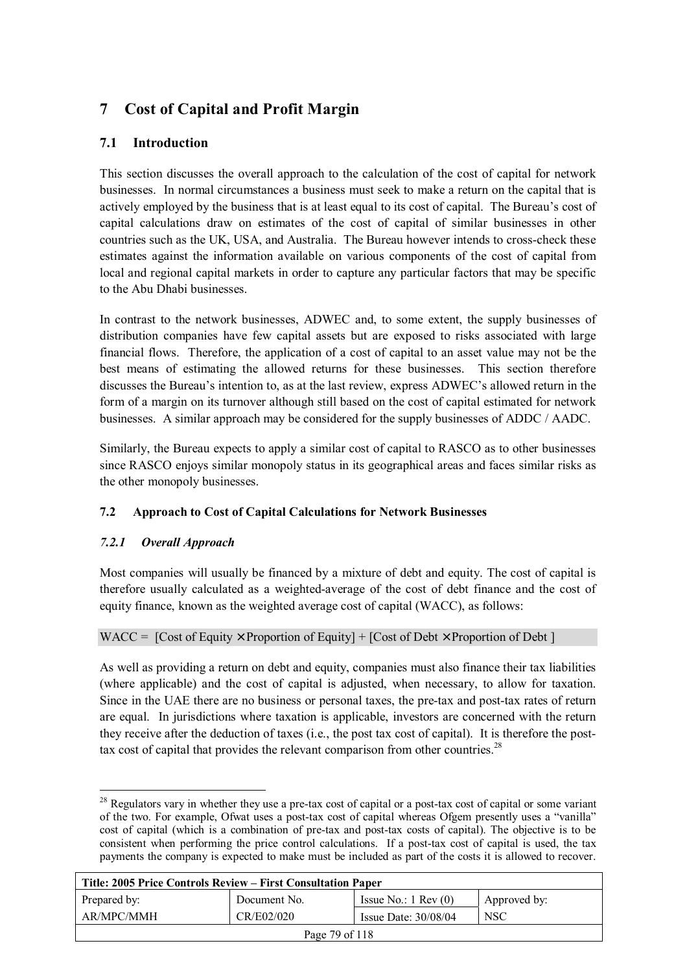# **7 Cost of Capital and Profit Margin**

# **7.1 Introduction**

This section discusses the overall approach to the calculation of the cost of capital for network businesses. In normal circumstances a business must seek to make a return on the capital that is actively employed by the business that is at least equal to its cost of capital. The Bureau's cost of capital calculations draw on estimates of the cost of capital of similar businesses in other countries such as the UK, USA, and Australia. The Bureau however intends to cross-check these estimates against the information available on various components of the cost of capital from local and regional capital markets in order to capture any particular factors that may be specific to the Abu Dhabi businesses.

In contrast to the network businesses, ADWEC and, to some extent, the supply businesses of distribution companies have few capital assets but are exposed to risks associated with large financial flows. Therefore, the application of a cost of capital to an asset value may not be the best means of estimating the allowed returns for these businesses. This section therefore discusses the Bureau's intention to, as at the last review, express ADWEC's allowed return in the form of a margin on its turnover although still based on the cost of capital estimated for network businesses. A similar approach may be considered for the supply businesses of ADDC / AADC.

Similarly, the Bureau expects to apply a similar cost of capital to RASCO as to other businesses since RASCO enjoys similar monopoly status in its geographical areas and faces similar risks as the other monopoly businesses.

# **7.2 Approach to Cost of Capital Calculations for Network Businesses**

# *7.2.1 Overall Approach*

Most companies will usually be financed by a mixture of debt and equity. The cost of capital is therefore usually calculated as a weighted-average of the cost of debt finance and the cost of equity finance, known as the weighted average cost of capital (WACC), as follows:

# WACC =  $[Cost of Equity \times Proportion of Equity] + [Cost of Debt \times Proportion of Debt]$

As well as providing a return on debt and equity, companies must also finance their tax liabilities (where applicable) and the cost of capital is adjusted, when necessary, to allow for taxation. Since in the UAE there are no business or personal taxes, the pre-tax and post-tax rates of return are equal. In jurisdictions where taxation is applicable, investors are concerned with the return they receive after the deduction of taxes (i.e., the post tax cost of capital). It is therefore the posttax cost of capital that provides the relevant comparison from other countries.<sup>28</sup>

 $\overline{a}$ <sup>28</sup> Regulators vary in whether they use a pre-tax cost of capital or a post-tax cost of capital or some variant of the two. For example, Ofwat uses a post-tax cost of capital whereas Ofgem presently uses a "vanilla" cost of capital (which is a combination of pre-tax and post-tax costs of capital). The objective is to be consistent when performing the price control calculations. If a post-tax cost of capital is used, the tax payments the company is expected to make must be included as part of the costs it is allowed to recover.

| Title: 2005 Price Controls Review – First Consultation Paper |              |                               |              |
|--------------------------------------------------------------|--------------|-------------------------------|--------------|
| Prepared by:                                                 | Document No. | Issue No.: $1 \text{ Rev}(0)$ | Approved by: |
| AR/MPC/MMH                                                   | CR/E02/020   | Issue Date: $30/08/04$        | <b>NSC</b>   |
| Page 79 of 118                                               |              |                               |              |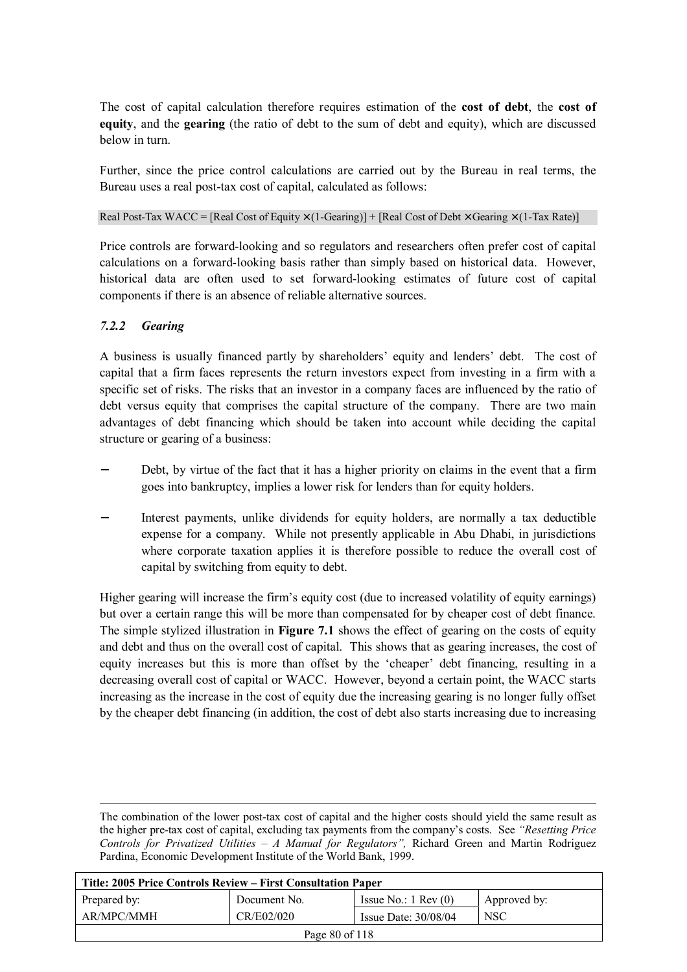The cost of capital calculation therefore requires estimation of the **cost of debt**, the **cost of equity**, and the **gearing** (the ratio of debt to the sum of debt and equity), which are discussed below in turn.

Further, since the price control calculations are carried out by the Bureau in real terms, the Bureau uses a real post-tax cost of capital, calculated as follows:

Real Post-Tax WACC = [Real Cost of Equity  $\times$  (1-Gearing)] + [Real Cost of Debt  $\times$  Gearing  $\times$  (1-Tax Rate)]

Price controls are forward-looking and so regulators and researchers often prefer cost of capital calculations on a forward-looking basis rather than simply based on historical data. However, historical data are often used to set forward-looking estimates of future cost of capital components if there is an absence of reliable alternative sources.

#### *7.2.2 Gearing*

A business is usually financed partly by shareholders' equity and lenders' debt. The cost of capital that a firm faces represents the return investors expect from investing in a firm with a specific set of risks. The risks that an investor in a company faces are influenced by the ratio of debt versus equity that comprises the capital structure of the company. There are two main advantages of debt financing which should be taken into account while deciding the capital structure or gearing of a business:

- Debt, by virtue of the fact that it has a higher priority on claims in the event that a firm goes into bankruptcy, implies a lower risk for lenders than for equity holders.
- Interest payments, unlike dividends for equity holders, are normally a tax deductible expense for a company. While not presently applicable in Abu Dhabi, in jurisdictions where corporate taxation applies it is therefore possible to reduce the overall cost of capital by switching from equity to debt.

Higher gearing will increase the firm's equity cost (due to increased volatility of equity earnings) but over a certain range this will be more than compensated for by cheaper cost of debt finance. The simple stylized illustration in **Figure 7.1** shows the effect of gearing on the costs of equity and debt and thus on the overall cost of capital. This shows that as gearing increases, the cost of equity increases but this is more than offset by the 'cheaper' debt financing, resulting in a decreasing overall cost of capital or WACC. However, beyond a certain point, the WACC starts increasing as the increase in the cost of equity due the increasing gearing is no longer fully offset by the cheaper debt financing (in addition, the cost of debt also starts increasing due to increasing

 The combination of the lower post-tax cost of capital and the higher costs should yield the same result as the higher pre-tax cost of capital, excluding tax payments from the company's costs. See *"Resetting Price Controls for Privatized Utilities – A Manual for Regulators",* Richard Green and Martin Rodriguez Pardina, Economic Development Institute of the World Bank, 1999.

| Title: 2005 Price Controls Review – First Consultation Paper |              |                               |              |
|--------------------------------------------------------------|--------------|-------------------------------|--------------|
| Prepared by:                                                 | Document No. | Issue No.: $1 \text{ Rev}(0)$ | Approved by: |
| AR/MPC/MMH                                                   | CR/E02/020   | Issue Date: 30/08/04          | <b>NSC</b>   |
| Page 80 of 118                                               |              |                               |              |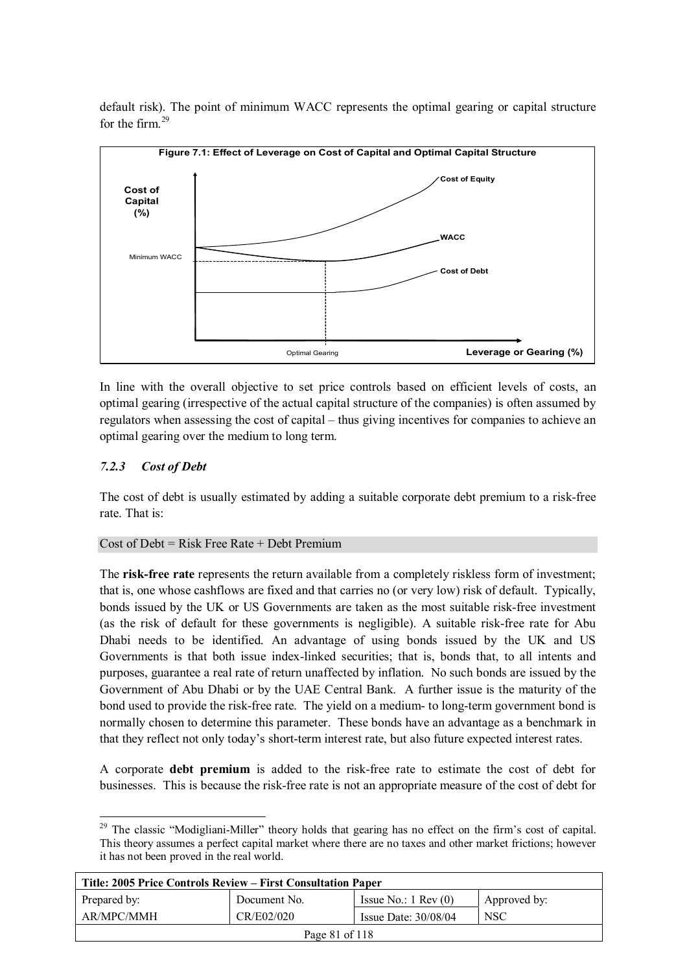default risk). The point of minimum WACC represents the optimal gearing or capital structure for the firm  $29$ 



In line with the overall objective to set price controls based on efficient levels of costs, an optimal gearing (irrespective of the actual capital structure of the companies) is often assumed by regulators when assessing the cost of capital – thus giving incentives for companies to achieve an optimal gearing over the medium to long term.

# *7.2.3 Cost of Debt*

The cost of debt is usually estimated by adding a suitable corporate debt premium to a risk-free rate. That is:

#### Cost of Debt = Risk Free Rate + Debt Premium

The **risk-free rate** represents the return available from a completely riskless form of investment; that is, one whose cashflows are fixed and that carries no (or very low) risk of default. Typically, bonds issued by the UK or US Governments are taken as the most suitable risk-free investment (as the risk of default for these governments is negligible). A suitable risk-free rate for Abu Dhabi needs to be identified. An advantage of using bonds issued by the UK and US Governments is that both issue index-linked securities; that is, bonds that, to all intents and purposes, guarantee a real rate of return unaffected by inflation. No such bonds are issued by the Government of Abu Dhabi or by the UAE Central Bank. A further issue is the maturity of the bond used to provide the risk-free rate. The yield on a medium- to long-term government bond is normally chosen to determine this parameter. These bonds have an advantage as a benchmark in that they reflect not only today's short-term interest rate, but also future expected interest rates.

A corporate **debt premium** is added to the risk-free rate to estimate the cost of debt for businesses. This is because the risk-free rate is not an appropriate measure of the cost of debt for

 $\overline{a}$ <sup>29</sup> The classic "Modigliani-Miller" theory holds that gearing has no effect on the firm's cost of capital. This theory assumes a perfect capital market where there are no taxes and other market frictions; however it has not been proved in the real world.

| Title: 2005 Price Controls Review – First Consultation Paper |              |                               |              |
|--------------------------------------------------------------|--------------|-------------------------------|--------------|
| Prepared by:                                                 | Document No. | Issue No.: $1 \text{ Rev}(0)$ | Approved by: |
| AR/MPC/MMH                                                   | CR/E02/020   | Issue Date: $30/08/04$        | NSC          |
| Page 81 of 118                                               |              |                               |              |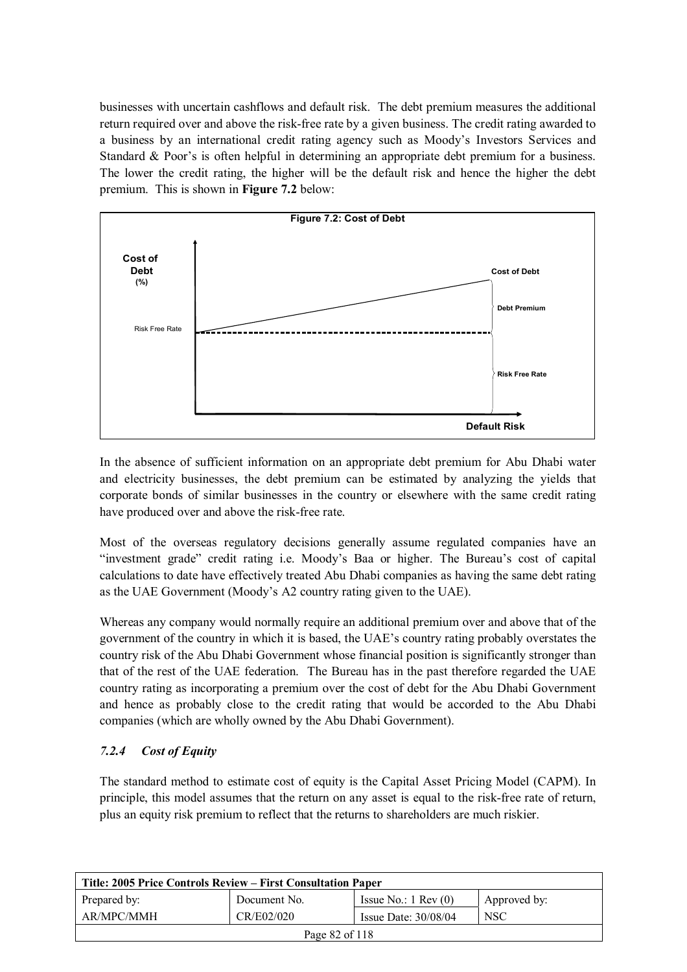businesses with uncertain cashflows and default risk. The debt premium measures the additional return required over and above the risk-free rate by a given business. The credit rating awarded to a business by an international credit rating agency such as Moody's Investors Services and Standard & Poor's is often helpful in determining an appropriate debt premium for a business. The lower the credit rating, the higher will be the default risk and hence the higher the debt premium. This is shown in **Figure 7.2** below:



In the absence of sufficient information on an appropriate debt premium for Abu Dhabi water and electricity businesses, the debt premium can be estimated by analyzing the yields that corporate bonds of similar businesses in the country or elsewhere with the same credit rating have produced over and above the risk-free rate.

Most of the overseas regulatory decisions generally assume regulated companies have an "investment grade" credit rating i.e. Moody's Baa or higher. The Bureau's cost of capital calculations to date have effectively treated Abu Dhabi companies as having the same debt rating as the UAE Government (Moody's A2 country rating given to the UAE).

Whereas any company would normally require an additional premium over and above that of the government of the country in which it is based, the UAE's country rating probably overstates the country risk of the Abu Dhabi Government whose financial position is significantly stronger than that of the rest of the UAE federation. The Bureau has in the past therefore regarded the UAE country rating as incorporating a premium over the cost of debt for the Abu Dhabi Government and hence as probably close to the credit rating that would be accorded to the Abu Dhabi companies (which are wholly owned by the Abu Dhabi Government).

# *7.2.4 Cost of Equity*

The standard method to estimate cost of equity is the Capital Asset Pricing Model (CAPM). In principle, this model assumes that the return on any asset is equal to the risk-free rate of return, plus an equity risk premium to reflect that the returns to shareholders are much riskier.

| Title: 2005 Price Controls Review – First Consultation Paper |              |                               |              |
|--------------------------------------------------------------|--------------|-------------------------------|--------------|
| Prepared by:                                                 | Document No. | Issue No.: $1 \text{ Rev}(0)$ | Approved by: |
| AR/MPC/MMH                                                   | CR/E02/020   | Issue Date: $30/08/04$        | <b>NSC</b>   |
| Page 82 of 118                                               |              |                               |              |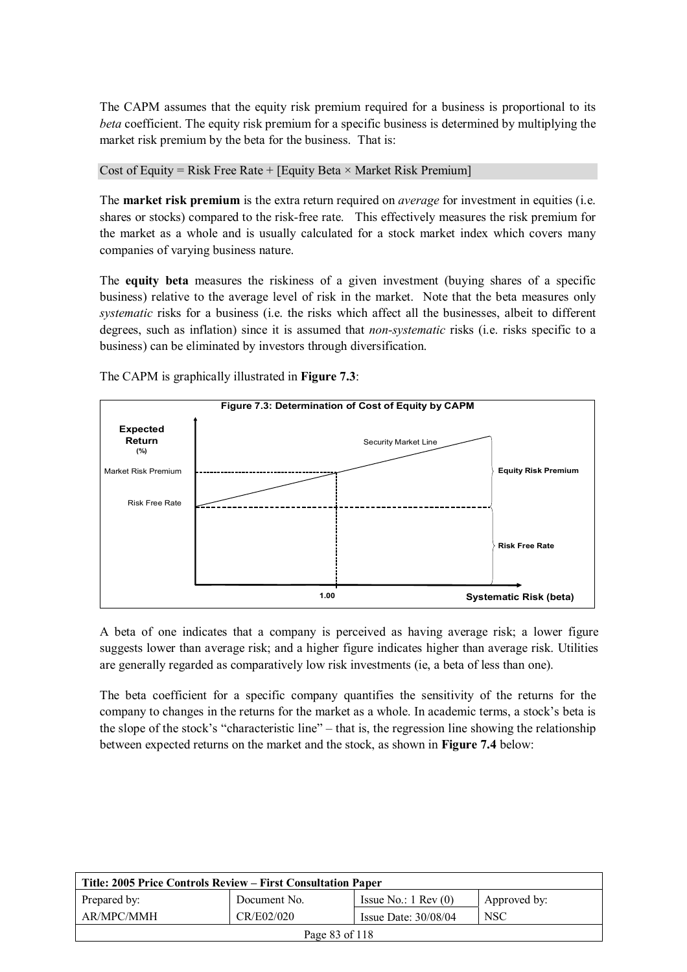The CAPM assumes that the equity risk premium required for a business is proportional to its *beta* coefficient. The equity risk premium for a specific business is determined by multiplying the market risk premium by the beta for the business. That is:

Cost of Equity = Risk Free Rate + [Equity Beta  $\times$  Market Risk Premium]

The **market risk premium** is the extra return required on *average* for investment in equities (i.e. shares or stocks) compared to the risk-free rate. This effectively measures the risk premium for the market as a whole and is usually calculated for a stock market index which covers many companies of varying business nature.

The **equity beta** measures the riskiness of a given investment (buying shares of a specific business) relative to the average level of risk in the market. Note that the beta measures only *systematic* risks for a business (i.e. the risks which affect all the businesses, albeit to different degrees, such as inflation) since it is assumed that *non-systematic* risks (i.e. risks specific to a business) can be eliminated by investors through diversification.



The CAPM is graphically illustrated in **Figure 7.3**:

A beta of one indicates that a company is perceived as having average risk; a lower figure suggests lower than average risk; and a higher figure indicates higher than average risk. Utilities are generally regarded as comparatively low risk investments (ie, a beta of less than one).

The beta coefficient for a specific company quantifies the sensitivity of the returns for the company to changes in the returns for the market as a whole. In academic terms, a stock's beta is the slope of the stock's "characteristic line" – that is, the regression line showing the relationship between expected returns on the market and the stock, as shown in **Figure 7.4** below:

| Title: 2005 Price Controls Review – First Consultation Paper |              |                               |              |
|--------------------------------------------------------------|--------------|-------------------------------|--------------|
| Prepared by:                                                 | Document No. | Issue No.: $1 \text{ Rev}(0)$ | Approved by: |
| AR/MPC/MMH                                                   | CR/E02/020   | Issue Date: $30/08/04$        | <b>NSC</b>   |
| Page 83 of 118                                               |              |                               |              |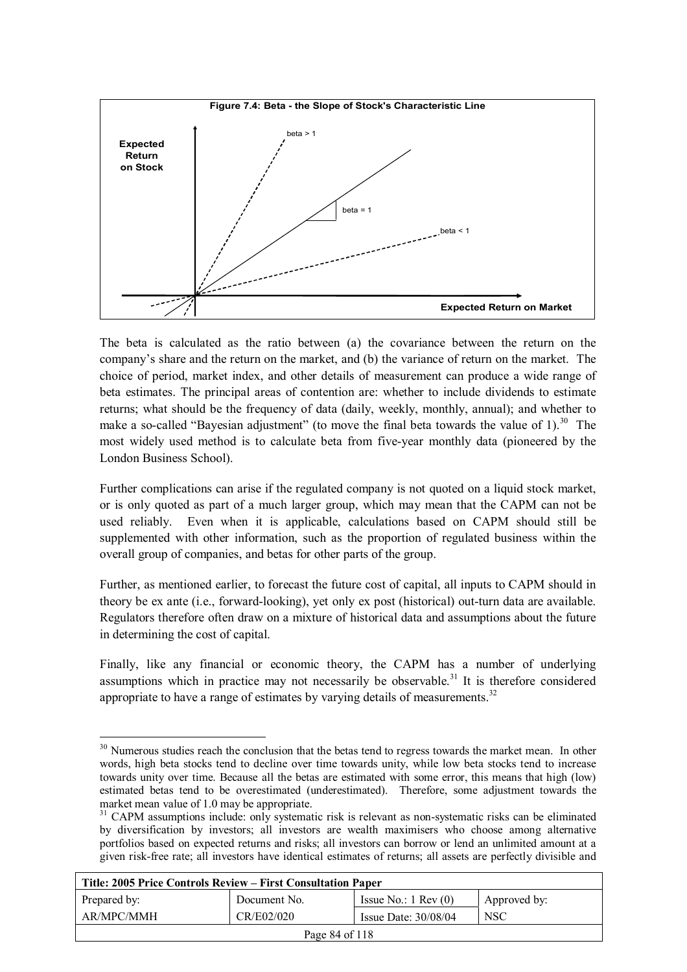

The beta is calculated as the ratio between (a) the covariance between the return on the company's share and the return on the market, and (b) the variance of return on the market. The choice of period, market index, and other details of measurement can produce a wide range of beta estimates. The principal areas of contention are: whether to include dividends to estimate returns; what should be the frequency of data (daily, weekly, monthly, annual); and whether to make a so-called "Bayesian adjustment" (to move the final beta towards the value of 1).<sup>30</sup> The most widely used method is to calculate beta from five-year monthly data (pioneered by the London Business School).

Further complications can arise if the regulated company is not quoted on a liquid stock market, or is only quoted as part of a much larger group, which may mean that the CAPM can not be used reliably. Even when it is applicable, calculations based on CAPM should still be supplemented with other information, such as the proportion of regulated business within the overall group of companies, and betas for other parts of the group.

Further, as mentioned earlier, to forecast the future cost of capital, all inputs to CAPM should in theory be ex ante (i.e., forward-looking), yet only ex post (historical) out-turn data are available. Regulators therefore often draw on a mixture of historical data and assumptions about the future in determining the cost of capital.

Finally, like any financial or economic theory, the CAPM has a number of underlying assumptions which in practice may not necessarily be observable.<sup>31</sup> It is therefore considered appropriate to have a range of estimates by varying details of measurements.<sup>32</sup>

 $\overline{a}$ 

<sup>&</sup>lt;sup>31</sup> CAPM assumptions include: only systematic risk is relevant as non-systematic risks can be eliminated by diversification by investors; all investors are wealth maximisers who choose among alternative portfolios based on expected returns and risks; all investors can borrow or lend an unlimited amount at a given risk-free rate; all investors have identical estimates of returns; all assets are perfectly divisible and

| Title: 2005 Price Controls Review – First Consultation Paper |              |                               |              |
|--------------------------------------------------------------|--------------|-------------------------------|--------------|
| Prepared by:                                                 | Document No. | Issue No.: $1 \text{ Rev}(0)$ | Approved by: |
| AR/MPC/MMH                                                   | CR/E02/020   | Issue Date: $30/08/04$        | <b>NSC</b>   |
| Page 84 of 118                                               |              |                               |              |

<sup>&</sup>lt;sup>30</sup> Numerous studies reach the conclusion that the betas tend to regress towards the market mean. In other words, high beta stocks tend to decline over time towards unity, while low beta stocks tend to increase towards unity over time. Because all the betas are estimated with some error, this means that high (low) estimated betas tend to be overestimated (underestimated). Therefore, some adjustment towards the market mean value of 1.0 may be appropriate.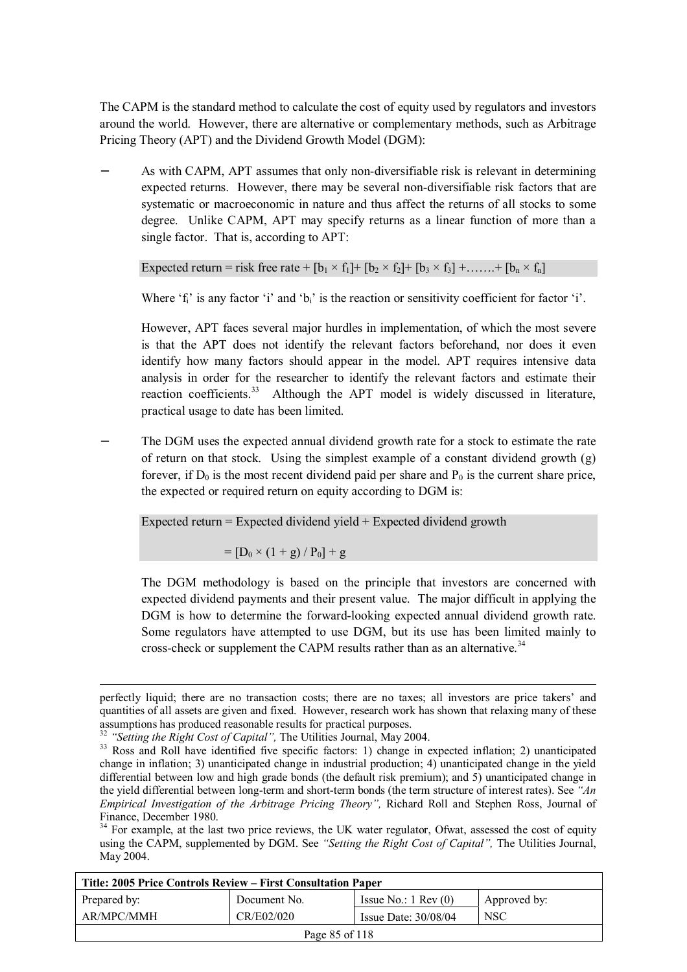The CAPM is the standard method to calculate the cost of equity used by regulators and investors around the world. However, there are alternative or complementary methods, such as Arbitrage Pricing Theory (APT) and the Dividend Growth Model (DGM):

As with CAPM, APT assumes that only non-diversifiable risk is relevant in determining expected returns. However, there may be several non-diversifiable risk factors that are systematic or macroeconomic in nature and thus affect the returns of all stocks to some degree. Unlike CAPM, APT may specify returns as a linear function of more than a single factor. That is, according to APT:

Expected return = risk free rate +  $[b_1 \times f_1]$  +  $[b_2 \times f_2]$  +  $[b_3 \times f_3]$  + ...... +  $[b_n \times f_n]$ 

Where  $f_i$  is any factor  $i$  and  $b_i$  is the reaction or sensitivity coefficient for factor  $i$ .

However, APT faces several major hurdles in implementation, of which the most severe is that the APT does not identify the relevant factors beforehand, nor does it even identify how many factors should appear in the model. APT requires intensive data analysis in order for the researcher to identify the relevant factors and estimate their reaction coefficients.<sup>33</sup> Although the APT model is widely discussed in literature, practical usage to date has been limited.

The DGM uses the expected annual dividend growth rate for a stock to estimate the rate of return on that stock. Using the simplest example of a constant dividend growth (g) forever, if  $D_0$  is the most recent dividend paid per share and  $P_0$  is the current share price, the expected or required return on equity according to DGM is:

Expected return = Expected dividend yield + Expected dividend growth

 $=$   $[D_0 \times (1 + g) / P_0] + g$ 

The DGM methodology is based on the principle that investors are concerned with expected dividend payments and their present value. The major difficult in applying the DGM is how to determine the forward-looking expected annual dividend growth rate. Some regulators have attempted to use DGM, but its use has been limited mainly to cross-check or supplement the CAPM results rather than as an alternative.<sup>34</sup>

Finance, December 1980.<br><sup>34</sup> For example, at the last two price reviews, the UK water regulator, Ofwat, assessed the cost of equity using the CAPM, supplemented by DGM. See *"Setting the Right Cost of Capital",* The Utilities Journal, May 2004.

| Title: 2005 Price Controls Review – First Consultation Paper |              |                               |              |  |
|--------------------------------------------------------------|--------------|-------------------------------|--------------|--|
| Prepared by:                                                 | Document No. | Issue No.: $1 \text{ Rev}(0)$ | Approved by: |  |
| AR/MPC/MMH                                                   | CR/E02/020   | Issue Date: $30/08/04$        | <b>NSC</b>   |  |
| Page 85 of 118                                               |              |                               |              |  |

perfectly liquid; there are no transaction costs; there are no taxes; all investors are price takers' and quantities of all assets are given and fixed. However, research work has shown that relaxing many of these assumptions has produced reasonable results for practical purposes.<br><sup>32</sup> "Setting the Right Cost of Capital", The Utilities Journal, May 2004.

<sup>&</sup>lt;sup>33</sup> Ross and Roll have identified five specific factors: 1) change in expected inflation; 2) unanticipated change in inflation; 3) unanticipated change in industrial production; 4) unanticipated change in the yield differential between low and high grade bonds (the default risk premium); and 5) unanticipated change in the yield differential between long-term and short-term bonds (the term structure of interest rates). See *"An Empirical Investigation of the Arbitrage Pricing Theory",* Richard Roll and Stephen Ross, Journal of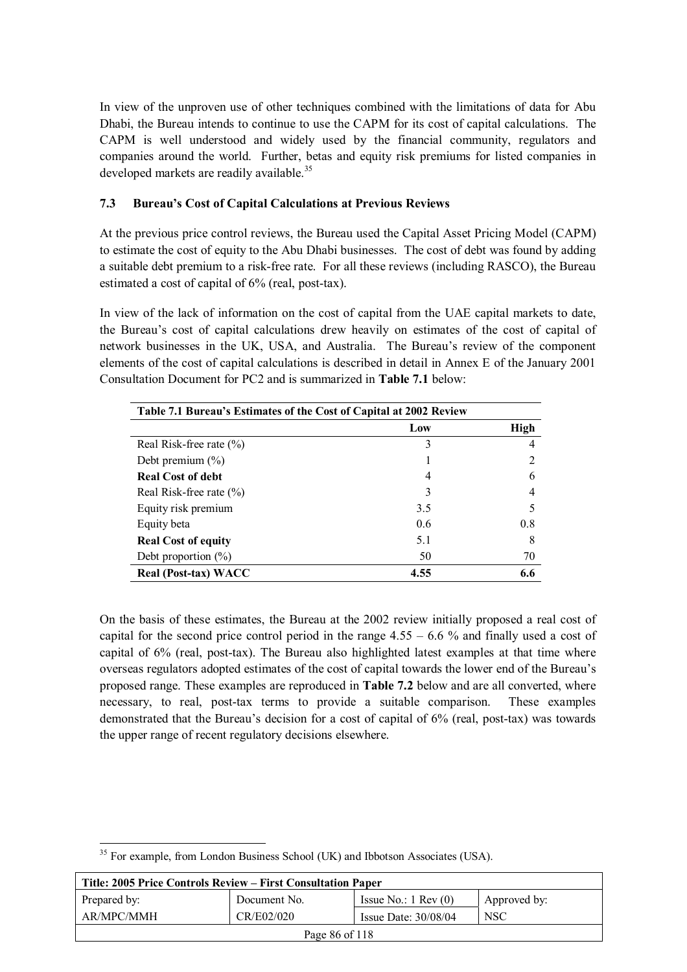In view of the unproven use of other techniques combined with the limitations of data for Abu Dhabi, the Bureau intends to continue to use the CAPM for its cost of capital calculations. The CAPM is well understood and widely used by the financial community, regulators and companies around the world. Further, betas and equity risk premiums for listed companies in developed markets are readily available.<sup>35</sup>

### **7.3 Bureau's Cost of Capital Calculations at Previous Reviews**

At the previous price control reviews, the Bureau used the Capital Asset Pricing Model (CAPM) to estimate the cost of equity to the Abu Dhabi businesses. The cost of debt was found by adding a suitable debt premium to a risk-free rate. For all these reviews (including RASCO), the Bureau estimated a cost of capital of 6% (real, post-tax).

In view of the lack of information on the cost of capital from the UAE capital markets to date, the Bureau's cost of capital calculations drew heavily on estimates of the cost of capital of network businesses in the UK, USA, and Australia. The Bureau's review of the component elements of the cost of capital calculations is described in detail in Annex E of the January 2001 Consultation Document for PC2 and is summarized in **Table 7.1** below:

| Table 7.1 Bureau's Estimates of the Cost of Capital at 2002 Review |      |             |
|--------------------------------------------------------------------|------|-------------|
|                                                                    | Low  | <b>High</b> |
| Real Risk-free rate $(\% )$                                        | 3    |             |
| Debt premium $(\% )$                                               |      |             |
| <b>Real Cost of debt</b>                                           | 4    | 6           |
| Real Risk-free rate $(\% )$                                        | 3    |             |
| Equity risk premium                                                | 3.5  |             |
| Equity beta                                                        | 0.6  | 0.8         |
| <b>Real Cost of equity</b>                                         | 5.1  | 8           |
| Debt proportion $(\%)$                                             | 50   | 70          |
| Real (Post-tax) WACC                                               | 4.55 | 6.6         |

On the basis of these estimates, the Bureau at the 2002 review initially proposed a real cost of capital for the second price control period in the range  $4.55 - 6.6$  % and finally used a cost of capital of 6% (real, post-tax). The Bureau also highlighted latest examples at that time where overseas regulators adopted estimates of the cost of capital towards the lower end of the Bureau's proposed range. These examples are reproduced in **Table 7.2** below and are all converted, where necessary, to real, post-tax terms to provide a suitable comparison. These examples demonstrated that the Bureau's decision for a cost of capital of 6% (real, post-tax) was towards the upper range of recent regulatory decisions elsewhere.

 $\overline{a}$  $35$  For example, from London Business School (UK) and Ibbotson Associates (USA).

| Title: 2005 Price Controls Review – First Consultation Paper |              |                               |              |
|--------------------------------------------------------------|--------------|-------------------------------|--------------|
| Prepared by:                                                 | Document No. | Issue No.: $1 \text{ Rev}(0)$ | Approved by: |
| AR/MPC/MMH                                                   | CR/E02/020   | Issue Date: $30/08/04$        | NSC          |
| Page 86 of 118                                               |              |                               |              |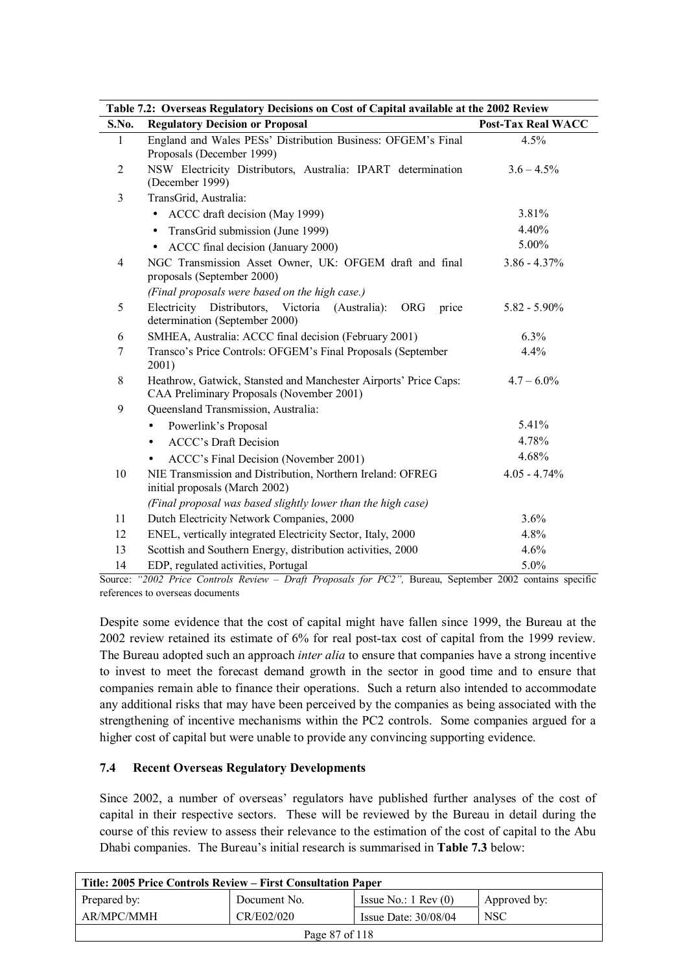| Table 7.2: Overseas Regulatory Decisions on Cost of Capital available at the 2002 Review |                                                                                                               |                           |  |
|------------------------------------------------------------------------------------------|---------------------------------------------------------------------------------------------------------------|---------------------------|--|
| S.No.                                                                                    | <b>Regulatory Decision or Proposal</b>                                                                        | <b>Post-Tax Real WACC</b> |  |
| $\mathbf{1}$                                                                             | England and Wales PESs' Distribution Business: OFGEM's Final<br>Proposals (December 1999)                     | 4.5%                      |  |
| 2                                                                                        | NSW Electricity Distributors, Australia: IPART determination<br>(December 1999)                               | $3.6 - 4.5\%$             |  |
| 3                                                                                        | TransGrid, Australia:                                                                                         |                           |  |
|                                                                                          | ACCC draft decision (May 1999)                                                                                | 3.81%                     |  |
|                                                                                          | TransGrid submission (June 1999)<br>$\bullet$                                                                 | 4.40%                     |  |
|                                                                                          | ACCC final decision (January 2000)<br>$\bullet$                                                               | 5.00%                     |  |
| 4                                                                                        | NGC Transmission Asset Owner, UK: OFGEM draft and final<br>proposals (September 2000)                         | $3.86 - 4.37\%$           |  |
|                                                                                          | (Final proposals were based on the high case.)                                                                |                           |  |
| 5                                                                                        | Electricity<br>Distributors, Victoria (Australia):<br><b>ORG</b><br>price<br>determination (September 2000)   | $5.82 - 5.90\%$           |  |
| 6                                                                                        | SMHEA, Australia: ACCC final decision (February 2001)                                                         | 6.3%                      |  |
| 7                                                                                        | Transco's Price Controls: OFGEM's Final Proposals (September<br>2001)                                         | 4.4%                      |  |
| 8                                                                                        | Heathrow, Gatwick, Stansted and Manchester Airports' Price Caps:<br>CAA Preliminary Proposals (November 2001) | $4.7 - 6.0\%$             |  |
| 9                                                                                        | Queensland Transmission, Australia:                                                                           |                           |  |
|                                                                                          | Powerlink's Proposal                                                                                          | 5.41%                     |  |
|                                                                                          | <b>ACCC's Draft Decision</b><br>$\bullet$                                                                     | 4.78%                     |  |
|                                                                                          | ACCC's Final Decision (November 2001)<br>٠                                                                    | 4.68%                     |  |
| 10                                                                                       | NIE Transmission and Distribution, Northern Ireland: OFREG<br>initial proposals (March 2002)                  | $4.05 - 4.74%$            |  |
|                                                                                          | (Final proposal was based slightly lower than the high case)                                                  |                           |  |
| 11                                                                                       | Dutch Electricity Network Companies, 2000                                                                     | 3.6%                      |  |
| 12                                                                                       | ENEL, vertically integrated Electricity Sector, Italy, 2000                                                   | 4.8%                      |  |
| 13                                                                                       | Scottish and Southern Energy, distribution activities, 2000                                                   | 4.6%                      |  |
| 14                                                                                       | EDP, regulated activities, Portugal                                                                           | 5.0%                      |  |

**Table 7.2: Overseas Regulatory Decisions on Cost of Capital available at the 2002 Review** 

Source: *"2002 Price Controls Review – Draft Proposals for PC2",* Bureau, September 2002 contains specific references to overseas documents

Despite some evidence that the cost of capital might have fallen since 1999, the Bureau at the 2002 review retained its estimate of 6% for real post-tax cost of capital from the 1999 review. The Bureau adopted such an approach *inter alia* to ensure that companies have a strong incentive to invest to meet the forecast demand growth in the sector in good time and to ensure that companies remain able to finance their operations. Such a return also intended to accommodate any additional risks that may have been perceived by the companies as being associated with the strengthening of incentive mechanisms within the PC2 controls. Some companies argued for a higher cost of capital but were unable to provide any convincing supporting evidence.

#### **7.4 Recent Overseas Regulatory Developments**

Since 2002, a number of overseas' regulators have published further analyses of the cost of capital in their respective sectors. These will be reviewed by the Bureau in detail during the course of this review to assess their relevance to the estimation of the cost of capital to the Abu Dhabi companies. The Bureau's initial research is summarised in **Table 7.3** below:

| Title: 2005 Price Controls Review – First Consultation Paper |              |                               |              |
|--------------------------------------------------------------|--------------|-------------------------------|--------------|
| Prepared by:                                                 | Document No. | Issue No.: $1 \text{ Rev}(0)$ | Approved by: |
| AR/MPC/MMH                                                   | CR/E02/020   | Issue Date: 30/08/04          | <b>NSC</b>   |
| Page 87 of 118                                               |              |                               |              |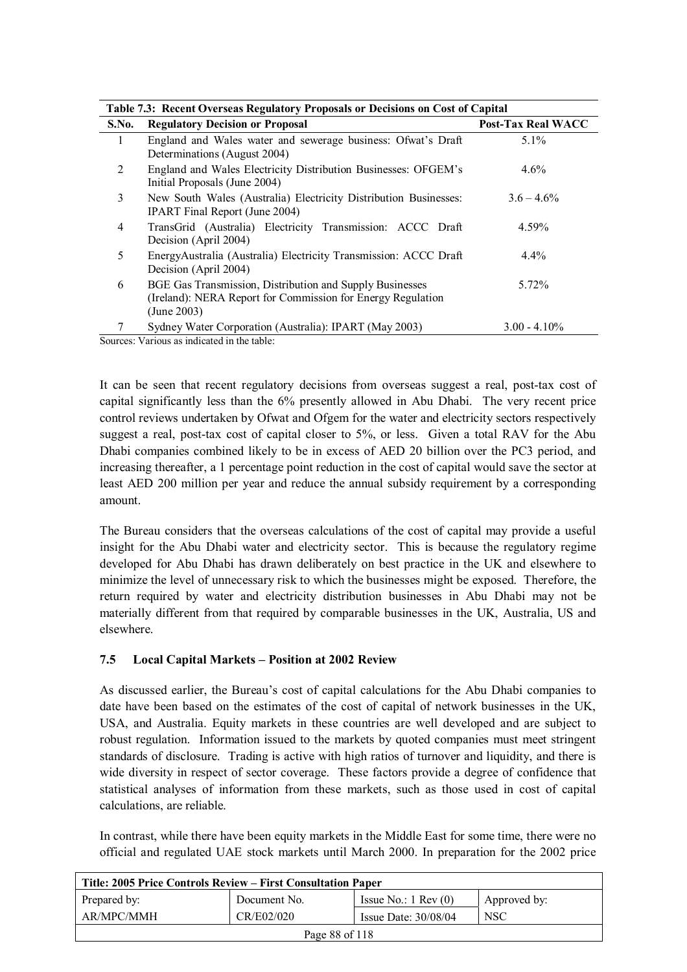| Table 7.3: Recent Overseas Regulatory Proposals or Decisions on Cost of Capital |                                                                                                                                        |                           |  |
|---------------------------------------------------------------------------------|----------------------------------------------------------------------------------------------------------------------------------------|---------------------------|--|
| S.No.                                                                           | <b>Regulatory Decision or Proposal</b>                                                                                                 | <b>Post-Tax Real WACC</b> |  |
| 1                                                                               | England and Wales water and sewerage business: Ofwat's Draft<br>Determinations (August 2004)                                           | $5.1\%$                   |  |
| 2                                                                               | England and Wales Electricity Distribution Businesses: OFGEM's<br>Initial Proposals (June 2004)                                        | $4.6\%$                   |  |
| 3                                                                               | New South Wales (Australia) Electricity Distribution Businesses:<br><b>IPART</b> Final Report (June 2004)                              | $3.6 - 4.6\%$             |  |
| 4                                                                               | TransGrid (Australia) Electricity Transmission: ACCC Draft<br>Decision (April 2004)                                                    | 4.59%                     |  |
| 5                                                                               | EnergyAustralia (Australia) Electricity Transmission: ACCC Draft<br>Decision (April 2004)                                              | $4.4\%$                   |  |
| 6                                                                               | BGE Gas Transmission, Distribution and Supply Businesses<br>(Ireland): NERA Report for Commission for Energy Regulation<br>(June 2003) | 5.72%                     |  |
|                                                                                 | Sydney Water Corporation (Australia): IPART (May 2003)                                                                                 | $3.00 - 4.10\%$           |  |
|                                                                                 | Sources: Various as indicated in the table:                                                                                            |                           |  |

It can be seen that recent regulatory decisions from overseas suggest a real, post-tax cost of capital significantly less than the 6% presently allowed in Abu Dhabi. The very recent price control reviews undertaken by Ofwat and Ofgem for the water and electricity sectors respectively suggest a real, post-tax cost of capital closer to 5%, or less. Given a total RAV for the Abu Dhabi companies combined likely to be in excess of AED 20 billion over the PC3 period, and increasing thereafter, a 1 percentage point reduction in the cost of capital would save the sector at least AED 200 million per year and reduce the annual subsidy requirement by a corresponding amount.

The Bureau considers that the overseas calculations of the cost of capital may provide a useful insight for the Abu Dhabi water and electricity sector. This is because the regulatory regime developed for Abu Dhabi has drawn deliberately on best practice in the UK and elsewhere to minimize the level of unnecessary risk to which the businesses might be exposed. Therefore, the return required by water and electricity distribution businesses in Abu Dhabi may not be materially different from that required by comparable businesses in the UK, Australia, US and elsewhere.

# **7.5 Local Capital Markets – Position at 2002 Review**

As discussed earlier, the Bureau's cost of capital calculations for the Abu Dhabi companies to date have been based on the estimates of the cost of capital of network businesses in the UK, USA, and Australia. Equity markets in these countries are well developed and are subject to robust regulation. Information issued to the markets by quoted companies must meet stringent standards of disclosure. Trading is active with high ratios of turnover and liquidity, and there is wide diversity in respect of sector coverage. These factors provide a degree of confidence that statistical analyses of information from these markets, such as those used in cost of capital calculations, are reliable.

In contrast, while there have been equity markets in the Middle East for some time, there were no official and regulated UAE stock markets until March 2000. In preparation for the 2002 price

| Title: 2005 Price Controls Review – First Consultation Paper |              |                               |              |
|--------------------------------------------------------------|--------------|-------------------------------|--------------|
| Prepared by:                                                 | Document No. | Issue No.: $1 \text{ Rev}(0)$ | Approved by: |
| AR/MPC/MMH                                                   | CR/E02/020   | Issue Date: $30/08/04$        | <b>NSC</b>   |
| Page 88 of 118                                               |              |                               |              |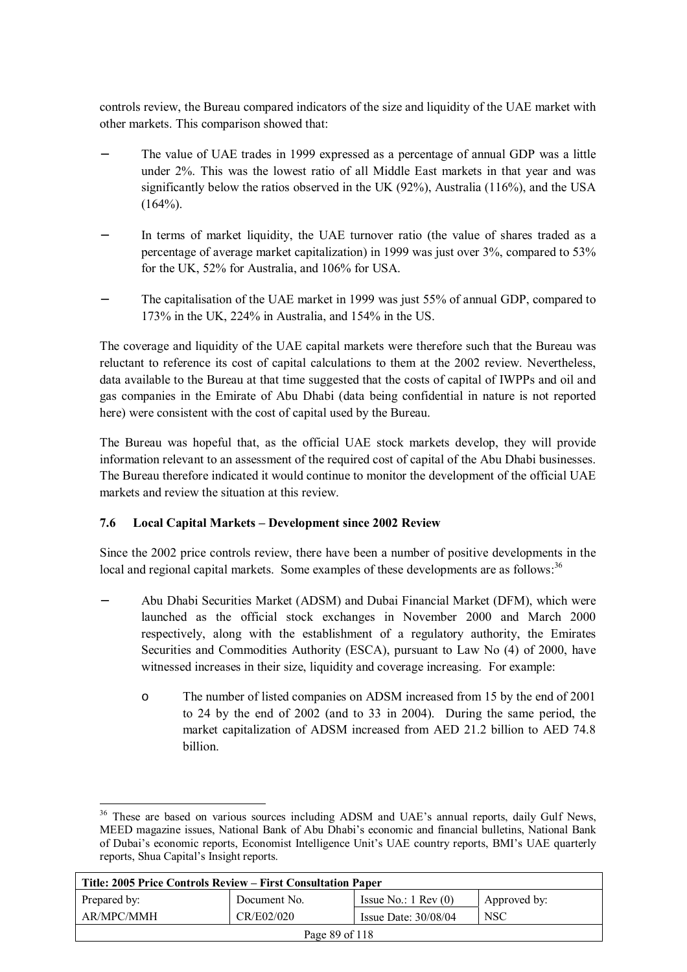controls review, the Bureau compared indicators of the size and liquidity of the UAE market with other markets. This comparison showed that:

- The value of UAE trades in 1999 expressed as a percentage of annual GDP was a little under 2%. This was the lowest ratio of all Middle East markets in that year and was significantly below the ratios observed in the UK (92%), Australia (116%), and the USA  $(164\%)$ .
- In terms of market liquidity, the UAE turnover ratio (the value of shares traded as a percentage of average market capitalization) in 1999 was just over 3%, compared to 53% for the UK, 52% for Australia, and 106% for USA.
- The capitalisation of the UAE market in 1999 was just 55% of annual GDP, compared to 173% in the UK, 224% in Australia, and 154% in the US.

The coverage and liquidity of the UAE capital markets were therefore such that the Bureau was reluctant to reference its cost of capital calculations to them at the 2002 review. Nevertheless, data available to the Bureau at that time suggested that the costs of capital of IWPPs and oil and gas companies in the Emirate of Abu Dhabi (data being confidential in nature is not reported here) were consistent with the cost of capital used by the Bureau.

The Bureau was hopeful that, as the official UAE stock markets develop, they will provide information relevant to an assessment of the required cost of capital of the Abu Dhabi businesses. The Bureau therefore indicated it would continue to monitor the development of the official UAE markets and review the situation at this review.

# **7.6 Local Capital Markets – Development since 2002 Review**

Since the 2002 price controls review, there have been a number of positive developments in the local and regional capital markets. Some examples of these developments are as follows:<sup>36</sup>

- − Abu Dhabi Securities Market (ADSM) and Dubai Financial Market (DFM), which were launched as the official stock exchanges in November 2000 and March 2000 respectively, along with the establishment of a regulatory authority, the Emirates Securities and Commodities Authority (ESCA), pursuant to Law No (4) of 2000, have witnessed increases in their size, liquidity and coverage increasing. For example:
	- o The number of listed companies on ADSM increased from 15 by the end of 2001 to 24 by the end of 2002 (and to 33 in 2004). During the same period, the market capitalization of ADSM increased from AED 21.2 billion to AED 74.8 billion.

 $\overline{a}$ <sup>36</sup> These are based on various sources including ADSM and UAE's annual reports, daily Gulf News, MEED magazine issues, National Bank of Abu Dhabi's economic and financial bulletins, National Bank of Dubai's economic reports, Economist Intelligence Unit's UAE country reports, BMI's UAE quarterly reports, Shua Capital's Insight reports.

| Title: 2005 Price Controls Review – First Consultation Paper |              |                               |              |  |
|--------------------------------------------------------------|--------------|-------------------------------|--------------|--|
| Prepared by:                                                 | Document No. | Issue No.: $1 \text{ Rev}(0)$ | Approved by: |  |
| AR/MPC/MMH                                                   | CR/E02/020   | Issue Date: $30/08/04$        | <b>NSC</b>   |  |
| Page 89 of 118                                               |              |                               |              |  |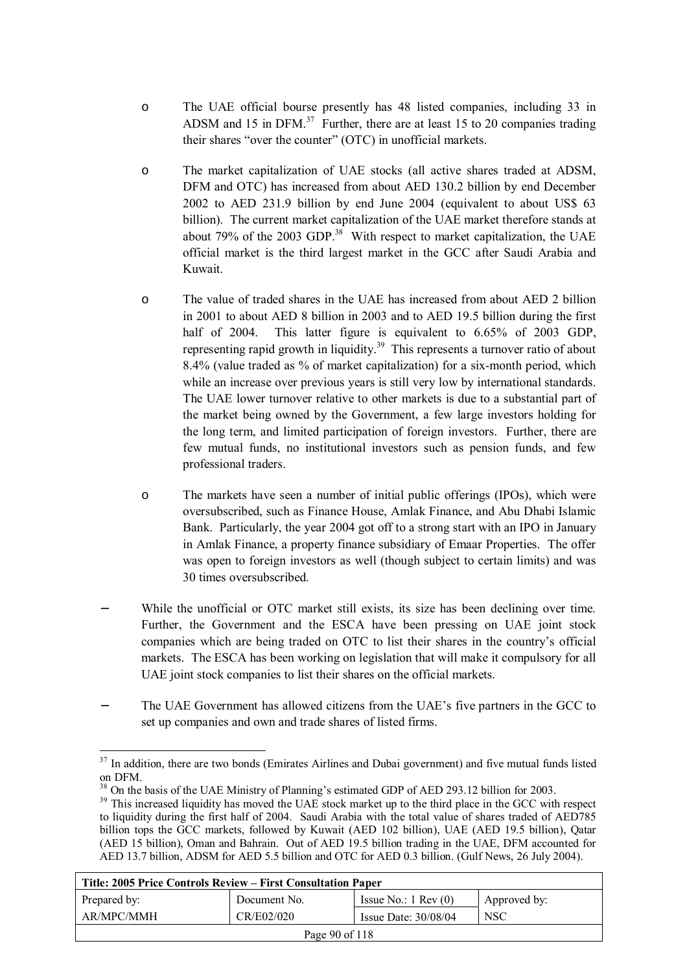- o The UAE official bourse presently has 48 listed companies, including 33 in ADSM and 15 in DFM.37 Further, there are at least 15 to 20 companies trading their shares "over the counter" (OTC) in unofficial markets.
- o The market capitalization of UAE stocks (all active shares traded at ADSM, DFM and OTC) has increased from about AED 130.2 billion by end December 2002 to AED 231.9 billion by end June 2004 (equivalent to about US\$ 63 billion). The current market capitalization of the UAE market therefore stands at about 79% of the 2003 GDP.<sup>38</sup> With respect to market capitalization, the UAE official market is the third largest market in the GCC after Saudi Arabia and Kuwait.
- o The value of traded shares in the UAE has increased from about AED 2 billion in 2001 to about AED 8 billion in 2003 and to AED 19.5 billion during the first half of 2004. This latter figure is equivalent to 6.65% of 2003 GDP, representing rapid growth in liquidity.<sup>39</sup> This represents a turnover ratio of about 8.4% (value traded as % of market capitalization) for a six-month period, which while an increase over previous years is still very low by international standards. The UAE lower turnover relative to other markets is due to a substantial part of the market being owned by the Government, a few large investors holding for the long term, and limited participation of foreign investors. Further, there are few mutual funds, no institutional investors such as pension funds, and few professional traders.
- o The markets have seen a number of initial public offerings (IPOs), which were oversubscribed, such as Finance House, Amlak Finance, and Abu Dhabi Islamic Bank. Particularly, the year 2004 got off to a strong start with an IPO in January in Amlak Finance, a property finance subsidiary of Emaar Properties. The offer was open to foreign investors as well (though subject to certain limits) and was 30 times oversubscribed.
- While the unofficial or OTC market still exists, its size has been declining over time. Further, the Government and the ESCA have been pressing on UAE joint stock companies which are being traded on OTC to list their shares in the country's official markets. The ESCA has been working on legislation that will make it compulsory for all UAE joint stock companies to list their shares on the official markets.
- The UAE Government has allowed citizens from the UAE's five partners in the GCC to set up companies and own and trade shares of listed firms.

 $\overline{a}$ 

<sup>&</sup>lt;sup>39</sup> This increased liquidity has moved the UAE stock market up to the third place in the GCC with respect to liquidity during the first half of 2004. Saudi Arabia with the total value of shares traded of AED785 billion tops the GCC markets, followed by Kuwait (AED 102 billion), UAE (AED 19.5 billion), Qatar (AED 15 billion), Oman and Bahrain. Out of AED 19.5 billion trading in the UAE, DFM accounted for AED 13.7 billion, ADSM for AED 5.5 billion and OTC for AED 0.3 billion. (Gulf News, 26 July 2004).

| Title: 2005 Price Controls Review – First Consultation Paper |              |                               |              |
|--------------------------------------------------------------|--------------|-------------------------------|--------------|
| Prepared by:                                                 | Document No. | Issue No.: $1 \text{ Rev}(0)$ | Approved by: |
| AR/MPC/MMH                                                   | CR/E02/020   | Issue Date: $30/08/04$        | <b>NSC</b>   |
| Page 90 of 118                                               |              |                               |              |

<sup>&</sup>lt;sup>37</sup> In addition, there are two bonds (Emirates Airlines and Dubai government) and five mutual funds listed on DFM.

<sup>&</sup>lt;sup>38</sup> On the basis of the UAE Ministry of Planning's estimated GDP of AED 293.12 billion for 2003.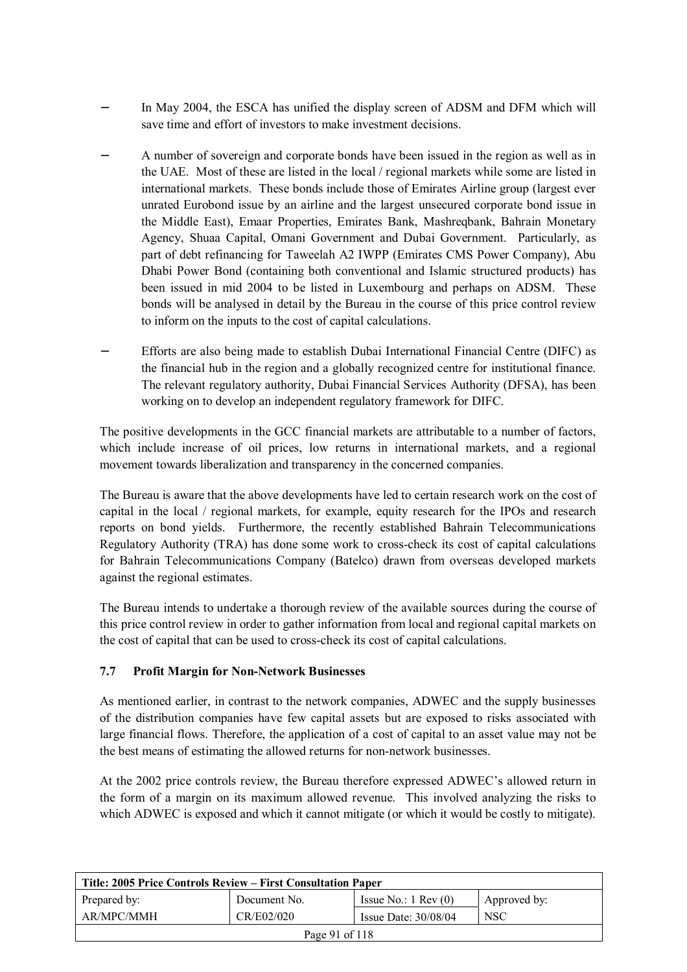- In May 2004, the ESCA has unified the display screen of ADSM and DFM which will save time and effort of investors to make investment decisions.
- A number of sovereign and corporate bonds have been issued in the region as well as in the UAE. Most of these are listed in the local / regional markets while some are listed in international markets. These bonds include those of Emirates Airline group (largest ever unrated Eurobond issue by an airline and the largest unsecured corporate bond issue in the Middle East), Emaar Properties, Emirates Bank, Mashreqbank, Bahrain Monetary Agency, Shuaa Capital, Omani Government and Dubai Government. Particularly, as part of debt refinancing for Taweelah A2 IWPP (Emirates CMS Power Company), Abu Dhabi Power Bond (containing both conventional and Islamic structured products) has been issued in mid 2004 to be listed in Luxembourg and perhaps on ADSM. These bonds will be analysed in detail by the Bureau in the course of this price control review to inform on the inputs to the cost of capital calculations.
- Efforts are also being made to establish Dubai International Financial Centre (DIFC) as the financial hub in the region and a globally recognized centre for institutional finance. The relevant regulatory authority, Dubai Financial Services Authority (DFSA), has been working on to develop an independent regulatory framework for DIFC.

The positive developments in the GCC financial markets are attributable to a number of factors, which include increase of oil prices, low returns in international markets, and a regional movement towards liberalization and transparency in the concerned companies.

The Bureau is aware that the above developments have led to certain research work on the cost of capital in the local / regional markets, for example, equity research for the IPOs and research reports on bond yields. Furthermore, the recently established Bahrain Telecommunications Regulatory Authority (TRA) has done some work to cross-check its cost of capital calculations for Bahrain Telecommunications Company (Batelco) drawn from overseas developed markets against the regional estimates.

The Bureau intends to undertake a thorough review of the available sources during the course of this price control review in order to gather information from local and regional capital markets on the cost of capital that can be used to cross-check its cost of capital calculations.

# **7.7 Profit Margin for Non-Network Businesses**

As mentioned earlier, in contrast to the network companies, ADWEC and the supply businesses of the distribution companies have few capital assets but are exposed to risks associated with large financial flows. Therefore, the application of a cost of capital to an asset value may not be the best means of estimating the allowed returns for non-network businesses.

At the 2002 price controls review, the Bureau therefore expressed ADWEC's allowed return in the form of a margin on its maximum allowed revenue. This involved analyzing the risks to which ADWEC is exposed and which it cannot mitigate (or which it would be costly to mitigate).

| Title: 2005 Price Controls Review – First Consultation Paper |              |                               |              |
|--------------------------------------------------------------|--------------|-------------------------------|--------------|
| Prepared by:                                                 | Document No. | Issue No.: $1 \text{ Rev}(0)$ | Approved by: |
| AR/MPC/MMH                                                   | CR/E02/020   | Issue Date: 30/08/04          | <b>NSC</b>   |
| Page 91 of 118                                               |              |                               |              |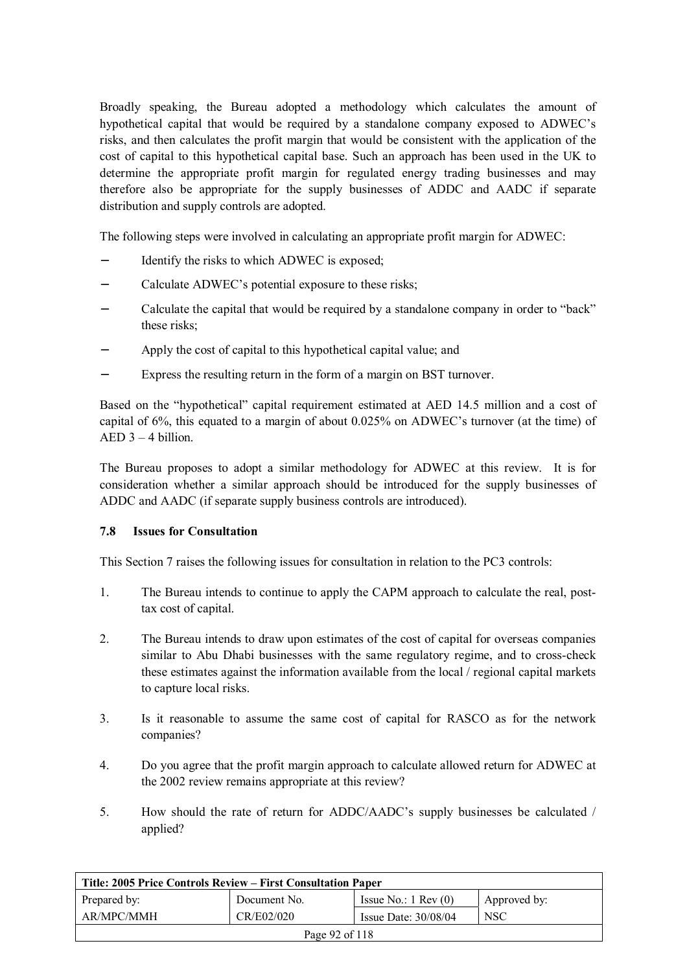Broadly speaking, the Bureau adopted a methodology which calculates the amount of hypothetical capital that would be required by a standalone company exposed to ADWEC's risks, and then calculates the profit margin that would be consistent with the application of the cost of capital to this hypothetical capital base. Such an approach has been used in the UK to determine the appropriate profit margin for regulated energy trading businesses and may therefore also be appropriate for the supply businesses of ADDC and AADC if separate distribution and supply controls are adopted.

The following steps were involved in calculating an appropriate profit margin for ADWEC:

- Identify the risks to which ADWEC is exposed;
- Calculate ADWEC's potential exposure to these risks;
- − Calculate the capital that would be required by a standalone company in order to "back" these risks;
- − Apply the cost of capital to this hypothetical capital value; and
- Express the resulting return in the form of a margin on BST turnover.

Based on the "hypothetical" capital requirement estimated at AED 14.5 million and a cost of capital of 6%, this equated to a margin of about 0.025% on ADWEC's turnover (at the time) of  $AED 3 - 4 billion$ 

The Bureau proposes to adopt a similar methodology for ADWEC at this review. It is for consideration whether a similar approach should be introduced for the supply businesses of ADDC and AADC (if separate supply business controls are introduced).

#### **7.8 Issues for Consultation**

This Section 7 raises the following issues for consultation in relation to the PC3 controls:

- 1. The Bureau intends to continue to apply the CAPM approach to calculate the real, posttax cost of capital.
- 2. The Bureau intends to draw upon estimates of the cost of capital for overseas companies similar to Abu Dhabi businesses with the same regulatory regime, and to cross-check these estimates against the information available from the local / regional capital markets to capture local risks.
- 3. Is it reasonable to assume the same cost of capital for RASCO as for the network companies?
- 4. Do you agree that the profit margin approach to calculate allowed return for ADWEC at the 2002 review remains appropriate at this review?
- 5. How should the rate of return for ADDC/AADC's supply businesses be calculated / applied?

| Title: 2005 Price Controls Review – First Consultation Paper |              |                               |              |  |
|--------------------------------------------------------------|--------------|-------------------------------|--------------|--|
| Prepared by:                                                 | Document No. | Issue No.: $1 \text{ Rev}(0)$ | Approved by: |  |
| AR/MPC/MMH                                                   | CR/E02/020   | Issue Date: $30/08/04$        | <b>NSC</b>   |  |
| Page 92 of 118                                               |              |                               |              |  |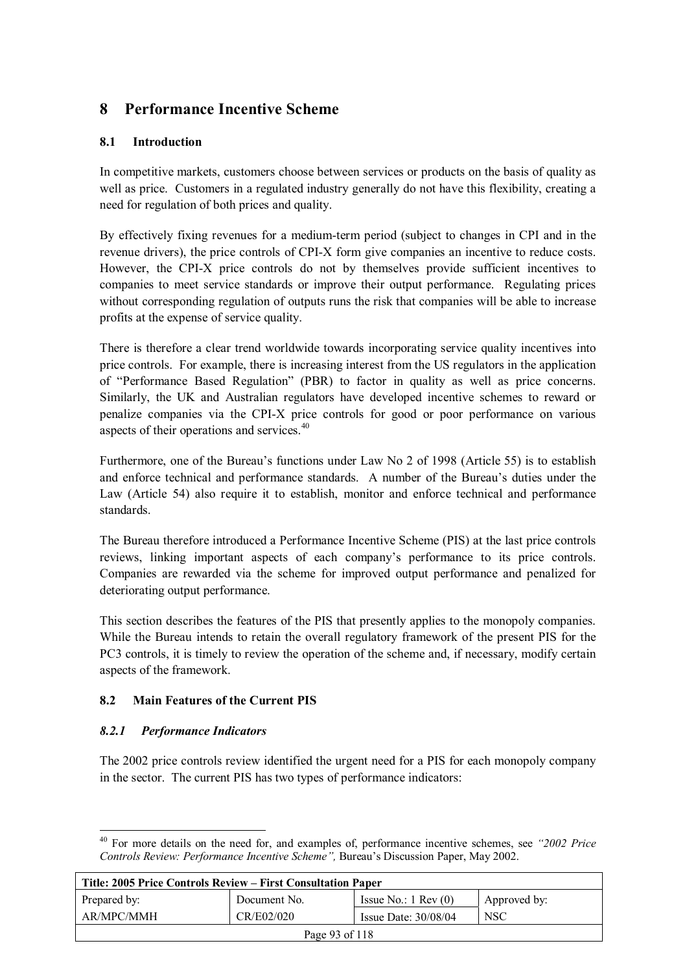# **8 Performance Incentive Scheme**

## **8.1 Introduction**

In competitive markets, customers choose between services or products on the basis of quality as well as price. Customers in a regulated industry generally do not have this flexibility, creating a need for regulation of both prices and quality.

By effectively fixing revenues for a medium-term period (subject to changes in CPI and in the revenue drivers), the price controls of CPI-X form give companies an incentive to reduce costs. However, the CPI-X price controls do not by themselves provide sufficient incentives to companies to meet service standards or improve their output performance. Regulating prices without corresponding regulation of outputs runs the risk that companies will be able to increase profits at the expense of service quality.

There is therefore a clear trend worldwide towards incorporating service quality incentives into price controls. For example, there is increasing interest from the US regulators in the application of "Performance Based Regulation" (PBR) to factor in quality as well as price concerns. Similarly, the UK and Australian regulators have developed incentive schemes to reward or penalize companies via the CPI-X price controls for good or poor performance on various aspects of their operations and services.<sup>40</sup>

Furthermore, one of the Bureau's functions under Law No 2 of 1998 (Article 55) is to establish and enforce technical and performance standards. A number of the Bureau's duties under the Law (Article 54) also require it to establish, monitor and enforce technical and performance standards.

The Bureau therefore introduced a Performance Incentive Scheme (PIS) at the last price controls reviews, linking important aspects of each company's performance to its price controls. Companies are rewarded via the scheme for improved output performance and penalized for deteriorating output performance.

This section describes the features of the PIS that presently applies to the monopoly companies. While the Bureau intends to retain the overall regulatory framework of the present PIS for the PC3 controls, it is timely to review the operation of the scheme and, if necessary, modify certain aspects of the framework.

# **8.2 Main Features of the Current PIS**

#### *8.2.1 Performance Indicators*

The 2002 price controls review identified the urgent need for a PIS for each monopoly company in the sector. The current PIS has two types of performance indicators:

 $\overline{a}$ 40 For more details on the need for, and examples of, performance incentive schemes, see *"2002 Price Controls Review: Performance Incentive Scheme",* Bureau's Discussion Paper, May 2002.

| Title: 2005 Price Controls Review – First Consultation Paper |              |                               |              |  |
|--------------------------------------------------------------|--------------|-------------------------------|--------------|--|
| Prepared by:                                                 | Document No. | Issue No.: $1 \text{ Rev}(0)$ | Approved by: |  |
| AR/MPC/MMH                                                   | CR/E02/020   | Issue Date: $30/08/04$        | <b>NSC</b>   |  |
| Page 93 of 118                                               |              |                               |              |  |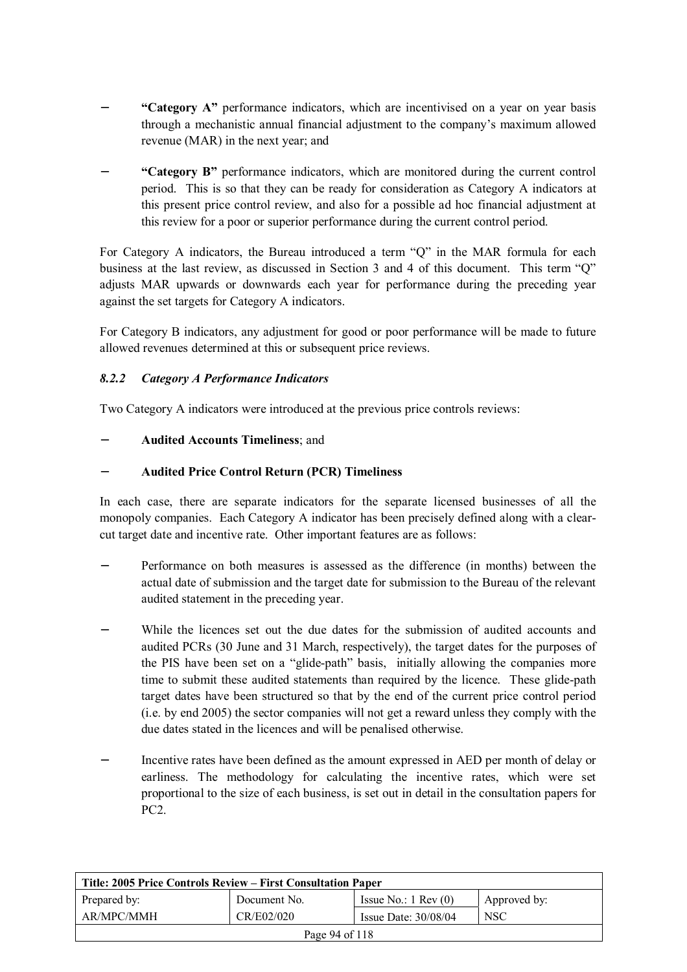- − **"Category A"** performance indicators, which are incentivised on a year on year basis through a mechanistic annual financial adjustment to the company's maximum allowed revenue (MAR) in the next year; and
- − **"Category B"** performance indicators, which are monitored during the current control period. This is so that they can be ready for consideration as Category A indicators at this present price control review, and also for a possible ad hoc financial adjustment at this review for a poor or superior performance during the current control period.

For Category A indicators, the Bureau introduced a term "Q" in the MAR formula for each business at the last review, as discussed in Section 3 and 4 of this document. This term "Q" adjusts MAR upwards or downwards each year for performance during the preceding year against the set targets for Category A indicators.

For Category B indicators, any adjustment for good or poor performance will be made to future allowed revenues determined at this or subsequent price reviews.

#### *8.2.2 Category A Performance Indicators*

Two Category A indicators were introduced at the previous price controls reviews:

#### − **Audited Accounts Timeliness**; and

#### − **Audited Price Control Return (PCR) Timeliness**

In each case, there are separate indicators for the separate licensed businesses of all the monopoly companies. Each Category A indicator has been precisely defined along with a clearcut target date and incentive rate. Other important features are as follows:

- Performance on both measures is assessed as the difference (in months) between the actual date of submission and the target date for submission to the Bureau of the relevant audited statement in the preceding year.
- While the licences set out the due dates for the submission of audited accounts and audited PCRs (30 June and 31 March, respectively), the target dates for the purposes of the PIS have been set on a "glide-path" basis, initially allowing the companies more time to submit these audited statements than required by the licence. These glide-path target dates have been structured so that by the end of the current price control period (i.e. by end 2005) the sector companies will not get a reward unless they comply with the due dates stated in the licences and will be penalised otherwise.
- Incentive rates have been defined as the amount expressed in AED per month of delay or earliness. The methodology for calculating the incentive rates, which were set proportional to the size of each business, is set out in detail in the consultation papers for PC2.

| Title: 2005 Price Controls Review – First Consultation Paper     |              |                               |              |  |
|------------------------------------------------------------------|--------------|-------------------------------|--------------|--|
| Prepared by:                                                     | Document No. | Issue No.: $1 \text{ Rev}(0)$ | Approved by: |  |
| AR/MPC/MMH<br>CR/E02/020<br><b>NSC</b><br>Issue Date: $30/08/04$ |              |                               |              |  |
| Page 94 of 118                                                   |              |                               |              |  |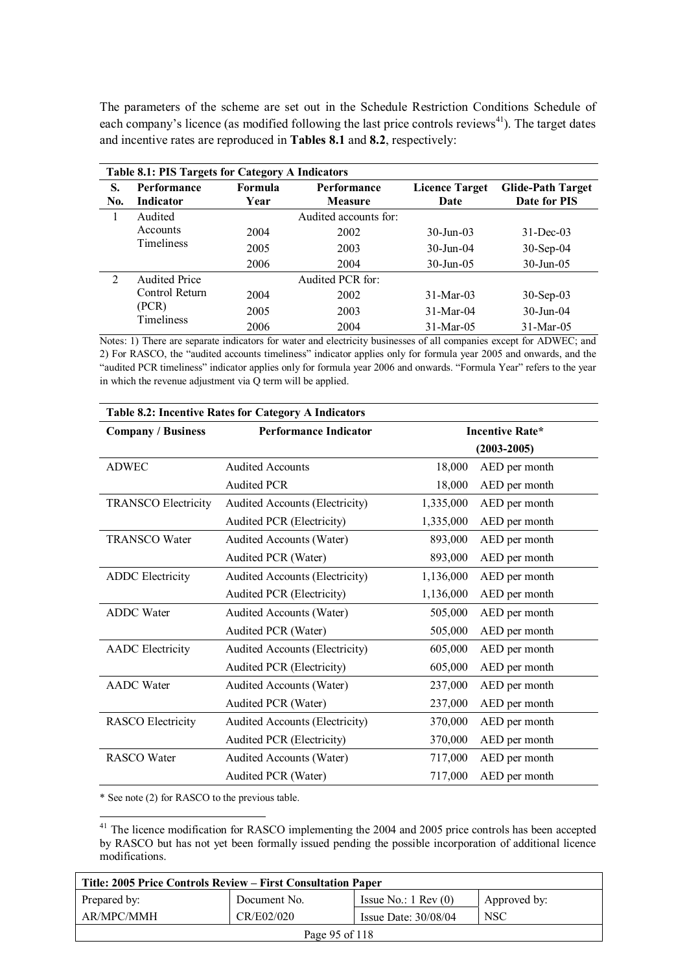The parameters of the scheme are set out in the Schedule Restriction Conditions Schedule of each company's licence (as modified following the last price controls reviews<sup>41</sup>). The target dates and incentive rates are reproduced in **Tables 8.1** and **8.2**, respectively:

|     | <b>Table 8.1: PIS Targets for Category A Indicators</b> |                |                       |                       |                          |  |
|-----|---------------------------------------------------------|----------------|-----------------------|-----------------------|--------------------------|--|
| S.  | <b>Performance</b>                                      | <b>Formula</b> | <b>Performance</b>    | <b>Licence Target</b> | <b>Glide-Path Target</b> |  |
| No. | <b>Indicator</b>                                        | Year           | <b>Measure</b>        | Date                  | Date for PIS             |  |
|     | Audited                                                 |                | Audited accounts for: |                       |                          |  |
|     | Accounts                                                | 2004           | 2002                  | $30 - Jun - 03$       | $31$ -Dec-03             |  |
|     | <b>Timeliness</b>                                       | 2005           | 2003                  | $30 - Jun - 04$       | $30-Sep-04$              |  |
|     |                                                         | 2006           | 2004                  | $30$ -Jun-05          | $30$ -Jun-05             |  |
| 2   | <b>Audited Price</b>                                    |                | Audited PCR for:      |                       |                          |  |
|     | Control Return                                          | 2004           | 2002                  | $31-Mar-03$           | $30-Sep-03$              |  |
|     | (PCR)                                                   | 2005           | 2003                  | $31-Mar-04$           | $30 - \text{Jun} - 04$   |  |
|     | Timeliness                                              | 2006           | 2004                  | 31-Mar-05             | $31-Mar-05$              |  |

Notes: 1) There are separate indicators for water and electricity businesses of all companies except for ADWEC; and 2) For RASCO, the "audited accounts timeliness" indicator applies only for formula year 2005 and onwards, and the "audited PCR timeliness" indicator applies only for formula year 2006 and onwards. "Formula Year" refers to the year in which the revenue adjustment via Q term will be applied.

| Table 8.2: Incentive Rates for Category A Indicators |                                |           |                        |  |
|------------------------------------------------------|--------------------------------|-----------|------------------------|--|
| <b>Company / Business</b>                            | <b>Performance Indicator</b>   |           | <b>Incentive Rate*</b> |  |
|                                                      |                                |           | $(2003 - 2005)$        |  |
| <b>ADWEC</b>                                         | <b>Audited Accounts</b>        | 18,000    | AED per month          |  |
|                                                      | <b>Audited PCR</b>             | 18,000    | AED per month          |  |
| <b>TRANSCO Electricity</b>                           | Audited Accounts (Electricity) | 1,335,000 | AED per month          |  |
|                                                      | Audited PCR (Electricity)      | 1,335,000 | AED per month          |  |
| <b>TRANSCO Water</b>                                 | Audited Accounts (Water)       | 893,000   | AED per month          |  |
|                                                      | Audited PCR (Water)            | 893,000   | AED per month          |  |
| <b>ADDC</b> Electricity                              | Audited Accounts (Electricity) | 1,136,000 | AED per month          |  |
|                                                      | Audited PCR (Electricity)      | 1,136,000 | AED per month          |  |
| <b>ADDC</b> Water                                    | Audited Accounts (Water)       | 505,000   | AED per month          |  |
|                                                      | Audited PCR (Water)            | 505,000   | AED per month          |  |
| <b>AADC</b> Electricity                              | Audited Accounts (Electricity) | 605,000   | AED per month          |  |
|                                                      | Audited PCR (Electricity)      | 605,000   | AED per month          |  |
| <b>AADC</b> Water                                    | Audited Accounts (Water)       | 237,000   | AED per month          |  |
|                                                      | Audited PCR (Water)            | 237,000   | AED per month          |  |
| <b>RASCO</b> Electricity                             | Audited Accounts (Electricity) | 370,000   | AED per month          |  |
|                                                      | Audited PCR (Electricity)      | 370,000   | AED per month          |  |
| <b>RASCO</b> Water                                   | Audited Accounts (Water)       | 717,000   | AED per month          |  |
|                                                      | Audited PCR (Water)            | 717,000   | AED per month          |  |

\* See note (2) for RASCO to the previous table.

 $\overline{a}$ 

<sup>41</sup> The licence modification for RASCO implementing the 2004 and 2005 price controls has been accepted by RASCO but has not yet been formally issued pending the possible incorporation of additional licence modifications.

| Title: 2005 Price Controls Review – First Consultation Paper     |              |                               |              |  |
|------------------------------------------------------------------|--------------|-------------------------------|--------------|--|
| Prepared by:                                                     | Document No. | Issue No.: $1 \text{ Rev}(0)$ | Approved by: |  |
| AR/MPC/MMH<br>CR/E02/020<br><b>NSC</b><br>Issue Date: $30/08/04$ |              |                               |              |  |
| Page 95 of 118                                                   |              |                               |              |  |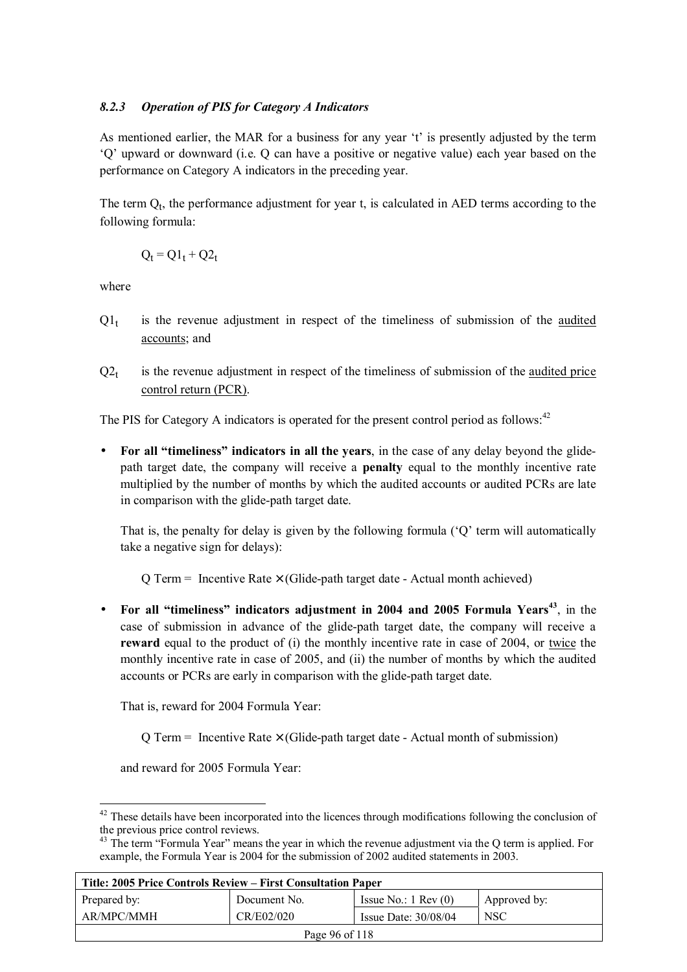#### *8.2.3 Operation of PIS for Category A Indicators*

As mentioned earlier, the MAR for a business for any year 't' is presently adjusted by the term 'Q' upward or downward (i.e. Q can have a positive or negative value) each year based on the performance on Category A indicators in the preceding year.

The term  $Q_t$ , the performance adjustment for year t, is calculated in AED terms according to the following formula:

$$
Q_t = Q1_t + Q2_t
$$

where

- $Q_1$  is the revenue adjustment in respect of the timeliness of submission of the audited accounts; and
- $Q2_t$  is the revenue adjustment in respect of the timeliness of submission of the audited price control return (PCR).

The PIS for Category A indicators is operated for the present control period as follows:<sup>42</sup>

• **For all "timeliness" indicators in all the years**, in the case of any delay beyond the glidepath target date, the company will receive a **penalty** equal to the monthly incentive rate multiplied by the number of months by which the audited accounts or audited PCRs are late in comparison with the glide-path target date.

That is, the penalty for delay is given by the following formula ('Q' term will automatically take a negative sign for delays):

 $Q$  Term = Incentive Rate  $\times$  (Glide-path target date - Actual month achieved)

• **For all "timeliness" indicators adjustment in 2004 and 2005 Formula Years<sup>43</sup>**, in the case of submission in advance of the glide-path target date, the company will receive a **reward** equal to the product of (i) the monthly incentive rate in case of 2004, or twice the monthly incentive rate in case of 2005, and (ii) the number of months by which the audited accounts or PCRs are early in comparison with the glide-path target date.

That is, reward for 2004 Formula Year:

 $Q$  Term = Incentive Rate  $\times$  (Glide-path target date - Actual month of submission)

and reward for 2005 Formula Year:

 $\overline{a}$ 

<sup>&</sup>lt;sup>43</sup> The term "Formula Year" means the year in which the revenue adjustment via the Q term is applied. For example, the Formula Year is 2004 for the submission of 2002 audited statements in 2003.

| Title: 2005 Price Controls Review – First Consultation Paper     |              |                               |              |  |
|------------------------------------------------------------------|--------------|-------------------------------|--------------|--|
| Prepared by:                                                     | Document No. | Issue No.: $1 \text{ Rev}(0)$ | Approved by: |  |
| AR/MPC/MMH<br>CR/E02/020<br><b>NSC</b><br>Issue Date: $30/08/04$ |              |                               |              |  |
| Page 96 of 118                                                   |              |                               |              |  |

 $42$  These details have been incorporated into the licences through modifications following the conclusion of the previous price control reviews.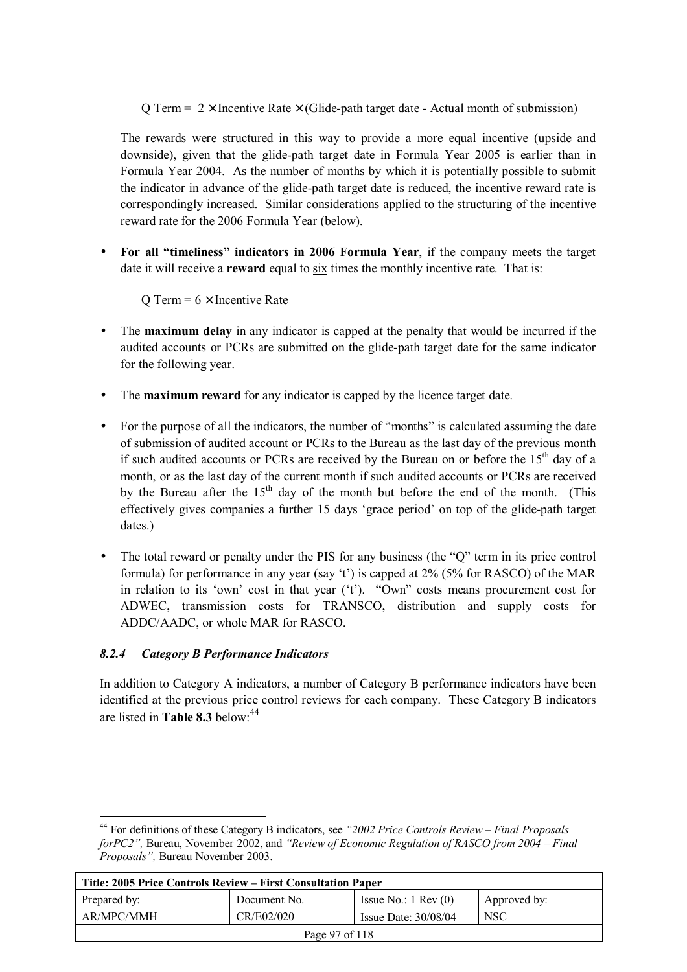Q Term =  $2 \times$  Incentive Rate  $\times$  (Glide-path target date - Actual month of submission)

The rewards were structured in this way to provide a more equal incentive (upside and downside), given that the glide-path target date in Formula Year 2005 is earlier than in Formula Year 2004. As the number of months by which it is potentially possible to submit the indicator in advance of the glide-path target date is reduced, the incentive reward rate is correspondingly increased. Similar considerations applied to the structuring of the incentive reward rate for the 2006 Formula Year (below).

• **For all "timeliness" indicators in 2006 Formula Year**, if the company meets the target date it will receive a **reward** equal to six times the monthly incentive rate. That is:

O Term =  $6 \times$  Incentive Rate

- The **maximum delay** in any indicator is capped at the penalty that would be incurred if the audited accounts or PCRs are submitted on the glide-path target date for the same indicator for the following year.
- The **maximum reward** for any indicator is capped by the licence target date.
- For the purpose of all the indicators, the number of "months" is calculated assuming the date of submission of audited account or PCRs to the Bureau as the last day of the previous month if such audited accounts or PCRs are received by the Bureau on or before the  $15<sup>th</sup>$  day of a month, or as the last day of the current month if such audited accounts or PCRs are received by the Bureau after the  $15<sup>th</sup>$  day of the month but before the end of the month. (This effectively gives companies a further 15 days 'grace period' on top of the glide-path target dates.)
- The total reward or penalty under the PIS for any business (the "Q" term in its price control formula) for performance in any year (say 't') is capped at 2% (5% for RASCO) of the MAR in relation to its 'own' cost in that year ('t'). "Own" costs means procurement cost for ADWEC, transmission costs for TRANSCO, distribution and supply costs for ADDC/AADC, or whole MAR for RASCO.

# *8.2.4 Category B Performance Indicators*

In addition to Category A indicators, a number of Category B performance indicators have been identified at the previous price control reviews for each company. These Category B indicators are listed in **Table 8.3** below<sup>44</sup>

 $\overline{a}$ 44 For definitions of these Category B indicators, see *"2002 Price Controls Review – Final Proposals forPC2",* Bureau, November 2002, and *"Review of Economic Regulation of RASCO from 2004 – Final Proposals",* Bureau November 2003.

| Title: 2005 Price Controls Review – First Consultation Paper     |              |                               |              |  |
|------------------------------------------------------------------|--------------|-------------------------------|--------------|--|
| Prepared by:                                                     | Document No. | Issue No.: $1 \text{ Rev}(0)$ | Approved by: |  |
| AR/MPC/MMH<br>CR/E02/020<br><b>NSC</b><br>Issue Date: $30/08/04$ |              |                               |              |  |
| Page 97 of 118                                                   |              |                               |              |  |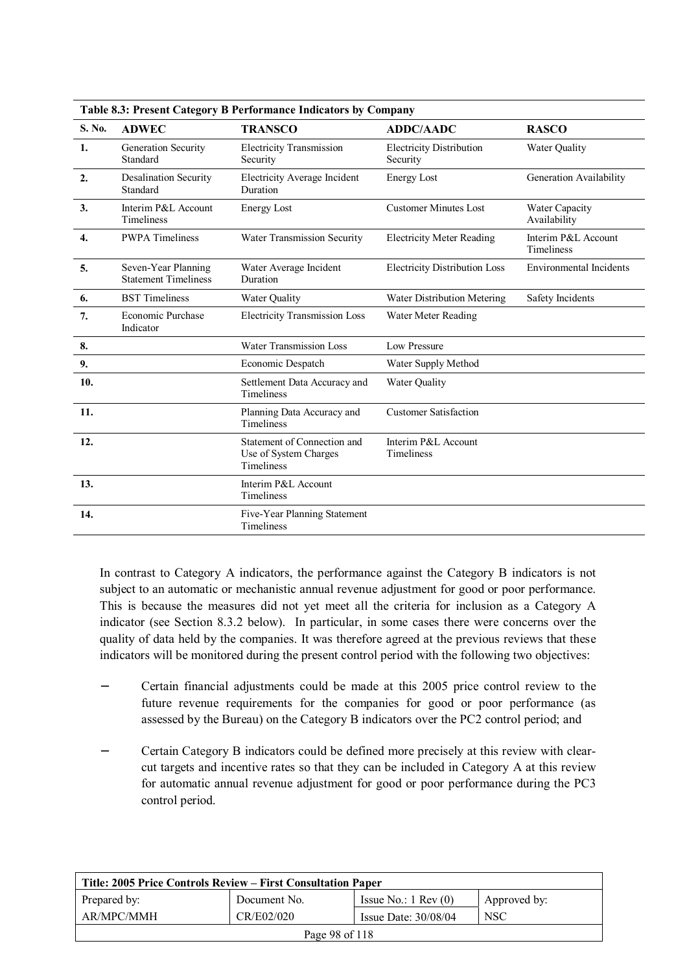| S. No.           | <b>ADWEC</b>                                       | <b>TRANSCO</b>                                                            | <b>ADDC/AADC</b>                            | <b>RASCO</b>                             |
|------------------|----------------------------------------------------|---------------------------------------------------------------------------|---------------------------------------------|------------------------------------------|
| 1.               | Generation Security<br>Standard                    | <b>Electricity Transmission</b><br>Security                               | <b>Electricity Distribution</b><br>Security | Water Quality                            |
| $\overline{2}$ . | <b>Desalination Security</b><br>Standard           | <b>Electricity Average Incident</b><br>Duration                           | <b>Energy Lost</b>                          | Generation Availability                  |
| 3.               | Interim P&L Account<br><b>Timeliness</b>           | <b>Energy Lost</b>                                                        | <b>Customer Minutes Lost</b>                | Water Capacity<br>Availability           |
| $\overline{4}$ . | <b>PWPA</b> Timeliness                             | Water Transmission Security                                               | <b>Electricity Meter Reading</b>            | Interim P&L Account<br><b>Timeliness</b> |
| 5.               | Seven-Year Planning<br><b>Statement Timeliness</b> | Water Average Incident<br>Duration                                        | <b>Electricity Distribution Loss</b>        | <b>Environmental Incidents</b>           |
| 6.               | <b>BST</b> Timeliness                              | Water Quality                                                             | Water Distribution Metering                 | Safety Incidents                         |
| 7.               | Economic Purchase<br>Indicator                     | <b>Electricity Transmission Loss</b>                                      | Water Meter Reading                         |                                          |
| 8.               |                                                    | <b>Water Transmission Loss</b>                                            | Low Pressure                                |                                          |
| 9.               |                                                    | Economic Despatch                                                         | Water Supply Method                         |                                          |
| 10.              |                                                    | Settlement Data Accuracy and<br>Timeliness                                | Water Quality                               |                                          |
| 11.              |                                                    | Planning Data Accuracy and<br><b>Timeliness</b>                           | <b>Customer Satisfaction</b>                |                                          |
| 12.              |                                                    | Statement of Connection and<br>Use of System Charges<br><b>Timeliness</b> | Interim P&L Account<br>Timeliness           |                                          |
| 13.              |                                                    | Interim P&L Account<br>Timeliness                                         |                                             |                                          |
| 14.              |                                                    | Five-Year Planning Statement<br>Timeliness                                |                                             |                                          |

**Table 8.3: Present Category B Performance Indicators by Company** 

In contrast to Category A indicators, the performance against the Category B indicators is not subject to an automatic or mechanistic annual revenue adjustment for good or poor performance. This is because the measures did not yet meet all the criteria for inclusion as a Category A indicator (see Section 8.3.2 below). In particular, in some cases there were concerns over the quality of data held by the companies. It was therefore agreed at the previous reviews that these indicators will be monitored during the present control period with the following two objectives:

- − Certain financial adjustments could be made at this 2005 price control review to the future revenue requirements for the companies for good or poor performance (as assessed by the Bureau) on the Category B indicators over the PC2 control period; and
- − Certain Category B indicators could be defined more precisely at this review with clearcut targets and incentive rates so that they can be included in Category A at this review for automatic annual revenue adjustment for good or poor performance during the PC3 control period.

| Title: 2005 Price Controls Review – First Consultation Paper     |              |                               |              |  |
|------------------------------------------------------------------|--------------|-------------------------------|--------------|--|
| Prepared by:                                                     | Document No. | Issue No.: $1 \text{ Rev}(0)$ | Approved by: |  |
| AR/MPC/MMH<br>CR/E02/020<br><b>NSC</b><br>Issue Date: $30/08/04$ |              |                               |              |  |
| Page 98 of 118                                                   |              |                               |              |  |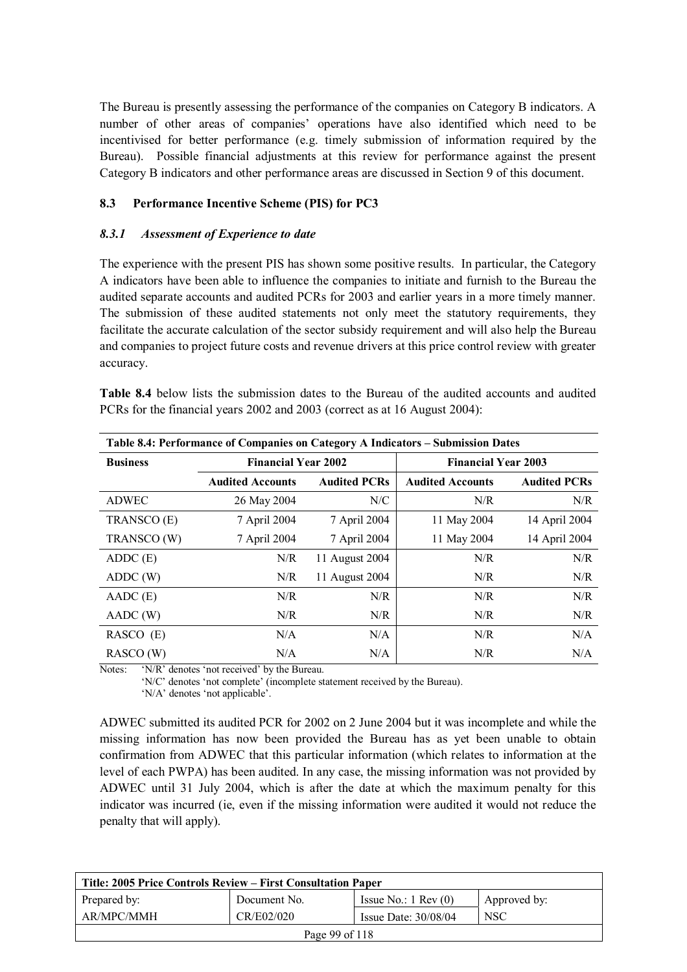The Bureau is presently assessing the performance of the companies on Category B indicators. A number of other areas of companies' operations have also identified which need to be incentivised for better performance (e.g. timely submission of information required by the Bureau). Possible financial adjustments at this review for performance against the present Category B indicators and other performance areas are discussed in Section 9 of this document.

#### **8.3 Performance Incentive Scheme (PIS) for PC3**

#### *8.3.1 Assessment of Experience to date*

The experience with the present PIS has shown some positive results. In particular, the Category A indicators have been able to influence the companies to initiate and furnish to the Bureau the audited separate accounts and audited PCRs for 2003 and earlier years in a more timely manner. The submission of these audited statements not only meet the statutory requirements, they facilitate the accurate calculation of the sector subsidy requirement and will also help the Bureau and companies to project future costs and revenue drivers at this price control review with greater accuracy.

**Table 8.4** below lists the submission dates to the Bureau of the audited accounts and audited PCRs for the financial years 2002 and 2003 (correct as at 16 August 2004):

| Table 8.4: Performance of Companies on Category A Indicators – Submission Dates |                            |                     |                            |                     |  |
|---------------------------------------------------------------------------------|----------------------------|---------------------|----------------------------|---------------------|--|
| <b>Business</b>                                                                 | <b>Financial Year 2002</b> |                     | <b>Financial Year 2003</b> |                     |  |
|                                                                                 | <b>Audited Accounts</b>    | <b>Audited PCRs</b> | <b>Audited Accounts</b>    | <b>Audited PCRs</b> |  |
| <b>ADWEC</b>                                                                    | 26 May 2004                | N/C                 | N/R                        | N/R                 |  |
| TRANSCO (E)                                                                     | 7 April 2004               | 7 April 2004        | 11 May 2004                | 14 April 2004       |  |
| TRANSCO (W)                                                                     | 7 April 2004               | 7 April 2004        | 11 May 2004                | 14 April 2004       |  |
| ADDC(E)                                                                         | N/R                        | 11 August 2004      | N/R                        | N/R                 |  |
| ADDC(W)                                                                         | N/R                        | 11 August 2004      | N/R                        | N/R                 |  |
| $AADC$ $(E)$                                                                    | N/R                        | N/R                 | N/R                        | N/R                 |  |
| AADC (W)                                                                        | N/R                        | N/R                 | N/R                        | N/R                 |  |
| RASCO (E)                                                                       | N/A                        | N/A                 | N/R                        | N/A                 |  |
| RASCO (W)                                                                       | N/A                        | N/A                 | N/R                        | N/A                 |  |

Notes: 'N/R' denotes 'not received' by the Bureau.

'N/C' denotes 'not complete' (incomplete statement received by the Bureau).

'N/A' denotes 'not applicable'.

ADWEC submitted its audited PCR for 2002 on 2 June 2004 but it was incomplete and while the missing information has now been provided the Bureau has as yet been unable to obtain confirmation from ADWEC that this particular information (which relates to information at the level of each PWPA) has been audited. In any case, the missing information was not provided by ADWEC until 31 July 2004, which is after the date at which the maximum penalty for this indicator was incurred (ie, even if the missing information were audited it would not reduce the penalty that will apply).

| Title: 2005 Price Controls Review – First Consultation Paper |              |                               |              |  |
|--------------------------------------------------------------|--------------|-------------------------------|--------------|--|
| Prepared by:                                                 | Document No. | Issue No.: $1 \text{ Rev}(0)$ | Approved by: |  |
| AR/MPC/MMH                                                   | CR/E02/020   | Issue Date: $30/08/04$        | <b>NSC</b>   |  |
| Page 99 of 118                                               |              |                               |              |  |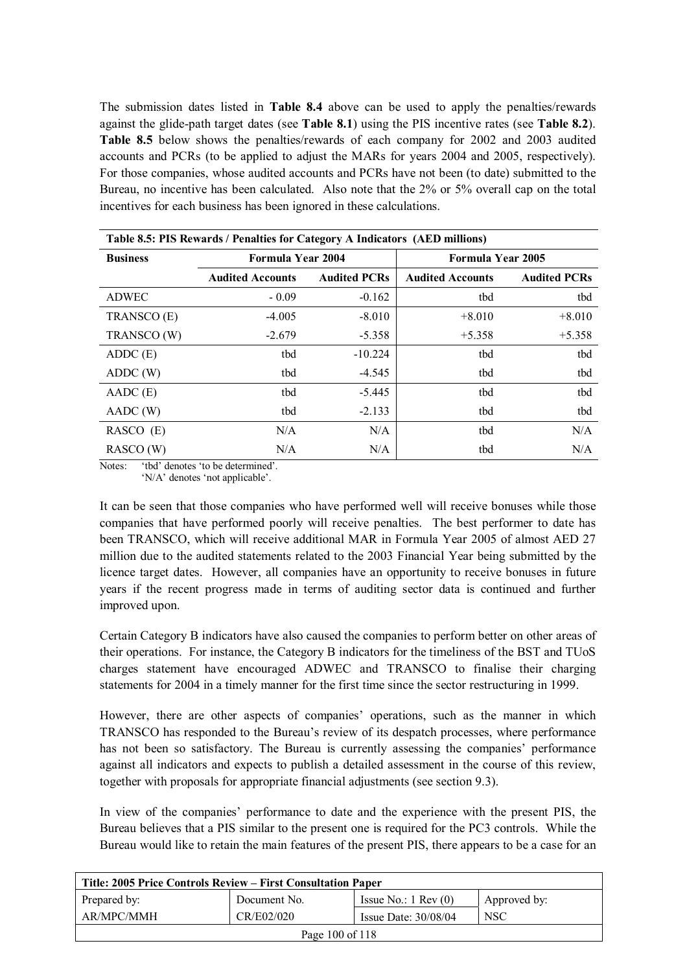The submission dates listed in **Table 8.4** above can be used to apply the penalties/rewards against the glide-path target dates (see **Table 8.1**) using the PIS incentive rates (see **Table 8.2**). **Table 8.5** below shows the penalties/rewards of each company for 2002 and 2003 audited accounts and PCRs (to be applied to adjust the MARs for years 2004 and 2005, respectively). For those companies, whose audited accounts and PCRs have not been (to date) submitted to the Bureau, no incentive has been calculated. Also note that the 2% or 5% overall cap on the total incentives for each business has been ignored in these calculations.

| Table 8.5: PIS Rewards / Penalties for Category A Indicators (AED millions) |                          |                     |                          |                     |  |
|-----------------------------------------------------------------------------|--------------------------|---------------------|--------------------------|---------------------|--|
| <b>Business</b>                                                             | <b>Formula Year 2004</b> |                     | <b>Formula Year 2005</b> |                     |  |
|                                                                             | <b>Audited Accounts</b>  | <b>Audited PCRs</b> | <b>Audited Accounts</b>  | <b>Audited PCRs</b> |  |
| <b>ADWEC</b>                                                                | $-0.09$                  | $-0.162$            | tbd                      | tbd                 |  |
| TRANSCO (E)                                                                 | $-4.005$                 | $-8.010$            | $+8.010$                 | $+8.010$            |  |
| TRANSCO (W)                                                                 | $-2.679$                 | $-5.358$            | $+5.358$                 | $+5.358$            |  |
| ADDC(E)                                                                     | tbd                      | $-10.224$           | tbd                      | tbd                 |  |
| ADDC (W)                                                                    | tbd                      | $-4.545$            | tbd                      | tbd                 |  |
| $AADC$ (E)                                                                  | tbd                      | $-5.445$            | tbd                      | tbd                 |  |
| AADC (W)                                                                    | tbd                      | $-2.133$            | tbd                      | tbd                 |  |
| $RASCO$ (E)                                                                 | N/A                      | N/A                 | tbd                      | N/A                 |  |
| RASCO (W)                                                                   | N/A                      | N/A                 | tbd                      | N/A                 |  |

Notes: 'tbd' denotes 'to be determined'. 'N/A' denotes 'not applicable'.

It can be seen that those companies who have performed well will receive bonuses while those companies that have performed poorly will receive penalties. The best performer to date has been TRANSCO, which will receive additional MAR in Formula Year 2005 of almost AED 27 million due to the audited statements related to the 2003 Financial Year being submitted by the licence target dates. However, all companies have an opportunity to receive bonuses in future years if the recent progress made in terms of auditing sector data is continued and further improved upon.

Certain Category B indicators have also caused the companies to perform better on other areas of their operations. For instance, the Category B indicators for the timeliness of the BST and TUoS charges statement have encouraged ADWEC and TRANSCO to finalise their charging statements for 2004 in a timely manner for the first time since the sector restructuring in 1999.

However, there are other aspects of companies' operations, such as the manner in which TRANSCO has responded to the Bureau's review of its despatch processes, where performance has not been so satisfactory. The Bureau is currently assessing the companies' performance against all indicators and expects to publish a detailed assessment in the course of this review, together with proposals for appropriate financial adjustments (see section 9.3).

In view of the companies' performance to date and the experience with the present PIS, the Bureau believes that a PIS similar to the present one is required for the PC3 controls. While the Bureau would like to retain the main features of the present PIS, there appears to be a case for an

| Title: 2005 Price Controls Review – First Consultation Paper     |              |                               |              |  |
|------------------------------------------------------------------|--------------|-------------------------------|--------------|--|
| Prepared by:                                                     | Document No. | Issue No.: $1 \text{ Rev}(0)$ | Approved by: |  |
| AR/MPC/MMH<br>CR/E02/020<br><b>NSC</b><br>Issue Date: $30/08/04$ |              |                               |              |  |
| Page 100 of 118                                                  |              |                               |              |  |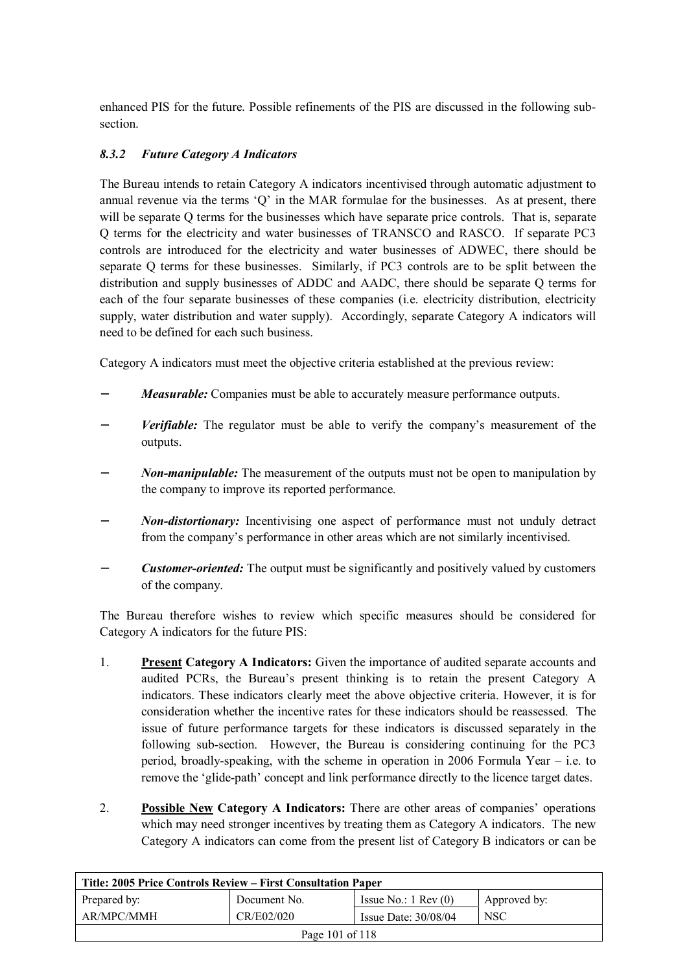enhanced PIS for the future. Possible refinements of the PIS are discussed in the following subsection.

## *8.3.2 Future Category A Indicators*

The Bureau intends to retain Category A indicators incentivised through automatic adjustment to annual revenue via the terms 'Q' in the MAR formulae for the businesses. As at present, there will be separate O terms for the businesses which have separate price controls. That is, separate Q terms for the electricity and water businesses of TRANSCO and RASCO. If separate PC3 controls are introduced for the electricity and water businesses of ADWEC, there should be separate Q terms for these businesses. Similarly, if PC3 controls are to be split between the distribution and supply businesses of ADDC and AADC, there should be separate Q terms for each of the four separate businesses of these companies (i.e. electricity distribution, electricity supply, water distribution and water supply). Accordingly, separate Category A indicators will need to be defined for each such business.

Category A indicators must meet the objective criteria established at the previous review:

- *Measurable:* Companies must be able to accurately measure performance outputs.
- *Verifiable:* The regulator must be able to verify the company's measurement of the outputs.
- *Non-manipulable:* The measurement of the outputs must not be open to manipulation by the company to improve its reported performance.
- *Non-distortionary:* Incentivising one aspect of performance must not unduly detract from the company's performance in other areas which are not similarly incentivised.
- *Customer-oriented:* The output must be significantly and positively valued by customers of the company.

The Bureau therefore wishes to review which specific measures should be considered for Category A indicators for the future PIS:

- 1. **Present Category A Indicators:** Given the importance of audited separate accounts and audited PCRs, the Bureau's present thinking is to retain the present Category A indicators. These indicators clearly meet the above objective criteria. However, it is for consideration whether the incentive rates for these indicators should be reassessed. The issue of future performance targets for these indicators is discussed separately in the following sub-section. However, the Bureau is considering continuing for the PC3 period, broadly-speaking, with the scheme in operation in 2006 Formula Year – i.e. to remove the 'glide-path' concept and link performance directly to the licence target dates.
- 2. **Possible New Category A Indicators:** There are other areas of companies' operations which may need stronger incentives by treating them as Category A indicators. The new Category A indicators can come from the present list of Category B indicators or can be

| Title: 2005 Price Controls Review – First Consultation Paper |              |                               |              |
|--------------------------------------------------------------|--------------|-------------------------------|--------------|
| Prepared by:                                                 | Document No. | Issue No.: $1 \text{ Rev}(0)$ | Approved by: |
| AR/MPC/MMH                                                   | CR/E02/020   | Issue Date: $30/08/04$        | <b>NSC</b>   |
| Page 101 of 118                                              |              |                               |              |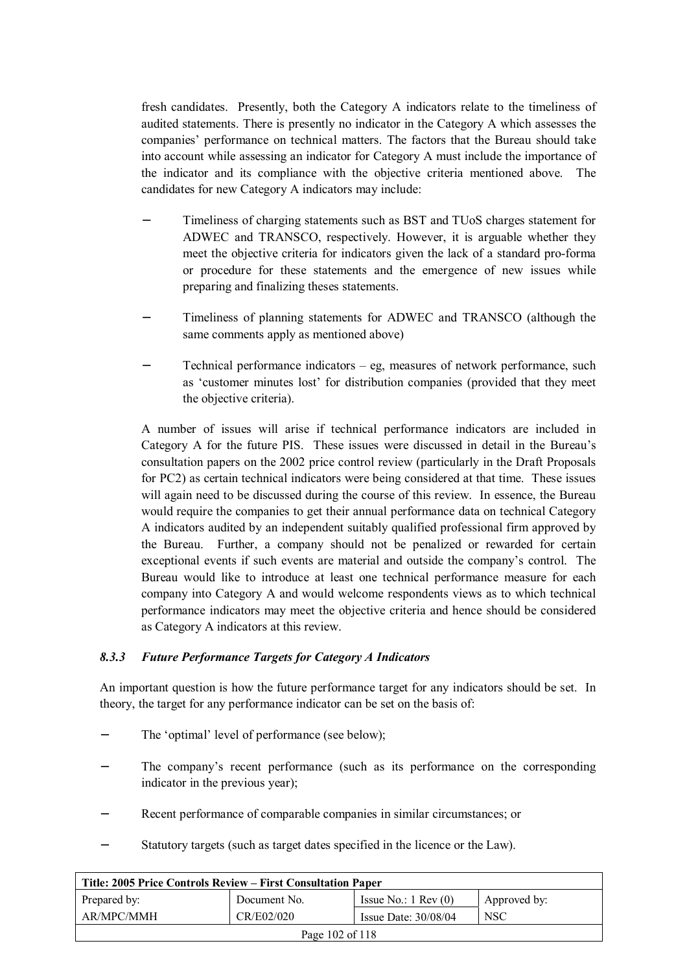fresh candidates. Presently, both the Category A indicators relate to the timeliness of audited statements. There is presently no indicator in the Category A which assesses the companies' performance on technical matters. The factors that the Bureau should take into account while assessing an indicator for Category A must include the importance of the indicator and its compliance with the objective criteria mentioned above. The candidates for new Category A indicators may include:

- Timeliness of charging statements such as BST and TUoS charges statement for ADWEC and TRANSCO, respectively. However, it is arguable whether they meet the objective criteria for indicators given the lack of a standard pro-forma or procedure for these statements and the emergence of new issues while preparing and finalizing theses statements.
- Timeliness of planning statements for ADWEC and TRANSCO (although the same comments apply as mentioned above)
- Technical performance indicators eg, measures of network performance, such as 'customer minutes lost' for distribution companies (provided that they meet the objective criteria).

A number of issues will arise if technical performance indicators are included in Category A for the future PIS. These issues were discussed in detail in the Bureau's consultation papers on the 2002 price control review (particularly in the Draft Proposals for PC2) as certain technical indicators were being considered at that time. These issues will again need to be discussed during the course of this review. In essence, the Bureau would require the companies to get their annual performance data on technical Category A indicators audited by an independent suitably qualified professional firm approved by the Bureau. Further, a company should not be penalized or rewarded for certain exceptional events if such events are material and outside the company's control. The Bureau would like to introduce at least one technical performance measure for each company into Category A and would welcome respondents views as to which technical performance indicators may meet the objective criteria and hence should be considered as Category A indicators at this review.

#### *8.3.3 Future Performance Targets for Category A Indicators*

An important question is how the future performance target for any indicators should be set. In theory, the target for any performance indicator can be set on the basis of:

- The 'optimal' level of performance (see below);
- The company's recent performance (such as its performance on the corresponding indicator in the previous year);
- Recent performance of comparable companies in similar circumstances; or
- − Statutory targets (such as target dates specified in the licence or the Law).

| Title: 2005 Price Controls Review – First Consultation Paper |              |                               |              |
|--------------------------------------------------------------|--------------|-------------------------------|--------------|
| Prepared by:                                                 | Document No. | Issue No.: $1 \text{ Rev}(0)$ | Approved by: |
| AR/MPC/MMH                                                   | CR/E02/020   | Issue Date: $30/08/04$        | <b>NSC</b>   |
| Page 102 of 118                                              |              |                               |              |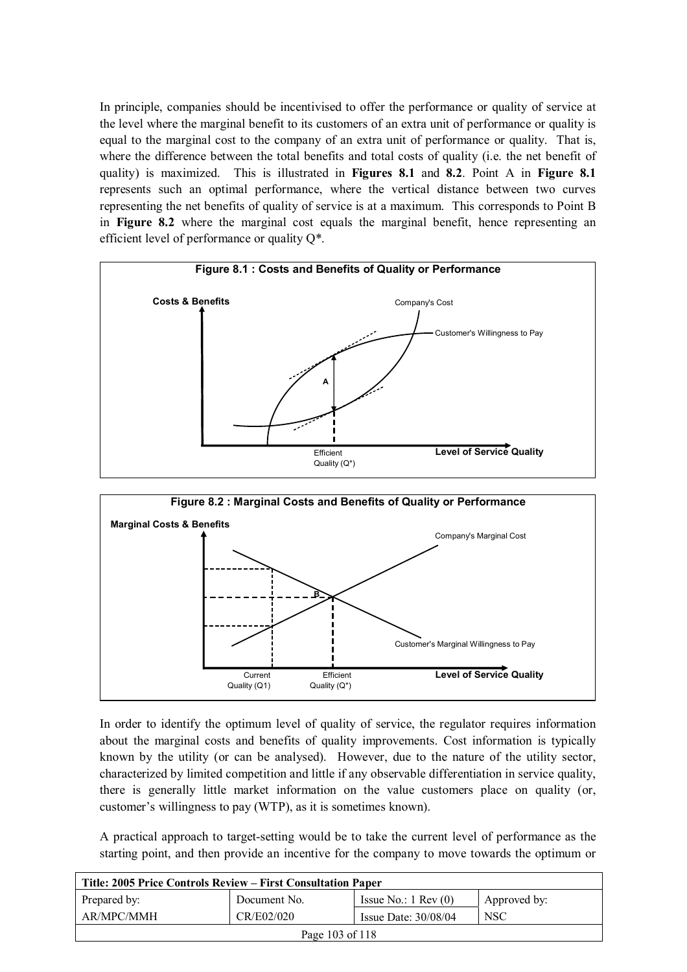In principle, companies should be incentivised to offer the performance or quality of service at the level where the marginal benefit to its customers of an extra unit of performance or quality is equal to the marginal cost to the company of an extra unit of performance or quality. That is, where the difference between the total benefits and total costs of quality (i.e. the net benefit of quality) is maximized. This is illustrated in **Figures 8.1** and **8.2**. Point A in **Figure 8.1** represents such an optimal performance, where the vertical distance between two curves representing the net benefits of quality of service is at a maximum. This corresponds to Point B in **Figure 8.2** where the marginal cost equals the marginal benefit, hence representing an efficient level of performance or quality Q\*.





In order to identify the optimum level of quality of service, the regulator requires information about the marginal costs and benefits of quality improvements. Cost information is typically known by the utility (or can be analysed). However, due to the nature of the utility sector, characterized by limited competition and little if any observable differentiation in service quality, there is generally little market information on the value customers place on quality (or, customer's willingness to pay (WTP), as it is sometimes known).

A practical approach to target-setting would be to take the current level of performance as the starting point, and then provide an incentive for the company to move towards the optimum or

| Title: 2005 Price Controls Review – First Consultation Paper |              |                               |              |
|--------------------------------------------------------------|--------------|-------------------------------|--------------|
| Prepared by:                                                 | Document No. | Issue No.: $1 \text{ Rev}(0)$ | Approved by: |
| AR/MPC/MMH                                                   | CR/E02/020   | Issue Date: $30/08/04$        | <b>NSC</b>   |
| Page 103 of 118                                              |              |                               |              |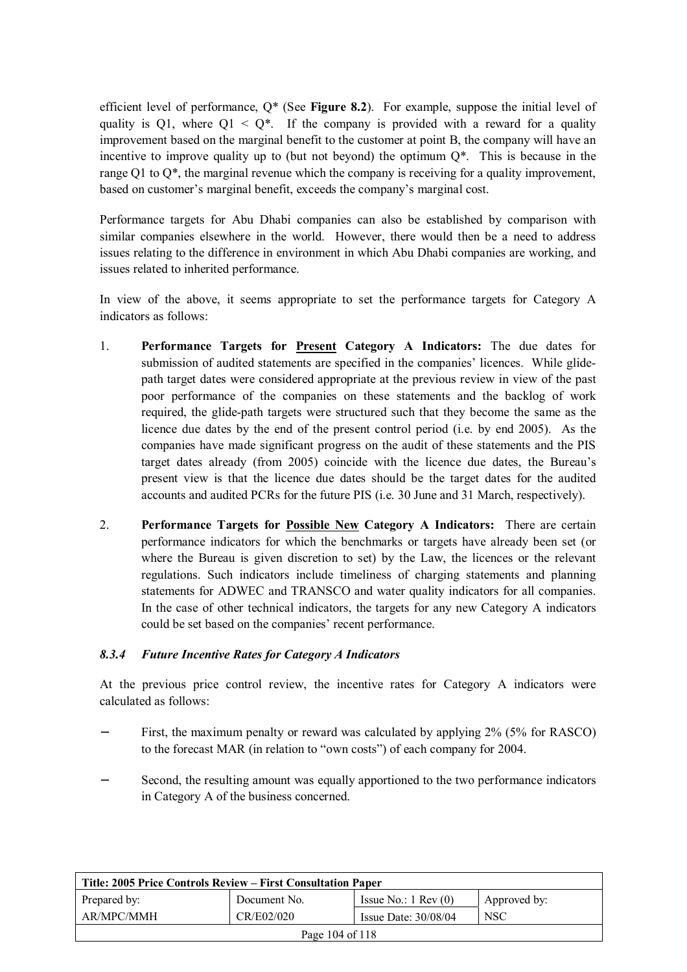efficient level of performance, Q\* (See **Figure 8.2**). For example, suppose the initial level of quality is Q1, where  $Q1 < Q^*$ . If the company is provided with a reward for a quality improvement based on the marginal benefit to the customer at point B, the company will have an incentive to improve quality up to (but not beyond) the optimum  $Q^*$ . This is because in the range Q1 to Q\*, the marginal revenue which the company is receiving for a quality improvement, based on customer's marginal benefit, exceeds the company's marginal cost.

Performance targets for Abu Dhabi companies can also be established by comparison with similar companies elsewhere in the world. However, there would then be a need to address issues relating to the difference in environment in which Abu Dhabi companies are working, and issues related to inherited performance.

In view of the above, it seems appropriate to set the performance targets for Category A indicators as follows:

- 1. **Performance Targets for Present Category A Indicators:** The due dates for submission of audited statements are specified in the companies' licences. While glidepath target dates were considered appropriate at the previous review in view of the past poor performance of the companies on these statements and the backlog of work required, the glide-path targets were structured such that they become the same as the licence due dates by the end of the present control period (i.e. by end 2005). As the companies have made significant progress on the audit of these statements and the PIS target dates already (from 2005) coincide with the licence due dates, the Bureau's present view is that the licence due dates should be the target dates for the audited accounts and audited PCRs for the future PIS (i.e. 30 June and 31 March, respectively).
- 2. **Performance Targets for Possible New Category A Indicators:** There are certain performance indicators for which the benchmarks or targets have already been set (or where the Bureau is given discretion to set) by the Law, the licences or the relevant regulations. Such indicators include timeliness of charging statements and planning statements for ADWEC and TRANSCO and water quality indicators for all companies. In the case of other technical indicators, the targets for any new Category A indicators could be set based on the companies' recent performance.

#### *8.3.4 Future Incentive Rates for Category A Indicators*

At the previous price control review, the incentive rates for Category A indicators were calculated as follows:

- First, the maximum penalty or reward was calculated by applying 2% (5% for RASCO) to the forecast MAR (in relation to "own costs") of each company for 2004.
- Second, the resulting amount was equally apportioned to the two performance indicators in Category A of the business concerned.

| Title: 2005 Price Controls Review – First Consultation Paper                  |            |                        |            |  |
|-------------------------------------------------------------------------------|------------|------------------------|------------|--|
| Prepared by:<br>Issue No.: $1 \text{ Rev}(0)$<br>Document No.<br>Approved by: |            |                        |            |  |
| AR/MPC/MMH                                                                    | CR/E02/020 | Issue Date: $30/08/04$ | <b>NSC</b> |  |
| Page 104 of 118                                                               |            |                        |            |  |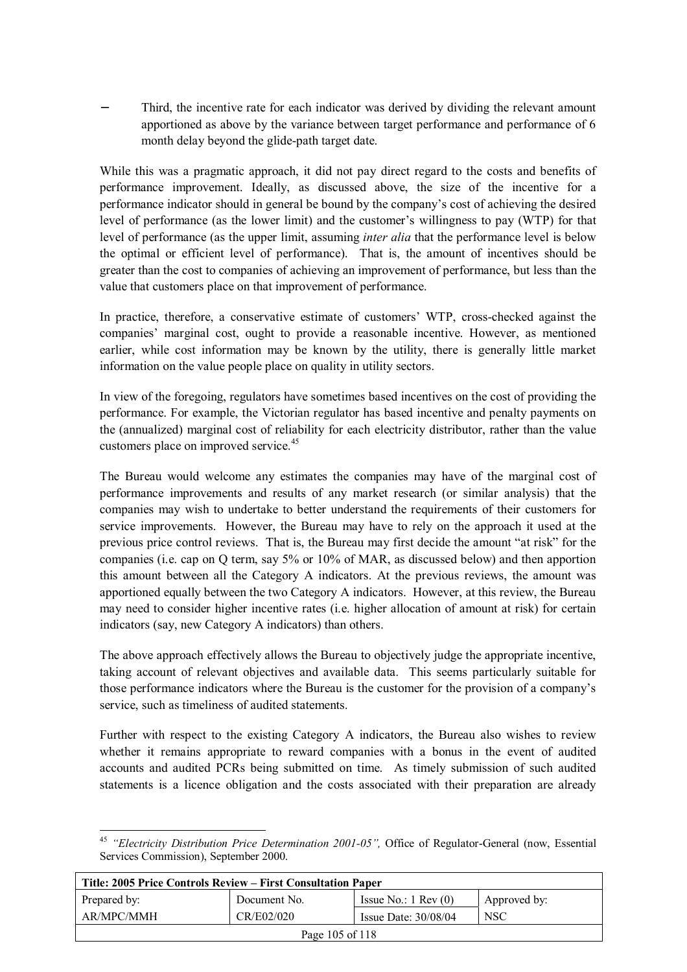Third, the incentive rate for each indicator was derived by dividing the relevant amount apportioned as above by the variance between target performance and performance of 6 month delay beyond the glide-path target date.

While this was a pragmatic approach, it did not pay direct regard to the costs and benefits of performance improvement. Ideally, as discussed above, the size of the incentive for a performance indicator should in general be bound by the company's cost of achieving the desired level of performance (as the lower limit) and the customer's willingness to pay (WTP) for that level of performance (as the upper limit, assuming *inter alia* that the performance level is below the optimal or efficient level of performance). That is, the amount of incentives should be greater than the cost to companies of achieving an improvement of performance, but less than the value that customers place on that improvement of performance.

In practice, therefore, a conservative estimate of customers' WTP, cross-checked against the companies' marginal cost, ought to provide a reasonable incentive. However, as mentioned earlier, while cost information may be known by the utility, there is generally little market information on the value people place on quality in utility sectors.

In view of the foregoing, regulators have sometimes based incentives on the cost of providing the performance. For example, the Victorian regulator has based incentive and penalty payments on the (annualized) marginal cost of reliability for each electricity distributor, rather than the value customers place on improved service.<sup>45</sup>

The Bureau would welcome any estimates the companies may have of the marginal cost of performance improvements and results of any market research (or similar analysis) that the companies may wish to undertake to better understand the requirements of their customers for service improvements. However, the Bureau may have to rely on the approach it used at the previous price control reviews. That is, the Bureau may first decide the amount "at risk" for the companies (i.e. cap on Q term, say 5% or 10% of MAR, as discussed below) and then apportion this amount between all the Category A indicators. At the previous reviews, the amount was apportioned equally between the two Category A indicators. However, at this review, the Bureau may need to consider higher incentive rates (i.e. higher allocation of amount at risk) for certain indicators (say, new Category A indicators) than others.

The above approach effectively allows the Bureau to objectively judge the appropriate incentive, taking account of relevant objectives and available data. This seems particularly suitable for those performance indicators where the Bureau is the customer for the provision of a company's service, such as timeliness of audited statements.

Further with respect to the existing Category A indicators, the Bureau also wishes to review whether it remains appropriate to reward companies with a bonus in the event of audited accounts and audited PCRs being submitted on time. As timely submission of such audited statements is a licence obligation and the costs associated with their preparation are already

 $\overline{a}$ <sup>45</sup> *"Electricity Distribution Price Determination 2001-05",* Office of Regulator-General (now, Essential Services Commission), September 2000.

| Title: 2005 Price Controls Review – First Consultation Paper |              |                               |              |
|--------------------------------------------------------------|--------------|-------------------------------|--------------|
| Prepared by:                                                 | Document No. | Issue No.: $1 \text{ Rev}(0)$ | Approved by: |
| AR/MPC/MMH                                                   | CR/E02/020   | Issue Date: $30/08/04$        | <b>NSC</b>   |
| Page 105 of 118                                              |              |                               |              |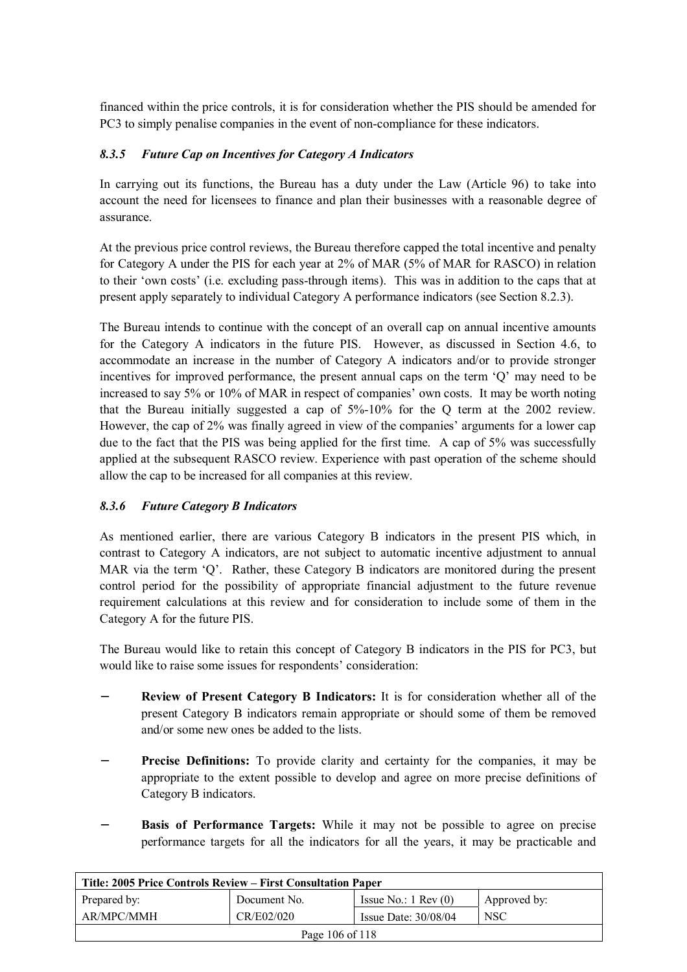financed within the price controls, it is for consideration whether the PIS should be amended for PC3 to simply penalise companies in the event of non-compliance for these indicators.

## *8.3.5 Future Cap on Incentives for Category A Indicators*

In carrying out its functions, the Bureau has a duty under the Law (Article 96) to take into account the need for licensees to finance and plan their businesses with a reasonable degree of assurance.

At the previous price control reviews, the Bureau therefore capped the total incentive and penalty for Category A under the PIS for each year at 2% of MAR (5% of MAR for RASCO) in relation to their 'own costs' (i.e. excluding pass-through items). This was in addition to the caps that at present apply separately to individual Category A performance indicators (see Section 8.2.3).

The Bureau intends to continue with the concept of an overall cap on annual incentive amounts for the Category A indicators in the future PIS. However, as discussed in Section 4.6, to accommodate an increase in the number of Category A indicators and/or to provide stronger incentives for improved performance, the present annual caps on the term 'Q' may need to be increased to say 5% or 10% of MAR in respect of companies' own costs. It may be worth noting that the Bureau initially suggested a cap of 5%-10% for the Q term at the 2002 review. However, the cap of 2% was finally agreed in view of the companies' arguments for a lower cap due to the fact that the PIS was being applied for the first time. A cap of 5% was successfully applied at the subsequent RASCO review. Experience with past operation of the scheme should allow the cap to be increased for all companies at this review.

# *8.3.6 Future Category B Indicators*

As mentioned earlier, there are various Category B indicators in the present PIS which, in contrast to Category A indicators, are not subject to automatic incentive adjustment to annual MAR via the term 'Q'. Rather, these Category B indicators are monitored during the present control period for the possibility of appropriate financial adjustment to the future revenue requirement calculations at this review and for consideration to include some of them in the Category A for the future PIS.

The Bureau would like to retain this concept of Category B indicators in the PIS for PC3, but would like to raise some issues for respondents' consideration:

- **Review of Present Category B Indicators:** It is for consideration whether all of the present Category B indicators remain appropriate or should some of them be removed and/or some new ones be added to the lists.
- **Precise Definitions:** To provide clarity and certainty for the companies, it may be appropriate to the extent possible to develop and agree on more precise definitions of Category B indicators.
- **Basis of Performance Targets:** While it may not be possible to agree on precise performance targets for all the indicators for all the years, it may be practicable and

| Title: 2005 Price Controls Review – First Consultation Paper |              |                               |              |
|--------------------------------------------------------------|--------------|-------------------------------|--------------|
| Prepared by:                                                 | Document No. | Issue No.: $1 \text{ Rev}(0)$ | Approved by: |
| AR/MPC/MMH                                                   | CR/E02/020   | Issue Date: $30/08/04$        | <b>NSC</b>   |
| Page 106 of 118                                              |              |                               |              |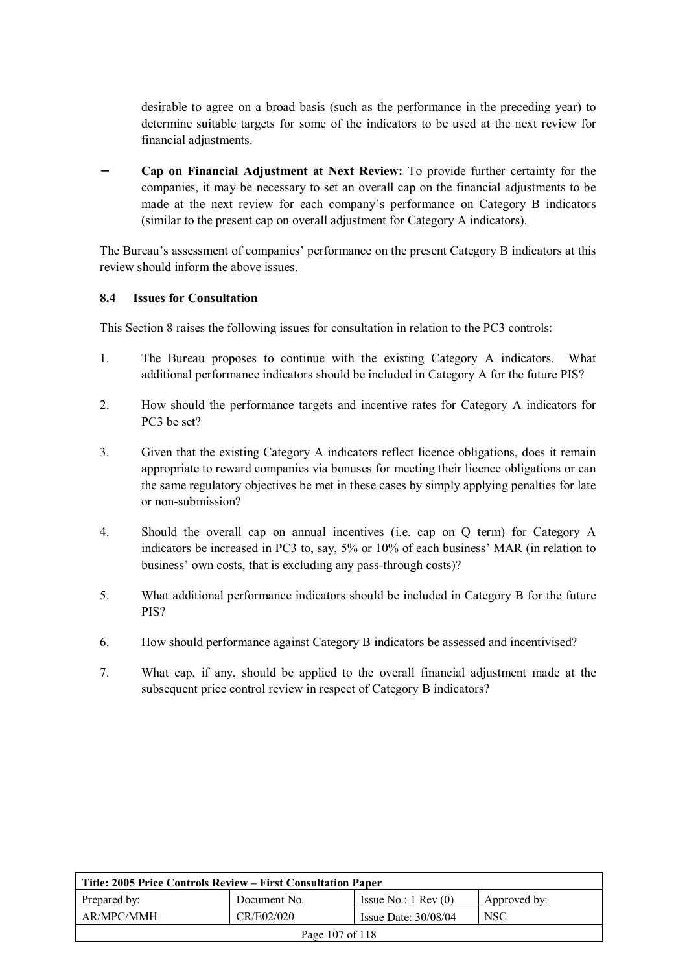desirable to agree on a broad basis (such as the performance in the preceding year) to determine suitable targets for some of the indicators to be used at the next review for financial adjustments.

− **Cap on Financial Adjustment at Next Review:** To provide further certainty for the companies, it may be necessary to set an overall cap on the financial adjustments to be made at the next review for each company's performance on Category B indicators (similar to the present cap on overall adjustment for Category A indicators).

The Bureau's assessment of companies' performance on the present Category B indicators at this review should inform the above issues.

#### **8.4 Issues for Consultation**

This Section 8 raises the following issues for consultation in relation to the PC3 controls:

- 1. The Bureau proposes to continue with the existing Category A indicators. What additional performance indicators should be included in Category A for the future PIS?
- 2. How should the performance targets and incentive rates for Category A indicators for PC3 be set?
- 3. Given that the existing Category A indicators reflect licence obligations, does it remain appropriate to reward companies via bonuses for meeting their licence obligations or can the same regulatory objectives be met in these cases by simply applying penalties for late or non-submission?
- 4. Should the overall cap on annual incentives (i.e. cap on Q term) for Category A indicators be increased in PC3 to, say, 5% or 10% of each business' MAR (in relation to business' own costs, that is excluding any pass-through costs)?
- 5. What additional performance indicators should be included in Category B for the future PIS?
- 6. How should performance against Category B indicators be assessed and incentivised?
- 7. What cap, if any, should be applied to the overall financial adjustment made at the subsequent price control review in respect of Category B indicators?

| Title: 2005 Price Controls Review – First Consultation Paper |              |                               |              |
|--------------------------------------------------------------|--------------|-------------------------------|--------------|
| Prepared by:                                                 | Document No. | Issue No.: $1 \text{ Rev}(0)$ | Approved by: |
| AR/MPC/MMH                                                   | CR/E02/020   | Issue Date: $30/08/04$        | <b>NSC</b>   |
| Page 107 of 118                                              |              |                               |              |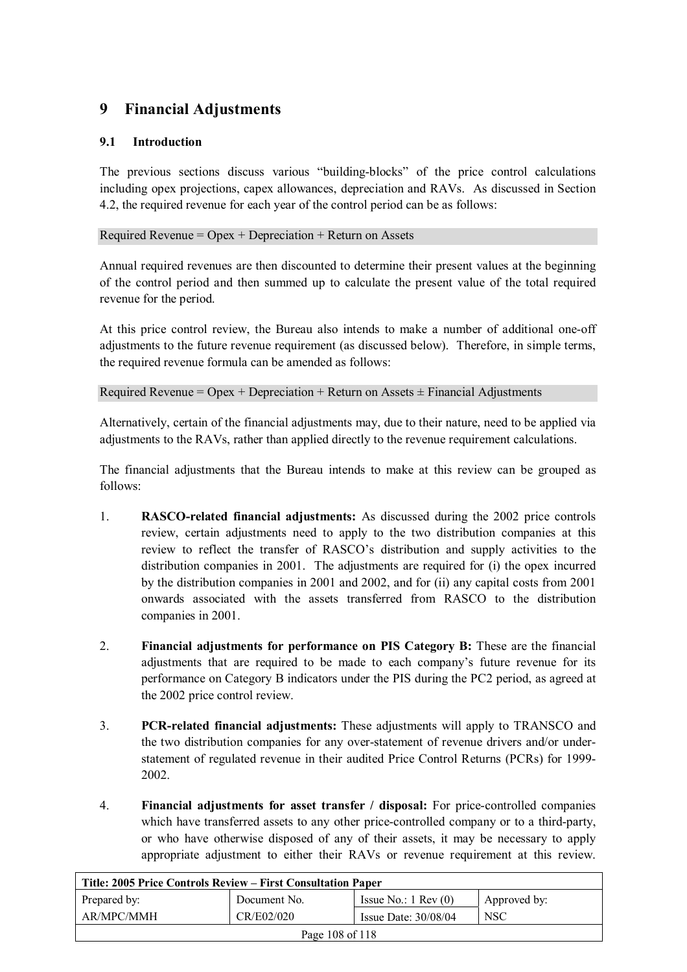# **9 Financial Adjustments**

## **9.1 Introduction**

The previous sections discuss various "building-blocks" of the price control calculations including opex projections, capex allowances, depreciation and RAVs. As discussed in Section 4.2, the required revenue for each year of the control period can be as follows:

Required Revenue =  $O$  pex + Depreciation + Return on Assets

Annual required revenues are then discounted to determine their present values at the beginning of the control period and then summed up to calculate the present value of the total required revenue for the period.

At this price control review, the Bureau also intends to make a number of additional one-off adjustments to the future revenue requirement (as discussed below). Therefore, in simple terms, the required revenue formula can be amended as follows:

Required Revenue = Opex + Depreciation + Return on Assets  $\pm$  Financial Adjustments

Alternatively, certain of the financial adjustments may, due to their nature, need to be applied via adjustments to the RAVs, rather than applied directly to the revenue requirement calculations.

The financial adjustments that the Bureau intends to make at this review can be grouped as follows:

- 1. **RASCO-related financial adjustments:** As discussed during the 2002 price controls review, certain adjustments need to apply to the two distribution companies at this review to reflect the transfer of RASCO's distribution and supply activities to the distribution companies in 2001. The adjustments are required for (i) the opex incurred by the distribution companies in 2001 and 2002, and for (ii) any capital costs from 2001 onwards associated with the assets transferred from RASCO to the distribution companies in 2001.
- 2. **Financial adjustments for performance on PIS Category B:** These are the financial adjustments that are required to be made to each company's future revenue for its performance on Category B indicators under the PIS during the PC2 period, as agreed at the 2002 price control review.
- 3. **PCR-related financial adjustments:** These adjustments will apply to TRANSCO and the two distribution companies for any over-statement of revenue drivers and/or understatement of regulated revenue in their audited Price Control Returns (PCRs) for 1999- 2002.
- 4. **Financial adjustments for asset transfer / disposal:** For price-controlled companies which have transferred assets to any other price-controlled company or to a third-party, or who have otherwise disposed of any of their assets, it may be necessary to apply appropriate adjustment to either their RAVs or revenue requirement at this review.

| Title: 2005 Price Controls Review – First Consultation Paper |              |                               |              |
|--------------------------------------------------------------|--------------|-------------------------------|--------------|
| Prepared by:                                                 | Document No. | Issue No.: $1 \text{ Rev}(0)$ | Approved by: |
| AR/MPC/MMH                                                   | CR/E02/020   | Issue Date: $30/08/04$        | <b>NSC</b>   |
| Page 108 of 118                                              |              |                               |              |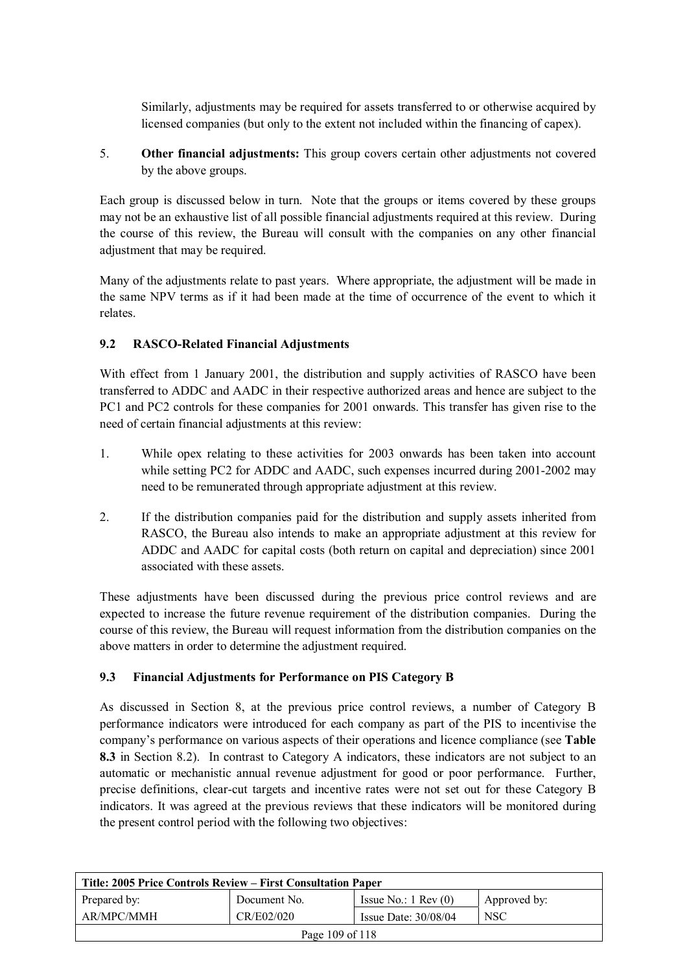Similarly, adjustments may be required for assets transferred to or otherwise acquired by licensed companies (but only to the extent not included within the financing of capex).

5. **Other financial adjustments:** This group covers certain other adjustments not covered by the above groups.

Each group is discussed below in turn. Note that the groups or items covered by these groups may not be an exhaustive list of all possible financial adjustments required at this review. During the course of this review, the Bureau will consult with the companies on any other financial adjustment that may be required.

Many of the adjustments relate to past years. Where appropriate, the adjustment will be made in the same NPV terms as if it had been made at the time of occurrence of the event to which it relates.

# **9.2 RASCO-Related Financial Adjustments**

With effect from 1 January 2001, the distribution and supply activities of RASCO have been transferred to ADDC and AADC in their respective authorized areas and hence are subject to the PC1 and PC2 controls for these companies for 2001 onwards. This transfer has given rise to the need of certain financial adjustments at this review:

- 1. While opex relating to these activities for 2003 onwards has been taken into account while setting PC2 for ADDC and AADC, such expenses incurred during 2001-2002 may need to be remunerated through appropriate adjustment at this review.
- 2. If the distribution companies paid for the distribution and supply assets inherited from RASCO, the Bureau also intends to make an appropriate adjustment at this review for ADDC and AADC for capital costs (both return on capital and depreciation) since 2001 associated with these assets.

These adjustments have been discussed during the previous price control reviews and are expected to increase the future revenue requirement of the distribution companies. During the course of this review, the Bureau will request information from the distribution companies on the above matters in order to determine the adjustment required.

## **9.3 Financial Adjustments for Performance on PIS Category B**

As discussed in Section 8, at the previous price control reviews, a number of Category B performance indicators were introduced for each company as part of the PIS to incentivise the company's performance on various aspects of their operations and licence compliance (see **Table 8.3** in Section 8.2). In contrast to Category A indicators, these indicators are not subject to an automatic or mechanistic annual revenue adjustment for good or poor performance. Further, precise definitions, clear-cut targets and incentive rates were not set out for these Category B indicators. It was agreed at the previous reviews that these indicators will be monitored during the present control period with the following two objectives:

| Title: 2005 Price Controls Review – First Consultation Paper |              |                               |              |
|--------------------------------------------------------------|--------------|-------------------------------|--------------|
| Prepared by:                                                 | Document No. | Issue No.: $1 \text{ Rev}(0)$ | Approved by: |
| AR/MPC/MMH                                                   | CR/E02/020   | Issue Date: $30/08/04$        | <b>NSC</b>   |
| Page 109 of $118$                                            |              |                               |              |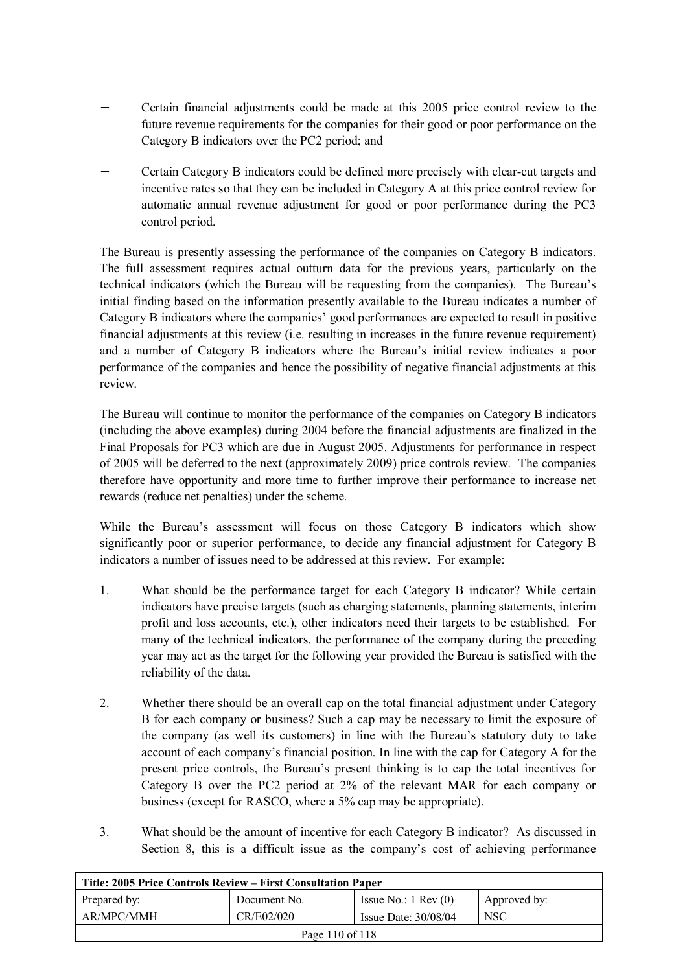- − Certain financial adjustments could be made at this 2005 price control review to the future revenue requirements for the companies for their good or poor performance on the Category B indicators over the PC2 period; and
- − Certain Category B indicators could be defined more precisely with clear-cut targets and incentive rates so that they can be included in Category A at this price control review for automatic annual revenue adjustment for good or poor performance during the PC3 control period.

The Bureau is presently assessing the performance of the companies on Category B indicators. The full assessment requires actual outturn data for the previous years, particularly on the technical indicators (which the Bureau will be requesting from the companies). The Bureau's initial finding based on the information presently available to the Bureau indicates a number of Category B indicators where the companies' good performances are expected to result in positive financial adjustments at this review (i.e. resulting in increases in the future revenue requirement) and a number of Category B indicators where the Bureau's initial review indicates a poor performance of the companies and hence the possibility of negative financial adjustments at this review.

The Bureau will continue to monitor the performance of the companies on Category B indicators (including the above examples) during 2004 before the financial adjustments are finalized in the Final Proposals for PC3 which are due in August 2005. Adjustments for performance in respect of 2005 will be deferred to the next (approximately 2009) price controls review. The companies therefore have opportunity and more time to further improve their performance to increase net rewards (reduce net penalties) under the scheme.

While the Bureau's assessment will focus on those Category B indicators which show significantly poor or superior performance, to decide any financial adjustment for Category B indicators a number of issues need to be addressed at this review. For example:

- 1. What should be the performance target for each Category B indicator? While certain indicators have precise targets (such as charging statements, planning statements, interim profit and loss accounts, etc.), other indicators need their targets to be established. For many of the technical indicators, the performance of the company during the preceding year may act as the target for the following year provided the Bureau is satisfied with the reliability of the data.
- 2. Whether there should be an overall cap on the total financial adjustment under Category B for each company or business? Such a cap may be necessary to limit the exposure of the company (as well its customers) in line with the Bureau's statutory duty to take account of each company's financial position. In line with the cap for Category A for the present price controls, the Bureau's present thinking is to cap the total incentives for Category B over the PC2 period at 2% of the relevant MAR for each company or business (except for RASCO, where a 5% cap may be appropriate).
- 3. What should be the amount of incentive for each Category B indicator? As discussed in Section 8, this is a difficult issue as the company's cost of achieving performance

| Title: 2005 Price Controls Review – First Consultation Paper |              |                               |              |  |
|--------------------------------------------------------------|--------------|-------------------------------|--------------|--|
| Prepared by:                                                 | Document No. | Issue No.: $1 \text{ Rev}(0)$ | Approved by: |  |
| AR/MPC/MMH                                                   | CR/E02/020   | Issue Date: $30/08/04$        | <b>NSC</b>   |  |
| Page 110 of 118                                              |              |                               |              |  |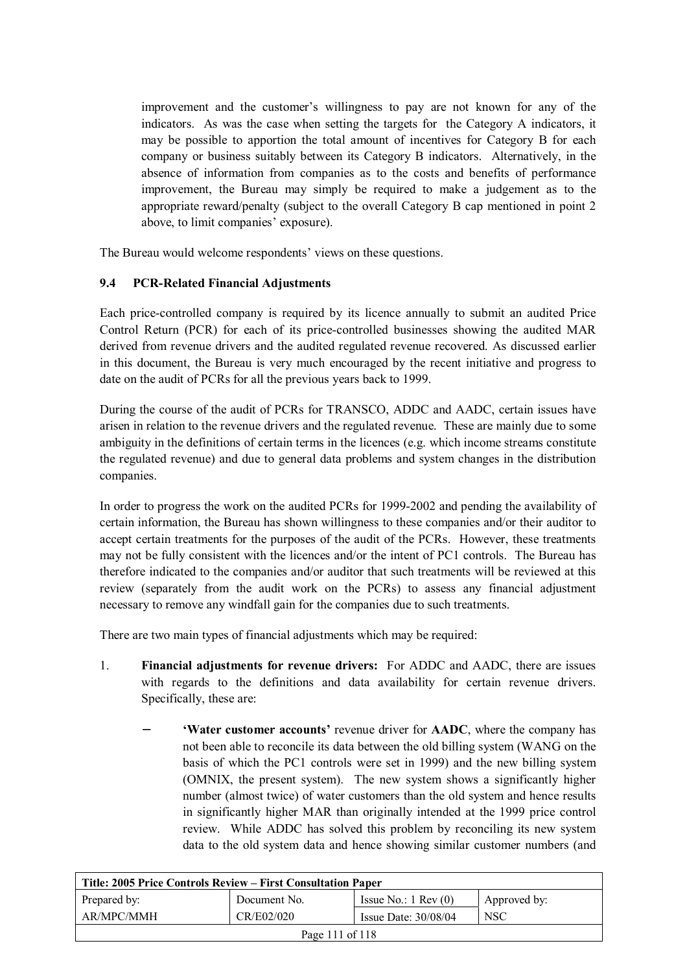improvement and the customer's willingness to pay are not known for any of the indicators. As was the case when setting the targets for the Category A indicators, it may be possible to apportion the total amount of incentives for Category B for each company or business suitably between its Category B indicators. Alternatively, in the absence of information from companies as to the costs and benefits of performance improvement, the Bureau may simply be required to make a judgement as to the appropriate reward/penalty (subject to the overall Category B cap mentioned in point 2 above, to limit companies' exposure).

The Bureau would welcome respondents' views on these questions.

## **9.4 PCR-Related Financial Adjustments**

Each price-controlled company is required by its licence annually to submit an audited Price Control Return (PCR) for each of its price-controlled businesses showing the audited MAR derived from revenue drivers and the audited regulated revenue recovered. As discussed earlier in this document, the Bureau is very much encouraged by the recent initiative and progress to date on the audit of PCRs for all the previous years back to 1999.

During the course of the audit of PCRs for TRANSCO, ADDC and AADC, certain issues have arisen in relation to the revenue drivers and the regulated revenue. These are mainly due to some ambiguity in the definitions of certain terms in the licences (e.g. which income streams constitute the regulated revenue) and due to general data problems and system changes in the distribution companies.

In order to progress the work on the audited PCRs for 1999-2002 and pending the availability of certain information, the Bureau has shown willingness to these companies and/or their auditor to accept certain treatments for the purposes of the audit of the PCRs. However, these treatments may not be fully consistent with the licences and/or the intent of PC1 controls. The Bureau has therefore indicated to the companies and/or auditor that such treatments will be reviewed at this review (separately from the audit work on the PCRs) to assess any financial adjustment necessary to remove any windfall gain for the companies due to such treatments.

There are two main types of financial adjustments which may be required:

- 1. **Financial adjustments for revenue drivers:** For ADDC and AADC, there are issues with regards to the definitions and data availability for certain revenue drivers. Specifically, these are:
	- − **'Water customer accounts'** revenue driver for **AADC**, where the company has not been able to reconcile its data between the old billing system (WANG on the basis of which the PC1 controls were set in 1999) and the new billing system (OMNIX, the present system). The new system shows a significantly higher number (almost twice) of water customers than the old system and hence results in significantly higher MAR than originally intended at the 1999 price control review. While ADDC has solved this problem by reconciling its new system data to the old system data and hence showing similar customer numbers (and

| Title: 2005 Price Controls Review – First Consultation Paper |              |                               |              |  |
|--------------------------------------------------------------|--------------|-------------------------------|--------------|--|
| Prepared by:                                                 | Document No. | Issue No.: $1 \text{ Rev}(0)$ | Approved by: |  |
| AR/MPC/MMH                                                   | CR/E02/020   | Issue Date: $30/08/04$        | <b>NSC</b>   |  |
| Page 111 of 118                                              |              |                               |              |  |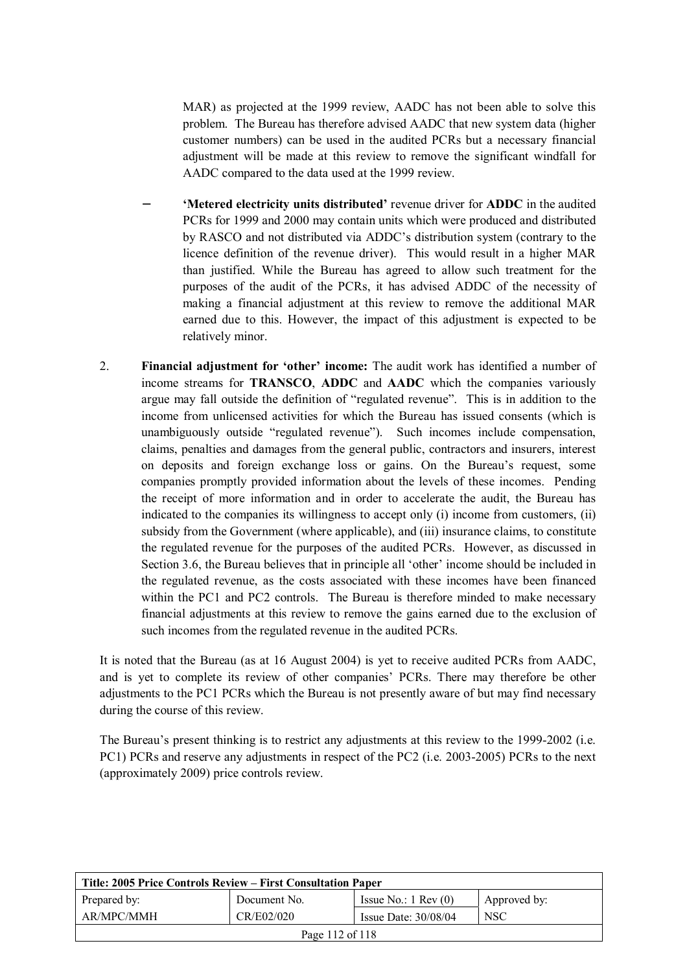MAR) as projected at the 1999 review, AADC has not been able to solve this problem. The Bureau has therefore advised AADC that new system data (higher customer numbers) can be used in the audited PCRs but a necessary financial adjustment will be made at this review to remove the significant windfall for AADC compared to the data used at the 1999 review.

- − **'Metered electricity units distributed'** revenue driver for **ADDC** in the audited PCRs for 1999 and 2000 may contain units which were produced and distributed by RASCO and not distributed via ADDC's distribution system (contrary to the licence definition of the revenue driver). This would result in a higher MAR than justified. While the Bureau has agreed to allow such treatment for the purposes of the audit of the PCRs, it has advised ADDC of the necessity of making a financial adjustment at this review to remove the additional MAR earned due to this. However, the impact of this adjustment is expected to be relatively minor.
- 2. **Financial adjustment for 'other' income:** The audit work has identified a number of income streams for **TRANSCO**, **ADDC** and **AADC** which the companies variously argue may fall outside the definition of "regulated revenue". This is in addition to the income from unlicensed activities for which the Bureau has issued consents (which is unambiguously outside "regulated revenue"). Such incomes include compensation, claims, penalties and damages from the general public, contractors and insurers, interest on deposits and foreign exchange loss or gains. On the Bureau's request, some companies promptly provided information about the levels of these incomes. Pending the receipt of more information and in order to accelerate the audit, the Bureau has indicated to the companies its willingness to accept only (i) income from customers, (ii) subsidy from the Government (where applicable), and (iii) insurance claims, to constitute the regulated revenue for the purposes of the audited PCRs. However, as discussed in Section 3.6, the Bureau believes that in principle all 'other' income should be included in the regulated revenue, as the costs associated with these incomes have been financed within the PC1 and PC2 controls. The Bureau is therefore minded to make necessary financial adjustments at this review to remove the gains earned due to the exclusion of such incomes from the regulated revenue in the audited PCRs.

It is noted that the Bureau (as at 16 August 2004) is yet to receive audited PCRs from AADC, and is yet to complete its review of other companies' PCRs. There may therefore be other adjustments to the PC1 PCRs which the Bureau is not presently aware of but may find necessary during the course of this review.

The Bureau's present thinking is to restrict any adjustments at this review to the 1999-2002 (i.e. PC1) PCRs and reserve any adjustments in respect of the PC2 (i.e. 2003-2005) PCRs to the next (approximately 2009) price controls review.

| Title: 2005 Price Controls Review – First Consultation Paper |              |                               |              |
|--------------------------------------------------------------|--------------|-------------------------------|--------------|
| Prepared by:                                                 | Document No. | Issue No.: $1 \text{ Rev}(0)$ | Approved by: |
| AR/MPC/MMH                                                   | CR/E02/020   | Issue Date: $30/08/04$        | <b>NSC</b>   |
| Page $112$ of $118$                                          |              |                               |              |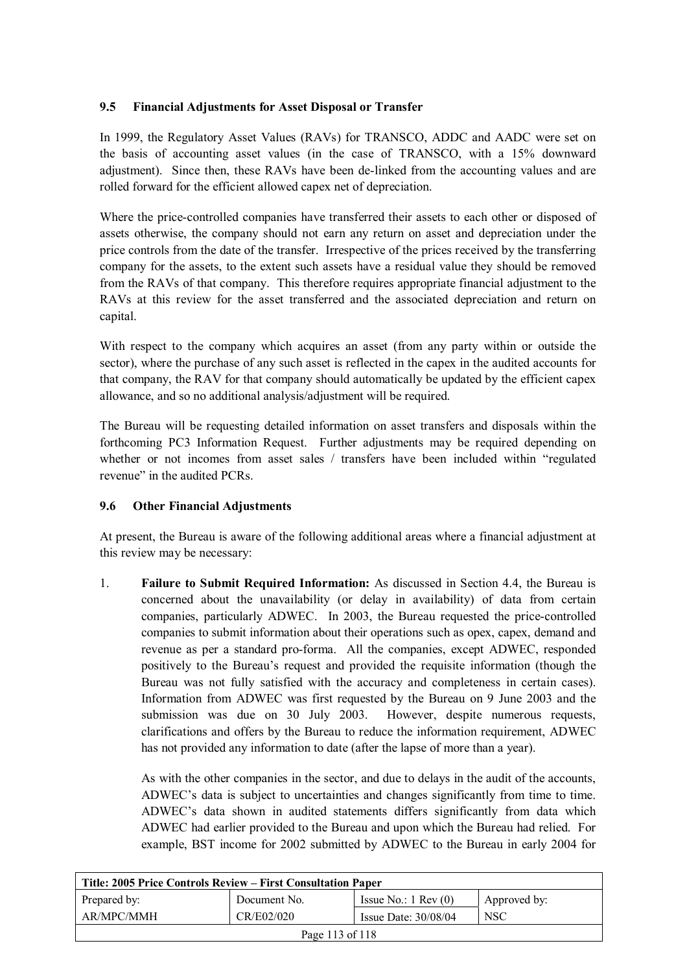# **9.5 Financial Adjustments for Asset Disposal or Transfer**

In 1999, the Regulatory Asset Values (RAVs) for TRANSCO, ADDC and AADC were set on the basis of accounting asset values (in the case of TRANSCO, with a 15% downward adjustment). Since then, these RAVs have been de-linked from the accounting values and are rolled forward for the efficient allowed capex net of depreciation.

Where the price-controlled companies have transferred their assets to each other or disposed of assets otherwise, the company should not earn any return on asset and depreciation under the price controls from the date of the transfer. Irrespective of the prices received by the transferring company for the assets, to the extent such assets have a residual value they should be removed from the RAVs of that company. This therefore requires appropriate financial adjustment to the RAVs at this review for the asset transferred and the associated depreciation and return on capital.

With respect to the company which acquires an asset (from any party within or outside the sector), where the purchase of any such asset is reflected in the capex in the audited accounts for that company, the RAV for that company should automatically be updated by the efficient capex allowance, and so no additional analysis/adjustment will be required.

The Bureau will be requesting detailed information on asset transfers and disposals within the forthcoming PC3 Information Request. Further adjustments may be required depending on whether or not incomes from asset sales / transfers have been included within "regulated revenue" in the audited PCRs.

## **9.6 Other Financial Adjustments**

At present, the Bureau is aware of the following additional areas where a financial adjustment at this review may be necessary:

1. **Failure to Submit Required Information:** As discussed in Section 4.4, the Bureau is concerned about the unavailability (or delay in availability) of data from certain companies, particularly ADWEC. In 2003, the Bureau requested the price-controlled companies to submit information about their operations such as opex, capex, demand and revenue as per a standard pro-forma. All the companies, except ADWEC, responded positively to the Bureau's request and provided the requisite information (though the Bureau was not fully satisfied with the accuracy and completeness in certain cases). Information from ADWEC was first requested by the Bureau on 9 June 2003 and the submission was due on 30 July 2003. However, despite numerous requests, clarifications and offers by the Bureau to reduce the information requirement, ADWEC has not provided any information to date (after the lapse of more than a year).

As with the other companies in the sector, and due to delays in the audit of the accounts, ADWEC's data is subject to uncertainties and changes significantly from time to time. ADWEC's data shown in audited statements differs significantly from data which ADWEC had earlier provided to the Bureau and upon which the Bureau had relied. For example, BST income for 2002 submitted by ADWEC to the Bureau in early 2004 for

| Title: 2005 Price Controls Review – First Consultation Paper |              |                               |              |  |
|--------------------------------------------------------------|--------------|-------------------------------|--------------|--|
| Prepared by:                                                 | Document No. | Issue No.: $1 \text{ Rev}(0)$ | Approved by: |  |
| AR/MPC/MMH                                                   | CR/E02/020   | Issue Date: $30/08/04$        | <b>NSC</b>   |  |
| Page 113 of 118                                              |              |                               |              |  |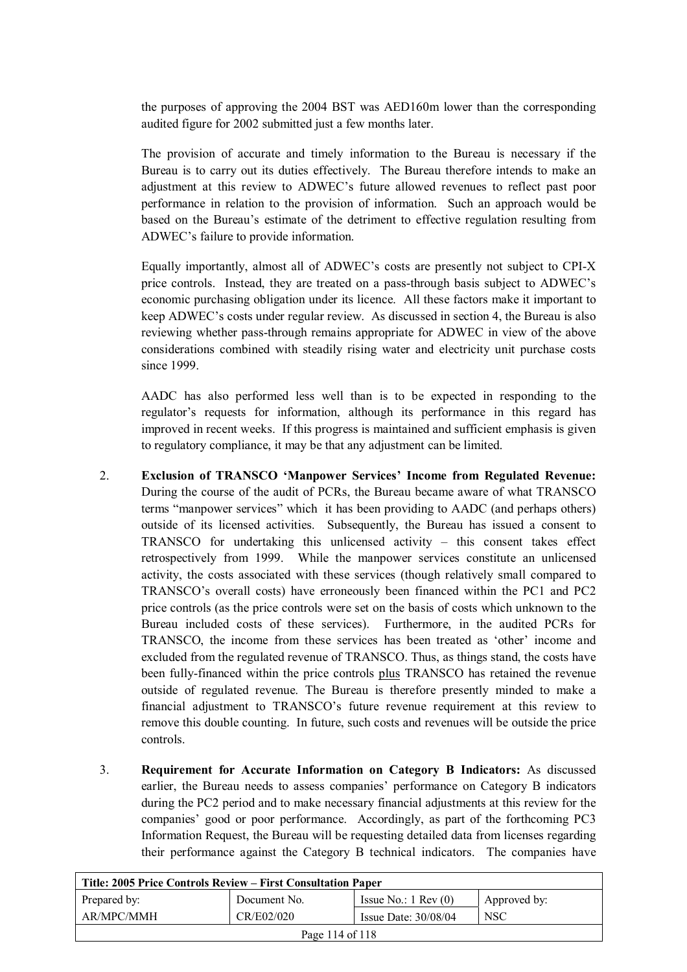the purposes of approving the 2004 BST was AED160m lower than the corresponding audited figure for 2002 submitted just a few months later.

The provision of accurate and timely information to the Bureau is necessary if the Bureau is to carry out its duties effectively. The Bureau therefore intends to make an adjustment at this review to ADWEC's future allowed revenues to reflect past poor performance in relation to the provision of information. Such an approach would be based on the Bureau's estimate of the detriment to effective regulation resulting from ADWEC's failure to provide information.

Equally importantly, almost all of ADWEC's costs are presently not subject to CPI-X price controls. Instead, they are treated on a pass-through basis subject to ADWEC's economic purchasing obligation under its licence. All these factors make it important to keep ADWEC's costs under regular review. As discussed in section 4, the Bureau is also reviewing whether pass-through remains appropriate for ADWEC in view of the above considerations combined with steadily rising water and electricity unit purchase costs since 1999.

AADC has also performed less well than is to be expected in responding to the regulator's requests for information, although its performance in this regard has improved in recent weeks. If this progress is maintained and sufficient emphasis is given to regulatory compliance, it may be that any adjustment can be limited.

- 2. **Exclusion of TRANSCO 'Manpower Services' Income from Regulated Revenue:** During the course of the audit of PCRs, the Bureau became aware of what TRANSCO terms "manpower services" which it has been providing to AADC (and perhaps others) outside of its licensed activities. Subsequently, the Bureau has issued a consent to TRANSCO for undertaking this unlicensed activity – this consent takes effect retrospectively from 1999. While the manpower services constitute an unlicensed activity, the costs associated with these services (though relatively small compared to TRANSCO's overall costs) have erroneously been financed within the PC1 and PC2 price controls (as the price controls were set on the basis of costs which unknown to the Bureau included costs of these services). Furthermore, in the audited PCRs for TRANSCO, the income from these services has been treated as 'other' income and excluded from the regulated revenue of TRANSCO. Thus, as things stand, the costs have been fully-financed within the price controls plus TRANSCO has retained the revenue outside of regulated revenue. The Bureau is therefore presently minded to make a financial adjustment to TRANSCO's future revenue requirement at this review to remove this double counting. In future, such costs and revenues will be outside the price controls.
- 3. **Requirement for Accurate Information on Category B Indicators:** As discussed earlier, the Bureau needs to assess companies' performance on Category B indicators during the PC2 period and to make necessary financial adjustments at this review for the companies' good or poor performance. Accordingly, as part of the forthcoming PC3 Information Request, the Bureau will be requesting detailed data from licenses regarding their performance against the Category B technical indicators. The companies have

| Title: 2005 Price Controls Review – First Consultation Paper |              |                               |              |  |
|--------------------------------------------------------------|--------------|-------------------------------|--------------|--|
| Prepared by:                                                 | Document No. | Issue No.: $1 \text{ Rev}(0)$ | Approved by: |  |
| AR/MPC/MMH                                                   | CR/E02/020   | Issue Date: $30/08/04$        | <b>NSC</b>   |  |
| Page 114 of 118                                              |              |                               |              |  |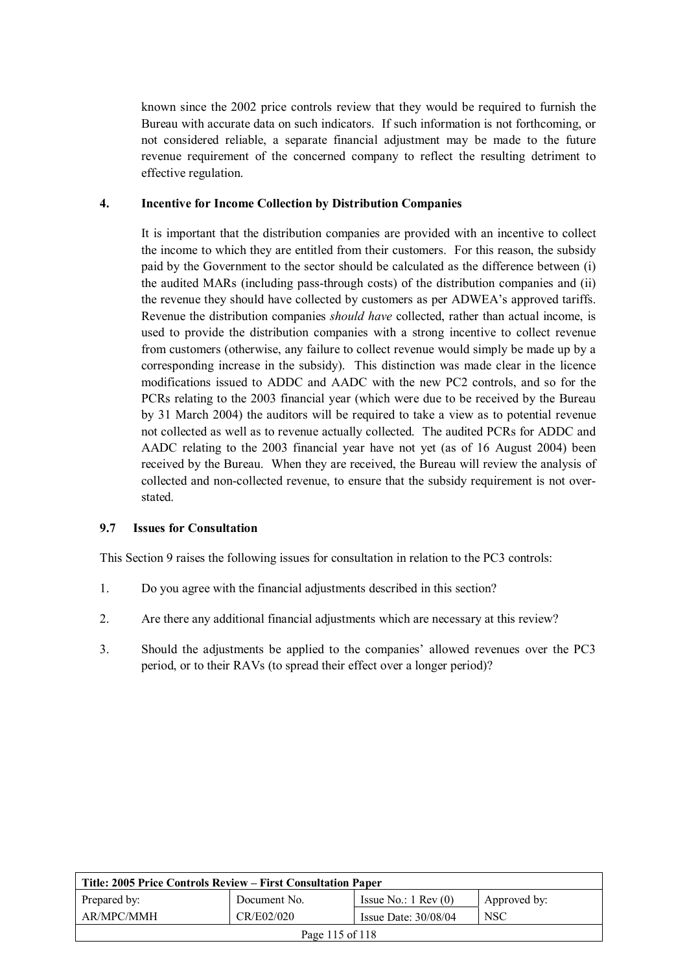known since the 2002 price controls review that they would be required to furnish the Bureau with accurate data on such indicators. If such information is not forthcoming, or not considered reliable, a separate financial adjustment may be made to the future revenue requirement of the concerned company to reflect the resulting detriment to effective regulation.

#### **4. Incentive for Income Collection by Distribution Companies**

It is important that the distribution companies are provided with an incentive to collect the income to which they are entitled from their customers. For this reason, the subsidy paid by the Government to the sector should be calculated as the difference between (i) the audited MARs (including pass-through costs) of the distribution companies and (ii) the revenue they should have collected by customers as per ADWEA's approved tariffs. Revenue the distribution companies *should have* collected, rather than actual income, is used to provide the distribution companies with a strong incentive to collect revenue from customers (otherwise, any failure to collect revenue would simply be made up by a corresponding increase in the subsidy). This distinction was made clear in the licence modifications issued to ADDC and AADC with the new PC2 controls, and so for the PCRs relating to the 2003 financial year (which were due to be received by the Bureau by 31 March 2004) the auditors will be required to take a view as to potential revenue not collected as well as to revenue actually collected. The audited PCRs for ADDC and AADC relating to the 2003 financial year have not yet (as of 16 August 2004) been received by the Bureau. When they are received, the Bureau will review the analysis of collected and non-collected revenue, to ensure that the subsidy requirement is not overstated.

## **9.7 Issues for Consultation**

This Section 9 raises the following issues for consultation in relation to the PC3 controls:

- 1. Do you agree with the financial adjustments described in this section?
- 2. Are there any additional financial adjustments which are necessary at this review?
- 3. Should the adjustments be applied to the companies' allowed revenues over the PC3 period, or to their RAVs (to spread their effect over a longer period)?

| Title: 2005 Price Controls Review – First Consultation Paper |              |                               |              |  |
|--------------------------------------------------------------|--------------|-------------------------------|--------------|--|
| Prepared by:                                                 | Document No. | Issue No.: $1 \text{ Rev}(0)$ | Approved by: |  |
| AR/MPC/MMH                                                   | CR/E02/020   | Issue Date: $30/08/04$        | <b>NSC</b>   |  |
| Page 115 of 118                                              |              |                               |              |  |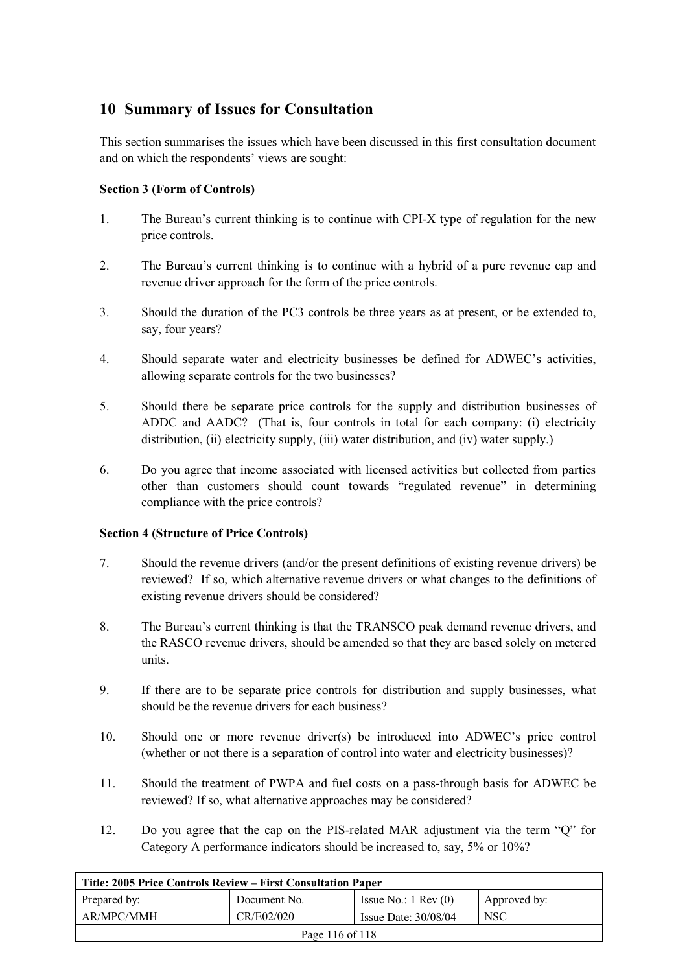# **10 Summary of Issues for Consultation**

This section summarises the issues which have been discussed in this first consultation document and on which the respondents' views are sought:

# **Section 3 (Form of Controls)**

- 1. The Bureau's current thinking is to continue with CPI-X type of regulation for the new price controls.
- 2. The Bureau's current thinking is to continue with a hybrid of a pure revenue cap and revenue driver approach for the form of the price controls.
- 3. Should the duration of the PC3 controls be three years as at present, or be extended to, say, four years?
- 4. Should separate water and electricity businesses be defined for ADWEC's activities, allowing separate controls for the two businesses?
- 5. Should there be separate price controls for the supply and distribution businesses of ADDC and AADC? (That is, four controls in total for each company: (i) electricity distribution, (ii) electricity supply, (iii) water distribution, and (iv) water supply.)
- 6. Do you agree that income associated with licensed activities but collected from parties other than customers should count towards "regulated revenue" in determining compliance with the price controls?

## **Section 4 (Structure of Price Controls)**

- 7. Should the revenue drivers (and/or the present definitions of existing revenue drivers) be reviewed? If so, which alternative revenue drivers or what changes to the definitions of existing revenue drivers should be considered?
- 8. The Bureau's current thinking is that the TRANSCO peak demand revenue drivers, and the RASCO revenue drivers, should be amended so that they are based solely on metered units.
- 9. If there are to be separate price controls for distribution and supply businesses, what should be the revenue drivers for each business?
- 10. Should one or more revenue driver(s) be introduced into ADWEC's price control (whether or not there is a separation of control into water and electricity businesses)?
- 11. Should the treatment of PWPA and fuel costs on a pass-through basis for ADWEC be reviewed? If so, what alternative approaches may be considered?
- 12. Do you agree that the cap on the PIS-related MAR adjustment via the term "Q" for Category A performance indicators should be increased to, say, 5% or 10%?

| Title: 2005 Price Controls Review – First Consultation Paper |              |                               |              |  |
|--------------------------------------------------------------|--------------|-------------------------------|--------------|--|
| Prepared by:                                                 | Document No. | Issue No.: $1 \text{ Rev}(0)$ | Approved by: |  |
| AR/MPC/MMH                                                   | CR/E02/020   | Issue Date: $30/08/04$        | <b>NSC</b>   |  |
| Page 116 of 118                                              |              |                               |              |  |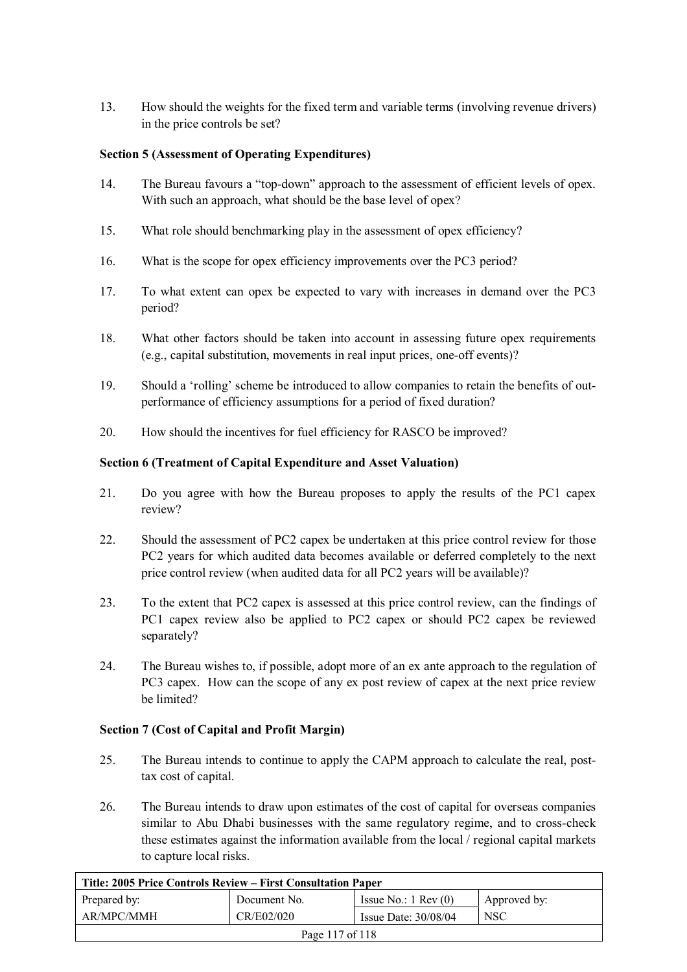13. How should the weights for the fixed term and variable terms (involving revenue drivers) in the price controls be set?

## **Section 5 (Assessment of Operating Expenditures)**

- 14. The Bureau favours a "top-down" approach to the assessment of efficient levels of opex. With such an approach, what should be the base level of opex?
- 15. What role should benchmarking play in the assessment of opex efficiency?
- 16. What is the scope for opex efficiency improvements over the PC3 period?
- 17. To what extent can opex be expected to vary with increases in demand over the PC3 period?
- 18. What other factors should be taken into account in assessing future opex requirements (e.g., capital substitution, movements in real input prices, one-off events)?
- 19. Should a 'rolling' scheme be introduced to allow companies to retain the benefits of outperformance of efficiency assumptions for a period of fixed duration?
- 20. How should the incentives for fuel efficiency for RASCO be improved?

## **Section 6 (Treatment of Capital Expenditure and Asset Valuation)**

- 21. Do you agree with how the Bureau proposes to apply the results of the PC1 capex review?
- 22. Should the assessment of PC2 capex be undertaken at this price control review for those PC2 years for which audited data becomes available or deferred completely to the next price control review (when audited data for all PC2 years will be available)?
- 23. To the extent that PC2 capex is assessed at this price control review, can the findings of PC1 capex review also be applied to PC2 capex or should PC2 capex be reviewed separately?
- 24. The Bureau wishes to, if possible, adopt more of an ex ante approach to the regulation of PC3 capex. How can the scope of any ex post review of capex at the next price review be limited?

## **Section 7 (Cost of Capital and Profit Margin)**

- 25. The Bureau intends to continue to apply the CAPM approach to calculate the real, posttax cost of capital.
- 26. The Bureau intends to draw upon estimates of the cost of capital for overseas companies similar to Abu Dhabi businesses with the same regulatory regime, and to cross-check these estimates against the information available from the local / regional capital markets to capture local risks.

| Title: 2005 Price Controls Review – First Consultation Paper |              |                               |              |  |
|--------------------------------------------------------------|--------------|-------------------------------|--------------|--|
| Prepared by:                                                 | Document No. | Issue No.: $1 \text{ Rev}(0)$ | Approved by: |  |
| AR/MPC/MMH                                                   | CR/E02/020   | Issue Date: $30/08/04$        | <b>NSC</b>   |  |
| Page 117 of 118                                              |              |                               |              |  |